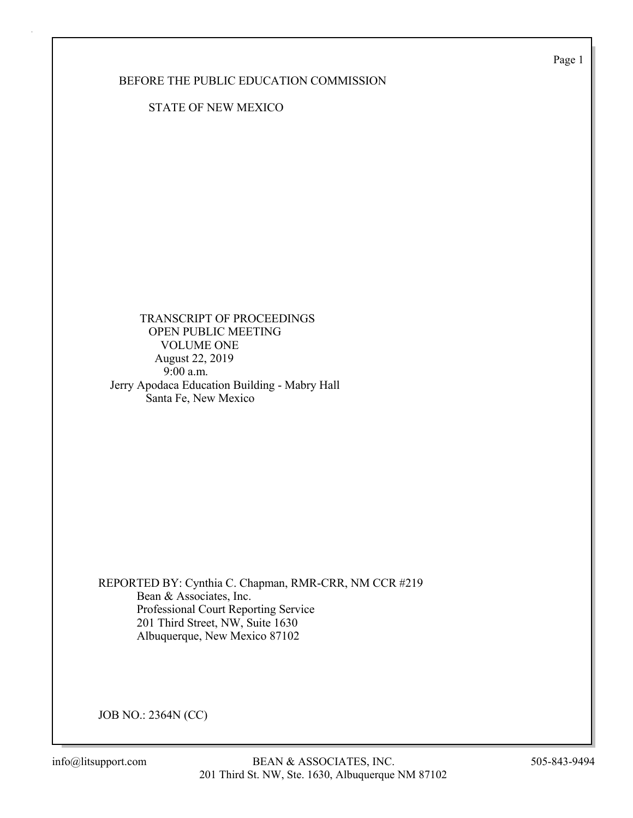Page 1

### BEFORE THE PUBLIC EDUCATION COMMISSION

STATE OF NEW MEXICO

 TRANSCRIPT OF PROCEEDINGS OPEN PUBLIC MEETING VOLUME ONE August 22, 2019 9:00 a.m. Jerry Apodaca Education Building - Mabry Hall Santa Fe, New Mexico

REPORTED BY: Cynthia C. Chapman, RMR-CRR, NM CCR #219 Bean & Associates, Inc. Professional Court Reporting Service 201 Third Street, NW, Suite 1630 Albuquerque, New Mexico 87102

JOB NO.: 2364N (CC)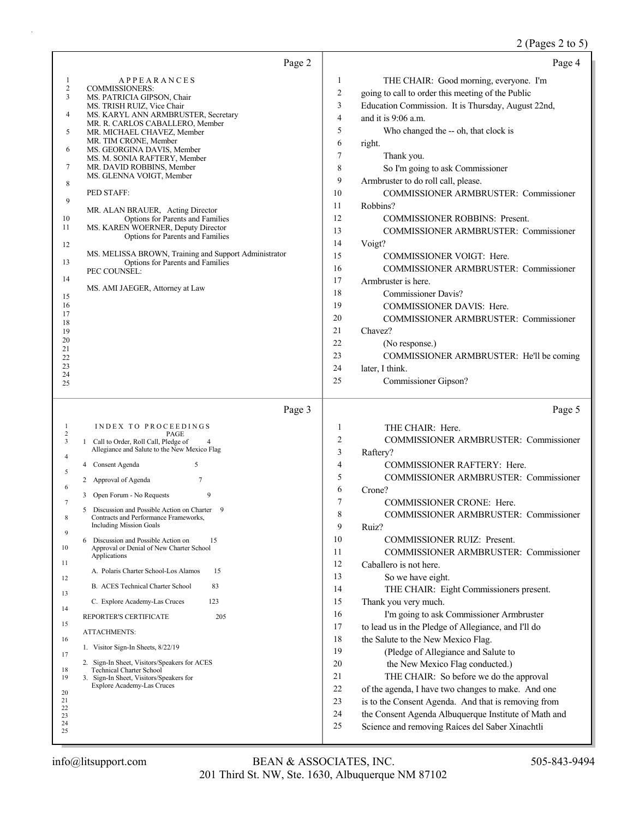# 2 (Pages 2 to 5)

| Page 2                                                                                                                                                                                                                                                                                                                                                                                                                                                                                                                                                                                                                                                                                                                                                                                                                                                                                                                                                                                                                | Page 4                                                                                                                                                                                                                                                                                                                                                                                                                                                                                                                                                                                                                                                                                                                                                                                                                                                                                                                                                                                                                                                                                                                 |
|-----------------------------------------------------------------------------------------------------------------------------------------------------------------------------------------------------------------------------------------------------------------------------------------------------------------------------------------------------------------------------------------------------------------------------------------------------------------------------------------------------------------------------------------------------------------------------------------------------------------------------------------------------------------------------------------------------------------------------------------------------------------------------------------------------------------------------------------------------------------------------------------------------------------------------------------------------------------------------------------------------------------------|------------------------------------------------------------------------------------------------------------------------------------------------------------------------------------------------------------------------------------------------------------------------------------------------------------------------------------------------------------------------------------------------------------------------------------------------------------------------------------------------------------------------------------------------------------------------------------------------------------------------------------------------------------------------------------------------------------------------------------------------------------------------------------------------------------------------------------------------------------------------------------------------------------------------------------------------------------------------------------------------------------------------------------------------------------------------------------------------------------------------|
| <b>APPEARANCES</b><br>1<br>$\overline{c}$<br><b>COMMISSIONERS:</b><br>3<br>MS. PATRICIA GIPSON, Chair<br>MS. TRISH RUIZ, Vice Chair<br>MS. KARYL ANN ARMBRUSTER, Secretary<br>4<br>MR. R. CARLOS CABALLERO, Member<br>5<br>MR. MICHAEL CHAVEZ, Member<br>MR. TIM CRONE, Member<br>6<br>MS. GEORGINA DAVIS, Member<br>MS. M. SONIA RAFTERY, Member<br>7<br>MR. DAVID ROBBINS, Member<br>MS. GLENNA VOIGT, Member<br>8<br>PED STAFF:<br>9<br>MR. ALAN BRAUER, Acting Director<br>Options for Parents and Families<br>10<br>MS. KAREN WOERNER, Deputy Director<br>11<br>Options for Parents and Families<br>12<br>MS. MELISSA BROWN, Training and Support Administrator<br><b>Options for Parents and Families</b><br>13<br>PEC COUNSEL:<br>14<br>MS. AMI JAEGER, Attorney at Law<br>15<br>16<br>17<br>18<br>19<br>20<br>21<br>22<br>23<br>24<br>25                                                                                                                                                                      | 1<br>THE CHAIR: Good morning, everyone. I'm<br>$\overline{c}$<br>going to call to order this meeting of the Public<br>3<br>Education Commission. It is Thursday, August 22nd,<br>$\overline{4}$<br>and it is $9:06$ a.m.<br>5<br>Who changed the -- oh, that clock is<br>6<br>right.<br>7<br>Thank you.<br>8<br>So I'm going to ask Commissioner<br>9<br>Armbruster to do roll call, please.<br>10<br>COMMISSIONER ARMBRUSTER: Commissioner<br>11<br>Robbins?<br>12<br>COMMISSIONER ROBBINS: Present.<br>13<br>COMMISSIONER ARMBRUSTER: Commissioner<br>14<br>Voigt?<br>15<br>COMMISSIONER VOIGT: Here.<br>16<br>COMMISSIONER ARMBRUSTER: Commissioner<br>17<br>Armbruster is here.<br>18<br><b>Commissioner Davis?</b><br>19<br>COMMISSIONER DAVIS: Here.<br>20<br>COMMISSIONER ARMBRUSTER: Commissioner<br>21<br>Chavez?<br>22<br>(No response.)<br>23<br>COMMISSIONER ARMBRUSTER: He'll be coming<br>24<br>later, I think.<br>25<br>Commissioner Gipson?                                                                                                                                                            |
| Page 3                                                                                                                                                                                                                                                                                                                                                                                                                                                                                                                                                                                                                                                                                                                                                                                                                                                                                                                                                                                                                | Page 5                                                                                                                                                                                                                                                                                                                                                                                                                                                                                                                                                                                                                                                                                                                                                                                                                                                                                                                                                                                                                                                                                                                 |
| INDEX TO PROCEEDINGS<br>-1<br>$\overline{\mathbf{c}}$<br>PAGE<br>3<br>1 Call to Order, Roll Call, Pledge of<br>Allegiance and Salute to the New Mexico Flag<br>4<br>5<br>Consent Agenda<br>4<br>5<br>7<br>2 Approval of Agenda<br>6<br>9<br>Open Forum - No Requests<br>3<br>7<br>5 Discussion and Possible Action on Charter 9<br>Contracts and Performance Frameworks,<br><b>Including Mission Goals</b><br>9<br>Discussion and Possible Action on<br>15<br>6<br>10<br>Approval or Denial of New Charter School<br>Applications<br>11<br>15<br>A. Polaris Charter School-Los Alamos<br>12<br>83<br>B. ACES Technical Charter School<br>13<br>123<br>C. Explore Academy-Las Cruces<br>14<br>REPORTER'S CERTIFICATE<br>205<br>15<br>ATTACHMENTS:<br>16<br>1. Visitor Sign-In Sheets, 8/22/19<br>17<br>2. Sign-In Sheet, Visitors/Speakers for ACES<br><b>Technical Charter School</b><br>18<br>19<br>3. Sign-In Sheet, Visitors/Speakers for<br><b>Explore Academy-Las Cruces</b><br>20<br>21<br>22<br>23<br>24<br>25 | $\mathbf{1}$<br>THE CHAIR: Here.<br>$\overline{2}$<br>COMMISSIONER ARMBRUSTER: Commissioner<br>3<br>Raftery?<br>$\overline{4}$<br>COMMISSIONER RAFTERY: Here.<br>5<br>COMMISSIONER ARMBRUSTER: Commissioner<br>6<br>Crone?<br>7<br>COMMISSIONER CRONE: Here.<br>8<br><b>COMMISSIONER ARMBRUSTER: Commissioner</b><br>9<br>Ruiz?<br>10<br><b>COMMISSIONER RUIZ: Present.</b><br>11<br>COMMISSIONER ARMBRUSTER: Commissioner<br>12<br>Caballero is not here.<br>13<br>So we have eight.<br>14<br>THE CHAIR: Eight Commissioners present.<br>15<br>Thank you very much.<br>16<br>I'm going to ask Commissioner Armbruster<br>17<br>to lead us in the Pledge of Allegiance, and I'll do<br>18<br>the Salute to the New Mexico Flag.<br>19<br>(Pledge of Allegiance and Salute to<br>the New Mexico Flag conducted.)<br>20<br>21<br>THE CHAIR: So before we do the approval<br>22<br>of the agenda, I have two changes to make. And one<br>23<br>is to the Consent Agenda. And that is removing from<br>24<br>the Consent Agenda Albuquerque Institute of Math and<br>25<br>Science and removing Raíces del Saber Xinachtli |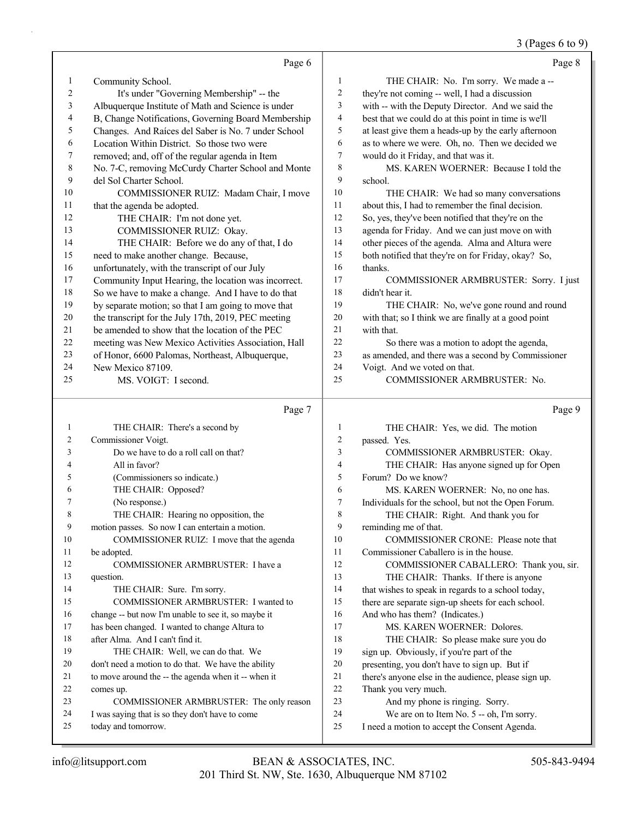## 3 (Pages 6 to 9)

|                  | Page 6                                               |                         | Page 8                                               |
|------------------|------------------------------------------------------|-------------------------|------------------------------------------------------|
| $\mathbf{1}$     | Community School.                                    | $\mathbf{1}$            | THE CHAIR: No. I'm sorry. We made a --               |
| $\boldsymbol{2}$ | It's under "Governing Membership" -- the             | 2                       | they're not coming -- well, I had a discussion       |
| $\mathfrak{Z}$   | Albuquerque Institute of Math and Science is under   | 3                       | with -- with the Deputy Director. And we said the    |
| 4                | B, Change Notifications, Governing Board Membership  | 4                       | best that we could do at this point in time is we'll |
| 5                | Changes. And Raíces del Saber is No. 7 under School  | 5                       | at least give them a heads-up by the early afternoon |
| 6                | Location Within District. So those two were          | 6                       | as to where we were. Oh, no. Then we decided we      |
| 7                | removed; and, off of the regular agenda in Item      | 7                       | would do it Friday, and that was it.                 |
| $\,$ 8 $\,$      | No. 7-C, removing McCurdy Charter School and Monte   | 8                       | MS. KAREN WOERNER: Because I told the                |
| 9                | del Sol Charter School.                              | 9                       | school.                                              |
| 10               | COMMISSIONER RUIZ: Madam Chair, I move               | 10                      | THE CHAIR: We had so many conversations              |
| 11               | that the agenda be adopted.                          | 11                      | about this, I had to remember the final decision.    |
| 12               | THE CHAIR: I'm not done yet.                         | 12                      | So, yes, they've been notified that they're on the   |
| 13               | COMMISSIONER RUIZ: Okay.                             | 13                      | agenda for Friday. And we can just move on with      |
| 14               | THE CHAIR: Before we do any of that, I do            | 14                      | other pieces of the agenda. Alma and Altura were     |
| 15               | need to make another change. Because,                | 15                      | both notified that they're on for Friday, okay? So,  |
| 16               | unfortunately, with the transcript of our July       | 16                      | thanks.                                              |
| 17               | Community Input Hearing, the location was incorrect. | 17                      | COMMISSIONER ARMBRUSTER: Sorry. I just               |
| 18               | So we have to make a change. And I have to do that   | 18                      | didn't hear it.                                      |
| 19               | by separate motion; so that I am going to move that  | 19                      | THE CHAIR: No, we've gone round and round            |
| $20\,$           | the transcript for the July 17th, 2019, PEC meeting  | $20\,$                  | with that; so I think we are finally at a good point |
| $21\,$           | be amended to show that the location of the PEC      | $21\,$                  | with that.                                           |
| 22               | meeting was New Mexico Activities Association, Hall  | 22                      | So there was a motion to adopt the agenda,           |
| 23               | of Honor, 6600 Palomas, Northeast, Albuquerque,      | 23                      | as amended, and there was a second by Commissioner   |
| 24               | New Mexico 87109.                                    | 24                      | Voigt. And we voted on that.                         |
| 25               | MS. VOIGT: I second.                                 | 25                      | COMMISSIONER ARMBRUSTER: No.                         |
|                  | Page 7                                               |                         | Page 9                                               |
| 1                | THE CHAIR: There's a second by                       | $\mathbf{1}$            | THE CHAIR: Yes, we did. The motion                   |
| 2                | Commissioner Voigt.                                  | $\overline{\mathbf{c}}$ | passed. Yes.                                         |
| 3                | Do we have to do a roll call on that?                | 3                       | COMMISSIONER ARMBRUSTER: Okay.                       |
| 4                | All in favor?                                        | 4                       | THE CHAIR: Has anyone signed up for Open             |
| 5                | (Commissioners so indicate.)                         | 5                       | Forum? Do we know?                                   |
| 6                | THE CHAIR: Opposed?                                  | 6                       | MS. KAREN WOERNER: No, no one has.                   |
| 7                | (No response.)                                       | 7                       | Individuals for the school, but not the Open Forum.  |
| 8                | THE CHAIR: Hearing no opposition, the                | $\,$ $\,$               | THE CHAIR: Right. And thank you for                  |
| 9                | motion passes. So now I can entertain a motion.      | 9                       | reminding me of that.                                |
| 10               | COMMISSIONER RUIZ: I move that the agenda            | 10                      | COMMISSIONER CRONE: Please note that                 |
| 11               | be adopted.                                          | 11                      | Commissioner Caballero is in the house.              |
| 12               | COMMISSIONER ARMBRUSTER: I have a                    | 12                      | COMMISSIONER CABALLERO: Thank you, sir.              |
| 13               | question.                                            | 13                      | THE CHAIR: Thanks. If there is anyone                |
| 14               | THE CHAIR: Sure. I'm sorry.                          | 14                      | that wishes to speak in regards to a school today,   |
| 15               | COMMISSIONER ARMBRUSTER: I wanted to                 | 15                      | there are separate sign-up sheets for each school.   |
| 16               | change -- but now I'm unable to see it, so maybe it  | 16                      | And who has them? (Indicates.)                       |
| 17               | has been changed. I wanted to change Altura to       | 17                      | MS. KAREN WOERNER: Dolores.                          |
| 18               | after Alma. And I can't find it.                     | 18                      | THE CHAIR: So please make sure you do                |
| 19               | THE CHAIR: Well, we can do that. We                  | 19                      | sign up. Obviously, if you're part of the            |
| 20               | don't need a motion to do that. We have the ability  | 20                      | presenting, you don't have to sign up. But if        |
| 21               | to move around the -- the agenda when it -- when it  | 21                      | there's anyone else in the audience, please sign up. |
| 22               | comes up.                                            | 22                      | Thank you very much.                                 |
| 23               | COMMISSIONER ARMBRUSTER: The only reason             | 23                      | And my phone is ringing. Sorry.                      |
| 24               | I was saying that is so they don't have to come      | 24                      | We are on to Item No. 5 -- oh, I'm sorry.            |
| 25               | today and tomorrow.                                  | 25                      | I need a motion to accept the Consent Agenda.        |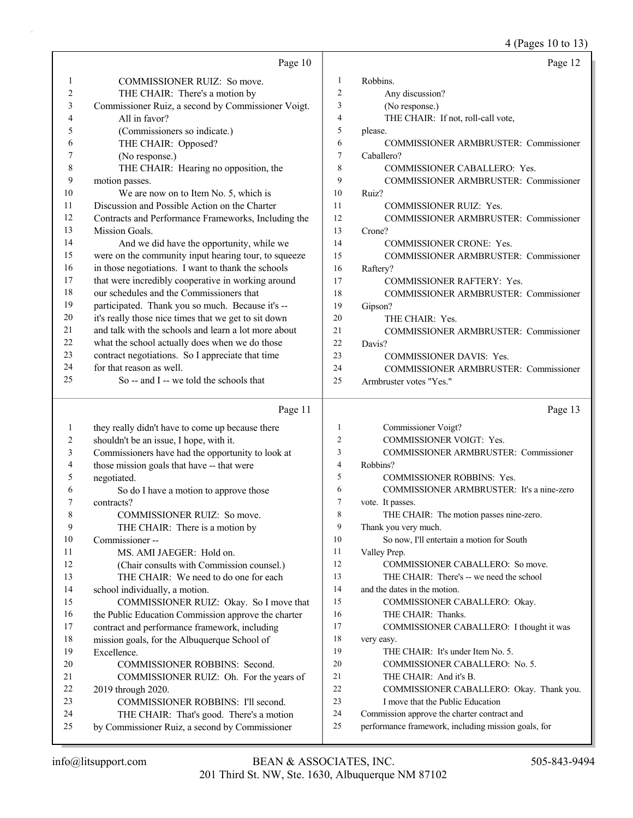4 (Pages 10 to 13)

|                | Page 10                                                                                    |                | Page 12                                                                                            |
|----------------|--------------------------------------------------------------------------------------------|----------------|----------------------------------------------------------------------------------------------------|
| $\mathbf{1}$   | COMMISSIONER RUIZ: So move.                                                                | 1              | Robbins.                                                                                           |
| $\sqrt{2}$     | THE CHAIR: There's a motion by                                                             | $\overline{2}$ | Any discussion?                                                                                    |
| 3              | Commissioner Ruiz, a second by Commissioner Voigt.                                         | 3              | (No response.)                                                                                     |
| 4              | All in favor?                                                                              | $\overline{4}$ | THE CHAIR: If not, roll-call vote,                                                                 |
| 5              | (Commissioners so indicate.)                                                               | 5              | please.                                                                                            |
| 6              | THE CHAIR: Opposed?                                                                        | 6              | COMMISSIONER ARMBRUSTER: Commissioner                                                              |
| 7              | (No response.)                                                                             | 7              | Caballero?                                                                                         |
| 8              | THE CHAIR: Hearing no opposition, the                                                      | 8              | COMMISSIONER CABALLERO: Yes.                                                                       |
| 9              | motion passes.                                                                             | 9              | COMMISSIONER ARMBRUSTER: Commissioner                                                              |
| 10             | We are now on to Item No. 5, which is                                                      | 10             | Ruiz?                                                                                              |
| 11             | Discussion and Possible Action on the Charter                                              | 11             | COMMISSIONER RUIZ: Yes.                                                                            |
| 12             | Contracts and Performance Frameworks, Including the                                        | 12             | COMMISSIONER ARMBRUSTER: Commissioner                                                              |
| 13             | Mission Goals.                                                                             | 13             | Crone?                                                                                             |
| 14             | And we did have the opportunity, while we                                                  | 14             | <b>COMMISSIONER CRONE: Yes.</b>                                                                    |
| 15             | were on the community input hearing tour, to squeeze                                       | 15             | COMMISSIONER ARMBRUSTER: Commissioner                                                              |
| 16             | in those negotiations. I want to thank the schools                                         | 16             | Raftery?                                                                                           |
| 17             | that were incredibly cooperative in working around                                         | 17             | COMMISSIONER RAFTERY: Yes.                                                                         |
| 18             | our schedules and the Commissioners that                                                   | 18             | COMMISSIONER ARMBRUSTER: Commissioner                                                              |
| 19             | participated. Thank you so much. Because it's --                                           | 19             | Gipson?                                                                                            |
| $20\,$         | it's really those nice times that we get to sit down                                       | 20             | THE CHAIR: Yes.                                                                                    |
| 21             | and talk with the schools and learn a lot more about                                       | 21             | <b>COMMISSIONER ARMBRUSTER: Commissioner</b>                                                       |
| 22             | what the school actually does when we do those                                             | 22             | Davis?                                                                                             |
| 23             | contract negotiations. So I appreciate that time                                           | 23             | COMMISSIONER DAVIS: Yes.                                                                           |
| 24             | for that reason as well.                                                                   | 24             | COMMISSIONER ARMBRUSTER: Commissioner                                                              |
| 25             | So -- and I -- we told the schools that                                                    | 25             | Armbruster votes "Yes."                                                                            |
|                |                                                                                            |                |                                                                                                    |
|                |                                                                                            |                |                                                                                                    |
|                | Page 11                                                                                    |                | Page 13                                                                                            |
| $\mathbf{1}$   | they really didn't have to come up because there                                           | $\mathbf{1}$   | Commissioner Voigt?                                                                                |
| $\overline{c}$ | shouldn't be an issue, I hope, with it.                                                    | $\overline{c}$ | COMMISSIONER VOIGT: Yes.                                                                           |
| 3              | Commissioners have had the opportunity to look at                                          | 3              | COMMISSIONER ARMBRUSTER: Commissioner                                                              |
| 4              | those mission goals that have -- that were                                                 | $\overline{4}$ | Robbins?                                                                                           |
| 5              | negotiated.                                                                                | 5              | <b>COMMISSIONER ROBBINS: Yes.</b>                                                                  |
| 6              | So do I have a motion to approve those                                                     | 6              | COMMISSIONER ARMBRUSTER: It's a nine-zero                                                          |
| 7              | contracts?                                                                                 | 7              | vote. It passes.                                                                                   |
| 8              | COMMISSIONER RUIZ: So move.                                                                | 8              | THE CHAIR: The motion passes nine-zero.                                                            |
| 9              | THE CHAIR: There is a motion by                                                            | 9              | Thank you very much.                                                                               |
| 10             | Commissioner-                                                                              | 10             | So now, I'll entertain a motion for South                                                          |
| 11             | MS. AMI JAEGER: Hold on.                                                                   | 11             | Valley Prep.                                                                                       |
| 12             | (Chair consults with Commission counsel.)                                                  | 12<br>13       | COMMISSIONER CABALLERO: So move.                                                                   |
| 13             | THE CHAIR: We need to do one for each                                                      | 14             | THE CHAIR: There's -- we need the school                                                           |
| 14             | school individually, a motion.                                                             | 15             | and the dates in the motion.                                                                       |
| 15             | COMMISSIONER RUIZ: Okay. So I move that                                                    | 16             | COMMISSIONER CABALLERO: Okay.                                                                      |
| 16             | the Public Education Commission approve the charter                                        | 17             | THE CHAIR: Thanks.                                                                                 |
| 17<br>18       | contract and performance framework, including                                              | 18             | COMMISSIONER CABALLERO: I thought it was                                                           |
| 19             | mission goals, for the Albuquerque School of<br>Excellence.                                | 19             | very easy.<br>THE CHAIR: It's under Item No. 5.                                                    |
| 20             | COMMISSIONER ROBBINS: Second.                                                              | 20             | COMMISSIONER CABALLERO: No. 5.                                                                     |
| 21             | COMMISSIONER RUIZ: Oh. For the years of                                                    | 21             | THE CHAIR: And it's B.                                                                             |
| 22             | 2019 through 2020.                                                                         | 22             | COMMISSIONER CABALLERO: Okay. Thank you.                                                           |
| 23             | COMMISSIONER ROBBINS: I'll second.                                                         | 23             | I move that the Public Education                                                                   |
| 24<br>25       | THE CHAIR: That's good. There's a motion<br>by Commissioner Ruiz, a second by Commissioner | 24<br>25       | Commission approve the charter contract and<br>performance framework, including mission goals, for |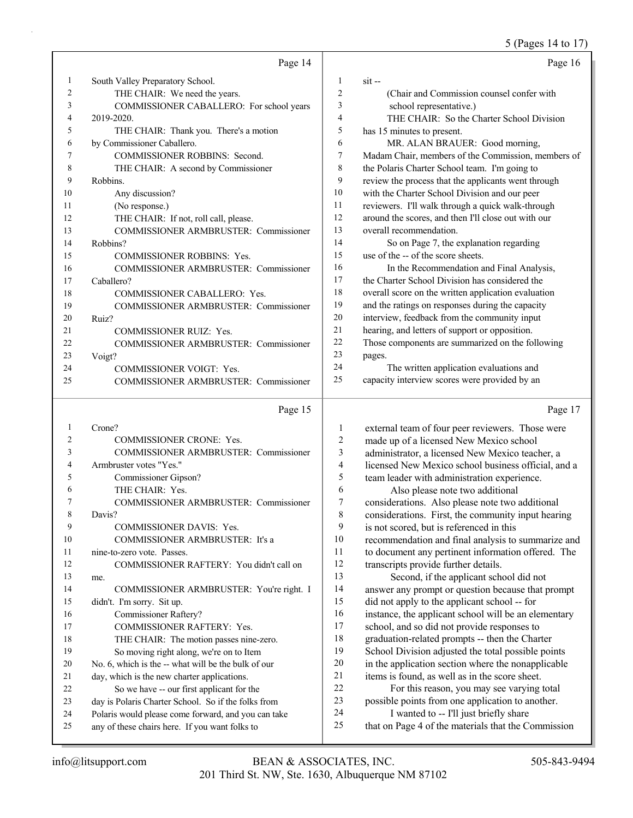#### 5 (Pages 14 to 17)

|                | Page 14                                      |                          | Page 16                                             |
|----------------|----------------------------------------------|--------------------------|-----------------------------------------------------|
| 1              | South Valley Preparatory School.             | 1                        | $s$ it --                                           |
| $\overline{c}$ | THE CHAIR: We need the years.                | $\overline{c}$           | (Chair and Commission counsel confer with           |
| 3              | COMMISSIONER CABALLERO: For school years     | 3                        | school representative.)                             |
| 4              | 2019-2020.                                   | $\overline{4}$           | THE CHAIR: So the Charter School Division           |
| 5              | THE CHAIR: Thank you. There's a motion       | 5                        | has 15 minutes to present.                          |
| 6              | by Commissioner Caballero.                   | 6                        | MR. ALAN BRAUER: Good morning,                      |
| 7              | COMMISSIONER ROBBINS: Second.                | 7                        | Madam Chair, members of the Commission, members of  |
| 8              | THE CHAIR: A second by Commissioner          | 8                        | the Polaris Charter School team. I'm going to       |
| 9              | Robbins.                                     | 9                        | review the process that the applicants went through |
| 10             | Any discussion?                              | 10                       | with the Charter School Division and our peer       |
| 11             | (No response.)                               | 11                       | reviewers. I'll walk through a quick walk-through   |
| 12             | THE CHAIR: If not, roll call, please.        | 12                       | around the scores, and then I'll close out with our |
| 13             | COMMISSIONER ARMBRUSTER: Commissioner        | 13                       | overall recommendation.                             |
| 14             | Robbins?                                     | 14                       | So on Page 7, the explanation regarding             |
| 15             | <b>COMMISSIONER ROBBINS: Yes.</b>            | 15                       | use of the -- of the score sheets.                  |
| 16             | <b>COMMISSIONER ARMBRUSTER: Commissioner</b> | 16                       | In the Recommendation and Final Analysis,           |
| 17             | Caballero?                                   | 17                       | the Charter School Division has considered the      |
| 18             | <b>COMMISSIONER CABALLERO: Yes.</b>          | 18                       | overall score on the written application evaluation |
| 19             | <b>COMMISSIONER ARMBRUSTER: Commissioner</b> | 19                       | and the ratings on responses during the capacity    |
| 20             | Ruiz?                                        | 20                       | interview, feedback from the community input        |
| 21             | <b>COMMISSIONER RUIZ: Yes.</b>               | 21                       | hearing, and letters of support or opposition.      |
| 22             | COMMISSIONER ARMBRUSTER: Commissioner        | 22                       | Those components are summarized on the following    |
| 23             | Voigt?                                       | 23                       | pages.                                              |
| 24             | COMMISSIONER VOIGT: Yes.                     | 24                       | The written application evaluations and             |
| 25             | COMMISSIONER ARMBRUSTER: Commissioner        | 25                       | capacity interview scores were provided by an       |
|                | Page 15                                      |                          | Page 17                                             |
| 1              | Crone?                                       | $\mathbf{1}$             | external team of four peer reviewers. Those were    |
| $\overline{2}$ | <b>COMMISSIONER CRONE: Yes.</b>              | $\sqrt{2}$               | made up of a licensed New Mexico school             |
| 3              | COMMISSIONER ARMBRUSTER: Commissioner        | 3                        | administrator, a licensed New Mexico teacher, a     |
| 4              | Armbruster votes "Yes."                      | $\overline{\mathcal{L}}$ | licensed New Mexico school business official, and a |
| 5              | Commissioner Gipson?                         | 5                        | team leader with administration experience.         |
| 6              | THE CHAIR: Yes.                              | 6                        | Also please note two additional                     |
| 7              | COMMISSIONER ARMBRUSTER: Commissioner        | $\overline{7}$           | considerations. Also please note two additional     |
| 8              | Davis?                                       | 8                        | considerations. First, the community input hearing  |
| 9              | <b>COMMISSIONER DAVIS: Yes.</b>              | 9                        | is not scored, but is referenced in this            |
| 10             | COMMISSIONER ARMBRUSTER: It's a              | 10                       | recommendation and final analysis to summarize and  |
| 11             | nine-to-zero vote. Passes.                   | 11                       | to document any pertinent information offered. The  |

11 nine-to-zero vote. Passes. 12 COMMISSIONER RAFTERY: You didn't call on 13 me. 14 COMMISSIONER ARMBRUSTER: You're right. I 15 didn't. I'm sorry. Sit up. 16 Commissioner Raftery? 17 COMMISSIONER RAFTERY: Yes. 18 THE CHAIR: The motion passes nine-zero. 19 So moving right along, we're on to Item 20 No. 6, which is the -- what will be the bulk of our 21 day, which is the new charter applications. 22 So we have -- our first applicant for the 23 day is Polaris Charter School. So if the folks from 24 Polaris would please come forward, and you can take 25 any of these chairs here. If you want folks to

 to document any pertinent information offered. The transcripts provide further details. 13 Second, if the applicant school did not answer any prompt or question because that prompt did not apply to the applicant school -- for instance, the applicant school will be an elementary school, and so did not provide responses to graduation-related prompts -- then the Charter School Division adjusted the total possible points in the application section where the nonapplicable items is found, as well as in the score sheet. 22 For this reason, you may see varying total

23 possible points from one application to another. 24 I wanted to -- I'll just briefly share

25 that on Page 4 of the materials that the Commission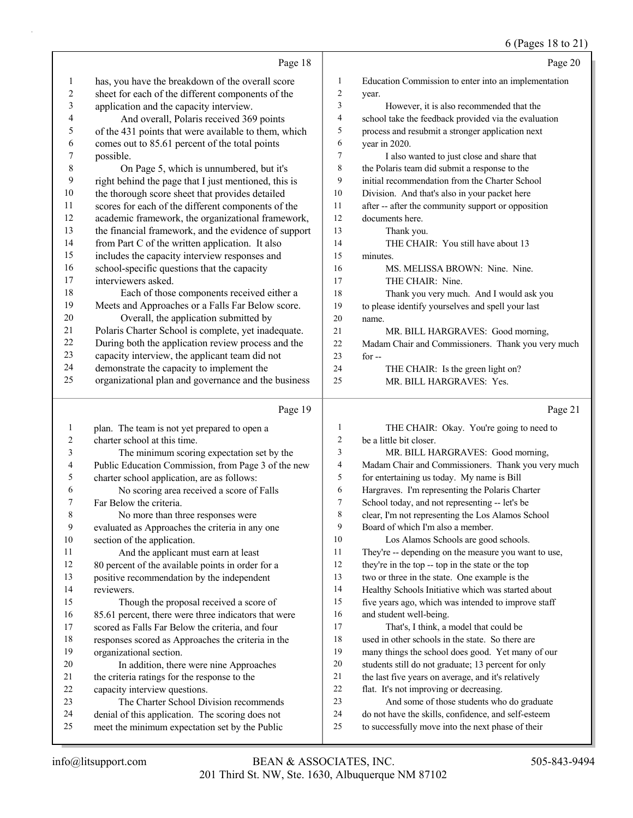#### $(D_{\text{0.008}} 18 \text{ to } 21)$

|                         |                                                                         |                          | $\sigma$ (Pages 18 to 21                                                                       |
|-------------------------|-------------------------------------------------------------------------|--------------------------|------------------------------------------------------------------------------------------------|
|                         | Page 18                                                                 |                          | Page 20                                                                                        |
| 1                       | has, you have the breakdown of the overall score                        | $\mathbf{1}$             | Education Commission to enter into an implementation                                           |
| $\overline{\mathbf{c}}$ | sheet for each of the different components of the                       | $\overline{c}$           | year.                                                                                          |
| 3                       | application and the capacity interview.                                 | 3                        | However, it is also recommended that the                                                       |
| 4                       | And overall, Polaris received 369 points                                | $\overline{\mathcal{L}}$ | school take the feedback provided via the evaluation                                           |
| 5                       | of the 431 points that were available to them, which                    | 5                        | process and resubmit a stronger application next                                               |
| 6                       | comes out to 85.61 percent of the total points                          | 6                        | year in 2020.                                                                                  |
| 7                       | possible.                                                               | $\tau$                   | I also wanted to just close and share that                                                     |
| 8                       | On Page 5, which is unnumbered, but it's                                | $\,$ 8 $\,$              | the Polaris team did submit a response to the                                                  |
| 9                       | right behind the page that I just mentioned, this is                    | 9                        | initial recommendation from the Charter School                                                 |
| 10                      | the thorough score sheet that provides detailed                         | 10                       | Division. And that's also in your packet here                                                  |
| 11                      | scores for each of the different components of the                      | 11                       | after -- after the community support or opposition                                             |
| 12                      | academic framework, the organizational framework,                       | 12                       | documents here.                                                                                |
| 13                      | the financial framework, and the evidence of support                    | 13                       | Thank you.                                                                                     |
| 14                      | from Part C of the written application. It also                         | 14                       | THE CHAIR: You still have about 13                                                             |
| 15                      | includes the capacity interview responses and                           | 15                       | minutes.                                                                                       |
| 16                      | school-specific questions that the capacity                             | 16                       | MS. MELISSA BROWN: Nine. Nine.                                                                 |
| 17                      | interviewers asked.                                                     | 17                       | THE CHAIR: Nine.                                                                               |
| 18                      | Each of those components received either a                              | 18                       | Thank you very much. And I would ask you                                                       |
| 19                      | Meets and Approaches or a Falls Far Below score.                        | 19                       | to please identify yourselves and spell your last                                              |
| 20                      | Overall, the application submitted by                                   | 20                       | name.                                                                                          |
| 21                      | Polaris Charter School is complete, yet inadequate.                     | 21                       | MR. BILL HARGRAVES: Good morning,                                                              |
| 22                      | During both the application review process and the                      | 22                       | Madam Chair and Commissioners. Thank you very much                                             |
| 23                      | capacity interview, the applicant team did not                          | 23                       | for $-$                                                                                        |
| 24<br>25                | demonstrate the capacity to implement the                               | 24                       | THE CHAIR: Is the green light on?                                                              |
|                         | organizational plan and governance and the business                     | 25                       | MR. BILL HARGRAVES: Yes.                                                                       |
|                         | Page 19                                                                 |                          | Page 21                                                                                        |
| $\mathbf{1}$            | plan. The team is not yet prepared to open a                            | $\mathbf{1}$             | THE CHAIR: Okay. You're going to need to                                                       |
| 2                       | charter school at this time.                                            | $\overline{2}$           | be a little bit closer.                                                                        |
| 3                       | The minimum scoring expectation set by the                              | 3                        | MR. BILL HARGRAVES: Good morning,                                                              |
| 4                       | Public Education Commission, from Page 3 of the new                     | 4                        | Madam Chair and Commissioners. Thank you very much                                             |
| 5                       | charter school application, are as follows:                             | 5                        | for entertaining us today. My name is Bill                                                     |
| 6                       | No scoring area received a score of Falls                               | 6                        | Hargraves. I'm representing the Polaris Charter                                                |
| 7                       | Far Below the criteria.                                                 | 7                        | School today, and not representing -- let's be                                                 |
| 8                       | No more than three responses were                                       | 8                        | clear, I'm not representing the Los Alamos School                                              |
| 9                       | evaluated as Approaches the criteria in any one                         | 9                        | Board of which I'm also a member.                                                              |
| 10                      | section of the application.                                             | 10                       | Los Alamos Schools are good schools.                                                           |
| 11                      | And the applicant must earn at least                                    | 11                       | They're -- depending on the measure you want to use,                                           |
| 12                      | 80 percent of the available points in order for a                       | 12                       | they're in the top -- top in the state or the top                                              |
| 13                      | positive recommendation by the independent                              | 13                       | two or three in the state. One example is the                                                  |
| 14                      | reviewers.                                                              | 14                       | Healthy Schools Initiative which was started about                                             |
| 15                      | Though the proposal received a score of                                 | 15                       | five years ago, which was intended to improve staff                                            |
| 16                      | 85.61 percent, there were three indicators that were                    | 16                       | and student well-being.                                                                        |
| 17                      | scored as Falls Far Below the criteria, and four                        | 17                       | That's, I think, a model that could be                                                         |
| 18                      | responses scored as Approaches the criteria in the                      | 18                       | used in other schools in the state. So there are                                               |
| 19                      | organizational section.                                                 | 19<br>20                 | many things the school does good. Yet many of our                                              |
| 20                      | In addition, there were nine Approaches                                 | 21                       | students still do not graduate; 13 percent for only                                            |
| 21<br>22                | the criteria ratings for the response to the                            | 22                       | the last five years on average, and it's relatively<br>flat. It's not improving or decreasing. |
| 23                      | capacity interview questions.<br>The Charter School Division recommends | 23                       | And some of those students who do graduate                                                     |
| 24                      | denial of this application. The scoring does not                        | 24                       | do not have the skills, confidence, and self-esteem                                            |
| 25                      | meet the minimum expectation set by the Public                          | 25                       | to successfully move into the next phase of their                                              |
|                         |                                                                         |                          |                                                                                                |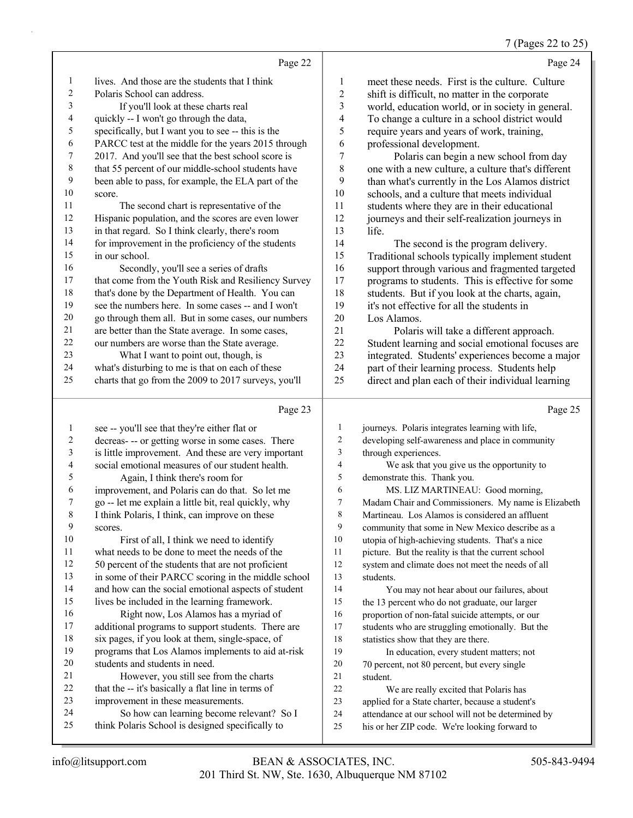## 7 (Pages 22 to 25)

|                         | Page 22                                                                                         |          | Page 24                                                                                             |
|-------------------------|-------------------------------------------------------------------------------------------------|----------|-----------------------------------------------------------------------------------------------------|
|                         |                                                                                                 |          |                                                                                                     |
| 1                       | lives. And those are the students that I think                                                  | 1        | meet these needs. First is the culture. Culture                                                     |
| $\overline{c}$          | Polaris School can address.                                                                     | 2        | shift is difficult, no matter in the corporate                                                      |
| 3                       | If you'll look at these charts real                                                             | 3        | world, education world, or in society in general.                                                   |
| 4                       | quickly -- I won't go through the data,                                                         | 4        | To change a culture in a school district would                                                      |
| 5                       | specifically, but I want you to see -- this is the                                              | 5        | require years and years of work, training,                                                          |
| 6                       | PARCC test at the middle for the years 2015 through                                             | 6        | professional development.                                                                           |
| 7                       | 2017. And you'll see that the best school score is                                              | 7        | Polaris can begin a new school from day                                                             |
| 8<br>9                  | that 55 percent of our middle-school students have                                              | 8        | one with a new culture, a culture that's different                                                  |
| 10                      | been able to pass, for example, the ELA part of the                                             | 9<br>10  | than what's currently in the Los Alamos district                                                    |
| 11                      | score.                                                                                          | 11       | schools, and a culture that meets individual                                                        |
| 12                      | The second chart is representative of the<br>Hispanic population, and the scores are even lower | 12       | students where they are in their educational<br>journeys and their self-realization journeys in     |
| 13                      | in that regard. So I think clearly, there's room                                                | 13       | life.                                                                                               |
| 14                      | for improvement in the proficiency of the students                                              | 14       | The second is the program delivery.                                                                 |
| 15                      | in our school.                                                                                  | 15       | Traditional schools typically implement student                                                     |
| 16                      | Secondly, you'll see a series of drafts                                                         | 16       | support through various and fragmented targeted                                                     |
| 17                      | that come from the Youth Risk and Resiliency Survey                                             | 17       | programs to students. This is effective for some                                                    |
| $18\,$                  | that's done by the Department of Health. You can                                                | 18       | students. But if you look at the charts, again,                                                     |
| 19                      | see the numbers here. In some cases -- and I won't                                              | 19       | it's not effective for all the students in                                                          |
| $20\,$                  | go through them all. But in some cases, our numbers                                             | 20       | Los Alamos.                                                                                         |
| 21                      | are better than the State average. In some cases,                                               | 21       | Polaris will take a different approach.                                                             |
| $22\,$                  | our numbers are worse than the State average.                                                   | 22       | Student learning and social emotional focuses are                                                   |
| 23                      | What I want to point out, though, is                                                            | 23       | integrated. Students' experiences become a major                                                    |
| 24                      | what's disturbing to me is that on each of these                                                | 24       | part of their learning process. Students help                                                       |
| 25                      | charts that go from the 2009 to 2017 surveys, you'll                                            | 25       | direct and plan each of their individual learning                                                   |
|                         |                                                                                                 |          |                                                                                                     |
|                         | Page 23                                                                                         |          | Page 25                                                                                             |
| $\mathbf{1}$            | see -- you'll see that they're either flat or                                                   |          |                                                                                                     |
|                         |                                                                                                 | 1        | journeys. Polaris integrates learning with life,                                                    |
| $\overline{\mathbf{c}}$ | decreas- -- or getting worse in some cases. There                                               | 2        | developing self-awareness and place in community                                                    |
| 3                       | is little improvement. And these are very important                                             | 3        | through experiences.                                                                                |
| 4                       | social emotional measures of our student health.                                                | 4        | We ask that you give us the opportunity to                                                          |
| 5                       | Again, I think there's room for                                                                 | 5        | demonstrate this. Thank you.                                                                        |
| 6                       | improvement, and Polaris can do that. So let me                                                 | 6        | MS. LIZ MARTINEAU: Good morning,                                                                    |
| 7                       | go -- let me explain a little bit, real quickly, why                                            | $\tau$   | Madam Chair and Commissioners. My name is Elizabeth                                                 |
| 8                       | I think Polaris, I think, can improve on these                                                  | 8        | Martineau. Los Alamos is considered an affluent                                                     |
| 9                       | scores.                                                                                         | 9        | community that some in New Mexico describe as a                                                     |
| $10\,$                  | First of all, I think we need to identify                                                       | 10       | utopia of high-achieving students. That's a nice                                                    |
| 11                      | what needs to be done to meet the needs of the                                                  | 11       | picture. But the reality is that the current school                                                 |
| 12                      | 50 percent of the students that are not proficient                                              | 12       | system and climate does not meet the needs of all                                                   |
| 13                      | in some of their PARCC scoring in the middle school                                             | 13       | students.                                                                                           |
| 14                      | and how can the social emotional aspects of student                                             | 14       | You may not hear about our failures, about                                                          |
| 15                      | lives be included in the learning framework.                                                    | 15       | the 13 percent who do not graduate, our larger                                                      |
| 16                      | Right now, Los Alamos has a myriad of                                                           | 16       | proportion of non-fatal suicide attempts, or our                                                    |
| 17                      | additional programs to support students. There are                                              | 17       | students who are struggling emotionally. But the                                                    |
| 18                      | six pages, if you look at them, single-space, of                                                | 18       | statistics show that they are there.                                                                |
| 19                      | programs that Los Alamos implements to aid at-risk                                              | 19       | In education, every student matters; not                                                            |
| $20\,$                  | students and students in need.                                                                  | $20\,$   | 70 percent, not 80 percent, but every single                                                        |
| 21                      | However, you still see from the charts                                                          | 21       | student.                                                                                            |
| $22\,$                  | that the -- it's basically a flat line in terms of                                              | $22\,$   | We are really excited that Polaris has                                                              |
| 23                      | improvement in these measurements.                                                              | 23       | applied for a State charter, because a student's                                                    |
| 24<br>25                | So how can learning become relevant? So I<br>think Polaris School is designed specifically to   | 24<br>25 | attendance at our school will not be determined by<br>his or her ZIP code. We're looking forward to |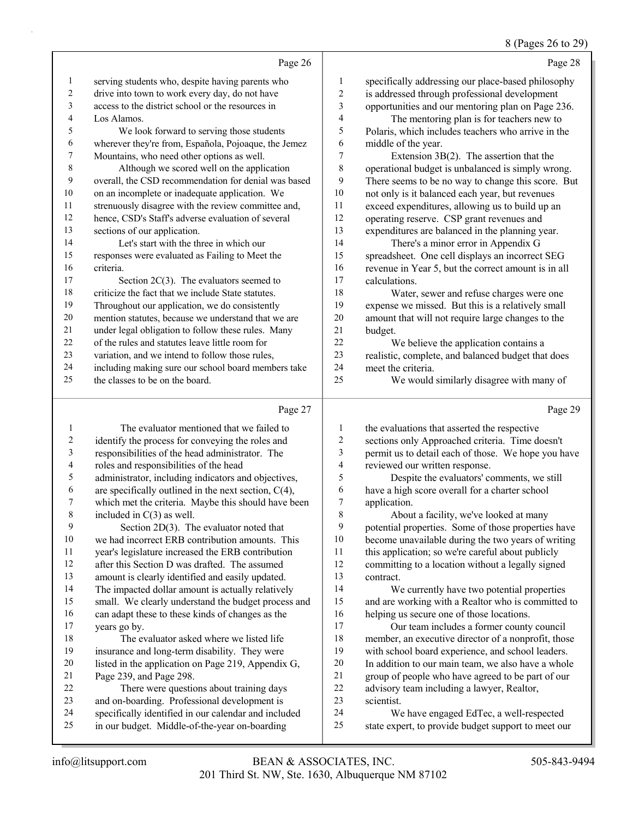#### 8 (Pages 26 to 29)

|                          |                                                      |                          | $0 \text{ (1 ages 20 to 2)}$                        |
|--------------------------|------------------------------------------------------|--------------------------|-----------------------------------------------------|
|                          | Page 26                                              |                          | Page 28                                             |
| $\mathbf{1}$             | serving students who, despite having parents who     | $\mathbf{1}$             | specifically addressing our place-based philosophy  |
| $\sqrt{2}$               | drive into town to work every day, do not have       | $\overline{\mathbf{c}}$  | is addressed through professional development       |
| 3                        | access to the district school or the resources in    | 3                        | opportunities and our mentoring plan on Page 236.   |
| $\overline{4}$           | Los Alamos.                                          | 4                        | The mentoring plan is for teachers new to           |
| 5                        | We look forward to serving those students            | 5                        | Polaris, which includes teachers who arrive in the  |
| 6                        | wherever they're from, Española, Pojoaque, the Jemez | 6                        | middle of the year.                                 |
| $\boldsymbol{7}$         | Mountains, who need other options as well.           | 7                        | Extension $3B(2)$ . The assertion that the          |
| $\,$ 8 $\,$              | Although we scored well on the application           | 8                        | operational budget is unbalanced is simply wrong.   |
| $\mathbf{9}$             | overall, the CSD recommendation for denial was based | 9                        | There seems to be no way to change this score. But  |
| $10\,$                   | on an incomplete or inadequate application. We       | 10                       | not only is it balanced each year, but revenues     |
| 11                       | strenuously disagree with the review committee and,  | 11                       | exceed expenditures, allowing us to build up an     |
| $12\,$                   | hence, CSD's Staff's adverse evaluation of several   | 12                       | operating reserve. CSP grant revenues and           |
| 13                       | sections of our application.                         | 13                       | expenditures are balanced in the planning year.     |
| 14                       | Let's start with the three in which our              | 14                       | There's a minor error in Appendix G                 |
| 15                       | responses were evaluated as Failing to Meet the      | 15                       | spreadsheet. One cell displays an incorrect SEG     |
| 16                       | criteria.                                            | 16                       | revenue in Year 5, but the correct amount is in all |
| 17                       | Section $2C(3)$ . The evaluators seemed to           | 17                       | calculations.                                       |
| $18\,$                   | criticize the fact that we include State statutes.   | 18                       | Water, sewer and refuse charges were one            |
| 19                       | Throughout our application, we do consistently       | 19                       | expense we missed. But this is a relatively small   |
| $20\,$                   | mention statutes, because we understand that we are  | 20                       | amount that will not require large changes to the   |
| 21                       | under legal obligation to follow these rules. Many   | $21\,$                   | budget.                                             |
| 22                       | of the rules and statutes leave little room for      | 22                       | We believe the application contains a               |
| 23                       | variation, and we intend to follow those rules,      | 23                       | realistic, complete, and balanced budget that does  |
| 24                       | including making sure our school board members take  | 24                       | meet the criteria.                                  |
| 25                       | the classes to be on the board.                      | 25                       | We would similarly disagree with many of            |
|                          | Page 27                                              |                          | Page 29                                             |
| $\mathbf{1}$             | The evaluator mentioned that we failed to            | 1                        | the evaluations that asserted the respective        |
| $\overline{\mathbf{c}}$  | identify the process for conveying the roles and     | $\overline{\mathbf{c}}$  | sections only Approached criteria. Time doesn't     |
| $\mathfrak{Z}$           | responsibilities of the head administrator. The      | 3                        | permit us to detail each of those. We hope you have |
| $\overline{\mathcal{A}}$ | roles and responsibilities of the head               | $\overline{\mathcal{A}}$ | reviewed our written response.                      |
| 5                        | administrator, including indicators and objectives,  | 5                        | Despite the evaluators' comments, we still          |
| 6                        | are specifically outlined in the next section, C(4), | 6                        | have a high score overall for a charter school      |
| $\tau$                   | which met the criteria. Maybe this should have been  | 7                        | application.                                        |
| 8                        | included in $C(3)$ as well.                          | $\,8\,$                  | About a facility, we've looked at many              |
| 9                        | Section 2D(3). The evaluator noted that              | 9                        | potential properties. Some of those properties have |
| $10\,$                   | we had incorrect ERB contribution amounts. This      | 10                       | become unavailable during the two years of writing  |
| 11                       | year's legislature increased the ERB contribution    | 11                       | this application; so we're careful about publicly   |
| 12                       | after this Section D was drafted. The assumed        | 12                       | committing to a location without a legally signed   |
| 13                       | amount is clearly identified and easily updated.     | 13                       | contract.                                           |
| 14                       | The impacted dollar amount is actually relatively    | 14                       | We currently have two potential properties          |
| 15                       | small. We clearly understand the budget process and  | 15                       | and are working with a Realtor who is committed to  |
| 16                       | can adapt these to these kinds of changes as the     | 16                       | helping us secure one of those locations.           |
| 17                       | years go by.                                         | 17                       | Our team includes a former county council           |
| 18                       | The evaluator asked where we listed life             | 18                       | member, an executive director of a nonprofit, those |

- insurance and long-term disability. They were with school board experience, and school leaders. In addition to our main team, we also have a whole
	- listed in the application on Page 219, Appendix G, Page 239, and Page 298.
	- 22 There were questions about training days and on-boarding. Professional development is
	- specifically identified in our calendar and included
	- in our budget. Middle-of-the-year on-boarding
- group of people who have agreed to be part of our advisory team including a lawyer, Realtor,
- scientist.
- 24 We have engaged EdTec, a well-respected state expert, to provide budget support to meet our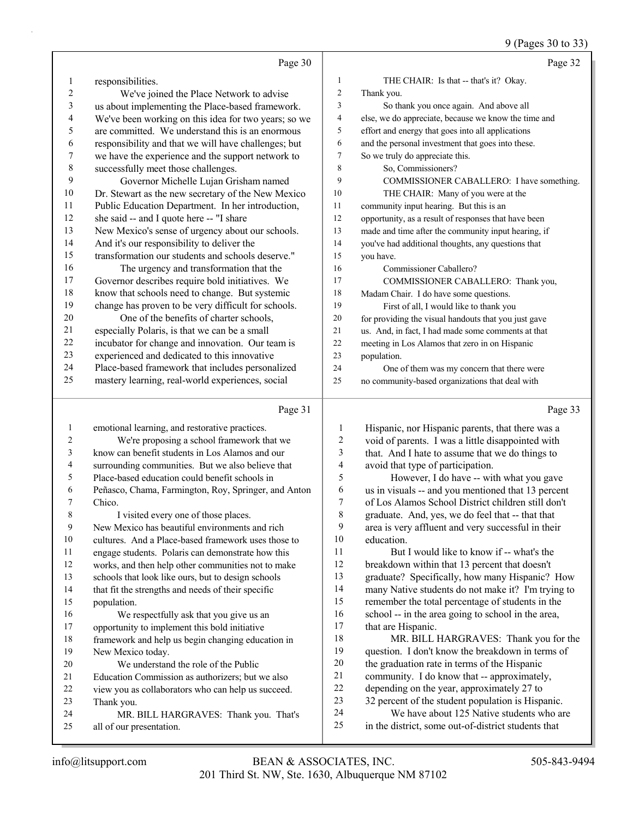9 (Pages 30 to 33)

|                  |                                                      |                | $2(\text{r} \text{ ages } 30 \text{ to } 32)$        |
|------------------|------------------------------------------------------|----------------|------------------------------------------------------|
|                  | Page 30                                              |                | Page 32                                              |
| 1                | responsibilities.                                    | $\mathbf{1}$   | THE CHAIR: Is that -- that's it? Okay.               |
| $\boldsymbol{2}$ | We've joined the Place Network to advise             | $\overline{c}$ | Thank you.                                           |
| $\mathfrak{Z}$   | us about implementing the Place-based framework.     | 3              | So thank you once again. And above all               |
| 4                | We've been working on this idea for two years; so we | 4              | else, we do appreciate, because we know the time and |
| 5                | are committed. We understand this is an enormous     | 5              | effort and energy that goes into all applications    |
| 6                | responsibility and that we will have challenges; but | 6              | and the personal investment that goes into these.    |
| $\boldsymbol{7}$ | we have the experience and the support network to    | 7              | So we truly do appreciate this.                      |
| $\,$ $\,$        | successfully meet those challenges.                  | 8              | So, Commissioners?                                   |
| 9                | Governor Michelle Lujan Grisham named                | 9              | COMMISSIONER CABALLERO: I have something.            |
| $10\,$           | Dr. Stewart as the new secretary of the New Mexico   | 10             | THE CHAIR: Many of you were at the                   |
| 11               | Public Education Department. In her introduction,    | 11             | community input hearing. But this is an              |
| 12               | she said -- and I quote here -- "I share             | 12             | opportunity, as a result of responses that have been |
| 13               | New Mexico's sense of urgency about our schools.     | 13             | made and time after the community input hearing, if  |
| 14               | And it's our responsibility to deliver the           | 14             | you've had additional thoughts, any questions that   |
| 15               | transformation our students and schools deserve."    | 15             | you have.                                            |
| 16               | The urgency and transformation that the              | 16             | Commissioner Caballero?                              |
| 17               | Governor describes require bold initiatives. We      | 17             | COMMISSIONER CABALLERO: Thank you,                   |
| 18               | know that schools need to change. But systemic       | 18             | Madam Chair. I do have some questions.               |
| 19               | change has proven to be very difficult for schools.  | 19             | First of all, I would like to thank you              |
| 20               | One of the benefits of charter schools,              | 20             | for providing the visual handouts that you just gave |
| 21               | especially Polaris, is that we can be a small        | 21             | us. And, in fact, I had made some comments at that   |
| 22               | incubator for change and innovation. Our team is     | 22             | meeting in Los Alamos that zero in on Hispanic       |
| 23               | experienced and dedicated to this innovative         | 23             | population.                                          |
| 24               | Place-based framework that includes personalized     | 24             | One of them was my concern that there were           |
| 25               | mastery learning, real-world experiences, social     | 25             | no community-based organizations that deal with      |
|                  | Page 31                                              |                | Page 33                                              |
| $\mathbf{1}$     | emotional learning, and restorative practices.       | 1              | Hispanic, nor Hispanic parents, that there was a     |
| 2                | We're proposing a school framework that we           | $\overline{c}$ | void of parents. I was a little disappointed with    |
| 3                | know can benefit students in Los Alamos and our      | 3              | that. And I hate to assume that we do things to      |
| 4                | surrounding communities. But we also believe that    | $\overline{4}$ | avoid that type of participation.                    |
| 5                | Place-based education could benefit schools in       | 5              | However, I do have -- with what you gave             |
| 6                | Peñasco, Chama, Farmington, Roy, Springer, and Anton | 6              | us in visuals -- and you mentioned that 13 percent   |
| 7                | Chico.                                               | 7              | of Los Alamos School District children still don't   |
| 8                | I visited every one of those places.                 | 8              | graduate. And, yes, we do feel that -- that that     |
| 9                | New Mexico has beautiful environments and rich       | 9              | area is very affluent and very successful in their   |
| $10\,$           | cultures. And a Place-based framework uses those to  | 10             | education.                                           |
| 11               | engage students. Polaris can demonstrate how this    | 11             | But I would like to know if -- what's the            |
| 12               | works, and then help other communities not to make   | 12             | breakdown within that 13 percent that doesn't        |
| 13               | schools that look like ours, but to design schools   | 13             | graduate? Specifically, how many Hispanic? How       |
| 14               | that fit the strengths and needs of their specific   | 14             | many Native students do not make it? I'm trying to   |
| 15               | population.                                          | 15             | remember the total percentage of students in the     |
| 16               | We respectfully ask that you give us an              | 16             | school -- in the area going to school in the area,   |
| 17               | opportunity to implement this bold initiative        | 17             | that are Hispanic.                                   |
| 18               | framework and help us begin changing education in    | 18             | MR. BILL HARGRAVES: Thank you for the                |
| 19               | New Mexico today.                                    | 19             | question. I don't know the breakdown in terms of     |
| 20               | We understand the role of the Public                 | $20\,$         | the graduation rate in terms of the Hispanic         |
| 21               | Education Commission as authorizers; but we also     | $21\,$         | community. I do know that -- approximately,          |
| 22               | view you as collaborators who can help us succeed.   | $22\,$         | depending on the year, approximately 27 to           |
| 23               | Thank you.                                           | 23             | 32 percent of the student population is Hispanic.    |
| 24               | MR. BILL HARGRAVES: Thank you. That's                | 24             | We have about 125 Native students who are            |
| 25               | all of our presentation.                             | 25             | in the district, some out-of-district students that  |
|                  |                                                      |                |                                                      |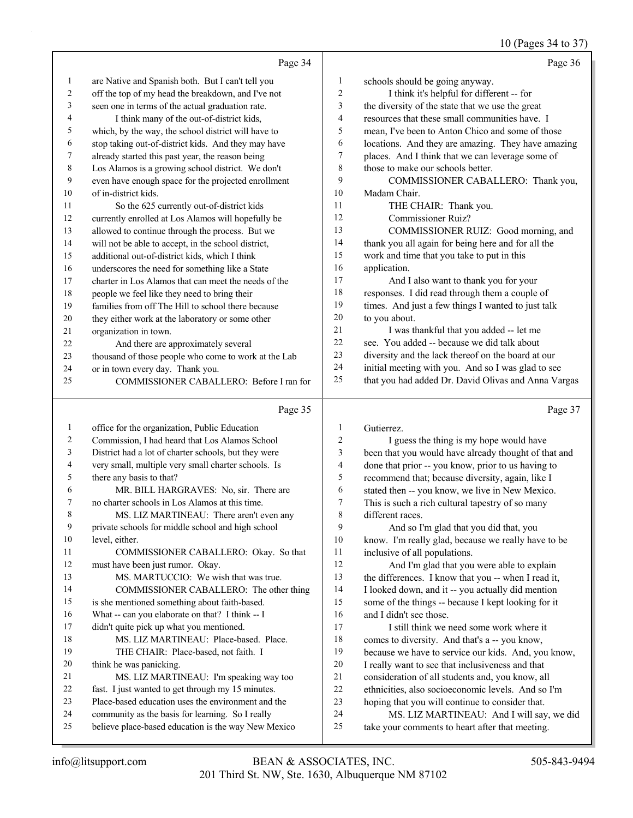#### 10 (Pages 34 to 37)

|                | Page 34                                                                                                |                  | Page 36                                                                                                |
|----------------|--------------------------------------------------------------------------------------------------------|------------------|--------------------------------------------------------------------------------------------------------|
| $\mathbf{1}$   | are Native and Spanish both. But I can't tell you                                                      | 1                | schools should be going anyway.                                                                        |
| $\overline{c}$ | off the top of my head the breakdown, and I've not                                                     | $\boldsymbol{2}$ | I think it's helpful for different -- for                                                              |
| 3              | seen one in terms of the actual graduation rate.                                                       | 3                | the diversity of the state that we use the great                                                       |
| 4              | I think many of the out-of-district kids,                                                              | $\overline{4}$   | resources that these small communities have. I                                                         |
| 5              | which, by the way, the school district will have to                                                    | 5                | mean, I've been to Anton Chico and some of those                                                       |
| 6              | stop taking out-of-district kids. And they may have                                                    | 6                | locations. And they are amazing. They have amazing                                                     |
| 7              | already started this past year, the reason being                                                       | 7                | places. And I think that we can leverage some of                                                       |
| $\,$ $\,$      | Los Alamos is a growing school district. We don't                                                      | 8                | those to make our schools better.                                                                      |
| 9              | even have enough space for the projected enrollment                                                    | 9                | COMMISSIONER CABALLERO: Thank you,                                                                     |
| 10             | of in-district kids.                                                                                   | 10               | Madam Chair.                                                                                           |
| 11             | So the 625 currently out-of-district kids                                                              | 11               | THE CHAIR: Thank you.                                                                                  |
| 12             | currently enrolled at Los Alamos will hopefully be                                                     | 12               | Commissioner Ruiz?                                                                                     |
| 13             | allowed to continue through the process. But we                                                        | 13               | COMMISSIONER RUIZ: Good morning, and                                                                   |
| 14             | will not be able to accept, in the school district,                                                    | 14               | thank you all again for being here and for all the                                                     |
| 15             | additional out-of-district kids, which I think                                                         | 15               | work and time that you take to put in this                                                             |
| 16             | underscores the need for something like a State                                                        | 16               | application.                                                                                           |
| 17             | charter in Los Alamos that can meet the needs of the                                                   | 17               | And I also want to thank you for your                                                                  |
| 18             | people we feel like they need to bring their                                                           | 18               | responses. I did read through them a couple of                                                         |
| 19             | families from off The Hill to school there because                                                     | 19               | times. And just a few things I wanted to just talk                                                     |
| 20             | they either work at the laboratory or some other                                                       | 20               | to you about.                                                                                          |
| 21             | organization in town.                                                                                  | 21               | I was thankful that you added -- let me                                                                |
| 22             | And there are approximately several                                                                    | 22               | see. You added -- because we did talk about                                                            |
| 23             | thousand of those people who come to work at the Lab                                                   | 23               | diversity and the lack thereof on the board at our                                                     |
| 24             | or in town every day. Thank you.                                                                       | 24               | initial meeting with you. And so I was glad to see                                                     |
| 25             | COMMISSIONER CABALLERO: Before I ran for                                                               | 25               | that you had added Dr. David Olivas and Anna Vargas                                                    |
|                | Page 35                                                                                                |                  | Page 37                                                                                                |
|                |                                                                                                        |                  |                                                                                                        |
| $\mathbf{1}$   |                                                                                                        | $\mathbf{1}$     |                                                                                                        |
| 2              | office for the organization, Public Education                                                          | 2                | Gutierrez.                                                                                             |
| 3              | Commission, I had heard that Los Alamos School<br>District had a lot of charter schools, but they were | 3                | I guess the thing is my hope would have                                                                |
| 4              | very small, multiple very small charter schools. Is                                                    | 4                | been that you would have already thought of that and                                                   |
| 5              | there any basis to that?                                                                               | 5                | done that prior -- you know, prior to us having to<br>recommend that; because diversity, again, like I |
| 6              | MR. BILL HARGRAVES: No, sir. There are                                                                 | 6                | stated then -- you know, we live in New Mexico.                                                        |
| 7              | no charter schools in Los Alamos at this time.                                                         | 7                | This is such a rich cultural tapestry of so many                                                       |
| 8              | MS. LIZ MARTINEAU: There aren't even any                                                               | 8                | different races.                                                                                       |
| 9              | private schools for middle school and high school                                                      | 9                | And so I'm glad that you did that, you                                                                 |
| 10             | level, either.                                                                                         | 10               | know. I'm really glad, because we really have to be                                                    |
| 11             | COMMISSIONER CABALLERO: Okay. So that                                                                  | 11               | inclusive of all populations.                                                                          |
| 12             | must have been just rumor. Okay.                                                                       | 12               | And I'm glad that you were able to explain                                                             |
| 13             | MS. MARTUCCIO: We wish that was true.                                                                  | 13               | the differences. I know that you -- when I read it,                                                    |
| 14             | COMMISSIONER CABALLERO: The other thing                                                                | 14               | I looked down, and it -- you actually did mention                                                      |
| 15             | is she mentioned something about faith-based.                                                          | 15               | some of the things -- because I kept looking for it                                                    |
| 16             | What -- can you elaborate on that? I think -- I                                                        | 16               | and I didn't see those.                                                                                |
| 17             | didn't quite pick up what you mentioned.                                                               | 17               | I still think we need some work where it                                                               |
| 18             | MS. LIZ MARTINEAU: Place-based. Place.                                                                 | 18               | comes to diversity. And that's a -- you know,                                                          |
| 19             | THE CHAIR: Place-based, not faith. I                                                                   | 19               | because we have to service our kids. And, you know,                                                    |
| 20             | think he was panicking.                                                                                | $20\,$           | I really want to see that inclusiveness and that                                                       |
| 21<br>22       | MS. LIZ MARTINEAU: I'm speaking way too<br>fast. I just wanted to get through my 15 minutes.           | 21<br>$22\,$     | consideration of all students and, you know, all<br>ethnicities, also socioeconomic levels. And so I'm |

- Place-based education uses the environment and the
- community as the basis for learning. So I really
- believe place-based education is the way New Mexico

hoping that you will continue to consider that.

24 MS. LIZ MARTINEAU: And I will say, we did take your comments to heart after that meeting.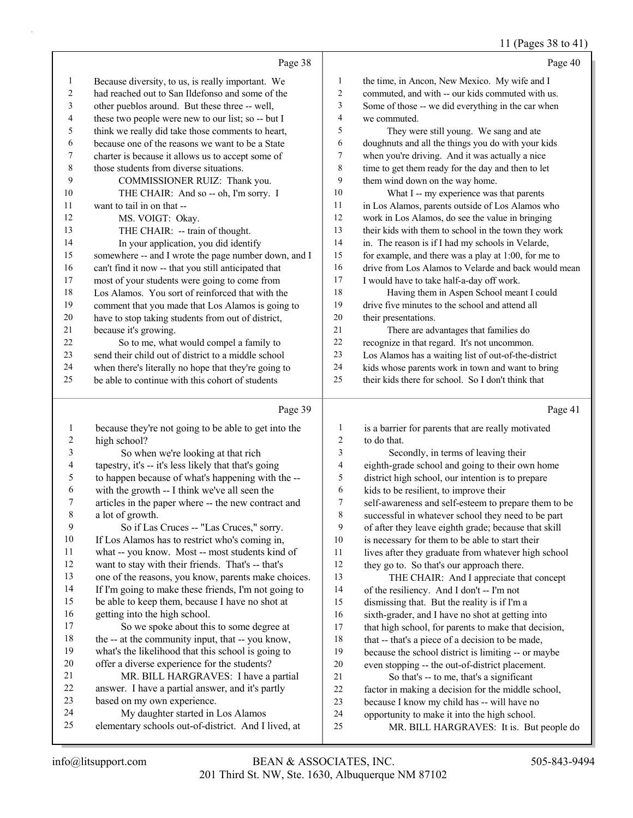## 11 (Pages 38 to 41)

|                | Page 38                                              |                         | Page 40                                              |
|----------------|------------------------------------------------------|-------------------------|------------------------------------------------------|
| $\mathbf{1}$   | Because diversity, to us, is really important. We    | 1                       | the time, in Ancon, New Mexico. My wife and I        |
| $\overline{2}$ | had reached out to San Ildefonso and some of the     | $\overline{2}$          | commuted, and with -- our kids commuted with us.     |
| 3              | other pueblos around. But these three -- well,       | 3                       | Some of those -- we did everything in the car when   |
| 4              | these two people were new to our list; so -- but I   | $\overline{\mathbf{4}}$ | we commuted.                                         |
| 5              | think we really did take those comments to heart,    | 5                       | They were still young. We sang and ate               |
| 6              | because one of the reasons we want to be a State     | 6                       | doughnuts and all the things you do with your kids   |
| 7              | charter is because it allows us to accept some of    | 7                       | when you're driving. And it was actually a nice      |
| 8              | those students from diverse situations.              | 8                       | time to get them ready for the day and then to let   |
| 9              | COMMISSIONER RUIZ: Thank you.                        | 9                       | them wind down on the way home.                      |
| 10             | THE CHAIR: And so -- oh, I'm sorry. I                | 10                      | What I -- my experience was that parents             |
| 11             | want to tail in on that --                           | 11                      | in Los Alamos, parents outside of Los Alamos who     |
| 12             | MS. VOIGT: Okay.                                     | 12                      | work in Los Alamos, do see the value in bringing     |
| 13             | THE CHAIR: -- train of thought.                      | 13                      | their kids with them to school in the town they work |
| 14             | In your application, you did identify                | 14                      | in. The reason is if I had my schools in Velarde,    |
| 15             | somewhere -- and I wrote the page number down, and I | 15                      | for example, and there was a play at 1:00, for me to |
| 16             | can't find it now -- that you still anticipated that | 16                      | drive from Los Alamos to Velarde and back would mean |
| 17             | most of your students were going to come from        | 17                      | I would have to take half-a-day off work.            |
| 18             | Los Alamos. You sort of reinforced that with the     | 18                      | Having them in Aspen School meant I could            |
| 19             | comment that you made that Los Alamos is going to    | 19                      | drive five minutes to the school and attend all      |
| 20             | have to stop taking students from out of district,   | 20                      | their presentations.                                 |
| 21             | because it's growing.                                | 21                      | There are advantages that families do                |
| 22             | So to me, what would compel a family to              | 22                      | recognize in that regard. It's not uncommon.         |
| 23             | send their child out of district to a middle school  | 23                      | Los Alamos has a waiting list of out-of-the-district |
| 24             | when there's literally no hope that they're going to | 24                      | kids whose parents work in town and want to bring    |
| 25             | be able to continue with this cohort of students     | 25                      | their kids there for school. So I don't think that   |
|                | Page 39                                              |                         | Page 41                                              |
| 1              | because they're not going to be able to get into the | 1                       | is a barrier for parents that are really motivated   |
| $\overline{2}$ | high school?                                         | $\overline{2}$          | to do that.                                          |
|                |                                                      |                         |                                                      |

| 2              | high school?                                         | $\mathbf{2}$ | to do that.                                          |
|----------------|------------------------------------------------------|--------------|------------------------------------------------------|
| 3              | So when we're looking at that rich                   | 3            | Secondly, in terms of leaving their                  |
| $\overline{4}$ | tapestry, it's -- it's less likely that that's going | 4            | eighth-grade school and going to their own home      |
| 5              | to happen because of what's happening with the --    | 5            | district high school, our intention is to prepare    |
| 6              | with the growth -- I think we've all seen the        | 6            | kids to be resilient, to improve their               |
| 7              | articles in the paper where -- the new contract and  | 7            | self-awareness and self-esteem to prepare them to be |
| 8              | a lot of growth.                                     | 8            | successful in whatever school they need to be part   |
| 9              | So if Las Cruces -- "Las Cruces," sorry.             | 9            | of after they leave eighth grade; because that skill |
| 10             | If Los Alamos has to restrict who's coming in,       | 10           | is necessary for them to be able to start their      |
| 11             | what -- you know. Most -- most students kind of      | 11           | lives after they graduate from whatever high school  |
| 12             | want to stay with their friends. That's -- that's    | 12           | they go to. So that's our approach there.            |
| 13             | one of the reasons, you know, parents make choices.  | 13           | THE CHAIR: And I appreciate that concept             |
| 14             | If I'm going to make these friends, I'm not going to | 14           | of the resiliency. And I don't -- I'm not            |
| 15             | be able to keep them, because I have no shot at      | 15           | dismissing that. But the reality is if I'm a         |
| 16             | getting into the high school.                        | 16           | sixth-grader, and I have no shot at getting into     |
| 17             | So we spoke about this to some degree at             | 17           | that high school, for parents to make that decision, |
| 18             | the -- at the community input, that -- you know,     | 18           | that -- that's a piece of a decision to be made,     |
| 19             | what's the likelihood that this school is going to   | 19           | because the school district is limiting -- or maybe  |
| 20             | offer a diverse experience for the students?         | 20           | even stopping -- the out-of-district placement.      |
| 21             | MR. BILL HARGRAVES: I have a partial                 | 21           | So that's -- to me, that's a significant             |
| 22             | answer. I have a partial answer, and it's partly     | 22           | factor in making a decision for the middle school,   |
| 23             | based on my own experience.                          | 23           | because I know my child has -- will have no          |
| 24             | My daughter started in Los Alamos                    | 24           | opportunity to make it into the high school.         |
| 25             | elementary schools out-of-district. And I lived, at  | 25           | MR. BILL HARGRAVES: It is. But people do             |
|                |                                                      |              |                                                      |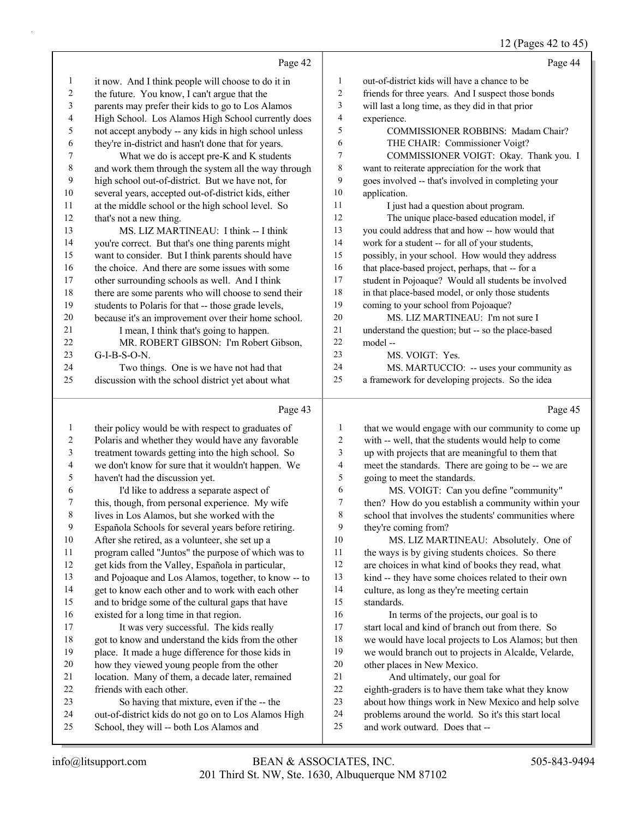## 12 (Pages 42 to 45)

|                | Page 42                                                                                          |                  | Page 44                                                                               |
|----------------|--------------------------------------------------------------------------------------------------|------------------|---------------------------------------------------------------------------------------|
| $\mathbf{1}$   | it now. And I think people will choose to do it in                                               | 1                | out-of-district kids will have a chance to be                                         |
| $\sqrt{2}$     | the future. You know, I can't argue that the                                                     | 2                | friends for three years. And I suspect those bonds                                    |
| 3              | parents may prefer their kids to go to Los Alamos                                                | 3                | will last a long time, as they did in that prior                                      |
| 4              | High School. Los Alamos High School currently does                                               | 4                | experience.                                                                           |
| 5              | not accept anybody -- any kids in high school unless                                             | 5                | COMMISSIONER ROBBINS: Madam Chair?                                                    |
| 6              | they're in-district and hasn't done that for years.                                              | 6                | THE CHAIR: Commissioner Voigt?                                                        |
| 7              | What we do is accept pre-K and K students                                                        | 7                | COMMISSIONER VOIGT: Okay. Thank you. I                                                |
| $\,$ $\,$      | and work them through the system all the way through                                             | 8                | want to reiterate appreciation for the work that                                      |
| 9              | high school out-of-district. But we have not, for                                                | 9                | goes involved -- that's involved in completing your                                   |
| $10\,$         | several years, accepted out-of-district kids, either                                             | $10\,$           | application.                                                                          |
| 11             | at the middle school or the high school level. So                                                | 11               | I just had a question about program.                                                  |
| 12             | that's not a new thing.                                                                          | 12               | The unique place-based education model, if                                            |
| 13             | MS. LIZ MARTINEAU: I think -- I think                                                            | 13               | you could address that and how -- how would that                                      |
| 14             | you're correct. But that's one thing parents might                                               | 14               | work for a student -- for all of your students,                                       |
| 15             | want to consider. But I think parents should have                                                | 15               | possibly, in your school. How would they address                                      |
| 16             | the choice. And there are some issues with some                                                  | 16               | that place-based project, perhaps, that -- for a                                      |
| 17             | other surrounding schools as well. And I think                                                   | $17\,$           | student in Pojoaque? Would all students be involved                                   |
| $18\,$         | there are some parents who will choose to send their                                             | $18\,$           | in that place-based model, or only those students                                     |
| 19             | students to Polaris for that -- those grade levels,                                              | 19               | coming to your school from Pojoaque?                                                  |
| $20\,$         | because it's an improvement over their home school.                                              | $20\,$           | MS. LIZ MARTINEAU: I'm not sure I                                                     |
| 21             | I mean, I think that's going to happen.                                                          | $21\,$           | understand the question; but -- so the place-based                                    |
| 22             | MR. ROBERT GIBSON: I'm Robert Gibson,                                                            | $22\,$           | model-                                                                                |
| 23             | $G-I-B-S-O-N.$                                                                                   | 23               | MS. VOIGT: Yes.                                                                       |
| 24             | Two things. One is we have not had that                                                          | 24               | MS. MARTUCCIO: -- uses your community as                                              |
| 25             | discussion with the school district yet about what                                               | 25               | a framework for developing projects. So the idea                                      |
|                |                                                                                                  |                  |                                                                                       |
|                |                                                                                                  |                  |                                                                                       |
|                | Page 43                                                                                          |                  | Page 45                                                                               |
| $\mathbf{1}$   | their policy would be with respect to graduates of                                               | $\mathbf{1}$     | that we would engage with our community to come up                                    |
| $\overline{c}$ | Polaris and whether they would have any favorable                                                | 2                | with -- well, that the students would help to come                                    |
| 3              | treatment towards getting into the high school. So                                               | 3                | up with projects that are meaningful to them that                                     |
| 4              | we don't know for sure that it wouldn't happen. We                                               | $\overline{4}$   | meet the standards. There are going to be -- we are                                   |
| 5              | haven't had the discussion yet.                                                                  | 5                | going to meet the standards.                                                          |
| 6              | I'd like to address a separate aspect of                                                         | 6                | MS. VOIGT: Can you define "community"                                                 |
| $\overline{7}$ | this, though, from personal experience. My wife                                                  | $\boldsymbol{7}$ | then? How do you establish a community within your                                    |
| 8              | lives in Los Alamos, but she worked with the                                                     | $\,$ 8 $\,$      | school that involves the students' communities where                                  |
| 9              | Española Schools for several years before retiring.                                              | 9                | they're coming from?                                                                  |
| 10             | After she retired, as a volunteer, she set up a                                                  | 10               | MS. LIZ MARTINEAU: Absolutely. One of                                                 |
| 11             | program called "Juntos" the purpose of which was to                                              | 11               | the ways is by giving students choices. So there                                      |
| 12             | get kids from the Valley, Española in particular,                                                | 12               | are choices in what kind of books they read, what                                     |
| 13             | and Pojoaque and Los Alamos, together, to know -- to                                             | 13               | kind -- they have some choices related to their own                                   |
| 14             | get to know each other and to work with each other                                               | 14               | culture, as long as they're meeting certain                                           |
| 15             | and to bridge some of the cultural gaps that have                                                | 15               | standards.                                                                            |
| 16             | existed for a long time in that region.                                                          | 16               | In terms of the projects, our goal is to                                              |
| 17             | It was very successful. The kids really                                                          | 17               | start local and kind of branch out from there. So                                     |
| 18             | got to know and understand the kids from the other                                               | 18               | we would have local projects to Los Alamos; but then                                  |
| 19             | place. It made a huge difference for those kids in                                               | 19               | we would branch out to projects in Alcalde, Velarde,                                  |
| $20\,$         | how they viewed young people from the other                                                      | $20\,$           | other places in New Mexico.                                                           |
| 21             | location. Many of them, a decade later, remained                                                 | 21               | And ultimately, our goal for                                                          |
| $22\,$         | friends with each other.                                                                         | 22               | eighth-graders is to have them take what they know                                    |
| 23             | So having that mixture, even if the -- the                                                       | 23               | about how things work in New Mexico and help solve                                    |
| 24<br>25       | out-of-district kids do not go on to Los Alamos High<br>School, they will -- both Los Alamos and | 24<br>25         | problems around the world. So it's this start local<br>and work outward. Does that -- |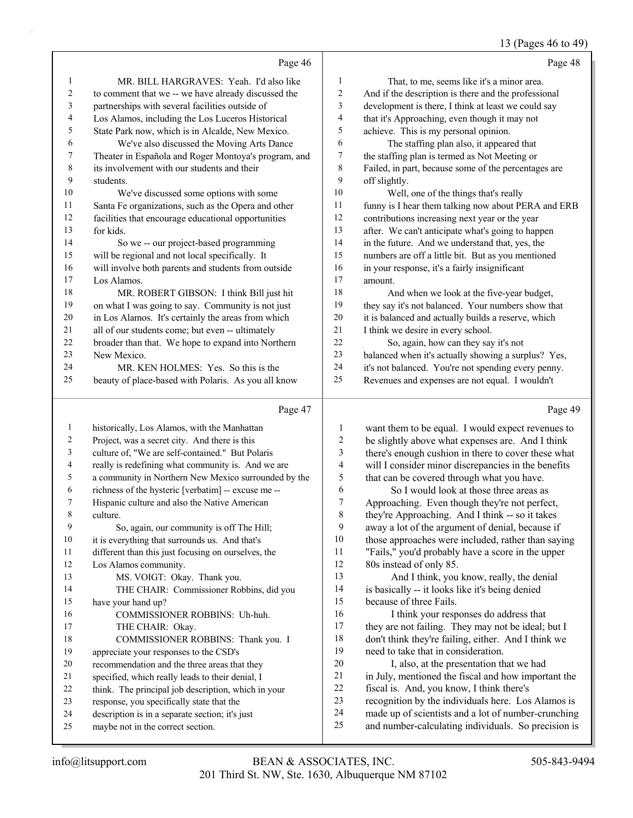# 13 (Pages 46 to 49)

|                         |                                                                                              |                         | $13$ (1 ages 40 to 42                                                                                     |
|-------------------------|----------------------------------------------------------------------------------------------|-------------------------|-----------------------------------------------------------------------------------------------------------|
|                         | Page 46                                                                                      |                         | Page 48                                                                                                   |
| 1                       | MR. BILL HARGRAVES: Yeah. I'd also like                                                      | $\mathbf{1}$            | That, to me, seems like it's a minor area.                                                                |
| $\overline{\mathbf{c}}$ | to comment that we -- we have already discussed the                                          | $\overline{\mathbf{c}}$ | And if the description is there and the professional                                                      |
| 3                       | partnerships with several facilities outside of                                              | 3                       | development is there, I think at least we could say                                                       |
| 4                       | Los Alamos, including the Los Luceros Historical                                             | 4                       | that it's Approaching, even though it may not                                                             |
| 5                       | State Park now, which is in Alcalde, New Mexico.                                             | 5                       | achieve. This is my personal opinion.                                                                     |
| 6                       | We've also discussed the Moving Arts Dance                                                   | 6                       | The staffing plan also, it appeared that                                                                  |
| 7                       | Theater in Española and Roger Montoya's program, and                                         | 7                       | the staffing plan is termed as Not Meeting or                                                             |
| $\,$ $\,$               | its involvement with our students and their                                                  | 8                       | Failed, in part, because some of the percentages are                                                      |
| 9                       | students.                                                                                    | 9                       | off slightly.                                                                                             |
| 10                      | We've discussed some options with some                                                       | 10                      | Well, one of the things that's really                                                                     |
| 11                      | Santa Fe organizations, such as the Opera and other                                          | 11                      | funny is I hear them talking now about PERA and ERB                                                       |
| 12                      | facilities that encourage educational opportunities                                          | 12                      | contributions increasing next year or the year                                                            |
| 13                      | for kids.                                                                                    | 13                      | after. We can't anticipate what's going to happen                                                         |
| 14                      | So we -- our project-based programming                                                       | 14                      | in the future. And we understand that, yes, the                                                           |
| 15                      | will be regional and not local specifically. It                                              | 15                      | numbers are off a little bit. But as you mentioned                                                        |
| 16                      | will involve both parents and students from outside                                          | 16                      | in your response, it's a fairly insignificant                                                             |
| 17                      | Los Alamos.                                                                                  | 17                      | amount.                                                                                                   |
| 18                      | MR. ROBERT GIBSON: I think Bill just hit                                                     | 18                      | And when we look at the five-year budget,                                                                 |
| 19                      | on what I was going to say. Community is not just                                            | 19                      | they say it's not balanced. Your numbers show that                                                        |
| 20                      | in Los Alamos. It's certainly the areas from which                                           | $20\,$                  | it is balanced and actually builds a reserve, which                                                       |
| 21                      | all of our students come; but even -- ultimately                                             | 21                      | I think we desire in every school.                                                                        |
| 22                      | broader than that. We hope to expand into Northern                                           | 22                      | So, again, how can they say it's not                                                                      |
| 23                      | New Mexico.                                                                                  | 23                      | balanced when it's actually showing a surplus? Yes,                                                       |
| 24                      | MR. KEN HOLMES: Yes. So this is the                                                          | 24                      | it's not balanced. You're not spending every penny.                                                       |
| 25                      | beauty of place-based with Polaris. As you all know                                          | 25                      | Revenues and expenses are not equal. I wouldn't                                                           |
|                         | Page 47                                                                                      |                         | Page 49                                                                                                   |
| $\mathbf{1}$            | historically, Los Alamos, with the Manhattan                                                 | 1                       | want them to be equal. I would expect revenues to                                                         |
| 2                       | Project, was a secret city. And there is this                                                | $\overline{c}$          | be slightly above what expenses are. And I think                                                          |
| 3                       | culture of, "We are self-contained." But Polaris                                             | 3                       | there's enough cushion in there to cover these what                                                       |
| 4                       | really is redefining what community is. And we are                                           | 4                       | will I consider minor discrepancies in the benefits                                                       |
| 5                       | a community in Northern New Mexico surrounded by the                                         | 5                       | that can be covered through what you have.                                                                |
| 6                       | richness of the hysteric [verbatim] -- excuse me --                                          | 6                       | So I would look at those three areas as                                                                   |
| 7                       | Hispanic culture and also the Native American                                                | $\boldsymbol{7}$        | Approaching. Even though they're not perfect,                                                             |
| $\,8\,$                 | culture.                                                                                     | $\,$ 8 $\,$             | they're Approaching. And I think -- so it takes                                                           |
| 9                       | So, again, our community is off The Hill;                                                    | 9                       | away a lot of the argument of denial, because if                                                          |
| 10                      | it is everything that surrounds us. And that's                                               | $10\,$                  | those approaches were included, rather than saying                                                        |
| 11                      | different than this just focusing on ourselves, the                                          | 11                      | "Fails," you'd probably have a score in the upper                                                         |
| 12                      | Los Alamos community.                                                                        | 12                      | 80s instead of only 85.                                                                                   |
| 13                      | MS. VOIGT: Okay. Thank you.                                                                  | 13                      | And I think, you know, really, the denial                                                                 |
| 14                      | THE CHAIR: Commissioner Robbins, did you                                                     | 14                      | is basically -- it looks like it's being denied                                                           |
| 15                      | have your hand up?                                                                           | 15                      | because of three Fails.                                                                                   |
| 16                      | COMMISSIONER ROBBINS: Uh-huh.                                                                | 16                      | I think your responses do address that                                                                    |
| 17                      | THE CHAIR: Okay.                                                                             | 17                      | they are not failing. They may not be ideal; but I                                                        |
| $18\,$                  | COMMISSIONER ROBBINS: Thank you. I                                                           | 18                      | don't think they're failing, either. And I think we                                                       |
| 19                      | appreciate your responses to the CSD's                                                       | 19                      | need to take that in consideration.                                                                       |
| 20                      | recommendation and the three areas that they                                                 | $20\,$                  | I, also, at the presentation that we had                                                                  |
| 21                      | specified, which really leads to their denial, I                                             | 21                      | in July, mentioned the fiscal and how important the                                                       |
| 22                      | think. The principal job description, which in your                                          | 22<br>23                | fiscal is. And, you know, I think there's                                                                 |
| 23<br>24                | response, you specifically state that the<br>description is in a separate section; it's just | 24                      | recognition by the individuals here. Los Alamos is<br>made up of scientists and a lot of number-crunching |
|                         |                                                                                              |                         |                                                                                                           |

 maybe not in the correct section. and number-calculating individuals. So precision is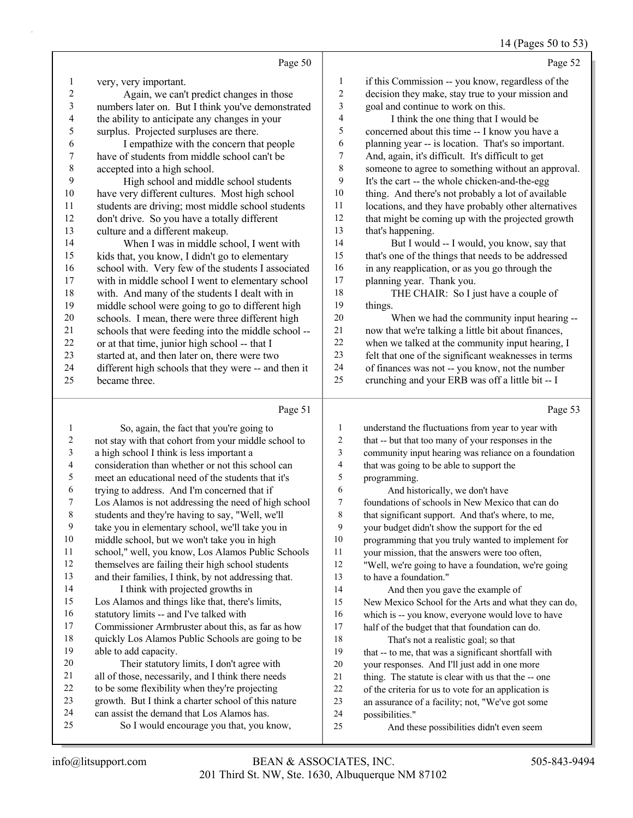14 (Pages 50 to 53)

|                |                                                                                                       |                          | $1 + \frac{1}{2}$ ages 50 to 55                                                                          |
|----------------|-------------------------------------------------------------------------------------------------------|--------------------------|----------------------------------------------------------------------------------------------------------|
|                | Page 50                                                                                               |                          | Page 52                                                                                                  |
| 1              | very, very important.                                                                                 | 1                        | if this Commission -- you know, regardless of the                                                        |
| $\overline{c}$ | Again, we can't predict changes in those                                                              | $\overline{c}$           | decision they make, stay true to your mission and                                                        |
| 3              | numbers later on. But I think you've demonstrated                                                     | 3                        | goal and continue to work on this.                                                                       |
| 4              | the ability to anticipate any changes in your                                                         | 4                        | I think the one thing that I would be                                                                    |
| 5              | surplus. Projected surpluses are there.                                                               | 5                        | concerned about this time -- I know you have a                                                           |
| 6              | I empathize with the concern that people                                                              | 6                        | planning year -- is location. That's so important.                                                       |
| 7              | have of students from middle school can't be                                                          | $\overline{7}$           | And, again, it's difficult. It's difficult to get                                                        |
| 8              | accepted into a high school.                                                                          | 8                        | someone to agree to something without an approval.                                                       |
| 9              | High school and middle school students                                                                | 9                        | It's the cart -- the whole chicken-and-the-egg                                                           |
| 10             | have very different cultures. Most high school                                                        | 10                       | thing. And there's not probably a lot of available                                                       |
| 11             | students are driving; most middle school students                                                     | 11                       | locations, and they have probably other alternatives                                                     |
| 12             | don't drive. So you have a totally different                                                          | 12                       | that might be coming up with the projected growth                                                        |
| 13             | culture and a different makeup.                                                                       | 13                       | that's happening.                                                                                        |
| 14             | When I was in middle school, I went with                                                              | 14                       | But I would -- I would, you know, say that                                                               |
| 15             | kids that, you know, I didn't go to elementary                                                        | 15                       | that's one of the things that needs to be addressed                                                      |
| 16             | school with. Very few of the students I associated                                                    | 16                       | in any reapplication, or as you go through the                                                           |
| 17             | with in middle school I went to elementary school                                                     | 17                       | planning year. Thank you.                                                                                |
| 18             | with. And many of the students I dealt with in                                                        | 18                       | THE CHAIR: So I just have a couple of                                                                    |
| 19             | middle school were going to go to different high                                                      | 19                       | things.                                                                                                  |
| 20             | schools. I mean, there were three different high                                                      | 20                       | When we had the community input hearing --                                                               |
| 21             | schools that were feeding into the middle school --                                                   | $21\,$                   | now that we're talking a little bit about finances,                                                      |
| 22             | or at that time, junior high school -- that I                                                         | 22                       | when we talked at the community input hearing, I                                                         |
| 23             | started at, and then later on, there were two                                                         | 23                       | felt that one of the significant weaknesses in terms                                                     |
| 24             | different high schools that they were -- and then it                                                  | 24                       | of finances was not -- you know, not the number                                                          |
| 25             | became three.                                                                                         | 25                       | crunching and your ERB was off a little bit -- I                                                         |
|                |                                                                                                       |                          |                                                                                                          |
|                |                                                                                                       |                          |                                                                                                          |
|                | Page 51                                                                                               |                          | Page 53                                                                                                  |
| 1              | So, again, the fact that you're going to                                                              | 1                        | understand the fluctuations from year to year with                                                       |
| 2              | not stay with that cohort from your middle school to                                                  | $\overline{c}$           | that -- but that too many of your responses in the                                                       |
| 3              | a high school I think is less important a                                                             | $\mathfrak{Z}$           | community input hearing was reliance on a foundation                                                     |
| 4              | consideration than whether or not this school can                                                     | $\overline{\mathcal{A}}$ | that was going to be able to support the                                                                 |
| 5              | meet an educational need of the students that it's                                                    | 5                        | programming.                                                                                             |
| 6              | trying to address. And I'm concerned that if                                                          | 6                        | And historically, we don't have                                                                          |
| 7              | Los Alamos is not addressing the need of high school                                                  | $\tau$                   | foundations of schools in New Mexico that can do                                                         |
| 8              | students and they're having to say, "Well, we'll                                                      | 8                        | that significant support. And that's where, to me,                                                       |
| 9              | take you in elementary school, we'll take you in                                                      | 9                        | your budget didn't show the support for the ed                                                           |
| 10             | middle school, but we won't take you in high                                                          | 10                       | programming that you truly wanted to implement for                                                       |
| 11             | school," well, you know, Los Alamos Public Schools                                                    | 11                       | your mission, that the answers were too often,                                                           |
| 12             | themselves are failing their high school students                                                     | 12                       | "Well, we're going to have a foundation, we're going                                                     |
| 13             | and their families, I think, by not addressing that.                                                  | 13                       | to have a foundation."                                                                                   |
| 14             | I think with projected growths in                                                                     | 14                       | And then you gave the example of                                                                         |
| 15             | Los Alamos and things like that, there's limits,                                                      | 15                       | New Mexico School for the Arts and what they can do,                                                     |
| 16             | statutory limits -- and I've talked with                                                              | 16                       | which is -- you know, everyone would love to have                                                        |
| 17             | Commissioner Armbruster about this, as far as how                                                     | 17                       | half of the budget that that foundation can do.                                                          |
| 18             | quickly Los Alamos Public Schools are going to be                                                     | $18\,$                   | That's not a realistic goal; so that                                                                     |
| 19             | able to add capacity.                                                                                 | 19                       | that -- to me, that was a significant shortfall with                                                     |
| 20<br>21       | Their statutory limits, I don't agree with                                                            | 20                       | your responses. And I'll just add in one more                                                            |
| 22             | all of those, necessarily, and I think there needs                                                    | $21\,$                   | thing. The statute is clear with us that the -- one                                                      |
| 23             | to be some flexibility when they're projecting<br>growth. But I think a charter school of this nature | $22\,$<br>23             | of the criteria for us to vote for an application is<br>an assurance of a facility; not, "We've got some |

- 25 So I would encourage you that, you know,
- 25 And these possibilities didn't even seem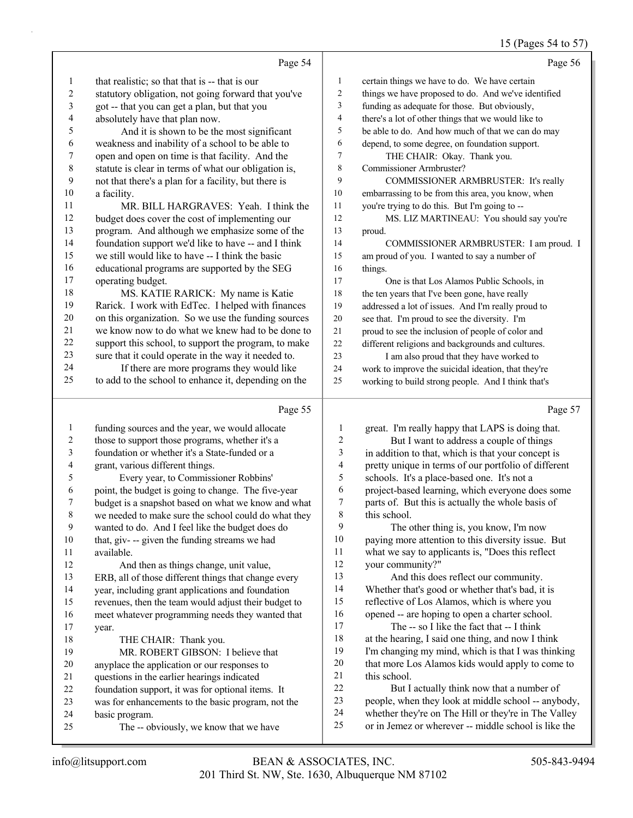# 15 (Pages 54 to 57)

|                         | Page 54                                                                                            |                         | Page 56                                                                                                      |
|-------------------------|----------------------------------------------------------------------------------------------------|-------------------------|--------------------------------------------------------------------------------------------------------------|
| 1                       | that realistic; so that that is -- that is our                                                     | $\mathbf{1}$            | certain things we have to do. We have certain                                                                |
| 2                       | statutory obligation, not going forward that you've                                                | $\overline{c}$          | things we have proposed to do. And we've identified                                                          |
| 3                       | got -- that you can get a plan, but that you                                                       | 3                       | funding as adequate for those. But obviously,                                                                |
| 4                       | absolutely have that plan now.                                                                     | 4                       | there's a lot of other things that we would like to                                                          |
| 5                       | And it is shown to be the most significant                                                         | 5                       | be able to do. And how much of that we can do may                                                            |
| 6                       | weakness and inability of a school to be able to                                                   | 6                       | depend, to some degree, on foundation support.                                                               |
| 7                       | open and open on time is that facility. And the                                                    | 7                       | THE CHAIR: Okay. Thank you.                                                                                  |
| $\,$ 8 $\,$             | statute is clear in terms of what our obligation is,                                               | 8                       | Commissioner Armbruster?                                                                                     |
| 9                       | not that there's a plan for a facility, but there is                                               | 9                       | COMMISSIONER ARMBRUSTER: It's really                                                                         |
| 10                      | a facility.                                                                                        | 10                      | embarrassing to be from this area, you know, when                                                            |
| 11                      | MR. BILL HARGRAVES: Yeah. I think the                                                              | $11\,$                  | you're trying to do this. But I'm going to --                                                                |
| 12                      | budget does cover the cost of implementing our                                                     | 12                      | MS. LIZ MARTINEAU: You should say you're                                                                     |
| 13                      | program. And although we emphasize some of the                                                     | 13                      | proud.                                                                                                       |
| 14                      | foundation support we'd like to have -- and I think                                                | 14                      | COMMISSIONER ARMBRUSTER: I am proud. I                                                                       |
| 15                      | we still would like to have -- I think the basic                                                   | 15                      | am proud of you. I wanted to say a number of                                                                 |
| 16                      | educational programs are supported by the SEG                                                      | 16                      | things.                                                                                                      |
| 17                      | operating budget.                                                                                  | 17                      | One is that Los Alamos Public Schools, in                                                                    |
| 18                      | MS. KATIE RARICK: My name is Katie                                                                 | 18                      | the ten years that I've been gone, have really                                                               |
| 19                      | Rarick. I work with EdTec. I helped with finances                                                  | 19                      | addressed a lot of issues. And I'm really proud to                                                           |
| $20\,$                  | on this organization. So we use the funding sources                                                | $20\,$                  | see that. I'm proud to see the diversity. I'm                                                                |
| 21                      | we know now to do what we knew had to be done to                                                   | $21\,$                  | proud to see the inclusion of people of color and                                                            |
| $22\,$                  | support this school, to support the program, to make                                               | $22\,$                  | different religions and backgrounds and cultures.                                                            |
| 23<br>24                | sure that it could operate in the way it needed to.                                                | 23                      | I am also proud that they have worked to                                                                     |
| 25                      | If there are more programs they would like<br>to add to the school to enhance it, depending on the | 24<br>25                | work to improve the suicidal ideation, that they're                                                          |
|                         |                                                                                                    |                         | working to build strong people. And I think that's                                                           |
|                         |                                                                                                    |                         |                                                                                                              |
|                         | Page 55                                                                                            |                         | Page 57                                                                                                      |
| 1                       | funding sources and the year, we would allocate                                                    | 1                       | great. I'm really happy that LAPS is doing that.                                                             |
| $\overline{\mathbf{c}}$ | those to support those programs, whether it's a                                                    | $\overline{\mathbf{c}}$ | But I want to address a couple of things                                                                     |
| 3                       | foundation or whether it's a State-funded or a                                                     | 3                       | in addition to that, which is that your concept is                                                           |
| 4                       | grant, various different things.                                                                   | 4                       | pretty unique in terms of our portfolio of different                                                         |
| 5                       | Every year, to Commissioner Robbins'                                                               | 5                       | schools. It's a place-based one. It's not a                                                                  |
| 6                       | point, the budget is going to change. The five-year                                                | 6                       | project-based learning, which everyone does some                                                             |
| 7                       | budget is a snapshot based on what we know and what                                                | 7                       | parts of. But this is actually the whole basis of                                                            |
| 8                       | we needed to make sure the school could do what they                                               | 8                       | this school.                                                                                                 |
| 9                       | wanted to do. And I feel like the budget does do                                                   | 9                       | The other thing is, you know, I'm now                                                                        |
| 10                      | that, giv- -- given the funding streams we had                                                     | 10                      | paying more attention to this diversity issue. But                                                           |
| 11                      | available.                                                                                         | 11                      | what we say to applicants is, "Does this reflect                                                             |
| 12                      | And then as things change, unit value,                                                             | 12<br>13                | your community?"                                                                                             |
| 13<br>14                | ERB, all of those different things that change every                                               | 14                      | And this does reflect our community.                                                                         |
| 15                      | year, including grant applications and foundation                                                  | 15                      | Whether that's good or whether that's bad, it is                                                             |
| 16                      | revenues, then the team would adjust their budget to                                               | 16                      | reflective of Los Alamos, which is where you<br>opened -- are hoping to open a charter school.               |
| 17                      | meet whatever programming needs they wanted that<br>year.                                          | 17                      | The -- so I like the fact that -- I think                                                                    |
| 18                      | THE CHAIR: Thank you.                                                                              | 18                      | at the hearing, I said one thing, and now I think                                                            |
| 19                      | MR. ROBERT GIBSON: I believe that                                                                  | 19                      | I'm changing my mind, which is that I was thinking                                                           |
| $20\,$                  | anyplace the application or our responses to                                                       | $20\,$                  | that more Los Alamos kids would apply to come to                                                             |
| 21                      | questions in the earlier hearings indicated                                                        | 21                      | this school.                                                                                                 |
| 22                      | foundation support, it was for optional items. It                                                  | $22\,$                  | But I actually think now that a number of                                                                    |
| 23                      | was for enhancements to the basic program, not the                                                 | 23                      | people, when they look at middle school -- anybody,                                                          |
| 24<br>25                | basic program.<br>The -- obviously, we know that we have                                           | 24<br>25                | whether they're on The Hill or they're in The Valley<br>or in Jemez or wherever -- middle school is like the |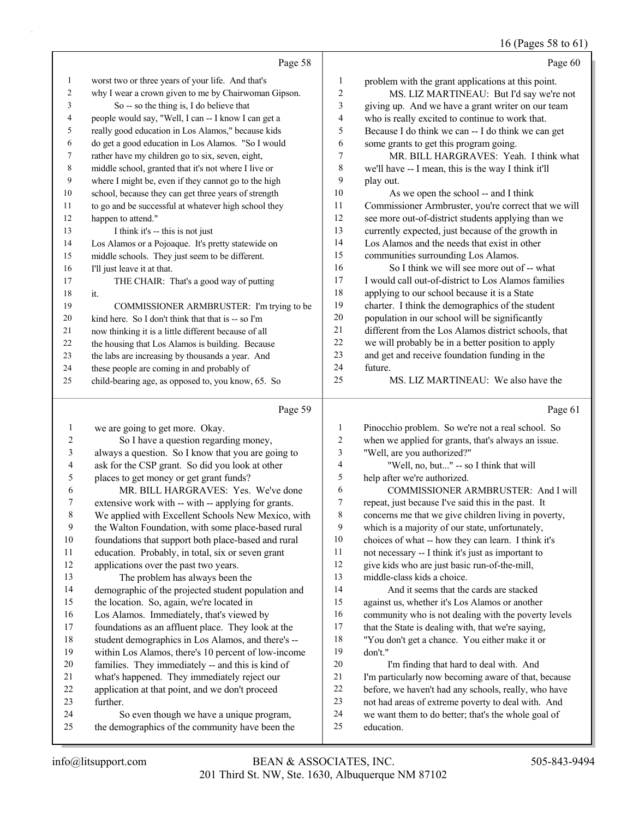### 16 (Pages 58 to 61)

|                | Page 58                                                                                     |                  | Page 60                                                           |
|----------------|---------------------------------------------------------------------------------------------|------------------|-------------------------------------------------------------------|
| $\mathbf{1}$   | worst two or three years of your life. And that's                                           | $\mathbf{1}$     | problem with the grant applications at this point.                |
| $\overline{2}$ | why I wear a crown given to me by Chairwoman Gipson.                                        | $\overline{c}$   | MS. LIZ MARTINEAU: But I'd say we're not                          |
| 3              | So -- so the thing is, I do believe that                                                    | 3                | giving up. And we have a grant writer on our team                 |
| 4              | people would say, "Well, I can -- I know I can get a                                        | 4                | who is really excited to continue to work that.                   |
| 5              | really good education in Los Alamos," because kids                                          | 5                | Because I do think we can -- I do think we can get                |
| 6              | do get a good education in Los Alamos. "So I would                                          | 6                | some grants to get this program going.                            |
| 7              | rather have my children go to six, seven, eight,                                            | $\boldsymbol{7}$ | MR. BILL HARGRAVES: Yeah. I think what                            |
| 8              | middle school, granted that it's not where I live or                                        | $\,$ $\,$        | we'll have -- I mean, this is the way I think it'll               |
| 9              | where I might be, even if they cannot go to the high                                        | 9                | play out.                                                         |
| 10             | school, because they can get three years of strength                                        | 10               | As we open the school -- and I think                              |
| 11             | to go and be successful at whatever high school they                                        | 11               | Commissioner Armbruster, you're correct that we will              |
| 12             | happen to attend."                                                                          | 12               | see more out-of-district students applying than we                |
| 13             | I think it's -- this is not just                                                            | 13               | currently expected, just because of the growth in                 |
| 14             | Los Alamos or a Pojoaque. It's pretty statewide on                                          | 14               | Los Alamos and the needs that exist in other                      |
| 15             | middle schools. They just seem to be different.                                             | 15               | communities surrounding Los Alamos.                               |
| 16             | I'll just leave it at that.                                                                 | 16               | So I think we will see more out of -- what                        |
| 17             | THE CHAIR: That's a good way of putting                                                     | 17               | I would call out-of-district to Los Alamos families               |
| 18             | it.                                                                                         | 18               | applying to our school because it is a State                      |
| 19             | COMMISSIONER ARMBRUSTER: I'm trying to be                                                   | 19               | charter. I think the demographics of the student                  |
| 20             | kind here. So I don't think that that is -- so I'm                                          | 20               | population in our school will be significantly                    |
| 21             | now thinking it is a little different because of all                                        | 21               | different from the Los Alamos district schools, that              |
| 22             | the housing that Los Alamos is building. Because                                            | 22               | we will probably be in a better position to apply                 |
| 23             | the labs are increasing by thousands a year. And                                            | 23               | and get and receive foundation funding in the                     |
| 24             | these people are coming in and probably of                                                  | 24<br>25         | future.<br>MS. LIZ MARTINEAU: We also have the                    |
| 25             | child-bearing age, as opposed to, you know, 65. So                                          |                  |                                                                   |
|                | Page 59                                                                                     |                  | Page 61                                                           |
| 1              | we are going to get more. Okay.                                                             | 1                | Pinocchio problem. So we're not a real school. So                 |
| 2              | So I have a question regarding money,                                                       | 2                | when we applied for grants, that's always an issue.               |
| 3              | always a question. So I know that you are going to                                          | 3                | "Well, are you authorized?"                                       |
| 4              | ask for the CSP grant. So did you look at other                                             | 4                | "Well, no, but" -- so I think that will                           |
| 5              | places to get money or get grant funds?                                                     | 5                | help after we're authorized.                                      |
| 6              | MR. BILL HARGRAVES: Yes. We've done                                                         | 6                | COMMISSIONER ARMBRUSTER: And I will                               |
| 7              | extensive work with -- with -- applying for grants.                                         | 7                | repeat, just because I've said this in the past. It               |
| 8              | We applied with Excellent Schools New Mexico, with                                          | 8                | concerns me that we give children living in poverty,              |
| 9              | the Walton Foundation, with some place-based rural                                          |                  |                                                                   |
| $10\,$         |                                                                                             | 9                | which is a majority of our state, unfortunately,                  |
|                | foundations that support both place-based and rural                                         | 10               | choices of what -- how they can learn. I think it's               |
| 11             | education. Probably, in total, six or seven grant                                           | 11               | not necessary -- I think it's just as important to                |
| 12             | applications over the past two years.                                                       | 12               | give kids who are just basic run-of-the-mill,                     |
| 13             | The problem has always been the                                                             | 13               | middle-class kids a choice.                                       |
| 14             | demographic of the projected student population and                                         | 14               | And it seems that the cards are stacked                           |
| 15             | the location. So, again, we're located in                                                   | 15               | against us, whether it's Los Alamos or another                    |
| 16             | Los Alamos. Immediately, that's viewed by                                                   | 16               | community who is not dealing with the poverty levels              |
| 17             | foundations as an affluent place. They look at the                                          | 17               | that the State is dealing with, that we're saying,                |
| 18             | student demographics in Los Alamos, and there's --                                          | 18               | "You don't get a chance. You either make it or                    |
| 19             | within Los Alamos, there's 10 percent of low-income                                         | 19               | don't."                                                           |
| 20             | families. They immediately -- and this is kind of                                           | $20\,$           | I'm finding that hard to deal with. And                           |
| 21             | what's happened. They immediately reject our                                                | $21\,$           | I'm particularly now becoming aware of that, because              |
| 22             | application at that point, and we don't proceed                                             | 22               | before, we haven't had any schools, really, who have              |
| 23             | further.                                                                                    | 23               | not had areas of extreme poverty to deal with. And                |
| 24<br>25       | So even though we have a unique program,<br>the demographics of the community have been the | 24<br>25         | we want them to do better; that's the whole goal of<br>education. |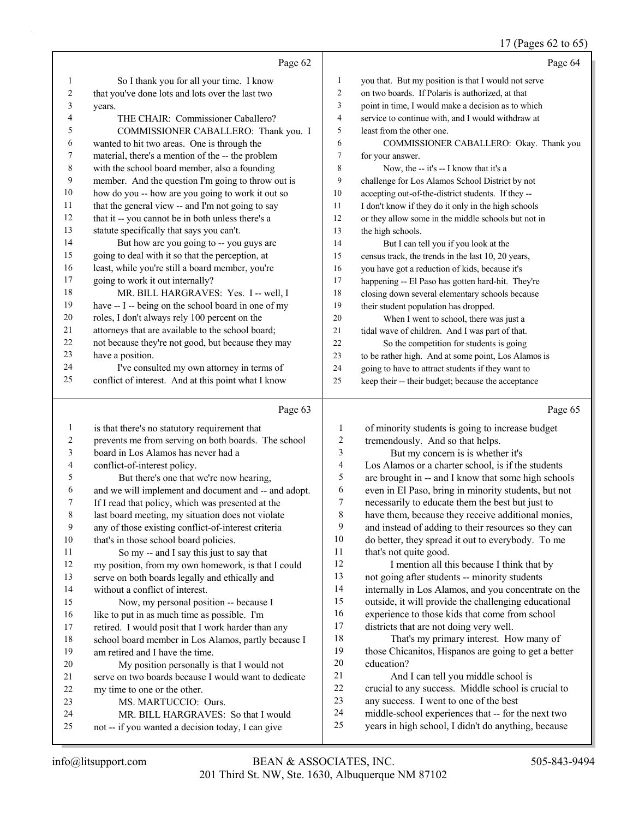### 17 (Pages 62 to 65)

|          | Page 62                                                                                                   |                         | Page 64                                                                                                   |
|----------|-----------------------------------------------------------------------------------------------------------|-------------------------|-----------------------------------------------------------------------------------------------------------|
|          |                                                                                                           | 1                       |                                                                                                           |
| 1<br>2   | So I thank you for all your time. I know                                                                  | 2                       | you that. But my position is that I would not serve<br>on two boards. If Polaris is authorized, at that   |
| 3        | that you've done lots and lots over the last two                                                          | 3                       | point in time, I would make a decision as to which                                                        |
| 4        | years.<br>THE CHAIR: Commissioner Caballero?                                                              | $\overline{4}$          | service to continue with, and I would withdraw at                                                         |
| 5        | COMMISSIONER CABALLERO: Thank you. I                                                                      | 5                       | least from the other one.                                                                                 |
| 6        | wanted to hit two areas. One is through the                                                               | 6                       | COMMISSIONER CABALLERO: Okay. Thank you                                                                   |
| 7        | material, there's a mention of the -- the problem                                                         | 7                       | for your answer.                                                                                          |
| 8        | with the school board member, also a founding                                                             | 8                       | Now, the -- it's -- I know that it's a                                                                    |
| 9        | member. And the question I'm going to throw out is                                                        | 9                       | challenge for Los Alamos School District by not                                                           |
| 10       | how do you -- how are you going to work it out so                                                         | 10                      | accepting out-of-the-district students. If they --                                                        |
| 11       | that the general view -- and I'm not going to say                                                         | 11                      | I don't know if they do it only in the high schools                                                       |
| 12       | that it -- you cannot be in both unless there's a                                                         | 12                      | or they allow some in the middle schools but not in                                                       |
| 13       | statute specifically that says you can't.                                                                 | 13                      | the high schools.                                                                                         |
| 14       | But how are you going to -- you guys are                                                                  | 14                      | But I can tell you if you look at the                                                                     |
| 15       | going to deal with it so that the perception, at                                                          | 15                      | census track, the trends in the last 10, 20 years,                                                        |
| 16       | least, while you're still a board member, you're                                                          | 16                      | you have got a reduction of kids, because it's                                                            |
| 17       | going to work it out internally?                                                                          | 17                      | happening -- El Paso has gotten hard-hit. They're                                                         |
| 18       | MR. BILL HARGRAVES: Yes. I -- well, I                                                                     | 18                      | closing down several elementary schools because                                                           |
| 19       | have -- I -- being on the school board in one of my                                                       | 19                      | their student population has dropped.                                                                     |
| 20       | roles, I don't always rely 100 percent on the                                                             | 20                      | When I went to school, there was just a                                                                   |
| 21       | attorneys that are available to the school board;                                                         | 21                      | tidal wave of children. And I was part of that.                                                           |
| 22       | not because they're not good, but because they may                                                        | 22                      | So the competition for students is going                                                                  |
| 23       | have a position.                                                                                          | 23                      | to be rather high. And at some point, Los Alamos is                                                       |
| 24       | I've consulted my own attorney in terms of                                                                | 24                      | going to have to attract students if they want to                                                         |
| 25       | conflict of interest. And at this point what I know                                                       | 25                      | keep their -- their budget; because the acceptance                                                        |
|          |                                                                                                           |                         |                                                                                                           |
|          | Page 63                                                                                                   |                         | Page 65                                                                                                   |
| 1        | is that there's no statutory requirement that                                                             | 1                       | of minority students is going to increase budget                                                          |
| 2        | prevents me from serving on both boards. The school                                                       | $\overline{\mathbf{c}}$ | tremendously. And so that helps.                                                                          |
| 3        | board in Los Alamos has never had a                                                                       | 3                       | But my concern is is whether it's                                                                         |
| 4        | conflict-of-interest policy.                                                                              | 4                       | Los Alamos or a charter school, is if the students                                                        |
| 5        | But there's one that we're now hearing,                                                                   | 5                       | are brought in -- and I know that some high schools                                                       |
| 6        | and we will implement and document and -- and adopt.                                                      | 6                       | even in El Paso, bring in minority students, but not                                                      |
| 7        | If I read that policy, which was presented at the                                                         | 7                       | necessarily to educate them the best but just to                                                          |
| 8        | last board meeting, my situation does not violate                                                         | 8                       | have them, because they receive additional monies,                                                        |
| 9        | any of those existing conflict-of-interest criteria                                                       | 9                       | and instead of adding to their resources so they can                                                      |
| 10       | that's in those school board policies.                                                                    | 10                      | do better, they spread it out to everybody. To me                                                         |
| 11       | So my -- and I say this just to say that                                                                  | 11                      | that's not quite good.                                                                                    |
| 12       | my position, from my own homework, is that I could                                                        | 12                      | I mention all this because I think that by                                                                |
| 13       | serve on both boards legally and ethically and                                                            | 13                      | not going after students -- minority students                                                             |
| 14       | without a conflict of interest.                                                                           | 14<br>15                | internally in Los Alamos, and you concentrate on the                                                      |
| 15<br>16 | Now, my personal position -- because I                                                                    | 16                      | outside, it will provide the challenging educational                                                      |
| 17       | like to put in as much time as possible. I'm                                                              | 17                      | experience to those kids that come from school                                                            |
| 18       | retired. I would posit that I work harder than any<br>school board member in Los Alamos, partly because I | 18                      | districts that are not doing very well.<br>That's my primary interest. How many of                        |
| 19       | am retired and I have the time.                                                                           | 19                      | those Chicanitos, Hispanos are going to get a better                                                      |
| 20       | My position personally is that I would not                                                                | $20\,$                  | education?                                                                                                |
| 21       | serve on two boards because I would want to dedicate                                                      | 21                      | And I can tell you middle school is                                                                       |
| 22       | my time to one or the other.                                                                              | $22\,$                  | crucial to any success. Middle school is crucial to                                                       |
| 23       | MS. MARTUCCIO: Ours.                                                                                      | 23                      | any success. I went to one of the best                                                                    |
| 24<br>25 | MR. BILL HARGRAVES: So that I would<br>not -- if you wanted a decision today, I can give                  | 24<br>25                | middle-school experiences that -- for the next two<br>years in high school, I didn't do anything, because |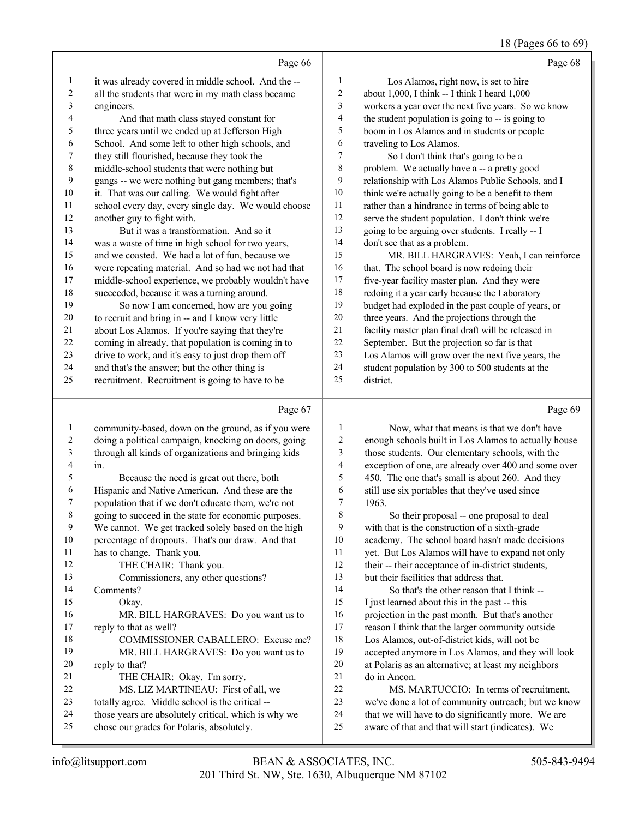## 18 (Pages 66 to 69)

|    | Page 66                                             |                | Page 68                                              |
|----|-----------------------------------------------------|----------------|------------------------------------------------------|
| 1  | it was already covered in middle school. And the -- | 1              | Los Alamos, right now, is set to hire                |
| 2  | all the students that were in my math class became  | 2              | about 1,000, I think -- I think I heard 1,000        |
| 3  | engineers.                                          | 3              | workers a year over the next five years. So we know  |
| 4  | And that math class stayed constant for             | $\overline{4}$ | the student population is going to -- is going to    |
| 5  | three years until we ended up at Jefferson High     | 5              | boom in Los Alamos and in students or people         |
| 6  | School. And some left to other high schools, and    | 6              | traveling to Los Alamos.                             |
| 7  | they still flourished, because they took the        | $\overline{7}$ | So I don't think that's going to be a                |
| 8  | middle-school students that were nothing but        | 8              | problem. We actually have a -- a pretty good         |
| 9  | gangs -- we were nothing but gang members; that's   | 9              | relationship with Los Alamos Public Schools, and I   |
| 10 | it. That was our calling. We would fight after      | 10             | think we're actually going to be a benefit to them   |
| 11 | school every day, every single day. We would choose | 11             | rather than a hindrance in terms of being able to    |
| 12 | another guy to fight with.                          | 12             | serve the student population. I don't think we're    |
| 13 | But it was a transformation. And so it              | 13             | going to be arguing over students. I really -- I     |
| 14 | was a waste of time in high school for two years,   | 14             | don't see that as a problem.                         |
| 15 | and we coasted. We had a lot of fun, because we     | 15             | MR. BILL HARGRAVES: Yeah, I can reinforce            |
| 16 | were repeating material. And so had we not had that | 16             | that. The school board is now redoing their          |
| 17 | middle-school experience, we probably wouldn't have | 17             | five-year facility master plan. And they were        |
| 18 | succeeded, because it was a turning around.         | 18             | redoing it a year early because the Laboratory       |
| 19 | So now I am concerned, how are you going            | 19             | budget had exploded in the past couple of years, or  |
| 20 | to recruit and bring in -- and I know very little   | 20             | three years. And the projections through the         |
| 21 | about Los Alamos. If you're saying that they're     | 21             | facility master plan final draft will be released in |
| 22 | coming in already, that population is coming in to  | 22             | September. But the projection so far is that         |
| 23 | drive to work, and it's easy to just drop them off  | 23             | Los Alamos will grow over the next five years, the   |
| 24 | and that's the answer; but the other thing is       | 24             | student population by 300 to 500 students at the     |
| 25 | recruitment. Recruitment is going to have to be     | 25             | district.                                            |
|    |                                                     |                |                                                      |

# Page 67  $\vert$

|    | Page 67                                              |    | Page 69                                              |
|----|------------------------------------------------------|----|------------------------------------------------------|
| 1  | community-based, down on the ground, as if you were  | 1  | Now, what that means is that we don't have           |
| 2  | doing a political campaign, knocking on doors, going | 2  | enough schools built in Los Alamos to actually house |
| 3  | through all kinds of organizations and bringing kids | 3  | those students. Our elementary schools, with the     |
| 4  | in.                                                  | 4  | exception of one, are already over 400 and some over |
| 5  | Because the need is great out there, both            | 5  | 450. The one that's small is about 260. And they     |
| 6  | Hispanic and Native American. And these are the      | 6  | still use six portables that they've used since      |
| 7  | population that if we don't educate them, we're not  | 7  | 1963.                                                |
| 8  | going to succeed in the state for economic purposes. | 8  | So their proposal -- one proposal to deal            |
| 9  | We cannot. We get tracked solely based on the high   | 9  | with that is the construction of a sixth-grade       |
| 10 | percentage of dropouts. That's our draw. And that    | 10 | academy. The school board hasn't made decisions      |
| 11 | has to change. Thank you.                            | 11 | yet. But Los Alamos will have to expand not only     |
| 12 | THE CHAIR: Thank you.                                | 12 | their -- their acceptance of in-district students,   |
| 13 | Commissioners, any other questions?                  | 13 | but their facilities that address that.              |
| 14 | Comments?                                            | 14 | So that's the other reason that I think --           |
| 15 | Okay.                                                | 15 | I just learned about this in the past -- this        |
| 16 | MR. BILL HARGRAVES: Do you want us to                | 16 | projection in the past month. But that's another     |
| 17 | reply to that as well?                               | 17 | reason I think that the larger community outside     |
| 18 | COMMISSIONER CABALLERO: Excuse me?                   | 18 | Los Alamos, out-of-district kids, will not be        |
| 19 | MR. BILL HARGRAVES: Do you want us to                | 19 | accepted anymore in Los Alamos, and they will look   |
| 20 | reply to that?                                       | 20 | at Polaris as an alternative; at least my neighbors  |
| 21 | THE CHAIR: Okay. I'm sorry.                          | 21 | do in Ancon.                                         |
| 22 | MS. LIZ MARTINEAU: First of all, we                  | 22 | MS. MARTUCCIO: In terms of recruitment,              |
| 23 | totally agree. Middle school is the critical --      | 23 | we've done a lot of community outreach; but we know  |
| 24 | those years are absolutely critical, which is why we | 24 | that we will have to do significantly more. We are   |
| 25 | chose our grades for Polaris, absolutely.            | 25 | aware of that and that will start (indicates). We    |
|    |                                                      |    |                                                      |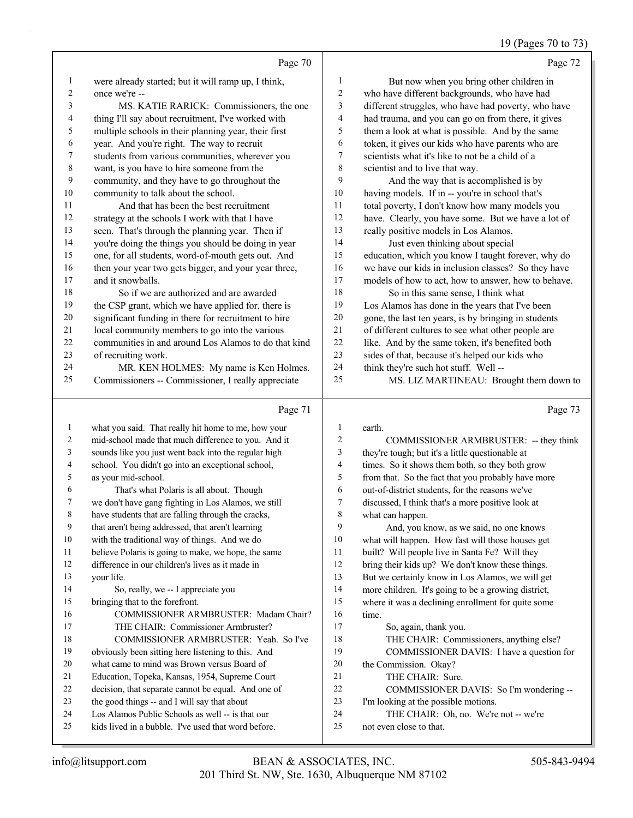## 19 (Pages 70 to 73)

|          | Page 70                                                                                                    |                | Page 72                                                          |
|----------|------------------------------------------------------------------------------------------------------------|----------------|------------------------------------------------------------------|
| 1        | were already started; but it will ramp up, I think,                                                        | $\mathbf{1}$   | But now when you bring other children in                         |
| 2        | once we're --                                                                                              | $\overline{c}$ | who have different backgrounds, who have had                     |
| 3        | MS. KATIE RARICK: Commissioners, the one                                                                   | 3              | different struggles, who have had poverty, who have              |
| 4        | thing I'll say about recruitment, I've worked with                                                         | 4              | had trauma, and you can go on from there, it gives               |
| 5        | multiple schools in their planning year, their first                                                       | 5              | them a look at what is possible. And by the same                 |
| 6        | year. And you're right. The way to recruit                                                                 | 6              | token, it gives our kids who have parents who are                |
| 7        | students from various communities, wherever you                                                            | 7              | scientists what it's like to not be a child of a                 |
| 8        | want, is you have to hire someone from the                                                                 | 8              | scientist and to live that way.                                  |
| 9        | community, and they have to go throughout the                                                              | 9              | And the way that is accomplished is by                           |
| 10       | community to talk about the school.                                                                        | 10             | having models. If in -- you're in school that's                  |
| 11       | And that has been the best recruitment                                                                     | 11             | total poverty, I don't know how many models you                  |
| 12       | strategy at the schools I work with that I have                                                            | 12             | have. Clearly, you have some. But we have a lot of               |
| 13       | seen. That's through the planning year. Then if                                                            | 13             | really positive models in Los Alamos.                            |
| 14       | you're doing the things you should be doing in year                                                        | 14             | Just even thinking about special                                 |
| 15       | one, for all students, word-of-mouth gets out. And                                                         | 15             | education, which you know I taught forever, why do               |
| 16       | then your year two gets bigger, and your year three,                                                       | 16             | we have our kids in inclusion classes? So they have              |
| 17       | and it snowballs.                                                                                          | 17             | models of how to act, how to answer, how to behave.              |
| 18       | So if we are authorized and are awarded                                                                    | 18             | So in this same sense, I think what                              |
| 19       | the CSP grant, which we have applied for, there is                                                         | 19             | Los Alamos has done in the years that I've been                  |
| 20       | significant funding in there for recruitment to hire                                                       | $20\,$         | gone, the last ten years, is by bringing in students             |
| 21       | local community members to go into the various                                                             | 21             | of different cultures to see what other people are               |
| 22       | communities in and around Los Alamos to do that kind                                                       | 22             | like. And by the same token, it's benefited both                 |
| 23       | of recruiting work.                                                                                        | 23             | sides of that, because it's helped our kids who                  |
| 24       | MR. KEN HOLMES: My name is Ken Holmes.                                                                     | 24             | think they're such hot stuff. Well --                            |
| 25       | Commissioners -- Commissioner, I really appreciate                                                         | 25             | MS. LIZ MARTINEAU: Brought them down to                          |
|          |                                                                                                            |                |                                                                  |
|          | Page 71                                                                                                    |                | Page 73                                                          |
| 1        |                                                                                                            | 1              | earth.                                                           |
| 2        | what you said. That really hit home to me, how your<br>mid-school made that much difference to you. And it | $\overline{2}$ | COMMISSIONER ARMBRUSTER: -- they think                           |
| 3        | sounds like you just went back into the regular high                                                       | $\mathfrak{Z}$ | they're tough; but it's a little questionable at                 |
| 4        | school. You didn't go into an exceptional school,                                                          | $\overline{4}$ | times. So it shows them both, so they both grow                  |
| 5        | as your mid-school.                                                                                        | 5              | from that. So the fact that you probably have more               |
| 6        | That's what Polaris is all about. Though                                                                   | 6              | out-of-district students, for the reasons we've                  |
| 7        | we don't have gang fighting in Los Alamos, we still                                                        | $\overline{7}$ | discussed, I think that's a more positive look at                |
| 8        | have students that are falling through the cracks,                                                         | 8              | what can happen.                                                 |
| 9        | that aren't being addressed, that aren't learning                                                          | 9              | And, you know, as we said, no one knows                          |
| 10       | with the traditional way of things. And we do                                                              | 10             | what will happen. How fast will those houses get                 |
| 11       | believe Polaris is going to make, we hope, the same                                                        | 11             | built? Will people live in Santa Fe? Will they                   |
| 12       | difference in our children's lives as it made in                                                           | 12             | bring their kids up? We don't know these things.                 |
| 13       | your life.                                                                                                 | 13             | But we certainly know in Los Alamos, we will get                 |
| 14       | So, really, we -- I appreciate you                                                                         | 14             | more children. It's going to be a growing district,              |
| 15       | bringing that to the forefront.                                                                            | 15             | where it was a declining enrollment for quite some               |
| 16       | COMMISSIONER ARMBRUSTER: Madam Chair?                                                                      | 16             | time.                                                            |
| 17       | THE CHAIR: Commissioner Armbruster?                                                                        | 17             | So, again, thank you.                                            |
| 18       | COMMISSIONER ARMBRUSTER: Yeah. So I've                                                                     | 18             | THE CHAIR: Commissioners, anything else?                         |
| 19       | obviously been sitting here listening to this. And                                                         | 19             | COMMISSIONER DAVIS: I have a question for                        |
| 20       | what came to mind was Brown versus Board of                                                                | 20             | the Commission. Okay?                                            |
| 21       | Education, Topeka, Kansas, 1954, Supreme Court                                                             | 21             | THE CHAIR: Sure.                                                 |
| 22       | decision, that separate cannot be equal. And one of                                                        | 22             | COMMISSIONER DAVIS: So I'm wondering --                          |
| 23       | the good things -- and I will say that about                                                               | 23             | I'm looking at the possible motions.                             |
| 24<br>25 | Los Alamos Public Schools as well -- is that our<br>kids lived in a bubble. I've used that word before.    | 24<br>25       | THE CHAIR: Oh, no. We're not -- we're<br>not even close to that. |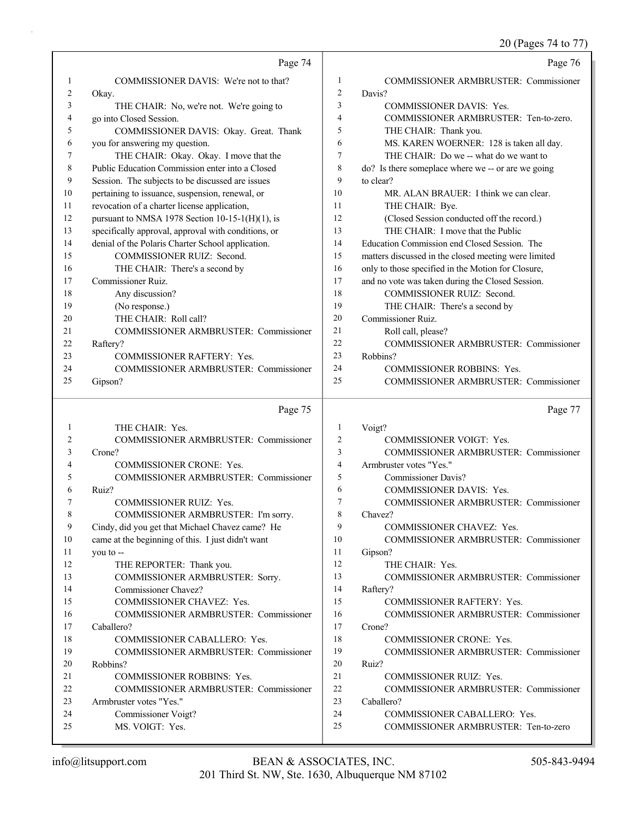20 (Pages 74 to 77)

|          | Page 74                                             |                | Page 76                                                              |
|----------|-----------------------------------------------------|----------------|----------------------------------------------------------------------|
| 1        | COMMISSIONER DAVIS: We're not to that?              | 1              | <b>COMMISSIONER ARMBRUSTER: Commissioner</b>                         |
| 2        | Okay.                                               | $\overline{2}$ | Davis?                                                               |
| 3        | THE CHAIR: No, we're not. We're going to            | 3              | COMMISSIONER DAVIS: Yes.                                             |
| 4        | go into Closed Session.                             | $\overline{4}$ | COMMISSIONER ARMBRUSTER: Ten-to-zero.                                |
| 5        | COMMISSIONER DAVIS: Okay. Great. Thank              | 5              | THE CHAIR: Thank you.                                                |
| 6        | you for answering my question.                      | 6              | MS. KAREN WOERNER: 128 is taken all day.                             |
| 7        | THE CHAIR: Okay. Okay. I move that the              | 7              | THE CHAIR: Do we -- what do we want to                               |
| 8        | Public Education Commission enter into a Closed     | 8              | do? Is there someplace where we -- or are we going                   |
| 9        | Session. The subjects to be discussed are issues    | 9              | to clear?                                                            |
| 10       | pertaining to issuance, suspension, renewal, or     | 10             | MR. ALAN BRAUER: I think we can clear.                               |
| 11       | revocation of a charter license application,        | 11             | THE CHAIR: Bye.                                                      |
| 12       | pursuant to NMSA 1978 Section $10-15-1(H)(1)$ , is  | 12             | (Closed Session conducted off the record.)                           |
| 13       | specifically approval, approval with conditions, or | 13             | THE CHAIR: I move that the Public                                    |
| 14       | denial of the Polaris Charter School application.   | 14             | Education Commission end Closed Session. The                         |
| 15       | COMMISSIONER RUIZ: Second.                          | 15             | matters discussed in the closed meeting were limited                 |
| 16       | THE CHAIR: There's a second by                      | 16             | only to those specified in the Motion for Closure,                   |
| 17       | Commissioner Ruiz.                                  | 17             | and no vote was taken during the Closed Session.                     |
| 18       | Any discussion?                                     | 18             | COMMISSIONER RUIZ: Second.                                           |
| 19       | (No response.)                                      | 19             | THE CHAIR: There's a second by                                       |
| 20       | THE CHAIR: Roll call?                               | 20             | Commissioner Ruiz.                                                   |
| 21       | COMMISSIONER ARMBRUSTER: Commissioner               | 21             | Roll call, please?                                                   |
| 22       | Raftery?                                            | 22             | <b>COMMISSIONER ARMBRUSTER: Commissioner</b>                         |
| 23       | COMMISSIONER RAFTERY: Yes.                          | 23             | Robbins?                                                             |
| 24       | COMMISSIONER ARMBRUSTER: Commissioner               | 24             | <b>COMMISSIONER ROBBINS: Yes.</b>                                    |
| 25       | Gipson?                                             | 25             | <b>COMMISSIONER ARMBRUSTER: Commissioner</b>                         |
|          |                                                     |                |                                                                      |
|          | Page 75                                             |                | Page 77                                                              |
| 1        | THE CHAIR: Yes.                                     | 1              | Voigt?                                                               |
| 2        | <b>COMMISSIONER ARMBRUSTER: Commissioner</b>        | $\overline{2}$ | <b>COMMISSIONER VOIGT: Yes.</b>                                      |
| 3        | Crone?                                              | 3              | COMMISSIONER ARMBRUSTER: Commissioner                                |
| 4        | COMMISSIONER CRONE: Yes.                            | $\overline{4}$ | Armbruster votes "Yes."                                              |
| 5        | COMMISSIONER ARMBRUSTER: Commissioner               | 5              | <b>Commissioner Davis?</b>                                           |
| 6        | Ruiz?                                               | 6              | COMMISSIONER DAVIS: Yes.                                             |
| 7        | COMMISSIONER RUIZ: Yes.                             | $\overline{7}$ | COMMISSIONER ARMBRUSTER: Commissioner                                |
|          | COMMISSIONER ARMBRUSTER: I'm sorry.                 | 8              | Chavez?                                                              |
| 9        | Cindy, did you get that Michael Chavez came? He     | 9              | COMMISSIONER CHAVEZ: Yes.                                            |
| 10       | came at the beginning of this. I just didn't want   | 10             | COMMISSIONER ARMBRUSTER: Commissioner                                |
| 11       | you to --                                           | 11             | Gipson?                                                              |
| 12       | THE REPORTER: Thank you.                            | 12             | THE CHAIR: Yes.                                                      |
| 13       | COMMISSIONER ARMBRUSTER: Sorry.                     | 13             | COMMISSIONER ARMBRUSTER: Commissioner                                |
| 14       | Commissioner Chavez?                                | 14             | Raftery?                                                             |
| 15       | COMMISSIONER CHAVEZ: Yes.                           | 15             | COMMISSIONER RAFTERY: Yes.                                           |
| 16       | <b>COMMISSIONER ARMBRUSTER: Commissioner</b>        | 16             | <b>COMMISSIONER ARMBRUSTER: Commissioner</b>                         |
| 17       | Caballero?                                          | 17             | Crone?                                                               |
| 18       | COMMISSIONER CABALLERO: Yes.                        | 18             | COMMISSIONER CRONE: Yes.                                             |
| 19       | <b>COMMISSIONER ARMBRUSTER: Commissioner</b>        | 19             | COMMISSIONER ARMBRUSTER: Commissioner                                |
| 20       | Robbins?                                            | 20             | Ruiz?                                                                |
| 21       | COMMISSIONER ROBBINS: Yes.                          | 21             | COMMISSIONER RUIZ: Yes.                                              |
| 22       | COMMISSIONER ARMBRUSTER: Commissioner               | 22             | COMMISSIONER ARMBRUSTER: Commissioner                                |
| 23       | Armbruster votes "Yes."                             | 23             | Caballero?                                                           |
| 24<br>25 | Commissioner Voigt?<br>MS. VOIGT: Yes.              | 24<br>25       | COMMISSIONER CABALLERO: Yes.<br>COMMISSIONER ARMBRUSTER: Ten-to-zero |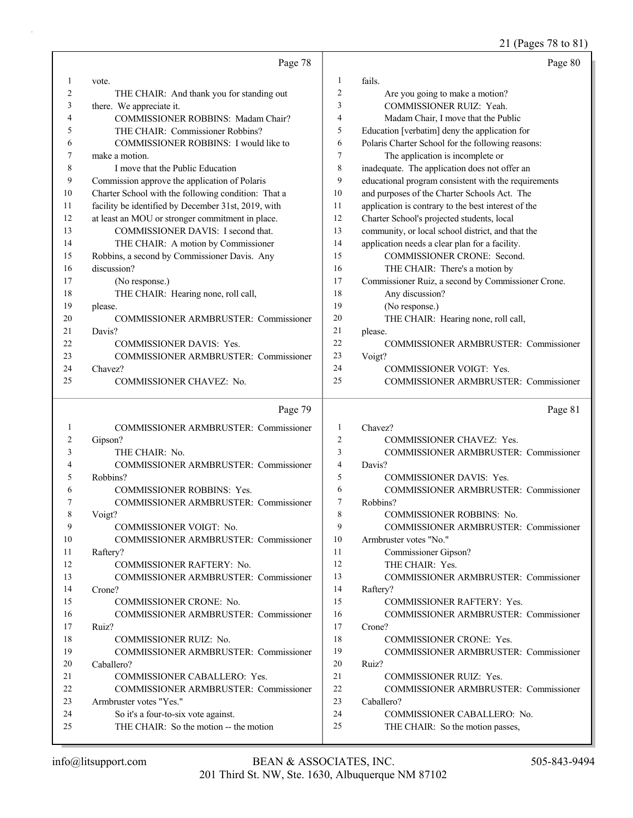21 (Pages 78 to 81)

|          | Page 78                                                                       |                | Page 80                                                         |
|----------|-------------------------------------------------------------------------------|----------------|-----------------------------------------------------------------|
| 1        | vote.                                                                         | 1              | fails.                                                          |
| 2        | THE CHAIR: And thank you for standing out                                     | $\overline{2}$ | Are you going to make a motion?                                 |
| 3        | there. We appreciate it.                                                      | 3              | COMMISSIONER RUIZ: Yeah.                                        |
| 4        | COMMISSIONER ROBBINS: Madam Chair?                                            | $\overline{4}$ | Madam Chair, I move that the Public                             |
| 5        | THE CHAIR: Commissioner Robbins?                                              | 5              | Education [verbatim] deny the application for                   |
| 6        | COMMISSIONER ROBBINS: I would like to                                         | 6              | Polaris Charter School for the following reasons:               |
| 7        | make a motion.                                                                | $\overline{7}$ | The application is incomplete or                                |
| 8        | I move that the Public Education                                              | $\,$ 8 $\,$    | inadequate. The application does not offer an                   |
| 9        | Commission approve the application of Polaris                                 | 9              | educational program consistent with the requirements            |
| 10       | Charter School with the following condition: That a                           | 10             | and purposes of the Charter Schools Act. The                    |
| 11       | facility be identified by December 31st, 2019, with                           | 11             | application is contrary to the best interest of the             |
| 12       | at least an MOU or stronger commitment in place.                              | 12             | Charter School's projected students, local                      |
| 13       | COMMISSIONER DAVIS: I second that.                                            | 13             | community, or local school district, and that the               |
| 14       | THE CHAIR: A motion by Commissioner                                           | 14             | application needs a clear plan for a facility.                  |
| 15       | Robbins, a second by Commissioner Davis. Any                                  | 15             | COMMISSIONER CRONE: Second.                                     |
| 16       | discussion?                                                                   | 16             | THE CHAIR: There's a motion by                                  |
| 17       | (No response.)                                                                | 17             | Commissioner Ruiz, a second by Commissioner Crone.              |
| 18       | THE CHAIR: Hearing none, roll call,                                           | 18             | Any discussion?                                                 |
| 19       | please.                                                                       | 19             | (No response.)                                                  |
| 20       | COMMISSIONER ARMBRUSTER: Commissioner                                         | 20             | THE CHAIR: Hearing none, roll call,                             |
| 21       | Davis?                                                                        | 21             | please.                                                         |
| 22       | <b>COMMISSIONER DAVIS: Yes.</b>                                               | 22             | COMMISSIONER ARMBRUSTER: Commissioner                           |
| 23       | COMMISSIONER ARMBRUSTER: Commissioner                                         | 23             | Voigt?                                                          |
| 24       | Chavez?                                                                       | 24             | <b>COMMISSIONER VOIGT: Yes.</b>                                 |
| 25       | COMMISSIONER CHAVEZ: No.                                                      | 25             | COMMISSIONER ARMBRUSTER: Commissioner                           |
|          |                                                                               |                |                                                                 |
|          |                                                                               |                |                                                                 |
|          | Page 79                                                                       |                | Page 81                                                         |
| 1        | COMMISSIONER ARMBRUSTER: Commissioner                                         | $\mathbf{1}$   | Chavez?                                                         |
| 2        | Gipson?                                                                       | $\overline{2}$ | COMMISSIONER CHAVEZ: Yes.                                       |
| 3        | THE CHAIR: No.                                                                | 3              | COMMISSIONER ARMBRUSTER: Commissioner                           |
| 4        | COMMISSIONER ARMBRUSTER: Commissioner                                         | $\overline{4}$ | Davis?                                                          |
| 5        | Robbins?                                                                      | 5              | <b>COMMISSIONER DAVIS: Yes.</b>                                 |
| 6        | COMMISSIONER ROBBINS: Yes.                                                    | 6              | COMMISSIONER ARMBRUSTER: Commissioner                           |
| 7        | COMMISSIONER ARMBRUSTER: Commissioner                                         | $\overline{7}$ | Robbins?                                                        |
|          | Voigt?                                                                        | 8              | <b>COMMISSIONER ROBBINS: No.</b>                                |
| 9        | <b>COMMISSIONER VOIGT: No.</b>                                                | 9              | COMMISSIONER ARMBRUSTER: Commissioner                           |
| 10       | <b>COMMISSIONER ARMBRUSTER: Commissioner</b>                                  | 10             | Armbruster votes "No."                                          |
| 11       | Raftery?                                                                      | 11             | Commissioner Gipson?                                            |
| 12       | <b>COMMISSIONER RAFTERY: No.</b>                                              | 12             | THE CHAIR: Yes.                                                 |
| 13       | COMMISSIONER ARMBRUSTER: Commissioner                                         | 13             | COMMISSIONER ARMBRUSTER: Commissioner                           |
| 14       | Crone?                                                                        | 14             | Raftery?                                                        |
| 15       | COMMISSIONER CRONE: No.                                                       | 15             | COMMISSIONER RAFTERY: Yes.                                      |
| 16       | <b>COMMISSIONER ARMBRUSTER: Commissioner</b>                                  | 16             | COMMISSIONER ARMBRUSTER: Commissioner                           |
| 17       | Ruiz?                                                                         | 17             | Crone?                                                          |
| 18       | COMMISSIONER RUIZ: No.                                                        | 18             | COMMISSIONER CRONE: Yes.                                        |
| 19       | COMMISSIONER ARMBRUSTER: Commissioner                                         | 19             | COMMISSIONER ARMBRUSTER: Commissioner                           |
| 20       | Caballero?                                                                    | 20             | Ruiz?                                                           |
| 21       | COMMISSIONER CABALLERO: Yes.                                                  | 21             | COMMISSIONER RUIZ: Yes.                                         |
| 22       | COMMISSIONER ARMBRUSTER: Commissioner                                         | 22             | COMMISSIONER ARMBRUSTER: Commissioner                           |
| 23       | Armbruster votes "Yes."                                                       | 23             | Caballero?                                                      |
| 24<br>25 | So it's a four-to-six vote against.<br>THE CHAIR: So the motion -- the motion | 24<br>25       | COMMISSIONER CABALLERO: No.<br>THE CHAIR: So the motion passes, |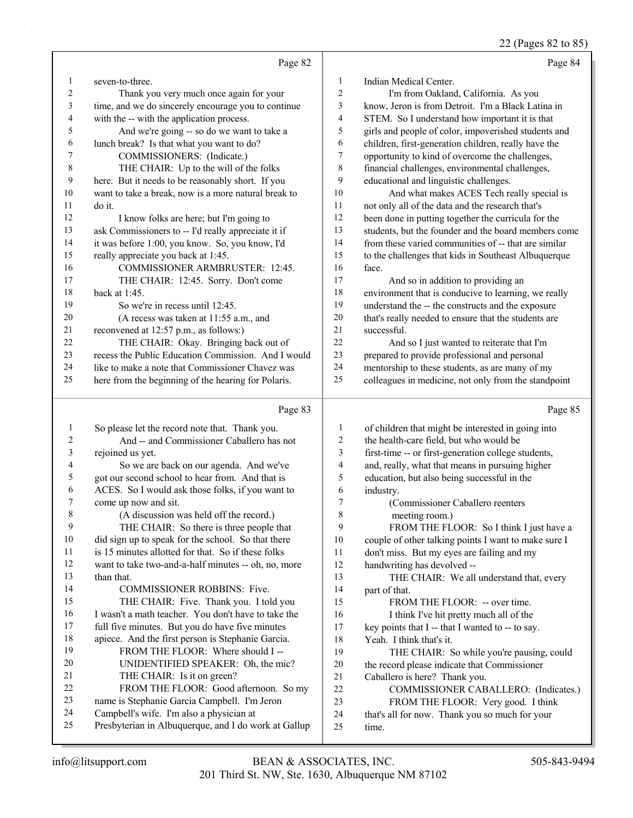22 (Pages 82 to 85)

|    | Page 82                                              |                | Page 84                                              |
|----|------------------------------------------------------|----------------|------------------------------------------------------|
| 1  | seven-to-three.                                      | 1              | Indian Medical Center.                               |
| 2  | Thank you very much once again for your              | $\overline{c}$ | I'm from Oakland, California. As you                 |
| 3  | time, and we do sincerely encourage you to continue  | 3              | know, Jeron is from Detroit. I'm a Black Latina in   |
| 4  | with the -- with the application process.            | 4              | STEM. So I understand how important it is that       |
| 5  | And we're going -- so do we want to take a           | 5              | girls and people of color, impoverished students and |
| 6  | lunch break? Is that what you want to do?            | 6              | children, first-generation children, really have the |
| 7  | COMMISSIONERS: (Indicate.)                           | $\sqrt{ }$     | opportunity to kind of overcome the challenges,      |
| 8  | THE CHAIR: Up to the will of the folks               | 8              | financial challenges, environmental challenges,      |
| 9  | here. But it needs to be reasonably short. If you    | 9              | educational and linguistic challenges.               |
| 10 | want to take a break, now is a more natural break to | 10             | And what makes ACES Tech really special is           |
| 11 | do it.                                               | 11             | not only all of the data and the research that's     |
| 12 | I know folks are here; but I'm going to              | 12             | been done in putting together the curricula for the  |
| 13 | ask Commissioners to -- I'd really appreciate it if  | 13             | students, but the founder and the board members come |
| 14 | it was before 1:00, you know. So, you know, I'd      | 14             | from these varied communities of -- that are similar |
| 15 | really appreciate you back at 1:45.                  | 15             | to the challenges that kids in Southeast Albuquerque |
| 16 | COMMISSIONER ARMBRUSTER: 12:45.                      | 16             | face.                                                |
| 17 | THE CHAIR: 12:45. Sorry. Don't come                  | 17             | And so in addition to providing an                   |
| 18 | back at $1:45$ .                                     | 18             | environment that is conducive to learning, we really |
| 19 | So we're in recess until 12:45.                      | 19             | understand the -- the constructs and the exposure    |
| 20 | (A recess was taken at 11:55 a.m., and               | 20             | that's really needed to ensure that the students are |
| 21 | reconvened at 12:57 p.m., as follows:)               | 21             | successful.                                          |
| 22 | THE CHAIR: Okay. Bringing back out of                | 22             | And so I just wanted to reiterate that I'm           |
| 23 | recess the Public Education Commission. And I would  | 23             | prepared to provide professional and personal        |
| 24 | like to make a note that Commissioner Chavez was     | 24             | mentorship to these students, as are many of my      |
| 25 | here from the beginning of the hearing for Polaris.  | 25             | colleagues in medicine, not only from the standpoint |
|    | Page 83                                              |                | Page 85                                              |
| 1  | So please let the record note that. Thank you.       | 1              | of children that might be interested in going into   |
| 2  | And -- and Commissioner Caballero has not            | 2              | the health-care field, but who would be              |
| 3  | rejoined us yet.                                     | 3              | first-time -- or first-generation college students,  |
| 4  | So we are back on our agenda. And we've              | 4              | and, really, what that means in pursuing higher      |
| 5  | got our second school to hear from. And that is      | 5              | education, but also being successful in the          |
| 6  | ACES. So I would ask those folks, if you want to     | 6              | industry.                                            |
|    |                                                      |                |                                                      |

8 meeting room.) 9 FROM THE FLOOR: So I think I just have a

 want to take two-and-a-half minutes -- oh, no, more I wasn't a math teacher. You don't have to take the don't miss. But my eyes are failing and my handwriting has devolved -- 13 THE CHAIR: We all understand that, every part of that. 15 FROM THE FLOOR: -- over time. 16 I think I've hit pretty much all of the 17 key points that I -- that I wanted to -- to say. Yeah. I think that's it. 19 THE CHAIR: So while you're pausing, could the record please indicate that Commissioner

7 (Commissioner Caballero reenters

couple of other talking points I want to make sure I

- Caballero is here? Thank you.
- 22 COMMISSIONER CABALLERO: (Indicates.)
- 23 FROM THE FLOOR: Very good. I think
- that's all for now. Thank you so much for your
- time.

than that.

come up now and sit.

8 (A discussion was held off the record.) 9 THE CHAIR: So there is three people that did sign up to speak for the school. So that there is 15 minutes allotted for that. So if these folks

14 COMMISSIONER ROBBINS: Five. 15 THE CHAIR: Five. Thank you. I told you

21 THE CHAIR: Is it on green?

 full five minutes. But you do have five minutes apiece. And the first person is Stephanie Garcia. 19 FROM THE FLOOR: Where should I -- 20 UNIDENTIFIED SPEAKER: Oh, the mic?

22 FROM THE FLOOR: Good afternoon. So my name is Stephanie Garcia Campbell. I'm Jeron Campbell's wife. I'm also a physician at

Presbyterian in Albuquerque, and I do work at Gallup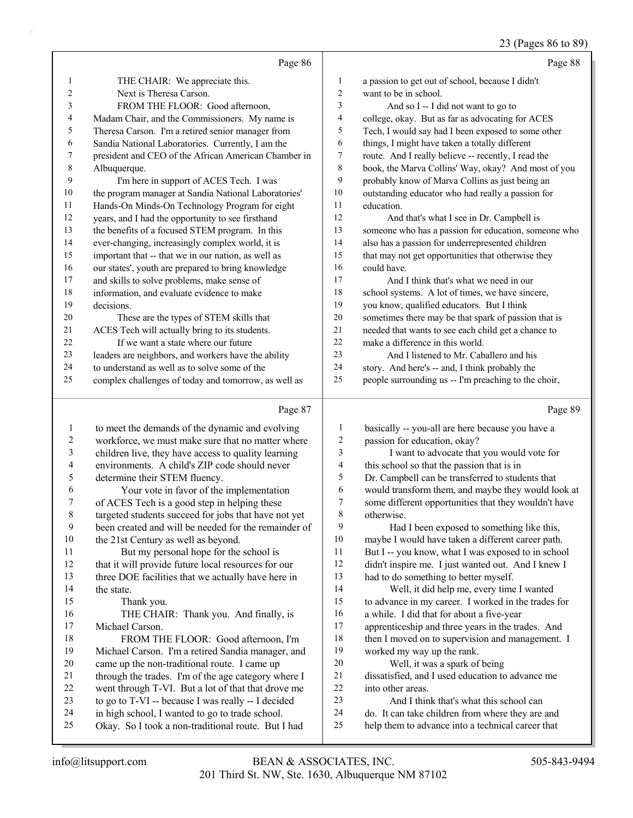#### 23 (Pages 86 to 89)

|    | Page 86                                              |                | Page 88                                              |
|----|------------------------------------------------------|----------------|------------------------------------------------------|
| 1  | THE CHAIR: We appreciate this.                       | 1              | a passion to get out of school, because I didn't     |
| 2  | Next is Theresa Carson.                              | $\overline{2}$ | want to be in school.                                |
| 3  | FROM THE FLOOR: Good afternoon,                      | 3              | And so $I - I$ did not want to go to                 |
| 4  | Madam Chair, and the Commissioners. My name is       | $\overline{4}$ | college, okay. But as far as advocating for ACES     |
| 5  | Theresa Carson. I'm a retired senior manager from    | 5              | Tech, I would say had I been exposed to some other   |
| 6  | Sandia National Laboratories. Currently, I am the    | 6              | things, I might have taken a totally different       |
| 7  | president and CEO of the African American Chamber in | 7              | route. And I really believe -- recently, I read the  |
| 8  | Albuquerque.                                         | 8              | book, the Marva Collins' Way, okay? And most of you  |
| 9  | I'm here in support of ACES Tech. I was              | 9              | probably know of Marva Collins as just being an      |
| 10 | the program manager at Sandia National Laboratories' | 10             | outstanding educator who had really a passion for    |
| 11 | Hands-On Minds-On Technology Program for eight       | 11             | education.                                           |
| 12 | years, and I had the opportunity to see firsthand    | 12             | And that's what I see in Dr. Campbell is             |
| 13 | the benefits of a focused STEM program. In this      | 13             | someone who has a passion for education, someone who |
| 14 | ever-changing, increasingly complex world, it is     | 14             | also has a passion for underrepresented children     |
| 15 | important that -- that we in our nation, as well as  | 15             | that may not get opportunities that otherwise they   |
| 16 | our states', youth are prepared to bring knowledge   | 16             | could have.                                          |
| 17 | and skills to solve problems, make sense of          | 17             | And I think that's what we need in our               |
| 18 | information, and evaluate evidence to make           | 18             | school systems. A lot of times, we have sincere,     |
| 19 | decisions.                                           | 19             | you know, qualified educators. But I think           |
| 20 | These are the types of STEM skills that              | 20             | sometimes there may be that spark of passion that is |
| 21 | ACES Tech will actually bring to its students.       | 21             | needed that wants to see each child get a chance to  |
| 22 | If we want a state where our future                  | 22             | make a difference in this world.                     |
| 23 | leaders are neighbors, and workers have the ability  | 23             | And I listened to Mr. Caballero and his              |
| 24 | to understand as well as to solve some of the        | 24             | story. And here's -- and, I think probably the       |
| 25 | complex challenges of today and tomorrow, as well as | 25             | people surrounding us -- I'm preaching to the choir, |
|    | Page 87                                              |                | Page 89                                              |

| 1                       | basically -- you-all are here because you have a     |
|-------------------------|------------------------------------------------------|
| $\overline{c}$          | passion for education, okay?                         |
| $\overline{\mathbf{3}}$ | I want to advocate that you would vote for           |
| $\overline{\mathbf{4}}$ | this school so that the passion that is in           |
| 5                       | Dr. Campbell can be transferred to students that     |
| 6                       | would transform them, and maybe they would look at   |
| 7                       | some different opportunities that they wouldn't have |
| 8                       | otherwise.                                           |
| 9                       | Had I been exposed to something like this,           |
| 10                      | maybe I would have taken a different career path.    |
| 11                      | But I -- you know, what I was exposed to in school   |
| 12                      | didn't inspire me. I just wanted out. And I knew I   |
| 13                      | had to do something to better myself.                |
| 14                      | Well, it did help me, every time I wanted            |
| 15                      | to advance in my career. I worked in the trades for  |
| 16                      | a while. I did that for about a five-year            |
| 17                      | apprenticeship and three years in the trades. And    |
| 18                      | then I moved on to supervision and management. I     |
| 19                      | worked my way up the rank.                           |
| 20                      | Well, it was a spark of being                        |
| 21                      | dissatisfied, and I used education to advance me     |
| 22                      | into other areas.                                    |
| 23                      | And I think that's what this school can              |
| 24                      | do. It can take children from where they are and     |
| 25                      | help them to advance into a technical career that    |
|                         |                                                      |
|                         |                                                      |

the state.

15 Thank you.

Michael Carson.

 to meet the demands of the dynamic and evolving workforce, we must make sure that no matter where children live, they have access to quality learning environments. A child's ZIP code should never

6 Your vote in favor of the implementation<br>7 of ACES Tech is a good step in helping these of ACES Tech is a good step in helping these targeted students succeed for jobs that have not yet been created and will be needed for the remainder of

11 But my personal hope for the school is that it will provide future local resources for our 13 three DOE facilities that we actually have here in

16 THE CHAIR: Thank you. And finally, is

18 FROM THE FLOOR: Good afternoon, I'm Michael Carson. I'm a retired Sandia manager, and came up the non-traditional route. I came up 21 through the trades. I'm of the age category where I went through T-VI. But a lot of that that drove me 23 to go to  $T-VI$  -- because I was really -- I decided in high school, I wanted to go to trade school. Okay. So I took a non-traditional route. But I had

determine their STEM fluency.

the 21st Century as well as beyond.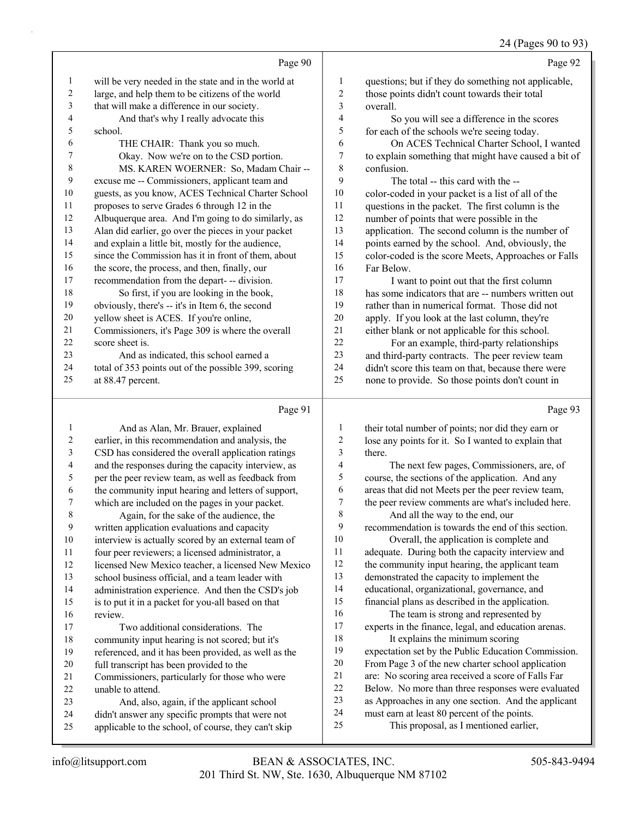$0.4 \times 0.2$ 

|                         |                                                      |                | $24$ (Pages 90 to 95)                                |
|-------------------------|------------------------------------------------------|----------------|------------------------------------------------------|
|                         | Page 90                                              |                | Page 92                                              |
| $\mathbf{1}$            | will be very needed in the state and in the world at | 1              | questions; but if they do something not applicable,  |
| 2                       | large, and help them to be citizens of the world     | 2              | those points didn't count towards their total        |
| 3                       | that will make a difference in our society.          | 3              | overall.                                             |
| 4                       | And that's why I really advocate this                | 4              | So you will see a difference in the scores           |
| 5                       | school.                                              | 5              | for each of the schools we're seeing today.          |
| 6                       | THE CHAIR: Thank you so much.                        | 6              | On ACES Technical Charter School, I wanted           |
| 7                       | Okay. Now we're on to the CSD portion.               | 7              | to explain something that might have caused a bit of |
| 8                       | MS. KAREN WOERNER: So, Madam Chair --                | 8              | confusion.                                           |
| 9                       | excuse me -- Commissioners, applicant team and       | 9              | The total -- this card with the --                   |
| 10                      | guests, as you know, ACES Technical Charter School   | 10             | color-coded in your packet is a list of all of the   |
| 11                      | proposes to serve Grades 6 through 12 in the         | 11             | questions in the packet. The first column is the     |
| 12                      | Albuquerque area. And I'm going to do similarly, as  | 12             | number of points that were possible in the           |
| 13                      | Alan did earlier, go over the pieces in your packet  | 13             | application. The second column is the number of      |
| 14                      | and explain a little bit, mostly for the audience,   | 14             | points earned by the school. And, obviously, the     |
| 15                      | since the Commission has it in front of them, about  | 15             | color-coded is the score Meets, Approaches or Falls  |
| 16                      | the score, the process, and then, finally, our       | 16             | Far Below.                                           |
| 17                      | recommendation from the depart- -- division.         | 17             | I want to point out that the first column            |
| 18                      | So first, if you are looking in the book,            | 18             | has some indicators that are -- numbers written out  |
| 19                      | obviously, there's -- it's in Item 6, the second     | 19             | rather than in numerical format. Those did not       |
| 20                      | yellow sheet is ACES. If you're online,              | $20\,$         | apply. If you look at the last column, they're       |
| 21                      | Commissioners, it's Page 309 is where the overall    | 21             | either blank or not applicable for this school.      |
| 22                      | score sheet is.                                      | 22             | For an example, third-party relationships            |
| 23                      | And as indicated, this school earned a               | 23             | and third-party contracts. The peer review team      |
| 24                      | total of 353 points out of the possible 399, scoring | 24             | didn't score this team on that, because there were   |
| 25                      | at 88.47 percent.                                    | 25             | none to provide. So those points don't count in      |
|                         | Page 91                                              |                | Page 93                                              |
| $\mathbf{1}$            | And as Alan, Mr. Brauer, explained                   | 1              | their total number of points; nor did they earn or   |
| $\overline{\mathbf{c}}$ | earlier, in this recommendation and analysis, the    | $\overline{c}$ | lose any points for it. So I wanted to explain that  |
| $\mathfrak{Z}$          | CSD has considered the overall application ratings   | 3              | there.                                               |
| 4                       | and the responses during the capacity interview, as  | 4              | The next few pages, Commissioners, are, of           |
| 5                       | per the peer review team, as well as feedback from   | 5              | course, the sections of the application. And any     |
| 6                       | the community input hearing and letters of support,  | 6              | areas that did not Meets per the peer review team,   |
| 7                       | which are included on the pages in your packet.      | 7              | the peer review comments are what's included here.   |
| 8                       | Again, for the sake of the audience, the             | 8              | And all the way to the end, our                      |
| 9                       | written application evaluations and capacity         | 9              | recommendation is towards the end of this section.   |
| 10                      | interview is actually scored by an external team of  | 10             | Overall, the application is complete and             |
| 11                      | four peer reviewers; a licensed administrator, a     | 11             | adequate. During both the capacity interview and     |
| 12                      | licensed New Mexico teacher, a licensed New Mexico   | 12             | the community input hearing, the applicant team      |
| 13                      | school business official, and a team leader with     | 13             | demonstrated the capacity to implement the           |
| 14                      | administration experience. And then the CSD's job    | 14             | educational, organizational, governance, and         |
| 15                      | is to put it in a packet for you-all based on that   | 15             | financial plans as described in the application.     |
| 16                      | review.                                              | 16             | The team is strong and represented by                |

- review.
- 17 Two additional considerations. The community input hearing is not scored; but it's referenced, and it has been provided, as well as the
- full transcript has been provided to the
- Commissioners, particularly for those who were unable to attend.
- 23 And, also, again, if the applicant school
- didn't answer any specific prompts that were not
- applicable to the school, of course, they can't skip
- as Approaches in any one section. And the applicant must earn at least 80 percent of the points.

experts in the finance, legal, and education arenas.

 expectation set by the Public Education Commission. From Page 3 of the new charter school application are: No scoring area received a score of Falls Far Below. No more than three responses were evaluated

18 It explains the minimum scoring

<sup>25</sup> This proposal, as I mentioned earlier,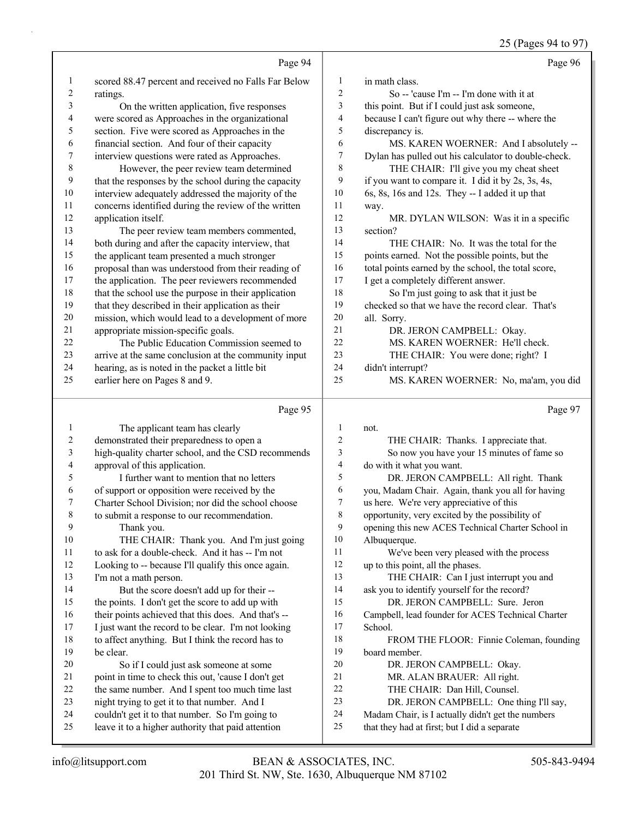25 (Pages 94 to 97)

|                         |                                                                                                       |                     | 25 (Pages 94 to 97)                                                                               |
|-------------------------|-------------------------------------------------------------------------------------------------------|---------------------|---------------------------------------------------------------------------------------------------|
|                         | Page 94                                                                                               |                     | Page 96                                                                                           |
| $\mathbf{1}$            | scored 88.47 percent and received no Falls Far Below                                                  | 1                   | in math class.                                                                                    |
| $\overline{c}$          | ratings.                                                                                              | 2                   | So -- 'cause I'm -- I'm done with it at                                                           |
| 3                       | On the written application, five responses                                                            | 3                   | this point. But if I could just ask someone,                                                      |
| $\overline{\mathbf{4}}$ | were scored as Approaches in the organizational                                                       | 4                   | because I can't figure out why there -- where the                                                 |
| 5                       | section. Five were scored as Approaches in the                                                        | 5                   | discrepancy is.                                                                                   |
| 6                       | financial section. And four of their capacity                                                         | 6                   | MS. KAREN WOERNER: And I absolutely --                                                            |
| 7                       | interview questions were rated as Approaches.                                                         | $\boldsymbol{7}$    | Dylan has pulled out his calculator to double-check.                                              |
| $\,$ $\,$               | However, the peer review team determined                                                              | $\,8\,$             | THE CHAIR: I'll give you my cheat sheet                                                           |
| 9                       | that the responses by the school during the capacity                                                  | 9                   | if you want to compare it. I did it by 2s, 3s, 4s,                                                |
| 10                      | interview adequately addressed the majority of the                                                    | 10                  | 6s, 8s, 16s and 12s. They -- I added it up that                                                   |
| 11                      | concerns identified during the review of the written                                                  | 11                  | way.                                                                                              |
| 12                      | application itself.                                                                                   | 12                  | MR. DYLAN WILSON: Was it in a specific                                                            |
| 13                      | The peer review team members commented,                                                               | 13                  | section?                                                                                          |
| 14                      | both during and after the capacity interview, that                                                    | 14                  | THE CHAIR: No. It was the total for the                                                           |
| 15                      | the applicant team presented a much stronger                                                          | 15                  | points earned. Not the possible points, but the                                                   |
| 16                      | proposal than was understood from their reading of                                                    | 16                  | total points earned by the school, the total score,                                               |
| 17                      | the application. The peer reviewers recommended                                                       | 17                  | I get a completely different answer.                                                              |
| 18                      | that the school use the purpose in their application                                                  | 18                  | So I'm just going to ask that it just be                                                          |
| 19                      | that they described in their application as their                                                     | 19                  | checked so that we have the record clear. That's                                                  |
| $20\,$                  | mission, which would lead to a development of more                                                    | $20\,$              | all. Sorry.                                                                                       |
| 21                      | appropriate mission-specific goals.                                                                   | 21                  | DR. JERON CAMPBELL: Okay.                                                                         |
| 22                      | The Public Education Commission seemed to                                                             | 22                  | MS. KAREN WOERNER: He'll check.                                                                   |
| 23                      | arrive at the same conclusion at the community input                                                  | 23                  | THE CHAIR: You were done; right? I                                                                |
| 24                      | hearing, as is noted in the packet a little bit                                                       | 24                  | didn't interrupt?                                                                                 |
| 25                      | earlier here on Pages 8 and 9.                                                                        | 25                  | MS. KAREN WOERNER: No, ma'am, you did                                                             |
|                         |                                                                                                       |                     |                                                                                                   |
|                         | Page 95                                                                                               |                     | Page 97                                                                                           |
|                         |                                                                                                       |                     |                                                                                                   |
| $\mathbf{1}$            | The applicant team has clearly                                                                        | $\mathbf{1}$        | not.                                                                                              |
| $\boldsymbol{2}$        | demonstrated their preparedness to open a                                                             | $\overline{2}$      | THE CHAIR: Thanks. I appreciate that.                                                             |
| $\mathfrak{Z}$          | high-quality charter school, and the CSD recommends                                                   | 3                   | So now you have your 15 minutes of fame so                                                        |
| $\overline{4}$<br>5     | approval of this application.                                                                         | $\overline{4}$<br>5 | do with it what you want.                                                                         |
|                         | I further want to mention that no letters                                                             | 6                   | DR. JERON CAMPBELL: All right. Thank                                                              |
| 6<br>7                  | of support or opposition were received by the                                                         | 7                   | you, Madam Chair. Again, thank you all for having                                                 |
| 8                       | Charter School Division; nor did the school choose<br>to submit a response to our recommendation.     | $\,8\,$             | us here. We're very appreciative of this                                                          |
| 9                       | Thank you.                                                                                            | 9                   | opportunity, very excited by the possibility of                                                   |
| 10                      | THE CHAIR: Thank you. And I'm just going                                                              | 10                  | opening this new ACES Technical Charter School in<br>Albuquerque.                                 |
| 11                      | to ask for a double-check. And it has -- I'm not                                                      | 11                  | We've been very pleased with the process                                                          |
| 12                      | Looking to -- because I'll qualify this once again.                                                   | 12                  | up to this point, all the phases.                                                                 |
| 13                      | I'm not a math person.                                                                                | 13                  | THE CHAIR: Can I just interrupt you and                                                           |
| 14                      | But the score doesn't add up for their --                                                             | 14                  | ask you to identify yourself for the record?                                                      |
| 15                      | the points. I don't get the score to add up with                                                      | 15                  | DR. JERON CAMPBELL: Sure. Jeron                                                                   |
| 16                      | their points achieved that this does. And that's --                                                   | 16                  | Campbell, lead founder for ACES Technical Charter                                                 |
| 17                      | I just want the record to be clear. I'm not looking                                                   | 17                  | School.                                                                                           |
| 18                      | to affect anything. But I think the record has to                                                     | 18                  | FROM THE FLOOR: Finnie Coleman, founding                                                          |
| 19                      | be clear.                                                                                             | 19                  | board member.                                                                                     |
| 20                      | So if I could just ask someone at some                                                                | 20                  | DR. JERON CAMPBELL: Okay.                                                                         |
| 21                      | point in time to check this out, 'cause I don't get                                                   | 21                  | MR. ALAN BRAUER: All right.                                                                       |
| 22                      | the same number. And I spent too much time last                                                       | 22                  | THE CHAIR: Dan Hill, Counsel.                                                                     |
| 23                      | night trying to get it to that number. And I                                                          | 23                  | DR. JERON CAMPBELL: One thing I'll say,                                                           |
| 24<br>25                | couldn't get it to that number. So I'm going to<br>leave it to a higher authority that paid attention | 24<br>25            | Madam Chair, is I actually didn't get the numbers<br>that they had at first; but I did a separate |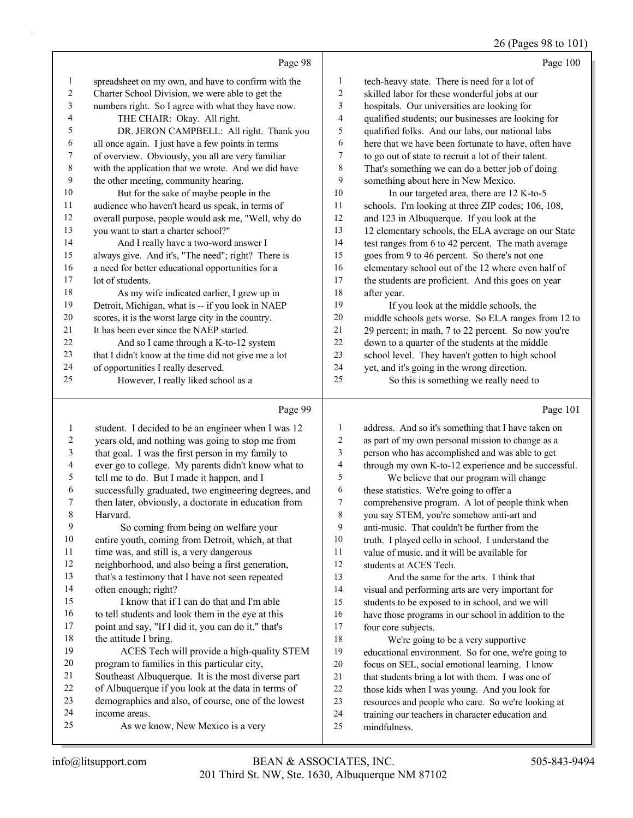## 26 (Pages 98 to 101)

| Page 98                                              |                                                                                                                                                               | Page 100                                             |
|------------------------------------------------------|---------------------------------------------------------------------------------------------------------------------------------------------------------------|------------------------------------------------------|
|                                                      | 1                                                                                                                                                             | tech-heavy state. There is need for a lot of         |
|                                                      | 2                                                                                                                                                             | skilled labor for these wonderful jobs at our        |
|                                                      | 3                                                                                                                                                             | hospitals. Our universities are looking for          |
| THE CHAIR: Okay. All right.                          | $\overline{4}$                                                                                                                                                | qualified students; our businesses are looking for   |
| DR. JERON CAMPBELL: All right. Thank you             | 5                                                                                                                                                             | qualified folks. And our labs, our national labs     |
| all once again. I just have a few points in terms    | 6                                                                                                                                                             | here that we have been fortunate to have, often have |
| of overview. Obviously, you all are very familiar    | $\tau$                                                                                                                                                        | to go out of state to recruit a lot of their talent. |
| with the application that we wrote. And we did have  | 8                                                                                                                                                             | That's something we can do a better job of doing     |
| the other meeting, community hearing.                | 9                                                                                                                                                             | something about here in New Mexico.                  |
| But for the sake of maybe people in the              | 10                                                                                                                                                            | In our targeted area, there are 12 K-to-5            |
| audience who haven't heard us speak, in terms of     | 11                                                                                                                                                            | schools. I'm looking at three ZIP codes; 106, 108,   |
| overall purpose, people would ask me, "Well, why do  | 12                                                                                                                                                            | and 123 in Albuquerque. If you look at the           |
| you want to start a charter school?"                 | 13                                                                                                                                                            | 12 elementary schools, the ELA average on our State  |
| And I really have a two-word answer I                | 14                                                                                                                                                            | test ranges from 6 to 42 percent. The math average   |
| always give. And it's, "The need"; right? There is   | 15                                                                                                                                                            | goes from 9 to 46 percent. So there's not one        |
| a need for better educational opportunities for a    | 16                                                                                                                                                            | elementary school out of the 12 where even half of   |
| lot of students.                                     | 17                                                                                                                                                            | the students are proficient. And this goes on year   |
| As my wife indicated earlier, I grew up in           | 18                                                                                                                                                            | after year.                                          |
| Detroit, Michigan, what is -- if you look in NAEP    | 19                                                                                                                                                            | If you look at the middle schools, the               |
| scores, it is the worst large city in the country.   | 20                                                                                                                                                            | middle schools gets worse. So ELA ranges from 12 to  |
| It has been ever since the NAEP started.             | 21                                                                                                                                                            | 29 percent; in math, 7 to 22 percent. So now you're  |
| And so I came through a K-to-12 system               | 22                                                                                                                                                            | down to a quarter of the students at the middle      |
| that I didn't know at the time did not give me a lot | 23                                                                                                                                                            | school level. They haven't gotten to high school     |
| of opportunities I really deserved.                  | 24                                                                                                                                                            | yet, and it's going in the wrong direction.          |
| However, I really liked school as a                  | 25                                                                                                                                                            | So this is something we really need to               |
|                                                      | spreadsheet on my own, and have to confirm with the<br>Charter School Division, we were able to get the<br>numbers right. So I agree with what they have now. |                                                      |

# Page 99

|                          | Page 99                                              |    | Page 101                                             |
|--------------------------|------------------------------------------------------|----|------------------------------------------------------|
| 1                        | student. I decided to be an engineer when I was 12   | 1  | address. And so it's something that I have taken on  |
| 2                        | years old, and nothing was going to stop me from     | 2  | as part of my own personal mission to change as a    |
| 3                        | that goal. I was the first person in my family to    | 3  | person who has accomplished and was able to get      |
| $\overline{\mathcal{A}}$ | ever go to college. My parents didn't know what to   | 4  | through my own K-to-12 experience and be successful. |
| 5                        | tell me to do. But I made it happen, and I           | 5  | We believe that our program will change              |
| 6                        | successfully graduated, two engineering degrees, and | 6  | these statistics. We're going to offer a             |
| 7                        | then later, obviously, a doctorate in education from | 7  | comprehensive program. A lot of people think when    |
| 8                        | Harvard.                                             | 8  | you say STEM, you're somehow anti-art and            |
| 9                        | So coming from being on welfare your                 | 9  | anti-music. That couldn't be further from the        |
| 10                       | entire youth, coming from Detroit, which, at that    | 10 | truth. I played cello in school. I understand the    |
| 11                       | time was, and still is, a very dangerous             | 11 | value of music, and it will be available for         |
| 12                       | neighborhood, and also being a first generation,     | 12 | students at ACES Tech.                               |
| 13                       | that's a testimony that I have not seen repeated     | 13 | And the same for the arts. I think that              |
| 14                       | often enough; right?                                 | 14 | visual and performing arts are very important for    |
| 15                       | I know that if I can do that and I'm able            | 15 | students to be exposed to in school, and we will     |
| 16                       | to tell students and look them in the eye at this    | 16 | have those programs in our school in addition to the |
| 17                       | point and say, "If I did it, you can do it," that's  | 17 | four core subjects.                                  |
| 18                       | the attitude I bring.                                | 18 | We're going to be a very supportive                  |
| 19                       | ACES Tech will provide a high-quality STEM           | 19 | educational environment. So for one, we're going to  |
| 20                       | program to families in this particular city,         | 20 | focus on SEL, social emotional learning. I know      |
| 21                       | Southeast Albuquerque. It is the most diverse part   | 21 | that students bring a lot with them. I was one of    |
| 22                       | of Albuquerque if you look at the data in terms of   | 22 | those kids when I was young. And you look for        |
| 23                       | demographics and also, of course, one of the lowest  | 23 | resources and people who care. So we're looking at   |
| 24                       | income areas.                                        | 24 | training our teachers in character education and     |
| 25                       | As we know, New Mexico is a very                     | 25 | mindfulness.                                         |
|                          |                                                      |    |                                                      |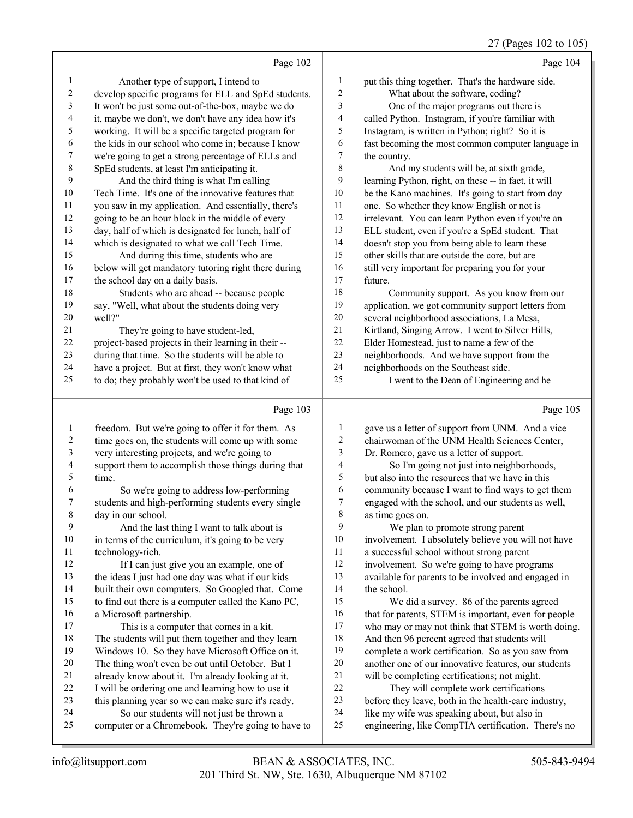#### 27 (Pages 102 to 105)

|                | Page 102                                             |                | Page 104                                             |
|----------------|------------------------------------------------------|----------------|------------------------------------------------------|
| 1              | Another type of support, I intend to                 | 1              | put this thing together. That's the hardware side.   |
| $\overline{2}$ | develop specific programs for ELL and SpEd students. | $\overline{2}$ | What about the software, coding?                     |
| 3              | It won't be just some out-of-the-box, maybe we do    | 3              | One of the major programs out there is               |
| 4              | it, maybe we don't, we don't have any idea how it's  | 4              | called Python. Instagram, if you're familiar with    |
| 5              | working. It will be a specific targeted program for  | 5              | Instagram, is written in Python; right? So it is     |
| 6              | the kids in our school who come in; because I know   | 6              | fast becoming the most common computer language in   |
| 7              | we're going to get a strong percentage of ELLs and   | 7              | the country.                                         |
| 8              | SpEd students, at least I'm anticipating it.         | 8              | And my students will be, at sixth grade,             |
| 9              | And the third thing is what I'm calling              | 9              | learning Python, right, on these -- in fact, it will |
| 10             | Tech Time. It's one of the innovative features that  | $10\,$         | be the Kano machines. It's going to start from day   |
| 11             | you saw in my application. And essentially, there's  | 11             | one. So whether they know English or not is          |
| 12             | going to be an hour block in the middle of every     | 12             | irrelevant. You can learn Python even if you're an   |
| 13             | day, half of which is designated for lunch, half of  | 13             | ELL student, even if you're a SpEd student. That     |
| 14             | which is designated to what we call Tech Time.       | 14             | doesn't stop you from being able to learn these      |
| 15             | And during this time, students who are               | 15             | other skills that are outside the core, but are      |
| 16             | below will get mandatory tutoring right there during | 16             | still very important for preparing you for your      |
| 17             | the school day on a daily basis.                     | 17             | future.                                              |
| 18             | Students who are ahead -- because people             | 18             | Community support. As you know from our              |
| 19             | say, "Well, what about the students doing very       | 19             | application, we got community support letters from   |
| 20             | well?"                                               | 20             | several neighborhood associations, La Mesa,          |
| 21             | They're going to have student-led,                   | 21             | Kirtland, Singing Arrow. I went to Silver Hills,     |
| 22             | project-based projects in their learning in their -- | 22             | Elder Homestead, just to name a few of the           |
| 23             | during that time. So the students will be able to    | 23             | neighborhoods. And we have support from the          |
| 24             | have a project. But at first, they won't know what   | 24             | neighborhoods on the Southeast side.                 |
| 25             | to do; they probably won't be used to that kind of   | 25             | I went to the Dean of Engineering and he             |
|                | Page 103                                             |                | Page 105                                             |
| 1              | freedom. But we're going to offer it for them. As    | 1              | gave us a letter of support from UNM. And a vice     |
| 2              | time goes on, the students will come up with some    | $\overline{2}$ | chairwoman of the UNM Health Sciences Center,        |

| $\mathbf{r}$ | freedom. But we're going to one it for them. As   |  |
|--------------|---------------------------------------------------|--|
| 2            | time goes on, the students will come up with some |  |

very interesting projects, and we're going to

 support them to accomplish those things during that time.

6 So we're going to address low-performing students and high-performing students every single day in our school.

9 And the last thing I want to talk about is 10 in terms of the curriculum, it's going to be very technology-rich.

12 If I can just give you an example, one of the ideas I just had one day was what if our kids built their own computers. So Googled that. Come to find out there is a computer called the Kano PC, a Microsoft partnership.

17 This is a computer that comes in a kit. The students will put them together and they learn Windows 10. So they have Microsoft Office on it. The thing won't even be out until October. But I already know about it. I'm already looking at it. I will be ordering one and learning how to use it this planning year so we can make sure it's ready. 24 So our students will not just be thrown a

computer or a Chromebook. They're going to have to

 Dr. Romero, gave us a letter of support. 4 So I'm going not just into neighborhoods, but also into the resources that we have in this community because I want to find ways to get them engaged with the school, and our students as well, as time goes on.

9 We plan to promote strong parent involvement. I absolutely believe you will not have a successful school without strong parent involvement. So we're going to have programs available for parents to be involved and engaged in the school. 15 We did a survey. 86 of the parents agreed 16 that for parents, STEM is important, even for people who may or may not think that STEM is worth doing. And then 96 percent agreed that students will

- complete a work certification. So as you saw from another one of our innovative features, our students
- will be completing certifications; not might.
- 22 They will complete work certifications
- before they leave, both in the health-care industry,
- like my wife was speaking about, but also in
- engineering, like CompTIA certification. There's no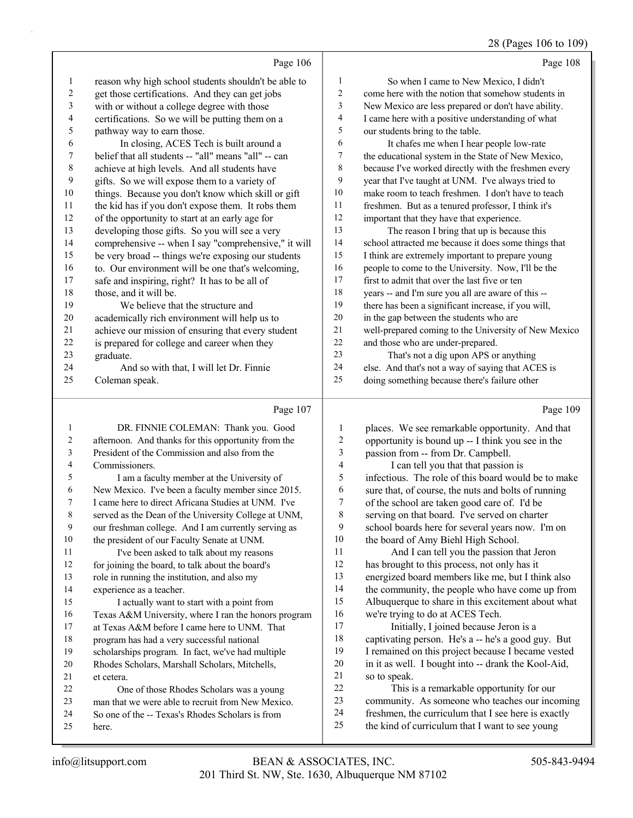#### Page 106 reason why high school students shouldn't be able to get those certifications. And they can get jobs with or without a college degree with those certifications. So we will be putting them on a pathway way to earn those. 6 In closing, ACES Tech is built around a belief that all students -- "all" means "all" -- can achieve at high levels. And all students have gifts. So we will expose them to a variety of things. Because you don't know which skill or gift the kid has if you don't expose them. It robs them of the opportunity to start at an early age for developing those gifts. So you will see a very comprehensive -- when I say "comprehensive," it will be very broad -- things we're exposing our students to. Our environment will be one that's welcoming, safe and inspiring, right? It has to be all of those, and it will be. 19 We believe that the structure and academically rich environment will help us to achieve our mission of ensuring that every student is prepared for college and career when they graduate. 24 And so with that, I will let Dr. Finnie Page 108 1 So when I came to New Mexico, I didn't come here with the notion that somehow students in New Mexico are less prepared or don't have ability. I came here with a positive understanding of what our students bring to the table. 6 It chafes me when I hear people low-rate the educational system in the State of New Mexico, because I've worked directly with the freshmen every year that I've taught at UNM. I've always tried to make room to teach freshmen. I don't have to teach freshmen. But as a tenured professor, I think it's important that they have that experience. 13 The reason I bring that up is because this school attracted me because it does some things that I think are extremely important to prepare young people to come to the University. Now, I'll be the first to admit that over the last five or ten years -- and I'm sure you all are aware of this -- there has been a significant increase, if you will, in the gap between the students who are well-prepared coming to the University of New Mexico and those who are under-prepared. 23 That's not a dig upon APS or anything else. And that's not a way of saying that ACES is

Coleman speak.

#### Page 107

| 1  | DR. FINNIE COLEMAN: Thank you. Good                  |                |
|----|------------------------------------------------------|----------------|
| 2  | afternoon. And thanks for this opportunity from the  |                |
| 3  | President of the Commission and also from the        |                |
| 4  | Commissioners.                                       |                |
| 5  | I am a faculty member at the University of           |                |
| 6  | New Mexico. I've been a faculty member since 2015.   |                |
| 7  | I came here to direct Africana Studies at UNM. I've  |                |
| 8  | served as the Dean of the University College at UNM, |                |
| 9  | our freshman college. And I am currently serving as  |                |
| 10 | the president of our Faculty Senate at UNM.          | 1 <sup>1</sup> |
| 11 | I've been asked to talk about my reasons             | $\mathbf{1}$   |
| 12 | for joining the board, to talk about the board's     | 1              |
| 13 | role in running the institution, and also my         | $\mathbf{1}$   |
| 14 | experience as a teacher.                             | $\mathbf{1}$   |
| 15 | I actually want to start with a point from           | $\mathbf{1}$   |
| 16 | Texas A&M University, where I ran the honors program | 1 <sub>0</sub> |
| 17 | at Texas A&M before I came here to UNM. That         | $1^{\circ}$    |
| 18 | program has had a very successful national           | 1              |
| 19 | scholarships program. In fact, we've had multiple    | 1              |
| 20 | Rhodes Scholars, Marshall Scholars, Mitchells,       | $\overline{2}$ |
| 21 | et cetera.                                           | $\overline{c}$ |
| 22 | One of those Rhodes Scholars was a young             | $\overline{2}$ |
| 23 | man that we were able to recruit from New Mexico.    | $\overline{c}$ |
| 24 | So one of the -- Texas's Rhodes Scholars is from     | $\overline{c}$ |
| 25 | here.                                                | $\overline{c}$ |

Page 109

28 (Pages 106 to 109)

| 1              | places. We see remarkable opportunity. And that     |
|----------------|-----------------------------------------------------|
| $\overline{2}$ | opportunity is bound up -- I think you see in the   |
| 3              | passion from -- from Dr. Campbell.                  |
| $\overline{4}$ | I can tell you that that passion is                 |
| 5              | infectious. The role of this board would be to make |
| 6              | sure that, of course, the nuts and bolts of running |
| 7              | of the school are taken good care of. I'd be        |
| 8              | serving on that board. I've served on charter       |
| 9              | school boards here for several years now. I'm on    |
| 10             | the board of Amy Biehl High School.                 |
| 11             | And I can tell you the passion that Jeron           |
| 12             | has brought to this process, not only has it        |
| 13             | energized board members like me, but I think also   |
| 14             | the community, the people who have come up from     |
| 15             | Albuquerque to share in this excitement about what  |
| 16             | we're trying to do at ACES Tech.                    |
| 17             | Initially, I joined because Jeron is a              |
| 18             | captivating person. He's a -- he's a good guy. But  |
| 19             | I remained on this project because I became vested  |
| 20             | in it as well. I bought into -- drank the Kool-Aid, |
| 21             | so to speak.                                        |
| 22             | This is a remarkable opportunity for our            |
| 23             | community. As someone who teaches our incoming      |
| 24             | freshmen, the curriculum that I see here is exactly |
| 25             | the kind of curriculum that I want to see young     |

doing something because there's failure other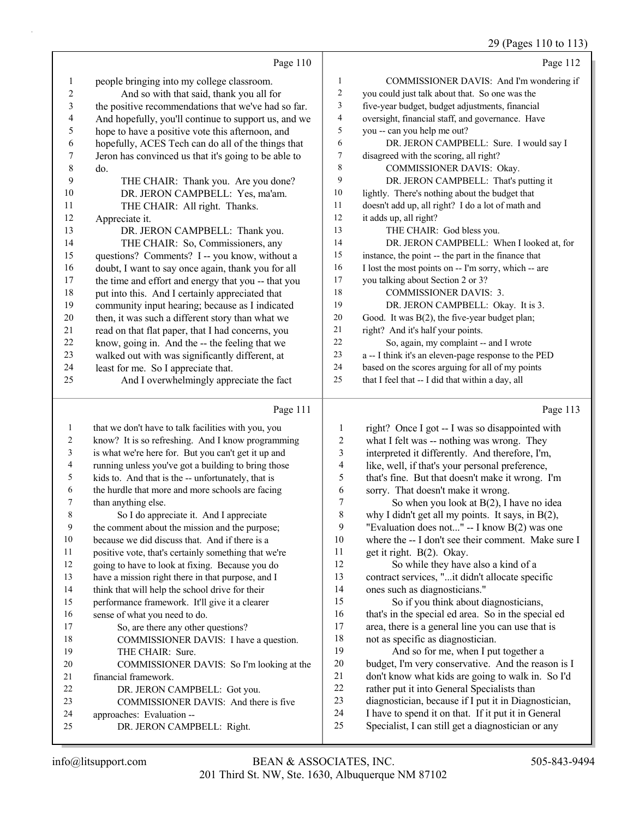29 (Pages 110 to 113)

|                                                   |                                                                                                                                                                                                                                                                                                                                                                                                                                                                                                                                                                                                                                                                                                                                                                                                                                                                                                                                                                                                                           | $27$ (1 $45$ $30$ 110 to 110)                        |
|---------------------------------------------------|---------------------------------------------------------------------------------------------------------------------------------------------------------------------------------------------------------------------------------------------------------------------------------------------------------------------------------------------------------------------------------------------------------------------------------------------------------------------------------------------------------------------------------------------------------------------------------------------------------------------------------------------------------------------------------------------------------------------------------------------------------------------------------------------------------------------------------------------------------------------------------------------------------------------------------------------------------------------------------------------------------------------------|------------------------------------------------------|
| Page 110                                          |                                                                                                                                                                                                                                                                                                                                                                                                                                                                                                                                                                                                                                                                                                                                                                                                                                                                                                                                                                                                                           | Page 112                                             |
|                                                   | 1                                                                                                                                                                                                                                                                                                                                                                                                                                                                                                                                                                                                                                                                                                                                                                                                                                                                                                                                                                                                                         | COMMISSIONER DAVIS: And I'm wondering if             |
|                                                   | $\overline{c}$                                                                                                                                                                                                                                                                                                                                                                                                                                                                                                                                                                                                                                                                                                                                                                                                                                                                                                                                                                                                            | you could just talk about that. So one was the       |
|                                                   | 3                                                                                                                                                                                                                                                                                                                                                                                                                                                                                                                                                                                                                                                                                                                                                                                                                                                                                                                                                                                                                         | five-year budget, budget adjustments, financial      |
|                                                   | $\overline{\mathbf{4}}$                                                                                                                                                                                                                                                                                                                                                                                                                                                                                                                                                                                                                                                                                                                                                                                                                                                                                                                                                                                                   | oversight, financial staff, and governance. Have     |
|                                                   | 5                                                                                                                                                                                                                                                                                                                                                                                                                                                                                                                                                                                                                                                                                                                                                                                                                                                                                                                                                                                                                         | you -- can you help me out?                          |
|                                                   | 6                                                                                                                                                                                                                                                                                                                                                                                                                                                                                                                                                                                                                                                                                                                                                                                                                                                                                                                                                                                                                         | DR. JERON CAMPBELL: Sure. I would say I              |
|                                                   | 7                                                                                                                                                                                                                                                                                                                                                                                                                                                                                                                                                                                                                                                                                                                                                                                                                                                                                                                                                                                                                         | disagreed with the scoring, all right?               |
| do.                                               | $\,$ 8 $\,$                                                                                                                                                                                                                                                                                                                                                                                                                                                                                                                                                                                                                                                                                                                                                                                                                                                                                                                                                                                                               | COMMISSIONER DAVIS: Okay.                            |
|                                                   | 9                                                                                                                                                                                                                                                                                                                                                                                                                                                                                                                                                                                                                                                                                                                                                                                                                                                                                                                                                                                                                         | DR. JERON CAMPBELL: That's putting it                |
|                                                   | 10                                                                                                                                                                                                                                                                                                                                                                                                                                                                                                                                                                                                                                                                                                                                                                                                                                                                                                                                                                                                                        | lightly. There's nothing about the budget that       |
|                                                   | 11                                                                                                                                                                                                                                                                                                                                                                                                                                                                                                                                                                                                                                                                                                                                                                                                                                                                                                                                                                                                                        | doesn't add up, all right? I do a lot of math and    |
|                                                   | 12                                                                                                                                                                                                                                                                                                                                                                                                                                                                                                                                                                                                                                                                                                                                                                                                                                                                                                                                                                                                                        | it adds up, all right?                               |
|                                                   | 13                                                                                                                                                                                                                                                                                                                                                                                                                                                                                                                                                                                                                                                                                                                                                                                                                                                                                                                                                                                                                        | THE CHAIR: God bless you.                            |
|                                                   | 14                                                                                                                                                                                                                                                                                                                                                                                                                                                                                                                                                                                                                                                                                                                                                                                                                                                                                                                                                                                                                        | DR. JERON CAMPBELL: When I looked at, for            |
|                                                   | 15                                                                                                                                                                                                                                                                                                                                                                                                                                                                                                                                                                                                                                                                                                                                                                                                                                                                                                                                                                                                                        | instance, the point -- the part in the finance that  |
|                                                   | 16                                                                                                                                                                                                                                                                                                                                                                                                                                                                                                                                                                                                                                                                                                                                                                                                                                                                                                                                                                                                                        | I lost the most points on -- I'm sorry, which -- are |
|                                                   | 17                                                                                                                                                                                                                                                                                                                                                                                                                                                                                                                                                                                                                                                                                                                                                                                                                                                                                                                                                                                                                        | you talking about Section 2 or 3?                    |
| put into this. And I certainly appreciated that   | 18                                                                                                                                                                                                                                                                                                                                                                                                                                                                                                                                                                                                                                                                                                                                                                                                                                                                                                                                                                                                                        | <b>COMMISSIONER DAVIS: 3.</b>                        |
| community input hearing; because as I indicated   | 19                                                                                                                                                                                                                                                                                                                                                                                                                                                                                                                                                                                                                                                                                                                                                                                                                                                                                                                                                                                                                        | DR. JERON CAMPBELL: Okay. It is 3.                   |
| then, it was such a different story than what we  | 20                                                                                                                                                                                                                                                                                                                                                                                                                                                                                                                                                                                                                                                                                                                                                                                                                                                                                                                                                                                                                        | Good. It was B(2), the five-year budget plan;        |
| read on that flat paper, that I had concerns, you | 21                                                                                                                                                                                                                                                                                                                                                                                                                                                                                                                                                                                                                                                                                                                                                                                                                                                                                                                                                                                                                        | right? And it's half your points.                    |
| know, going in. And the -- the feeling that we    | 22                                                                                                                                                                                                                                                                                                                                                                                                                                                                                                                                                                                                                                                                                                                                                                                                                                                                                                                                                                                                                        | So, again, my complaint -- and I wrote               |
| walked out with was significantly different, at   | 23                                                                                                                                                                                                                                                                                                                                                                                                                                                                                                                                                                                                                                                                                                                                                                                                                                                                                                                                                                                                                        | a -- I think it's an eleven-page response to the PED |
| least for me. So I appreciate that.               | 24                                                                                                                                                                                                                                                                                                                                                                                                                                                                                                                                                                                                                                                                                                                                                                                                                                                                                                                                                                                                                        | based on the scores arguing for all of my points     |
| And I overwhelmingly appreciate the fact          |                                                                                                                                                                                                                                                                                                                                                                                                                                                                                                                                                                                                                                                                                                                                                                                                                                                                                                                                                                                                                           | that I feel that -- I did that within a day, all     |
| Page 111                                          |                                                                                                                                                                                                                                                                                                                                                                                                                                                                                                                                                                                                                                                                                                                                                                                                                                                                                                                                                                                                                           | Page 113                                             |
|                                                   | 1                                                                                                                                                                                                                                                                                                                                                                                                                                                                                                                                                                                                                                                                                                                                                                                                                                                                                                                                                                                                                         | right? Once I got -- I was so disappointed with      |
|                                                   |                                                                                                                                                                                                                                                                                                                                                                                                                                                                                                                                                                                                                                                                                                                                                                                                                                                                                                                                                                                                                           | what I felt was -- nothing was wrong. They           |
|                                                   | 3                                                                                                                                                                                                                                                                                                                                                                                                                                                                                                                                                                                                                                                                                                                                                                                                                                                                                                                                                                                                                         | interpreted it differently. And therefore, I'm,      |
|                                                   | 4                                                                                                                                                                                                                                                                                                                                                                                                                                                                                                                                                                                                                                                                                                                                                                                                                                                                                                                                                                                                                         | like, well, if that's your personal preference,      |
|                                                   | $\sqrt{5}$                                                                                                                                                                                                                                                                                                                                                                                                                                                                                                                                                                                                                                                                                                                                                                                                                                                                                                                                                                                                                | that's fine. But that doesn't make it wrong. I'm     |
| the hurdle that more and more schools are facing  | 6                                                                                                                                                                                                                                                                                                                                                                                                                                                                                                                                                                                                                                                                                                                                                                                                                                                                                                                                                                                                                         | sorry. That doesn't make it wrong.                   |
|                                                   | people bringing into my college classroom.<br>And so with that said, thank you all for<br>the positive recommendations that we've had so far.<br>And hopefully, you'll continue to support us, and we<br>hope to have a positive vote this afternoon, and<br>hopefully, ACES Tech can do all of the things that<br>Jeron has convinced us that it's going to be able to<br>THE CHAIR: Thank you. Are you done?<br>DR. JERON CAMPBELL: Yes, ma'am.<br>THE CHAIR: All right. Thanks.<br>Appreciate it.<br>DR. JERON CAMPBELL: Thank you.<br>THE CHAIR: So, Commissioners, any<br>questions? Comments? I -- you know, without a<br>doubt, I want to say once again, thank you for all<br>the time and effort and energy that you -- that you<br>that we don't have to talk facilities with you, you<br>know? It is so refreshing. And I know programming<br>is what we're here for. But you can't get it up and<br>running unless you've got a building to bring those<br>kids to. And that is the -- unfortunately, that is | 25<br>$\overline{c}$                                 |

8 So I do appreciate it. And I appreciate the comment about the mission and the purpose;

10 because we did discuss that. And if there is a

positive vote, that's certainly something that we're

going to have to look at fixing. Because you do

 have a mission right there in that purpose, and I 14 think that will help the school drive for their

performance framework. It'll give it a clearer

- sense of what you need to do.
- 17 So, are there any other questions? 18 COMMISSIONER DAVIS: I have a question. 19 THE CHAIR: Sure. 20 COMMISSIONER DAVIS: So I'm looking at the
- financial framework. 22 DR. JERON CAMPBELL: Got you.
- 23 COMMISSIONER DAVIS: And there is five
- approaches: Evaluation --

than anything else.

25 DR. JERON CAMPBELL: Right.

12 So while they have also a kind of a contract services, "...it didn't allocate specific ones such as diagnosticians." 15 So if you think about diagnosticians,

where the -- I don't see their comment. Make sure I

7 So when you look at B(2), I have no idea why I didn't get all my points. It says, in B(2), 9 "Evaluation does not..." -- I know  $B(2)$  was one<br>10 where the -- I don't see their comment. Make su

get it right. B(2). Okay.

 that's in the special ed area. So in the special ed area, there is a general line you can use that is not as specific as diagnostician.

19 And so for me, when I put together a budget, I'm very conservative. And the reason is I don't know what kids are going to walk in. So I'd 22 rather put it into General Specialists than diagnostician, because if I put it in Diagnostician, I have to spend it on that. If it put it in General Specialist, I can still get a diagnostician or any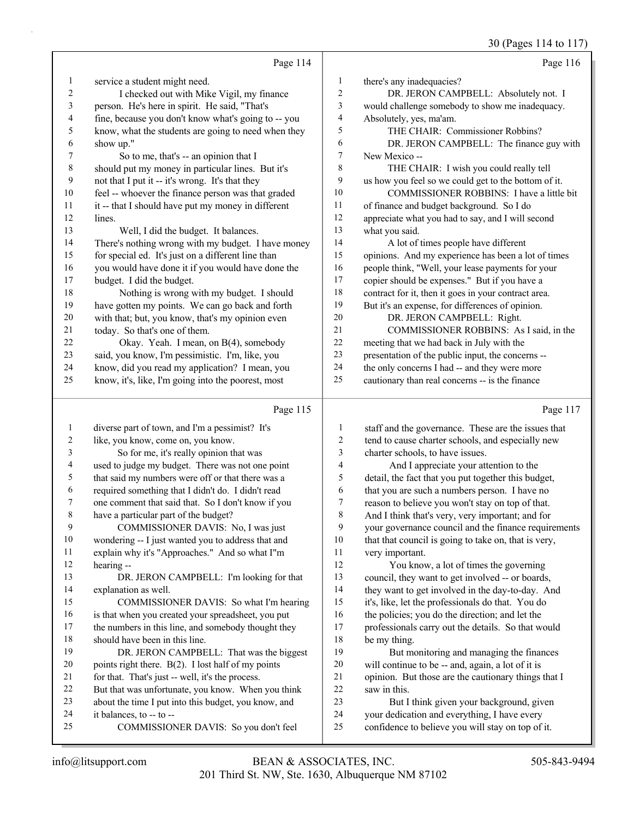|              |                                                      |                          | 30 (Pages 114 to 117)                                |
|--------------|------------------------------------------------------|--------------------------|------------------------------------------------------|
|              | Page 114                                             |                          | Page 116                                             |
| 1            | service a student might need.                        | 1                        | there's any inadequacies?                            |
| 2            | I checked out with Mike Vigil, my finance            | 2                        | DR. JERON CAMPBELL: Absolutely not. I                |
| 3            | person. He's here in spirit. He said, "That's        | 3                        | would challenge somebody to show me inadequacy.      |
| 4            | fine, because you don't know what's going to -- you  | 4                        | Absolutely, yes, ma'am.                              |
| 5            | know, what the students are going to need when they  | 5                        | THE CHAIR: Commissioner Robbins?                     |
| 6            | show up."                                            | 6                        | DR. JERON CAMPBELL: The finance guy with             |
| 7            | So to me, that's -- an opinion that I                | $\boldsymbol{7}$         | New Mexico --                                        |
| 8            | should put my money in particular lines. But it's    | 8                        | THE CHAIR: I wish you could really tell              |
| 9            | not that I put it -- it's wrong. It's that they      | 9                        | us how you feel so we could get to the bottom of it. |
| 10           | feel -- whoever the finance person was that graded   | 10                       | COMMISSIONER ROBBINS: I have a little bit            |
| 11           | it -- that I should have put my money in different   | 11                       | of finance and budget background. So I do            |
| 12           | lines.                                               | 12                       | appreciate what you had to say, and I will second    |
| 13           | Well, I did the budget. It balances.                 | 13                       | what you said.                                       |
| 14           | There's nothing wrong with my budget. I have money   | 14                       | A lot of times people have different                 |
| 15           | for special ed. It's just on a different line than   | 15                       | opinions. And my experience has been a lot of times  |
| 16           | you would have done it if you would have done the    | 16                       | people think, "Well, your lease payments for your    |
| 17           | budget. I did the budget.                            | 17                       | copier should be expenses." But if you have a        |
| 18           | Nothing is wrong with my budget. I should            | 18                       | contract for it, then it goes in your contract area. |
| 19           | have gotten my points. We can go back and forth      | 19                       | But it's an expense, for differences of opinion.     |
| 20           | with that; but, you know, that's my opinion even     | 20                       | DR. JERON CAMPBELL: Right.                           |
| 21           | today. So that's one of them.                        | 21                       | COMMISSIONER ROBBINS: As I said, in the              |
| 22           | Okay. Yeah. I mean, on B(4), somebody                | 22                       | meeting that we had back in July with the            |
| 23           | said, you know, I'm pessimistic. I'm, like, you      | 23                       | presentation of the public input, the concerns --    |
| 24           | know, did you read my application? I mean, you       | 24                       | the only concerns I had -- and they were more        |
| 25           | know, it's, like, I'm going into the poorest, most   | 25                       | cautionary than real concerns -- is the finance      |
|              | Page 115                                             |                          | Page 117                                             |
| $\mathbf{1}$ | diverse part of town, and I'm a pessimist? It's      | $\mathbf{1}$             | staff and the governance. These are the issues that  |
| 2            | like, you know, come on, you know.                   | $\overline{c}$           | tend to cause charter schools, and especially new    |
| 3            | So for me, it's really opinion that was              | 3                        | charter schools, to have issues.                     |
| 4            | used to judge my budget. There was not one point     | $\overline{\mathcal{A}}$ | And I appreciate your attention to the               |
| 5            | that said my numbers were off or that there was a    | 5                        | detail, the fact that you put together this budget,  |
| 6            | required something that I didn't do. I didn't read   | 6                        | that you are such a numbers person. I have no        |
| 7            | one comment that said that. So I don't know if you   | 7                        | reason to believe you won't stay on top of that.     |
| 8            | have a particular part of the budget?                | 8                        | And I think that's very, very important; and for     |
| 9            | COMMISSIONER DAVIS: No, I was just                   | 9                        | your governance council and the finance requirements |
| 10           | wondering -- I just wanted you to address that and   | 10                       | that that council is going to take on, that is very, |
| 11           | explain why it's "Approaches." And so what I"m       | 11                       | very important.                                      |
| 12           | hearing --                                           | 12                       | You know, a lot of times the governing               |
| 13           | DR. JERON CAMPBELL: I'm looking for that             | 13                       | council, they want to get involved -- or boards,     |
| 14           | explanation as well.                                 | 14                       | they want to get involved in the day-to-day. And     |
| 15           | COMMISSIONER DAVIS: So what I'm hearing              | 15                       | it's, like, let the professionals do that. You do    |
| 16           | is that when you created your spreadsheet, you put   | 16                       | the policies; you do the direction; and let the      |
| 17           | the numbers in this line, and somebody thought they  | 17                       | professionals carry out the details. So that would   |
| 18           | should have been in this line.                       | 18                       | be my thing.                                         |
| 19           | DR. JERON CAMPBELL: That was the biggest             | 19                       | But monitoring and managing the finances             |
| $20\,$       | points right there. B(2). I lost half of my points   | $20\,$                   | will continue to be -- and, again, a lot of it is    |
| 21           | for that. That's just -- well, it's the process.     | $21\,$                   | opinion. But those are the cautionary things that I  |
| 22           | But that was unfortunate, you know. When you think   | 22                       | saw in this.                                         |
| 23           | about the time I put into this budget, you know, and | 23                       | But I think given your background, given             |

- your dedication and everything, I have every
- confidence to believe you will stay on top of it.

it balances, to -- to --

25 COMMISSIONER DAVIS: So you don't feel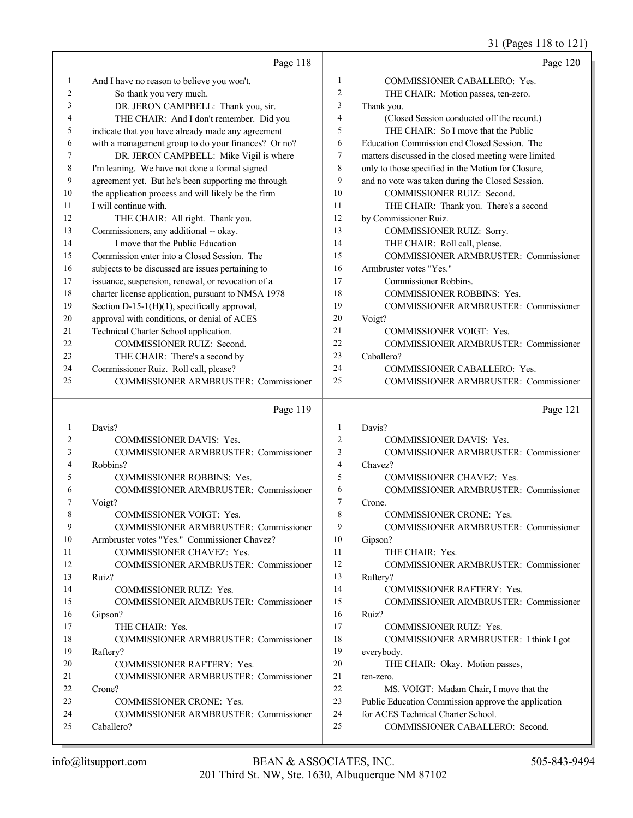## 31 (Pages 118 to 121)

|    | Page 118                                            |                | Page 120                                             |
|----|-----------------------------------------------------|----------------|------------------------------------------------------|
| 1  | And I have no reason to believe you won't.          | 1              | COMMISSIONER CABALLERO: Yes.                         |
| 2  | So thank you very much.                             | $\overline{c}$ | THE CHAIR: Motion passes, ten-zero.                  |
| 3  | DR. JERON CAMPBELL: Thank you, sir.                 | 3              | Thank you.                                           |
| 4  | THE CHAIR: And I don't remember. Did you            | $\overline{4}$ | (Closed Session conducted off the record.)           |
| 5  | indicate that you have already made any agreement   | 5              | THE CHAIR: So I move that the Public                 |
| 6  | with a management group to do your finances? Or no? | 6              | Education Commission end Closed Session. The         |
| 7  | DR. JERON CAMPBELL: Mike Vigil is where             | 7              | matters discussed in the closed meeting were limited |
| 8  | I'm leaning. We have not done a formal signed       | 8              | only to those specified in the Motion for Closure,   |
| 9  | agreement yet. But he's been supporting me through  | 9              | and no vote was taken during the Closed Session.     |
| 10 | the application process and will likely be the firm | 10             | COMMISSIONER RUIZ: Second.                           |
| 11 | I will continue with.                               | 11             | THE CHAIR: Thank you. There's a second               |
| 12 | THE CHAIR: All right. Thank you.                    | 12             | by Commissioner Ruiz.                                |
| 13 | Commissioners, any additional -- okay.              | 13             | COMMISSIONER RUIZ: Sorry.                            |
| 14 | I move that the Public Education                    | 14             | THE CHAIR: Roll call, please.                        |
| 15 | Commission enter into a Closed Session. The         | 15             | <b>COMMISSIONER ARMBRUSTER: Commissioner</b>         |
| 16 | subjects to be discussed are issues pertaining to   | 16             | Armbruster votes "Yes."                              |
| 17 | issuance, suspension, renewal, or revocation of a   | 17             | Commissioner Robbins.                                |
| 18 | charter license application, pursuant to NMSA 1978  | 18             | <b>COMMISSIONER ROBBINS: Yes.</b>                    |
| 19 | Section D-15-1(H)(1), specifically approval,        | 19             | <b>COMMISSIONER ARMBRUSTER: Commissioner</b>         |
| 20 | approval with conditions, or denial of ACES         | 20             | Voigt?                                               |
| 21 | Technical Charter School application.               | 21             | <b>COMMISSIONER VOIGT: Yes.</b>                      |
| 22 | COMMISSIONER RUIZ: Second.                          | 22             | <b>COMMISSIONER ARMBRUSTER: Commissioner</b>         |
| 23 | THE CHAIR: There's a second by                      | 23             | Caballero?                                           |
| 24 | Commissioner Ruiz. Roll call, please?               | 24             | COMMISSIONER CABALLERO: Yes.                         |
| 25 | <b>COMMISSIONER ARMBRUSTER: Commissioner</b>        | 25             | <b>COMMISSIONER ARMBRUSTER: Commissioner</b>         |
|    | Page 119                                            |                | Page 121                                             |
| 1  | Davis?                                              | $\mathbf{1}$   | Davis?                                               |
| 2  | COMMISSIONER DAVIS: Yes.                            | $\overline{c}$ | COMMISSIONER DAVIS: Yes.                             |
| 3  | COMMISSIONER ARMBRUSTER: Commissioner               | 3              | COMMISSIONER ARMBRUSTER: Commissioner                |
| 4  | Robbins?                                            | $\overline{4}$ | Chavez?                                              |
| 5  | COMMISSIONER ROBBINS: Yes.                          | 5              | COMMISSIONER CHAVEZ: Yes.                            |
| 6  | COMMISSIONER ARMBRUSTER: Commissioner               | 6              | COMMISSIONER ARMBRUSTER: Commissioner                |
| 7  | Voigt?                                              | 7              | Crone.                                               |
| 8  | COMMISSIONER VOIGT: Yes.                            | 8              | <b>COMMISSIONER CRONE: Yes.</b>                      |
| 9  | COMMISSIONER ARMBRUSTER: Commissioner               | 9              | <b>COMMISSIONER ARMBRUSTER: Commissioner</b>         |
| 10 | Armbruster votes "Yes." Commissioner Chavez?        | 10             | Gipson?                                              |
| 11 | COMMISSIONER CHAVEZ: Yes.                           | 11             | THE CHAIR: Yes.                                      |
| 12 | COMMISSIONER ARMBRUSTER: Commissioner               | 12             | <b>COMMISSIONER ARMBRUSTER: Commissioner</b>         |
| 13 | Ruiz?                                               | 13             | Raftery?                                             |
| 14 | COMMISSIONER RUIZ: Yes.                             | 14             | COMMISSIONER RAFTERY: Yes.                           |
| 15 | COMMISSIONER ARMBRUSTER: Commissioner               | 15             | COMMISSIONER ARMBRUSTER: Commissioner                |
| 16 | Gipson?                                             | 16             | Ruiz?                                                |
| 17 | THE CHAIR: Yes.                                     | 17             | COMMISSIONER RUIZ: Yes.                              |
| 18 | <b>COMMISSIONER ARMBRUSTER: Commissioner</b>        | 18             | COMMISSIONER ARMBRUSTER: I think I got               |
| 19 | Raftery?                                            | 19             | everybody.                                           |
| 20 | <b>COMMISSIONER RAFTERY: Yes.</b>                   | 20             | THE CHAIR: Okay. Motion passes,                      |
| 21 | <b>COMMISSIONER ARMBRUSTER: Commissioner</b>        | 21             | ten-zero.                                            |
| 22 | Crone?                                              | 22             | MS. VOIGT: Madam Chair, I move that the              |
| 23 | <b>COMMISSIONER CRONE: Yes.</b>                     | 23             | Public Education Commission approve the application  |
| 24 | <b>COMMISSIONER ARMBRUSTER: Commissioner</b>        | 24             | for ACES Technical Charter School.                   |
| 25 | Caballero?                                          | 25             | COMMISSIONER CABALLERO: Second.                      |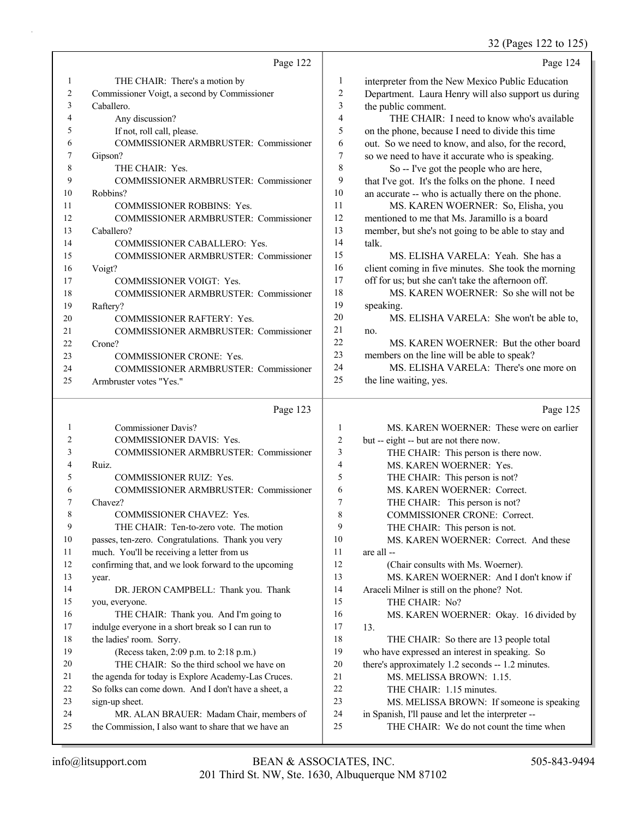32 (Pages 122 to 125)

|    | Page 122                                     |    | Page 124                                            |
|----|----------------------------------------------|----|-----------------------------------------------------|
| 1  | THE CHAIR: There's a motion by               | 1  | interpreter from the New Mexico Public Education    |
| 2  | Commissioner Voigt, a second by Commissioner | 2  | Department. Laura Henry will also support us during |
| 3  | Caballero.                                   | 3  | the public comment.                                 |
| 4  | Any discussion?                              | 4  | THE CHAIR: I need to know who's available           |
| 5  | If not, roll call, please.                   | 5  | on the phone, because I need to divide this time    |
| 6  | <b>COMMISSIONER ARMBRUSTER: Commissioner</b> | 6  | out. So we need to know, and also, for the record,  |
| 7  | Gipson?                                      | 7  | so we need to have it accurate who is speaking.     |
| 8  | THE CHAIR: Yes.                              | 8  | So -- I've got the people who are here,             |
| 9  | <b>COMMISSIONER ARMBRUSTER: Commissioner</b> | 9  | that I've got. It's the folks on the phone. I need  |
| 10 | Robbins?                                     | 10 | an accurate -- who is actually there on the phone.  |
| 11 | <b>COMMISSIONER ROBBINS: Yes.</b>            | 11 | MS. KAREN WOERNER: So, Elisha, you                  |
| 12 | <b>COMMISSIONER ARMBRUSTER: Commissioner</b> | 12 | mentioned to me that Ms. Jaramillo is a board       |
| 13 | Caballero?                                   | 13 | member, but she's not going to be able to stay and  |
| 14 | COMMISSIONER CABALLERO: Yes.                 | 14 | talk.                                               |
| 15 | <b>COMMISSIONER ARMBRUSTER: Commissioner</b> | 15 | MS. ELISHA VARELA: Yeah. She has a                  |
| 16 | Voigt?                                       | 16 | client coming in five minutes. She took the morning |
| 17 | <b>COMMISSIONER VOIGT: Yes.</b>              | 17 | off for us; but she can't take the afternoon off.   |
| 18 | COMMISSIONER ARMBRUSTER: Commissioner        | 18 | MS. KAREN WOERNER: So she will not be               |
| 19 | Raftery?                                     | 19 | speaking.                                           |
| 20 | <b>COMMISSIONER RAFTERY: Yes.</b>            | 20 | MS. ELISHA VARELA: She won't be able to,            |
| 21 | <b>COMMISSIONER ARMBRUSTER: Commissioner</b> | 21 | no.                                                 |
| 22 | Crone?                                       | 22 | MS. KAREN WOERNER: But the other board              |
| 23 | <b>COMMISSIONER CRONE: Yes.</b>              | 23 | members on the line will be able to speak?          |
| 24 | <b>COMMISSIONER ARMBRUSTER: Commissioner</b> | 24 | MS. ELISHA VARELA: There's one more on              |
| 25 | Armbruster votes "Yes."                      | 25 | the line waiting, yes.                              |
|    |                                              |    |                                                     |

#### Page 123 |

Page 125

| 1  | Commissioner Davis?                                  | 1              | MS. KAREN WOERNER: These were on earlier          |
|----|------------------------------------------------------|----------------|---------------------------------------------------|
| 2  | <b>COMMISSIONER DAVIS: Yes.</b>                      | $\overline{2}$ | but -- eight -- but are not there now.            |
| 3  | <b>COMMISSIONER ARMBRUSTER: Commissioner</b>         | 3              | THE CHAIR: This person is there now.              |
| 4  | Ruiz.                                                | 4              | MS. KAREN WOERNER: Yes.                           |
| 5  | <b>COMMISSIONER RUIZ: Yes.</b>                       | 5              | THE CHAIR: This person is not?                    |
| 6  | <b>COMMISSIONER ARMBRUSTER: Commissioner</b>         | 6              | MS. KAREN WOERNER: Correct.                       |
| 7  | Chavez?                                              | 7              | THE CHAIR: This person is not?                    |
| 8  | <b>COMMISSIONER CHAVEZ: Yes.</b>                     | 8              | <b>COMMISSIONER CRONE: Correct.</b>               |
| 9  | THE CHAIR: Ten-to-zero vote. The motion              | 9              | THE CHAIR: This person is not.                    |
| 10 | passes, ten-zero. Congratulations. Thank you very    | 10             | MS. KAREN WOERNER: Correct. And these             |
| 11 | much. You'll be receiving a letter from us           | 11             | are all --                                        |
| 12 | confirming that, and we look forward to the upcoming | 12             | (Chair consults with Ms. Woerner).                |
| 13 | year.                                                | 13             | MS. KAREN WOERNER: And I don't know if            |
| 14 | DR. JERON CAMPBELL: Thank you. Thank                 | 14             | Araceli Milner is still on the phone? Not.        |
| 15 | you, everyone.                                       | 15             | THE CHAIR: No?                                    |
| 16 | THE CHAIR: Thank you. And I'm going to               | 16             | MS. KAREN WOERNER: Okay. 16 divided by            |
| 17 | indulge everyone in a short break so I can run to    | 17             | 13.                                               |
| 18 | the ladies' room. Sorry.                             | 18             | THE CHAIR: So there are 13 people total           |
| 19 | (Recess taken, 2:09 p.m. to 2:18 p.m.)               | 19             | who have expressed an interest in speaking. So    |
| 20 | THE CHAIR: So the third school we have on            | 20             | there's approximately 1.2 seconds -- 1.2 minutes. |
| 21 | the agenda for today is Explore Academy-Las Cruces.  | 21             | MS. MELISSA BROWN: 1.15.                          |
| 22 | So folks can come down. And I don't have a sheet, a  | 22             | THE CHAIR: 1.15 minutes.                          |
| 23 | sign-up sheet.                                       | 23             | MS. MELISSA BROWN: If someone is speaking         |
| 24 | MR. ALAN BRAUER: Madam Chair, members of             | 24             | in Spanish, I'll pause and let the interpreter -- |
| 25 | the Commission, I also want to share that we have an | 25             | THE CHAIR: We do not count the time when          |
|    |                                                      |                |                                                   |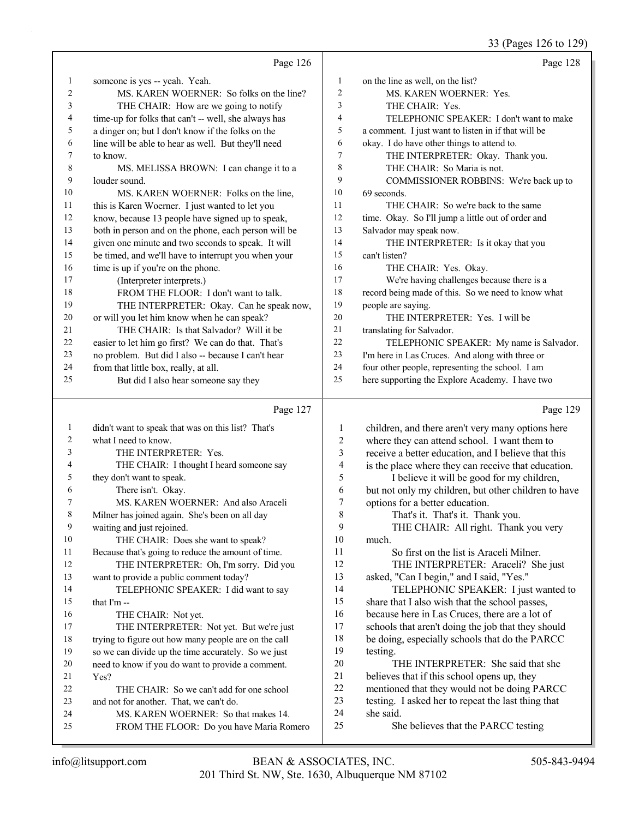#### 33 (Pages 126 to 129)

|              |                                                                                  |                | 33 (Pages 126 to 129                                                                        |
|--------------|----------------------------------------------------------------------------------|----------------|---------------------------------------------------------------------------------------------|
|              | Page 126                                                                         |                | Page 128                                                                                    |
| $\mathbf{1}$ | someone is yes -- yeah. Yeah.                                                    | $\mathbf{1}$   | on the line as well, on the list?                                                           |
| 2            | MS. KAREN WOERNER: So folks on the line?                                         | $\mathbf{2}$   | MS. KAREN WOERNER: Yes.                                                                     |
| 3            | THE CHAIR: How are we going to notify                                            | 3              | THE CHAIR: Yes.                                                                             |
| 4            | time-up for folks that can't -- well, she always has                             | 4              | TELEPHONIC SPEAKER: I don't want to make                                                    |
| 5            | a dinger on; but I don't know if the folks on the                                | 5              | a comment. I just want to listen in if that will be                                         |
| 6            | line will be able to hear as well. But they'll need                              | 6              | okay. I do have other things to attend to.                                                  |
| 7            | to know.                                                                         | 7              | THE INTERPRETER: Okay. Thank you.                                                           |
| $\,8\,$      | MS. MELISSA BROWN: I can change it to a                                          | 8              | THE CHAIR: So Maria is not.                                                                 |
| 9            | louder sound.                                                                    | 9              | COMMISSIONER ROBBINS: We're back up to                                                      |
| 10           | MS. KAREN WOERNER: Folks on the line,                                            | 10             | 69 seconds.                                                                                 |
| 11           | this is Karen Woerner. I just wanted to let you                                  | 11             | THE CHAIR: So we're back to the same                                                        |
| 12           | know, because 13 people have signed up to speak,                                 | 12             | time. Okay. So I'll jump a little out of order and                                          |
| 13           | both in person and on the phone, each person will be                             | 13             | Salvador may speak now.                                                                     |
| 14           | given one minute and two seconds to speak. It will                               | 14             | THE INTERPRETER: Is it okay that you                                                        |
| 15           | be timed, and we'll have to interrupt you when your                              | 15             | can't listen?                                                                               |
| 16           | time is up if you're on the phone.                                               | 16             | THE CHAIR: Yes. Okay.                                                                       |
| 17           | (Interpreter interprets.)                                                        | 17             | We're having challenges because there is a                                                  |
| 18           | FROM THE FLOOR: I don't want to talk.                                            | 18             | record being made of this. So we need to know what                                          |
| 19           | THE INTERPRETER: Okay. Can he speak now,                                         | 19             | people are saying.                                                                          |
| 20           | or will you let him know when he can speak?                                      | 20             | THE INTERPRETER: Yes. I will be                                                             |
| 21           | THE CHAIR: Is that Salvador? Will it be                                          | 21             | translating for Salvador.                                                                   |
| 22           | easier to let him go first? We can do that. That's                               | 22             | TELEPHONIC SPEAKER: My name is Salvador.                                                    |
| 23           | no problem. But did I also -- because I can't hear                               | 23             | I'm here in Las Cruces. And along with three or                                             |
| 24           | from that little box, really, at all.                                            | 24             | four other people, representing the school. I am                                            |
| 25           | But did I also hear someone say they                                             | 25             | here supporting the Explore Academy. I have two                                             |
|              | Page 127                                                                         |                | Page 129                                                                                    |
| $\mathbf{1}$ | didn't want to speak that was on this list? That's                               | 1              | children, and there aren't very many options here                                           |
| 2            | what I need to know.                                                             | $\overline{c}$ | where they can attend school. I want them to                                                |
| 3            | THE INTERPRETER: Yes.                                                            | 3              | receive a better education, and I believe that this                                         |
| 4            | THE CHAIR: I thought I heard someone say                                         | 4              | is the place where they can receive that education.                                         |
| 5            | they don't want to speak.                                                        | 5              | I believe it will be good for my children,                                                  |
| 6            | There isn't. Okay.                                                               | 6              | but not only my children, but other children to have                                        |
|              | MS. KAREN WOERNER: And also Araceli                                              | $\overline{7}$ | options for a better education.                                                             |
| 8            | Milner has joined again. She's been on all day                                   | 8              | That's it. That's it. Thank you.                                                            |
| 9            | waiting and just rejoined.                                                       | 9              | THE CHAIR: All right. Thank you very                                                        |
| 10           | THE CHAIR: Does she want to speak?                                               | 10             | much.                                                                                       |
| 11           | Because that's going to reduce the amount of time.                               | 11             | So first on the list is Araceli Milner.                                                     |
| 12           | THE INTERPRETER: Oh, I'm sorry. Did you                                          | 12             | THE INTERPRETER: Araceli? She just                                                          |
| 13           | want to provide a public comment today?                                          | 13             | asked, "Can I begin," and I said, "Yes."                                                    |
| 14           | TELEPHONIC SPEAKER: I did want to say                                            | 14             | TELEPHONIC SPEAKER: I just wanted to                                                        |
| 15           | that I'm --                                                                      | 15             | share that I also wish that the school passes,                                              |
| 16           | THE CHAIR: Not yet.                                                              | 16             | because here in Las Cruces, there are a lot of                                              |
| 17           | THE INTERPRETER: Not yet. But we're just                                         | 17             | schools that aren't doing the job that they should                                          |
| 18           | trying to figure out how many people are on the call                             | 18             | be doing, especially schools that do the PARCC                                              |
| 19           | so we can divide up the time accurately. So we just                              | 19             | testing.                                                                                    |
| 20           | need to know if you do want to provide a comment.                                | 20             | THE INTERPRETER: She said that she                                                          |
| 21           | Yes?                                                                             | 21<br>22       | believes that if this school opens up, they<br>mentioned that they would not be doing PARCC |
|              |                                                                                  |                |                                                                                             |
| 22           | THE CHAIR: So we can't add for one school                                        |                |                                                                                             |
| 23           | and not for another. That, we can't do.                                          | 23             | testing. I asked her to repeat the last thing that                                          |
| 24<br>25     | MS. KAREN WOERNER: So that makes 14.<br>FROM THE FLOOR: Do you have Maria Romero | 24<br>25       | she said.<br>She believes that the PARCC testing                                            |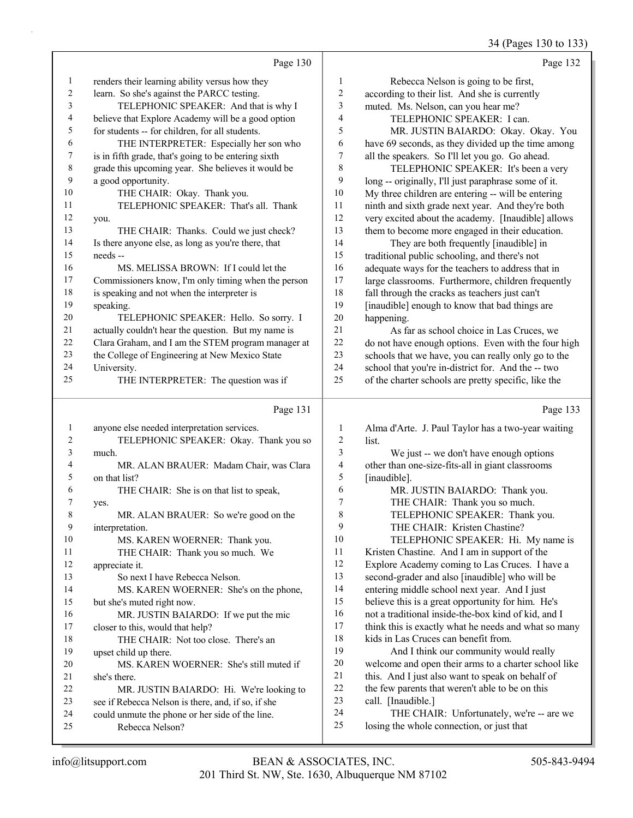34 (Pages 130 to 133)

|                  | Page 130                                                                  |                          | Page 132                                                                                          |
|------------------|---------------------------------------------------------------------------|--------------------------|---------------------------------------------------------------------------------------------------|
| $\mathbf{1}$     | renders their learning ability versus how they                            | $\mathbf{1}$             | Rebecca Nelson is going to be first,                                                              |
| $\overline{c}$   | learn. So she's against the PARCC testing.                                | $\overline{2}$           | according to their list. And she is currently                                                     |
| 3                | TELEPHONIC SPEAKER: And that is why I                                     | 3                        | muted. Ms. Nelson, can you hear me?                                                               |
| 4                | believe that Explore Academy will be a good option                        | 4                        | TELEPHONIC SPEAKER: I can.                                                                        |
| 5                | for students -- for children, for all students.                           | 5                        | MR. JUSTIN BAIARDO: Okay. Okay. You                                                               |
| 6                | THE INTERPRETER: Especially her son who                                   | 6                        | have 69 seconds, as they divided up the time among                                                |
| 7                | is in fifth grade, that's going to be entering sixth                      | $\boldsymbol{7}$         | all the speakers. So I'll let you go. Go ahead.                                                   |
| $\,$ $\,$        | grade this upcoming year. She believes it would be                        | $\,$ $\,$                | TELEPHONIC SPEAKER: It's been a very                                                              |
| 9                | a good opportunity.                                                       | 9                        | long -- originally, I'll just paraphrase some of it.                                              |
| 10               | THE CHAIR: Okay. Thank you.                                               | $10\,$                   | My three children are entering -- will be entering                                                |
| 11               | TELEPHONIC SPEAKER: That's all. Thank                                     | 11                       | ninth and sixth grade next year. And they're both                                                 |
| 12               | you.                                                                      | 12                       | very excited about the academy. [Inaudible] allows                                                |
| 13               | THE CHAIR: Thanks. Could we just check?                                   | 13                       | them to become more engaged in their education.                                                   |
| 14               | Is there anyone else, as long as you're there, that                       | 14                       | They are both frequently [inaudible] in                                                           |
| 15               | needs --                                                                  | 15                       | traditional public schooling, and there's not                                                     |
| 16               | MS. MELISSA BROWN: If I could let the                                     | 16                       | adequate ways for the teachers to address that in                                                 |
| 17               | Commissioners know, I'm only timing when the person                       | 17                       | large classrooms. Furthermore, children frequently                                                |
| 18               | is speaking and not when the interpreter is                               | 18                       | fall through the cracks as teachers just can't                                                    |
| 19               | speaking.                                                                 | 19                       | [inaudible] enough to know that bad things are                                                    |
| $20\,$           | TELEPHONIC SPEAKER: Hello. So sorry. I                                    | $20\,$                   | happening.                                                                                        |
| $21\,$           | actually couldn't hear the question. But my name is                       | 21                       | As far as school choice in Las Cruces, we                                                         |
| $22\,$           | Clara Graham, and I am the STEM program manager at                        | $22\,$                   | do not have enough options. Even with the four high                                               |
| 23               | the College of Engineering at New Mexico State                            | 23                       | schools that we have, you can really only go to the                                               |
| 24               | University.                                                               | 24                       | school that you're in-district for. And the -- two                                                |
| 25               | THE INTERPRETER: The question was if                                      | 25                       | of the charter schools are pretty specific, like the                                              |
|                  | Page 131                                                                  |                          | Page 133                                                                                          |
| $\mathbf{1}$     | anyone else needed interpretation services.                               | $\mathbf{1}$             | Alma d'Arte. J. Paul Taylor has a two-year waiting                                                |
| $\boldsymbol{2}$ | TELEPHONIC SPEAKER: Okay. Thank you so                                    | $\overline{c}$           | list.                                                                                             |
| 3                | much.                                                                     | 3                        | We just -- we don't have enough options                                                           |
| 4                | MR. ALAN BRAUER: Madam Chair, was Clara                                   | $\overline{\mathcal{A}}$ | other than one-size-fits-all in giant classrooms                                                  |
| 5                | on that list?                                                             | 5                        | [inaudible].                                                                                      |
| 6                | THE CHAIR: She is on that list to speak,                                  | 6                        | MR. JUSTIN BAIARDO: Thank you.                                                                    |
| 7                | yes.                                                                      | $\overline{7}$           | THE CHAIR: Thank you so much.                                                                     |
| 8                | MR. ALAN BRAUER: So we're good on the                                     | $\,$ $\,$                | TELEPHONIC SPEAKER: Thank you.                                                                    |
| 9                | interpretation.                                                           | 9                        | THE CHAIR: Kristen Chastine?                                                                      |
| $10\,$           | MS. KAREN WOERNER: Thank you.                                             | $10\,$                   | TELEPHONIC SPEAKER: Hi. My name is                                                                |
| 11               | THE CHAIR: Thank you so much. We                                          | 11<br>12                 | Kristen Chastine. And I am in support of the                                                      |
| 12               | appreciate it.                                                            | 13                       | Explore Academy coming to Las Cruces. I have a                                                    |
| 13<br>14         | So next I have Rebecca Nelson.                                            | 14                       | second-grader and also [inaudible] who will be                                                    |
| 15               | MS. KAREN WOERNER: She's on the phone,                                    | 15                       | entering middle school next year. And I just<br>believe this is a great opportunity for him. He's |
| 16               | but she's muted right now.                                                | 16                       | not a traditional inside-the-box kind of kid, and I                                               |
| 17               | MR. JUSTIN BAIARDO: If we put the mic<br>closer to this, would that help? | 17                       | think this is exactly what he needs and what so many                                              |
| 18               | THE CHAIR: Not too close. There's an                                      | 18                       | kids in Las Cruces can benefit from.                                                              |
| 19               | upset child up there.                                                     | 19                       | And I think our community would really                                                            |
| $20\,$           | MS. KAREN WOERNER: She's still muted if                                   | $20\,$                   | welcome and open their arms to a charter school like                                              |
| 21               | she's there.                                                              | 21                       | this. And I just also want to speak on behalf of                                                  |
| $22\,$           | MR. JUSTIN BAIARDO: Hi. We're looking to                                  | 22                       | the few parents that weren't able to be on this                                                   |
| 23               | see if Rebecca Nelson is there, and, if so, if she                        | 23                       | call. [Inaudible.]                                                                                |
| 24               | could unmute the phone or her side of the line.                           | 24                       | THE CHAIR: Unfortunately, we're -- are we                                                         |
| 25               | Rebecca Nelson?                                                           | 25                       | losing the whole connection, or just that                                                         |
|                  |                                                                           |                          |                                                                                                   |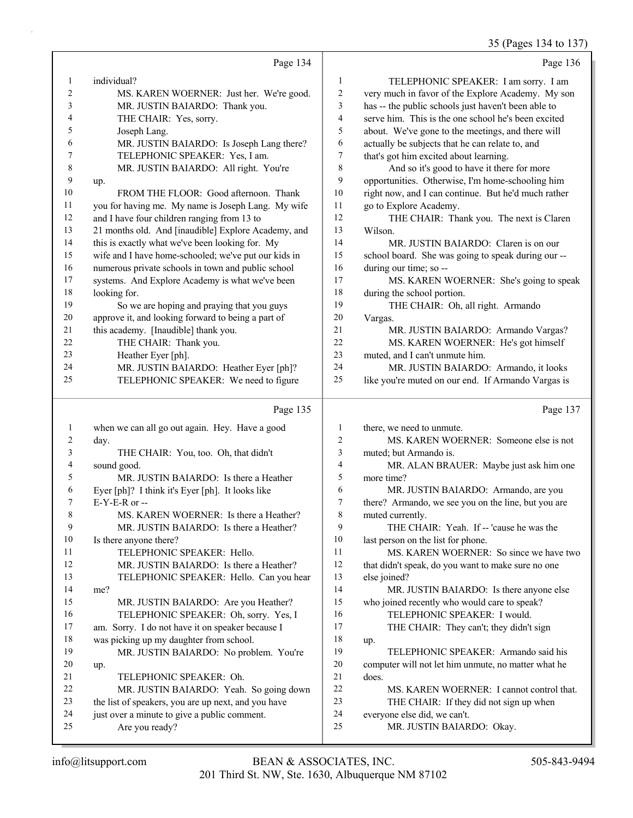35 (Pages 134 to 137)

|                |                                                      |                | 35 (Pages 134 to 137                                |
|----------------|------------------------------------------------------|----------------|-----------------------------------------------------|
|                | Page 134                                             |                | Page 136                                            |
| 1              | individual?                                          | 1              | TELEPHONIC SPEAKER: I am sorry. I am                |
| $\overline{2}$ | MS. KAREN WOERNER: Just her. We're good.             | 2              | very much in favor of the Explore Academy. My son   |
| 3              | MR. JUSTIN BAIARDO: Thank you.                       | 3              | has -- the public schools just haven't been able to |
| 4              | THE CHAIR: Yes, sorry.                               | 4              | serve him. This is the one school he's been excited |
| 5              | Joseph Lang.                                         | 5              | about. We've gone to the meetings, and there will   |
| 6              | MR. JUSTIN BAIARDO: Is Joseph Lang there?            | 6              | actually be subjects that he can relate to, and     |
| 7              | TELEPHONIC SPEAKER: Yes, I am.                       | 7              | that's got him excited about learning.              |
| 8              | MR. JUSTIN BAIARDO: All right. You're                | 8              | And so it's good to have it there for more          |
| 9              | up.                                                  | 9              | opportunities. Otherwise, I'm home-schooling him    |
| 10             | FROM THE FLOOR: Good afternoon. Thank                | 10             | right now, and I can continue. But he'd much rather |
| 11             | you for having me. My name is Joseph Lang. My wife   | 11             | go to Explore Academy.                              |
| 12             | and I have four children ranging from 13 to          | 12             | THE CHAIR: Thank you. The next is Claren            |
| 13             | 21 months old. And [inaudible] Explore Academy, and  | 13             | Wilson.                                             |
| 14             | this is exactly what we've been looking for. My      | 14             | MR. JUSTIN BAIARDO: Claren is on our                |
| 15             | wife and I have home-schooled; we've put our kids in | 15             | school board. She was going to speak during our --  |
| 16             | numerous private schools in town and public school   | 16             | during our time; so --                              |
| 17             | systems. And Explore Academy is what we've been      | 17             | MS. KAREN WOERNER: She's going to speak             |
| 18             | looking for.                                         | 18             | during the school portion.                          |
| 19             | So we are hoping and praying that you guys           | 19             | THE CHAIR: Oh, all right. Armando                   |
| 20             | approve it, and looking forward to being a part of   | $20\,$         | Vargas.                                             |
| 21             | this academy. [Inaudible] thank you.                 | 21             | MR. JUSTIN BAIARDO: Armando Vargas?                 |
| 22             | THE CHAIR: Thank you.                                | 22             | MS. KAREN WOERNER: He's got himself                 |
| 23             | Heather Eyer [ph].                                   | 23             | muted, and I can't unmute him.                      |
| 24             | MR. JUSTIN BAIARDO: Heather Eyer [ph]?               | 24             | MR. JUSTIN BAIARDO: Armando, it looks               |
| 25             | TELEPHONIC SPEAKER: We need to figure                | 25             | like you're muted on our end. If Armando Vargas is  |
|                | Page 135                                             |                | Page 137                                            |
| 1              | when we can all go out again. Hey. Have a good       | 1              | there, we need to unmute.                           |
| 2              | day.                                                 | $\overline{2}$ | MS. KAREN WOERNER: Someone else is not              |
| 3              | THE CHAIR: You, too. Oh, that didn't                 | 3              | muted; but Armando is.                              |
| 4              | sound good.                                          | 4              | MR. ALAN BRAUER: Maybe just ask him one             |
| 5              | MR. JUSTIN BAIARDO: Is there a Heather               | 5              | more time?                                          |
| 6              | Eyer [ph]? I think it's Eyer [ph]. It looks like     | 6              | MR. JUSTIN BAIARDO: Armando, are you                |
|                |                                                      |                |                                                     |

6 MR. JUSTIN BAIARDO: Armando, are you there? Armando, we see you on the line, but you are 8 muted currently.

9 THE CHAIR: Yeah. If -- 'cause he was the 10 last person on the list for phone.

11 MS. KAREN WOERNER: So since we have two 12 that didn't speak, do you want to make sure no one 13 else joined? 14 MR. JUSTIN BAIARDO: Is there anyone else

15 who joined recently who would care to speak?

- 16 TELEPHONIC SPEAKER: I would.
- 17 THE CHAIR: They can't; they didn't sign 18 up.

19 TELEPHONIC SPEAKER: Armando said his 20 computer will not let him unmute, no matter what he 21 does.

- 22 MS. KAREN WOERNER: I cannot control that.
- 23 THE CHAIR: If they did not sign up when
- 24 everyone else did, we can't.
- 25 MR. JUSTIN BAIARDO: Okay.

25 Are you ready?

7 E-Y-E-R or --

14 me?

20 up.

10 Is there anyone there?

8 MS. KAREN WOERNER: Is there a Heather? 9 MR. JUSTIN BAIARDO: Is there a Heather?

12 MR. JUSTIN BAIARDO: Is there a Heather? 13 TELEPHONIC SPEAKER: Hello. Can you hear

15 MR. JUSTIN BAIARDO: Are you Heather? 16 TELEPHONIC SPEAKER: Oh, sorry. Yes, I 17 am. Sorry. I do not have it on speaker because I 18 was picking up my daughter from school.

19 MR. JUSTIN BAIARDO: No problem. You're

22 MR. JUSTIN BAIARDO: Yeah. So going down 23 the list of speakers, you are up next, and you have 24 just over a minute to give a public comment.

11 TELEPHONIC SPEAKER: Hello.

21 TELEPHONIC SPEAKER: Oh.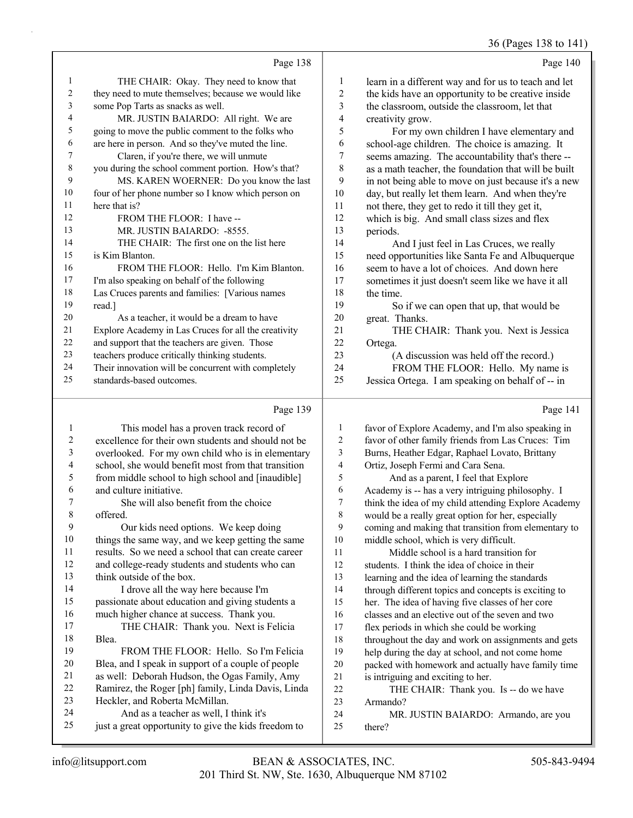36 (Pages 138 to 141)

|    |                                                      |    | 30 (Pages 138 to 14)                                 |
|----|------------------------------------------------------|----|------------------------------------------------------|
|    | Page 138                                             |    | Page 140                                             |
| 1  | THE CHAIR: Okay. They need to know that              | 1  | learn in a different way and for us to teach and let |
| 2  | they need to mute themselves; because we would like  | 2  | the kids have an opportunity to be creative inside   |
| 3  | some Pop Tarts as snacks as well.                    | 3  | the classroom, outside the classroom, let that       |
| 4  | MR. JUSTIN BAIARDO: All right. We are                | 4  | creativity grow.                                     |
| 5  | going to move the public comment to the folks who    | 5  | For my own children I have elementary and            |
| 6  | are here in person. And so they've muted the line.   | 6  | school-age children. The choice is amazing. It       |
| 7  | Claren, if you're there, we will unmute              | 7  | seems amazing. The accountability that's there --    |
| 8  | you during the school comment portion. How's that?   | 8  | as a math teacher, the foundation that will be built |
| 9  | MS. KAREN WOERNER: Do you know the last              | 9  | in not being able to move on just because it's a new |
| 10 | four of her phone number so I know which person on   | 10 | day, but really let them learn. And when they're     |
| 11 | here that is?                                        | 11 | not there, they get to redo it till they get it,     |
| 12 | FROM THE FLOOR: I have --                            | 12 | which is big. And small class sizes and flex         |
| 13 | MR. JUSTIN BAIARDO: -8555.                           | 13 | periods.                                             |
| 14 | THE CHAIR: The first one on the list here            | 14 | And I just feel in Las Cruces, we really             |
| 15 | is Kim Blanton.                                      | 15 | need opportunities like Santa Fe and Albuquerque     |
| 16 | FROM THE FLOOR: Hello. I'm Kim Blanton.              | 16 | seem to have a lot of choices. And down here         |
| 17 | I'm also speaking on behalf of the following         | 17 | sometimes it just doesn't seem like we have it all   |
| 18 | Las Cruces parents and families: [Various names      | 18 | the time.                                            |
| 19 | read.]                                               | 19 | So if we can open that up, that would be             |
| 20 | As a teacher, it would be a dream to have            | 20 | great. Thanks.                                       |
| 21 | Explore Academy in Las Cruces for all the creativity | 21 | THE CHAIR: Thank you. Next is Jessica                |
| 22 | and support that the teachers are given. Those       | 22 | Ortega.                                              |
| 23 | teachers produce critically thinking students.       | 23 | (A discussion was held off the record.)              |
| 24 | Their innovation will be concurrent with completely  | 24 | FROM THE FLOOR: Hello. My name is                    |
| 25 | standards-based outcomes.                            | 25 | Jessica Ortega. I am speaking on behalf of -- in     |
|    | Page 139                                             |    | Page 141                                             |

#### Page 139

|    | This model has a proven track record of              | 1  | favor of Explore Academy, and I'm also speaking in   |
|----|------------------------------------------------------|----|------------------------------------------------------|
| 2  | excellence for their own students and should not be  | 2  | favor of other family friends from Las Cruces: Tim   |
| 3  | overlooked. For my own child who is in elementary    | 3  | Burns, Heather Edgar, Raphael Lovato, Brittany       |
| 4  | school, she would benefit most from that transition  | 4  | Ortiz, Joseph Fermi and Cara Sena.                   |
| 5  | from middle school to high school and [inaudible]    | 5  | And as a parent, I feel that Explore                 |
| 6  | and culture initiative.                              | 6  | Academy is -- has a very intriguing philosophy. I    |
| 7  | She will also benefit from the choice                | 7  | think the idea of my child attending Explore Academy |
| 8  | offered.                                             | 8  | would be a really great option for her, especially   |
| 9  | Our kids need options. We keep doing                 | 9  | coming and making that transition from elementary to |
| 10 | things the same way, and we keep getting the same    | 10 | middle school, which is very difficult.              |
| 11 | results. So we need a school that can create career  | 11 | Middle school is a hard transition for               |
| 12 | and college-ready students and students who can      | 12 | students. I think the idea of choice in their        |
| 13 | think outside of the box.                            | 13 | learning and the idea of learning the standards      |
| 14 | I drove all the way here because I'm                 | 14 | through different topics and concepts is exciting to |
| 15 | passionate about education and giving students a     | 15 | her. The idea of having five classes of her core     |
| 16 | much higher chance at success. Thank you.            | 16 | classes and an elective out of the seven and two     |
| 17 | THE CHAIR: Thank you. Next is Felicia                | 17 | flex periods in which she could be working           |
| 18 | Blea.                                                | 18 | throughout the day and work on assignments and gets  |
| 19 | FROM THE FLOOR: Hello. So I'm Felicia                | 19 | help during the day at school, and not come home     |
| 20 | Blea, and I speak in support of a couple of people   | 20 | packed with homework and actually have family time   |
| 21 | as well: Deborah Hudson, the Ogas Family, Amy        | 21 | is intriguing and exciting to her.                   |
| 22 | Ramirez, the Roger [ph] family, Linda Davis, Linda   | 22 | THE CHAIR: Thank you. Is -- do we have               |
| 23 | Heckler, and Roberta McMillan.                       | 23 | Armando?                                             |
| 24 | And as a teacher as well, I think it's               | 24 | MR. JUSTIN BAIARDO: Armando, are you                 |
| 25 | just a great opportunity to give the kids freedom to | 25 | there?                                               |
|    |                                                      |    |                                                      |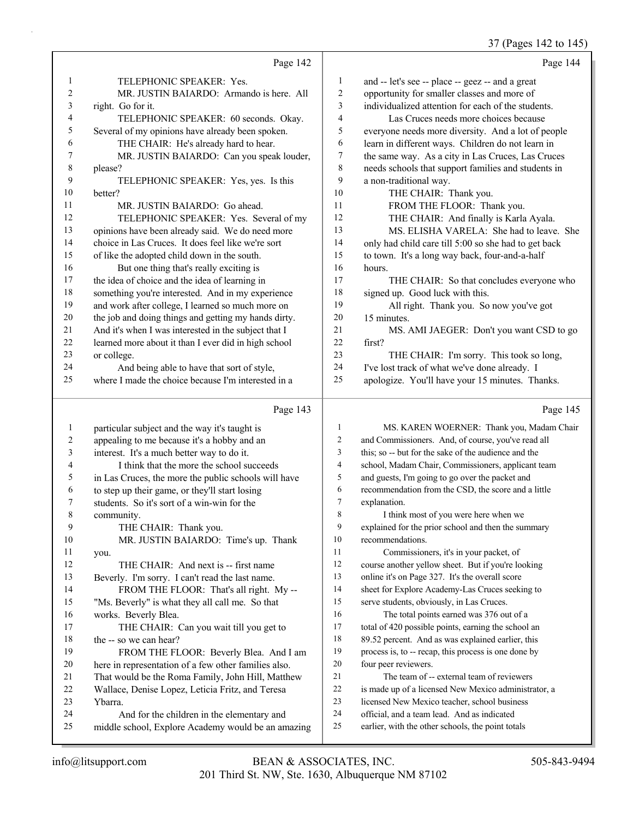#### 37 (Pages 142 to 145)

|                | Page 142                                             |                         | Page 144                                             |
|----------------|------------------------------------------------------|-------------------------|------------------------------------------------------|
| 1              | TELEPHONIC SPEAKER: Yes.                             | $\mathbf{1}$            | and -- let's see -- place -- geez -- and a great     |
| $\overline{c}$ | MR. JUSTIN BAIARDO: Armando is here. All             | $\mathfrak{2}$          | opportunity for smaller classes and more of          |
| 3              | right. Go for it.                                    | 3                       | individualized attention for each of the students.   |
| 4              | TELEPHONIC SPEAKER: 60 seconds. Okay.                | $\overline{\mathbf{4}}$ | Las Cruces needs more choices because                |
| 5              | Several of my opinions have already been spoken.     | 5                       | everyone needs more diversity. And a lot of people   |
| 6              | THE CHAIR: He's already hard to hear.                | 6                       | learn in different ways. Children do not learn in    |
| 7              | MR. JUSTIN BAIARDO: Can you speak louder,            | $\tau$                  | the same way. As a city in Las Cruces, Las Cruces    |
| $\,$ 8 $\,$    | please?                                              | 8                       | needs schools that support families and students in  |
| 9              | TELEPHONIC SPEAKER: Yes, yes. Is this                | 9                       | a non-traditional way.                               |
| 10             | better?                                              | 10                      | THE CHAIR: Thank you.                                |
| 11             | MR. JUSTIN BAIARDO: Go ahead.                        | 11                      | FROM THE FLOOR: Thank you.                           |
| 12             | TELEPHONIC SPEAKER: Yes. Several of my               | 12                      | THE CHAIR: And finally is Karla Ayala.               |
| 13             | opinions have been already said. We do need more     | 13                      | MS. ELISHA VARELA: She had to leave. She             |
| 14             | choice in Las Cruces. It does feel like we're sort   | 14                      | only had child care till 5:00 so she had to get back |
| 15             | of like the adopted child down in the south.         | 15                      | to town. It's a long way back, four-and-a-half       |
| 16             | But one thing that's really exciting is              | 16                      | hours.                                               |
| 17             | the idea of choice and the idea of learning in       | 17                      | THE CHAIR: So that concludes everyone who            |
| 18             | something you're interested. And in my experience    | 18                      | signed up. Good luck with this.                      |
| 19             | and work after college, I learned so much more on    | 19                      | All right. Thank you. So now you've got              |
| 20             | the job and doing things and getting my hands dirty. | 20                      | 15 minutes.                                          |
| 21             | And it's when I was interested in the subject that I | 21                      | MS. AMI JAEGER: Don't you want CSD to go             |
| 22             | learned more about it than I ever did in high school | 22                      | first?                                               |
| 23             | or college.                                          | 23                      | THE CHAIR: I'm sorry. This took so long,             |
| 24             | And being able to have that sort of style,           | 24                      | I've lost track of what we've done already. I        |
| 25             | where I made the choice because I'm interested in a  | 25                      | apologize. You'll have your 15 minutes. Thanks.      |
|                | Page 143                                             |                         | Page 145                                             |
| $\mathbf{1}$   | particular subject and the way it's taught is        | $\mathbf{1}$            | MS. KAREN WOERNER: Thank you, Madam Chair            |
| 2              | appealing to me because it's a hobby and an          | $\overline{c}$          | and Commissioners. And, of course, you've read all   |
| 3              | interest. It's a much better way to do it.           | 3                       | this; so -- but for the sake of the audience and the |
| 4              | I think that the more the school succeeds            | 4                       | school, Madam Chair, Commissioners, applicant team   |
| 5              | in Las Cruces, the more the public schools will have | 5                       | and guests, I'm going to go over the packet and      |
| 6              | to step up their game, or they'll start losing       | 6                       | recommendation from the CSD, the score and a little  |
| 7              | students. So it's sort of a win-win for the          | $\tau$                  | explanation.                                         |
| 8              | community.                                           | 8                       | I think most of you were here when we                |
| 9              | THE CHAIR: Thank you.                                | 9                       | explained for the prior school and then the summary  |
| 10             | MR. JUSTIN BAIARDO: Time's up. Thank                 | 10                      | recommendations.                                     |
| 11             | you.                                                 | 11                      | Commissioners, it's in your packet, of               |

12 THE CHAIR: And next is -- first name Beverly. I'm sorry. I can't read the last name. 14 FROM THE FLOOR: That's all right. My -- "Ms. Beverly" is what they all call me. So that works. Beverly Blea. 17 THE CHAIR: Can you wait till you get to the -- so we can hear? 19 FROM THE FLOOR: Beverly Blea. And I am

# here in representation of a few other families also. That would be the Roma Family, John Hill, Matthew Wallace, Denise Lopez, Leticia Fritz, and Teresa Ybarra.

24 And for the children in the elementary and middle school, Explore Academy would be an amazing

- course another yellow sheet. But if you're looking
- online it's on Page 327. It's the overall score
- sheet for Explore Academy-Las Cruces seeking to
- serve students, obviously, in Las Cruces.
- 16 The total points earned was 376 out of a total of 420 possible points, earning the school an 89.52 percent. And as was explained earlier, this process is, to -- recap, this process is one done by four peer reviewers.
- 21 The team of -- external team of reviewers
- is made up of a licensed New Mexico administrator, a
- licensed New Mexico teacher, school business
- official, and a team lead. And as indicated
- earlier, with the other schools, the point totals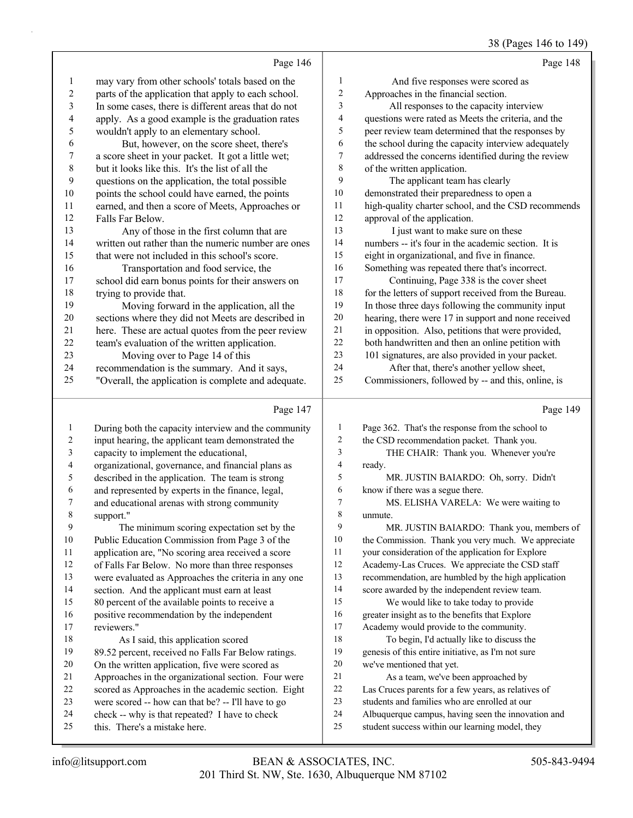#### 38 (Pages 146 to 149)

|                          |                                                      |                         | $50(1450)$ 110 to 119                                |
|--------------------------|------------------------------------------------------|-------------------------|------------------------------------------------------|
|                          | Page 146                                             |                         | Page 148                                             |
| 1                        | may vary from other schools' totals based on the     | $\mathbf{1}$            | And five responses were scored as                    |
| $\overline{c}$           | parts of the application that apply to each school.  | $\sqrt{2}$              | Approaches in the financial section.                 |
| 3                        | In some cases, there is different areas that do not  | 3                       | All responses to the capacity interview              |
| $\overline{\mathcal{L}}$ | apply. As a good example is the graduation rates     | $\overline{\mathbf{4}}$ | questions were rated as Meets the criteria, and the  |
| 5                        | wouldn't apply to an elementary school.              | 5                       | peer review team determined that the responses by    |
| 6                        | But, however, on the score sheet, there's            | 6                       | the school during the capacity interview adequately  |
| $\overline{7}$           | a score sheet in your packet. It got a little wet;   | $\tau$                  | addressed the concerns identified during the review  |
| $\,$ 8 $\,$              | but it looks like this. It's the list of all the     | $\,$ $\,$               | of the written application.                          |
| 9                        | questions on the application, the total possible     | 9                       | The applicant team has clearly                       |
| 10                       | points the school could have earned, the points      | 10                      | demonstrated their preparedness to open a            |
| 11                       | earned, and then a score of Meets, Approaches or     | 11                      | high-quality charter school, and the CSD recommends  |
| 12                       | Falls Far Below.                                     | 12                      | approval of the application.                         |
| 13                       | Any of those in the first column that are            | 13                      | I just want to make sure on these                    |
| 14                       | written out rather than the numeric number are ones  | 14                      | numbers -- it's four in the academic section. It is  |
| 15                       | that were not included in this school's score.       | 15                      | eight in organizational, and five in finance.        |
| 16                       | Transportation and food service, the                 | 16                      | Something was repeated there that's incorrect.       |
| $17$                     | school did earn bonus points for their answers on    | 17                      | Continuing, Page 338 is the cover sheet              |
| 18                       | trying to provide that.                              | 18                      | for the letters of support received from the Bureau. |
| 19                       | Moving forward in the application, all the           | 19                      | In those three days following the community input    |
| 20                       | sections where they did not Meets are described in   | 20                      | hearing, there were 17 in support and none received  |
| 21                       | here. These are actual quotes from the peer review   | $21\,$                  | in opposition. Also, petitions that were provided,   |
| 22                       | team's evaluation of the written application.        | 22                      | both handwritten and then an online petition with    |
| 23                       | Moving over to Page 14 of this                       | 23                      | 101 signatures, are also provided in your packet.    |
| 24                       | recommendation is the summary. And it says,          | 24                      | After that, there's another yellow sheet,            |
| 25                       | "Overall, the application is complete and adequate.  | 25                      | Commissioners, followed by -- and this, online, is   |
|                          |                                                      |                         |                                                      |
|                          | Page 147                                             |                         | Page 149                                             |
| 1                        | During both the capacity interview and the community | $\mathbf{1}$            | Page 362. That's the response from the school to     |
| $\overline{c}$           | input hearing, the applicant team demonstrated the   | $\sqrt{2}$              | the CSD recommendation packet. Thank you.            |
| $\overline{\mathbf{3}}$  | capacity to implement the educational,               | 3                       | THE CHAIR: Thank you. Whenever you're                |
| $\overline{\mathcal{A}}$ | organizational, governance, and financial plans as   | 4                       | ready.                                               |
| 5                        | described in the application. The team is strong     | 5                       | MR. JUSTIN BAIARDO: Oh, sorry. Didn't                |
| 6                        | and represented by experts in the finance, legal,    | 6                       | know if there was a segue there.                     |
| $\boldsymbol{7}$         | and educational arenas with strong community         | $\boldsymbol{7}$        | MS. ELISHA VARELA: We were waiting to                |
| 8                        | support."                                            | $\,$ $\,$               | unmute.                                              |
| 9                        | The minimum scoring expectation set by the           | 9                       | MR. JUSTIN BAIARDO: Thank you, members of            |

 Public Education Commission from Page 3 of the application are, "No scoring area received a score of Falls Far Below. No more than three responses were evaluated as Approaches the criteria in any one section. And the applicant must earn at least 80 percent of the available points to receive a positive recommendation by the independent reviewers." 18 As I said, this application scored 89.52 percent, received no Falls Far Below ratings. On the written application, five were scored as Approaches in the organizational section. Four were scored as Approaches in the academic section. Eight

- were scored -- how can that be? -- I'll have to go
- check -- why is that repeated? I have to check
- this. There's a mistake here.

 the Commission. Thank you very much. We appreciate your consideration of the application for Explore Academy-Las Cruces. We appreciate the CSD staff recommendation, are humbled by the high application score awarded by the independent review team. 15 We would like to take today to provide greater insight as to the benefits that Explore Academy would provide to the community. 18 To begin, I'd actually like to discuss the genesis of this entire initiative, as I'm not sure

we've mentioned that yet.

21 As a team, we've been approached by Las Cruces parents for a few years, as relatives of students and families who are enrolled at our

 Albuquerque campus, having seen the innovation and student success within our learning model, they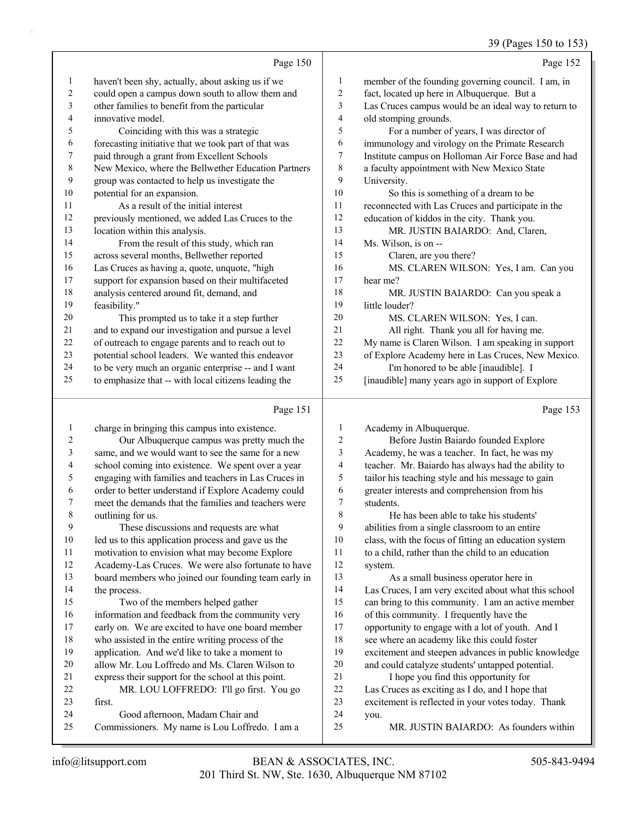|                |                                                      |                | 39 (Pages 150 to 153)                                |
|----------------|------------------------------------------------------|----------------|------------------------------------------------------|
|                | Page 150                                             |                | Page 152                                             |
| 1              | haven't been shy, actually, about asking us if we    | 1              | member of the founding governing council. I am, in   |
| $\overline{c}$ | could open a campus down south to allow them and     | $\overline{2}$ | fact, located up here in Albuquerque. But a          |
| 3              | other families to benefit from the particular        | 3              | Las Cruces campus would be an ideal way to return to |
| 4              | innovative model.                                    | $\overline{4}$ | old stomping grounds.                                |
| 5              | Coinciding with this was a strategic                 | 5              | For a number of years, I was director of             |
| 6              | forecasting initiative that we took part of that was | 6              | immunology and virology on the Primate Research      |
| 7              | paid through a grant from Excellent Schools          | $\tau$         | Institute campus on Holloman Air Force Base and had  |
| $\,$ $\,$      | New Mexico, where the Bellwether Education Partners  | $\,$ 8 $\,$    | a faculty appointment with New Mexico State          |
| 9              | group was contacted to help us investigate the       | 9              | University.                                          |
| $10\,$         | potential for an expansion.                          | 10             | So this is something of a dream to be                |
| 11             | As a result of the initial interest                  | 11             | reconnected with Las Cruces and participate in the   |
| 12             | previously mentioned, we added Las Cruces to the     | 12             | education of kiddos in the city. Thank you.          |
| 13             | location within this analysis.                       | 13             | MR. JUSTIN BAIARDO: And, Claren,                     |
| 14             | From the result of this study, which ran             | 14             | Ms. Wilson, is on --                                 |
| 15             | across several months, Bellwether reported           | 15             | Claren, are you there?                               |
| 16             | Las Cruces as having a, quote, unquote, "high        | 16             | MS. CLAREN WILSON: Yes, I am. Can you                |
| 17             | support for expansion based on their multifaceted    | 17             | hear me?                                             |
| 18             | analysis centered around fit, demand, and            | 18             | MR. JUSTIN BAIARDO: Can you speak a                  |
| 19             | feasibility."                                        | 19             | little louder?                                       |
| 20             | This prompted us to take it a step further           | 20             | MS. CLAREN WILSON: Yes, I can.                       |
| 21             | and to expand our investigation and pursue a level   | 21             | All right. Thank you all for having me.              |
| 22             | of outreach to engage parents and to reach out to    | 22             | My name is Claren Wilson. I am speaking in support   |
| 23             | potential school leaders. We wanted this endeavor    | 23             | of Explore Academy here in Las Cruces, New Mexico.   |
| 24             | to be very much an organic enterprise -- and I want  | 24             | I'm honored to be able [inaudible]. I                |
| 25             | to emphasize that -- with local citizens leading the | 25             | [inaudible] many years ago in support of Explore     |
|                | Page 151                                             |                | Page 153                                             |
| $\mathbf{1}$   | charge in bringing this campus into existence.       | $\mathbf{1}$   | Academy in Albuquerque.                              |
| $\overline{c}$ | Our Albuquerque campus was pretty much the           | 2              | Before Justin Baiardo founded Explore                |
|                |                                                      | $\sim$         |                                                      |

 same, and we would want to see the same for a new school coming into existence. We spent over a year engaging with families and teachers in Las Cruces in order to better understand if Explore Academy could meet the demands that the families and teachers were outlining for us. 9 These discussions and requests are what led us to this application process and gave us the motivation to envision what may become Explore Academy-Las Cruces. We were also fortunate to have board members who joined our founding team early in the process. 15 Two of the members helped gather information and feedback from the community very early on. We are excited to have one board member who assisted in the entire writing process of the application. And we'd like to take a moment to allow Mr. Lou Loffredo and Ms. Claren Wilson to express their support for the school at this point. 22 MR. LOU LOFFREDO: I'll go first. You go first. 24 Good afternoon, Madam Chair and Commissioners. My name is Lou Loffredo. I am a Academy, he was a teacher. In fact, he was my teacher. Mr. Baiardo has always had the ability to tailor his teaching style and his message to gain greater interests and comprehension from his students. 8 He has been able to take his students' abilities from a single classroom to an entire class, with the focus of fitting an education system to a child, rather than the child to an education system. 13 As a small business operator here in Las Cruces, I am very excited about what this school can bring to this community. I am an active member of this community. I frequently have the opportunity to engage with a lot of youth. And I see where an academy like this could foster excitement and steepen advances in public knowledge and could catalyze students' untapped potential. 21 I hope you find this opportunity for Las Cruces as exciting as I do, and I hope that excitement is reflected in your votes today. Thank you. 25 MR. JUSTIN BAIARDO: As founders within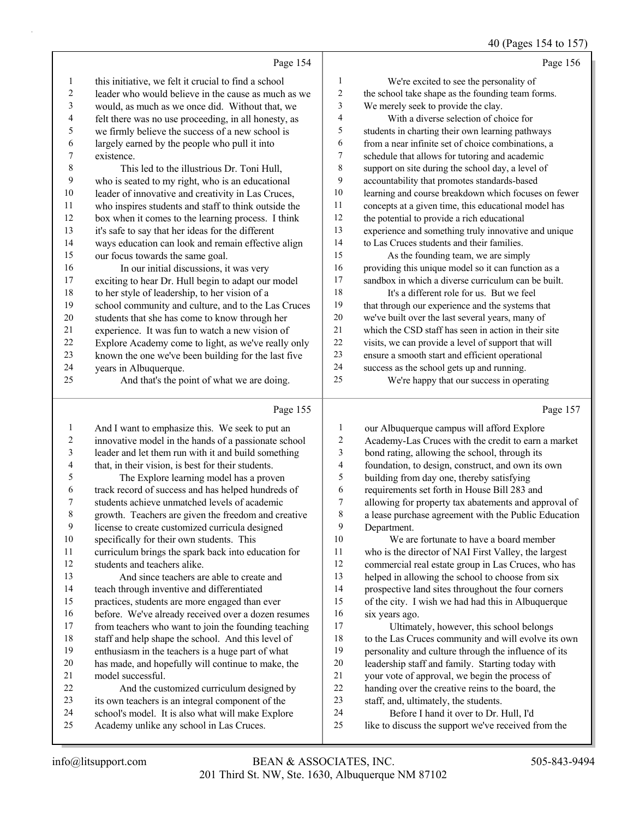# 40 (Pages 154 to 157)

|    | Page 154                                             |    | Page 156                                             |
|----|------------------------------------------------------|----|------------------------------------------------------|
| 1  | this initiative, we felt it crucial to find a school | 1  | We're excited to see the personality of              |
| 2  | leader who would believe in the cause as much as we  | 2  | the school take shape as the founding team forms.    |
| 3  | would, as much as we once did. Without that, we      | 3  | We merely seek to provide the clay.                  |
| 4  | felt there was no use proceeding, in all honesty, as | 4  | With a diverse selection of choice for               |
| 5  | we firmly believe the success of a new school is     | 5  | students in charting their own learning pathways     |
| 6  | largely earned by the people who pull it into        | 6  | from a near infinite set of choice combinations, a   |
| 7  | existence.                                           | 7  | schedule that allows for tutoring and academic       |
| 8  | This led to the illustrious Dr. Toni Hull,           | 8  | support on site during the school day, a level of    |
| 9  | who is seated to my right, who is an educational     | 9  | accountability that promotes standards-based         |
| 10 | leader of innovative and creativity in Las Cruces,   | 10 | learning and course breakdown which focuses on fewer |
| 11 | who inspires students and staff to think outside the | 11 | concepts at a given time, this educational model has |
| 12 | box when it comes to the learning process. I think   | 12 | the potential to provide a rich educational          |
| 13 | it's safe to say that her ideas for the different    | 13 | experience and something truly innovative and unique |
| 14 | ways education can look and remain effective align   | 14 | to Las Cruces students and their families.           |
| 15 | our focus towards the same goal.                     | 15 | As the founding team, we are simply                  |
| 16 | In our initial discussions, it was very              | 16 | providing this unique model so it can function as a  |
| 17 | exciting to hear Dr. Hull begin to adapt our model   | 17 | sandbox in which a diverse curriculum can be built.  |
| 18 | to her style of leadership, to her vision of a       | 18 | It's a different role for us. But we feel            |
| 19 | school community and culture, and to the Las Cruces  | 19 | that through our experience and the systems that     |
| 20 | students that she has come to know through her       | 20 | we've built over the last several years, many of     |
| 21 | experience. It was fun to watch a new vision of      | 21 | which the CSD staff has seen in action in their site |
| 22 | Explore Academy come to light, as we've really only  | 22 | visits, we can provide a level of support that will  |
| 23 | known the one we've been building for the last five  | 23 | ensure a smooth start and efficient operational      |
| 24 | years in Albuquerque.                                | 24 | success as the school gets up and running.           |
| 25 | And that's the point of what we are doing.           | 25 | We're happy that our success in operating            |
|    | Page 155                                             |    | Page 157                                             |

#### Page 155 |

| 1              | And I want to emphasize this. We seek to put an      | 1  | our Albuquerque campus will afford Explore           |
|----------------|------------------------------------------------------|----|------------------------------------------------------|
| $\overline{c}$ | innovative model in the hands of a passionate school | 2  | Academy-Las Cruces with the credit to earn a market  |
| 3              | leader and let them run with it and build something  | 3  | bond rating, allowing the school, through its        |
| 4              | that, in their vision, is best for their students.   | 4  | foundation, to design, construct, and own its own    |
| 5              | The Explore learning model has a proven              | 5  | building from day one, thereby satisfying            |
| 6              | track record of success and has helped hundreds of   | 6  | requirements set forth in House Bill 283 and         |
| 7              | students achieve unmatched levels of academic        | 7  | allowing for property tax abatements and approval of |
| 8              | growth. Teachers are given the freedom and creative  | 8  | a lease purchase agreement with the Public Education |
| 9              | license to create customized curricula designed      | 9  | Department.                                          |
| 10             | specifically for their own students. This            | 10 | We are fortunate to have a board member              |
| 11             | curriculum brings the spark back into education for  | 11 | who is the director of NAI First Valley, the largest |
| 12             | students and teachers alike.                         | 12 | commercial real estate group in Las Cruces, who has  |
| 13             | And since teachers are able to create and            | 13 | helped in allowing the school to choose from six     |
| 14             | teach through inventive and differentiated           | 14 | prospective land sites throughout the four corners   |
| 15             | practices, students are more engaged than ever       | 15 | of the city. I wish we had had this in Albuquerque   |
| 16             | before. We've already received over a dozen resumes  | 16 | six years ago.                                       |
| 17             | from teachers who want to join the founding teaching | 17 | Ultimately, however, this school belongs             |
| 18             | staff and help shape the school. And this level of   | 18 | to the Las Cruces community and will evolve its own  |
| 19             | enthusiasm in the teachers is a huge part of what    | 19 | personality and culture through the influence of its |
| 20             | has made, and hopefully will continue to make, the   | 20 | leadership staff and family. Starting today with     |
| 21             | model successful.                                    | 21 | your vote of approval, we begin the process of       |
| 22             | And the customized curriculum designed by            | 22 | handing over the creative reins to the board, the    |
| 23             | its own teachers is an integral component of the     | 23 | staff, and, ultimately, the students.                |
| 24             | school's model. It is also what will make Explore    | 24 | Before I hand it over to Dr. Hull, I'd               |
| 25             | Academy unlike any school in Las Cruces.             | 25 | like to discuss the support we've received from the  |
|                |                                                      |    |                                                      |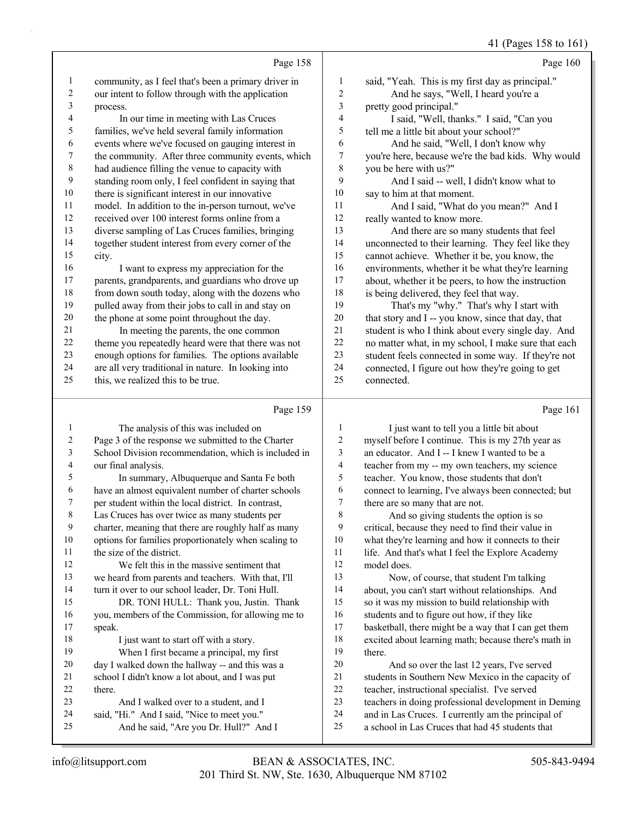41 (Pages 158 to 161)

|                         |                                                      |        | $11 \text{ (1460)} 100 \text{ W} 101$               |
|-------------------------|------------------------------------------------------|--------|-----------------------------------------------------|
|                         | Page 158                                             |        | Page 160                                            |
| 1                       | community, as I feel that's been a primary driver in | 1      | said, "Yeah. This is my first day as principal."    |
| $\overline{c}$          | our intent to follow through with the application    | 2      | And he says, "Well, I heard you're a                |
| 3                       | process.                                             | 3      | pretty good principal."                             |
| $\overline{\mathbf{4}}$ | In our time in meeting with Las Cruces               | 4      | I said, "Well, thanks." I said, "Can you            |
| 5                       | families, we've held several family information      | 5      | tell me a little bit about your school?"            |
| 6                       | events where we've focused on gauging interest in    | 6      | And he said, "Well, I don't know why                |
| 7                       | the community. After three community events, which   | 7      | you're here, because we're the bad kids. Why would  |
| $\,$ 8 $\,$             | had audience filling the venue to capacity with      | 8      | you be here with us?"                               |
| 9                       | standing room only, I feel confident in saying that  | 9      | And I said -- well, I didn't know what to           |
| 10                      | there is significant interest in our innovative      | 10     | say to him at that moment.                          |
| 11                      | model. In addition to the in-person turnout, we've   | 11     | And I said, "What do you mean?" And I               |
| 12                      | received over 100 interest forms online from a       | 12     | really wanted to know more.                         |
| 13                      | diverse sampling of Las Cruces families, bringing    | 13     | And there are so many students that feel            |
| 14                      | together student interest from every corner of the   | 14     | unconnected to their learning. They feel like they  |
| 15                      | city.                                                | 15     | cannot achieve. Whether it be, you know, the        |
| 16                      | I want to express my appreciation for the            | 16     | environments, whether it be what they're learning   |
| $17\,$                  | parents, grandparents, and guardians who drove up    | 17     | about, whether it be peers, to how the instruction  |
| 18                      | from down south today, along with the dozens who     | 18     | is being delivered, they feel that way.             |
| 19                      | pulled away from their jobs to call in and stay on   | 19     | That's my "why." That's why I start with            |
| 20                      | the phone at some point throughout the day.          | $20\,$ | that story and I -- you know, since that day, that  |
| 21                      | In meeting the parents, the one common               | 21     | student is who I think about every single day. And  |
| $22\,$                  | theme you repeatedly heard were that there was not   | 22     | no matter what, in my school, I make sure that each |
| 23                      | enough options for families. The options available   | 23     | student feels connected in some way. If they're not |
| 24                      | are all very traditional in nature. In looking into  | 24     | connected, I figure out how they're going to get    |
| 25                      | this, we realized this to be true.                   | 25     | connected.                                          |
|                         | Page 159                                             |        | Page 161                                            |
|                         | The analysis of this was included on                 | -1     | Live want to tell you a little hit about            |

| 1  | The analysis of this was included on                 | 1                       |
|----|------------------------------------------------------|-------------------------|
| 2  | Page 3 of the response we submitted to the Charter   | $\overline{2}$          |
| 3  | School Division recommendation, which is included in | 3                       |
| 4  | our final analysis.                                  | $\overline{\mathbf{4}}$ |
| 5  | In summary, Albuquerque and Santa Fe both            | 5                       |
| 6  | have an almost equivalent number of charter schools  | 6                       |
| 7  | per student within the local district. In contrast,  | $\tau$                  |
| 8  | Las Cruces has over twice as many students per       | 8                       |
| 9  | charter, meaning that there are roughly half as many | 9                       |
| 10 | options for families proportionately when scaling to | 10                      |
| 11 | the size of the district.                            | 11                      |
| 12 | We felt this in the massive sentiment that           | 12                      |
| 13 | we heard from parents and teachers. With that, I'll  | 13                      |
| 14 | turn it over to our school leader, Dr. Toni Hull.    | 14                      |
| 15 | DR. TONI HULL: Thank you, Justin. Thank              | 15                      |
| 16 | you, members of the Commission, for allowing me to   | 16                      |
| 17 | speak.                                               | 17                      |
| 18 | I just want to start off with a story.               | 18                      |
| 19 | When I first became a principal, my first            | 19                      |
| 20 | day I walked down the hallway -- and this was a      | 20                      |
| 21 | school I didn't know a lot about, and I was put      | 21                      |
| 22 | there.                                               | 22                      |
| 23 | And I walked over to a student, and I                | 23                      |
| 24 | said, "Hi." And I said, "Nice to meet you."          | 24                      |
| 25 | And he said, "Are you Dr. Hull?" And I               | 25                      |
|    |                                                      |                         |

1 I just want to tell you a little bit about myself before I continue. This is my 27th year as an educator. And I -- I knew I wanted to be a teacher from my -- my own teachers, my science teacher. You know, those students that don't connect to learning, I've always been connected; but there are so many that are not. And so giving students the option is so

critical, because they need to find their value in what they're learning and how it connects to their life. And that's what I feel the Explore Academy model does.

Now, of course, that student I'm talking about, you can't start without relationships. And so it was my mission to build relationship with students and to figure out how, if they like basketball, there might be a way that I can get them excited about learning math; because there's math in there. And so over the last 12 years, I've served

students in Southern New Mexico in the capacity of teacher, instructional specialist. I've served teachers in doing professional development in Deming and in Las Cruces. I currently am the principal of a school in Las Cruces that had 45 students that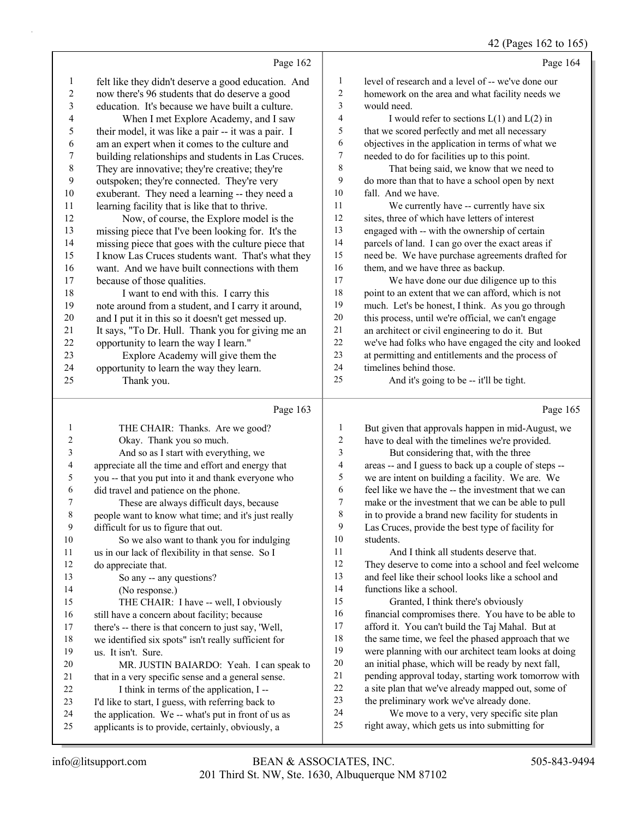# 42 (Pages 162 to 165)

|                  | Page 162                                                                                                 |                  | Page 164                                                                                               |
|------------------|----------------------------------------------------------------------------------------------------------|------------------|--------------------------------------------------------------------------------------------------------|
| $\mathbf{1}$     | felt like they didn't deserve a good education. And                                                      | 1                | level of research and a level of -- we've done our                                                     |
| $\overline{c}$   | now there's 96 students that do deserve a good                                                           | 2                | homework on the area and what facility needs we                                                        |
| 3                | education. It's because we have built a culture.                                                         | 3                | would need.                                                                                            |
| 4                | When I met Explore Academy, and I saw                                                                    | 4                | I would refer to sections $L(1)$ and $L(2)$ in                                                         |
| 5                | their model, it was like a pair -- it was a pair. I                                                      | 5                | that we scored perfectly and met all necessary                                                         |
| 6                | am an expert when it comes to the culture and                                                            | 6                | objectives in the application in terms of what we                                                      |
| $\boldsymbol{7}$ | building relationships and students in Las Cruces.                                                       | 7                | needed to do for facilities up to this point.                                                          |
| $\,$ 8 $\,$      | They are innovative; they're creative; they're                                                           | 8                | That being said, we know that we need to                                                               |
| 9                | outspoken; they're connected. They're very                                                               | 9                | do more than that to have a school open by next                                                        |
| 10               | exuberant. They need a learning -- they need a                                                           | 10               | fall. And we have.                                                                                     |
| 11               | learning facility that is like that to thrive.                                                           | 11               | We currently have -- currently have six                                                                |
| 12               | Now, of course, the Explore model is the                                                                 | 12               | sites, three of which have letters of interest                                                         |
| 13               | missing piece that I've been looking for. It's the                                                       | 13               | engaged with -- with the ownership of certain                                                          |
| 14               | missing piece that goes with the culture piece that                                                      | 14               | parcels of land. I can go over the exact areas if                                                      |
| 15               | I know Las Cruces students want. That's what they                                                        | 15               | need be. We have purchase agreements drafted for                                                       |
| 16               | want. And we have built connections with them                                                            | 16               | them, and we have three as backup.                                                                     |
| 17               | because of those qualities.                                                                              | 17               | We have done our due diligence up to this                                                              |
| 18               | I want to end with this. I carry this                                                                    | 18               | point to an extent that we can afford, which is not                                                    |
| 19               | note around from a student, and I carry it around,                                                       | 19               | much. Let's be honest, I think. As you go through                                                      |
| $20\,$           | and I put it in this so it doesn't get messed up.                                                        | 20               | this process, until we're official, we can't engage                                                    |
| 21               | It says, "To Dr. Hull. Thank you for giving me an                                                        | 21               | an architect or civil engineering to do it. But                                                        |
| $22\,$           | opportunity to learn the way I learn."                                                                   | 22<br>23         | we've had folks who have engaged the city and looked                                                   |
| 23<br>24         | Explore Academy will give them the                                                                       | 24               | at permitting and entitlements and the process of<br>timelines behind those.                           |
| 25               | opportunity to learn the way they learn.<br>Thank you.                                                   | 25               | And it's going to be -- it'll be tight.                                                                |
|                  |                                                                                                          |                  |                                                                                                        |
|                  |                                                                                                          |                  |                                                                                                        |
|                  | Page 163                                                                                                 |                  | Page 165                                                                                               |
| 1                | THE CHAIR: Thanks. Are we good?                                                                          | 1                | But given that approvals happen in mid-August, we                                                      |
| 2                | Okay. Thank you so much.                                                                                 | $\boldsymbol{2}$ | have to deal with the timelines we're provided.                                                        |
| 3                | And so as I start with everything, we                                                                    | 3                | But considering that, with the three                                                                   |
| 4                | appreciate all the time and effort and energy that                                                       | 4                | areas -- and I guess to back up a couple of steps --                                                   |
| 5                | you -- that you put into it and thank everyone who                                                       | 5                | we are intent on building a facility. We are. We                                                       |
| 6                | did travel and patience on the phone.                                                                    | 6                | feel like we have the -- the investment that we can                                                    |
| 7                | These are always difficult days, because                                                                 | $\tau$           | make or the investment that we can be able to pull                                                     |
| 8                | people want to know what time; and it's just really                                                      | 8                | in to provide a brand new facility for students in                                                     |
| 9                | difficult for us to figure that out.                                                                     | 9                | Las Cruces, provide the best type of facility for                                                      |
| 10               | So we also want to thank you for indulging                                                               | 10               | students.                                                                                              |
| 11               | us in our lack of flexibility in that sense. So I                                                        | 11               | And I think all students deserve that.                                                                 |
| 12               | do appreciate that.                                                                                      | 12               | They deserve to come into a school and feel welcome                                                    |
| 13               | So any -- any questions?                                                                                 | 13               | and feel like their school looks like a school and                                                     |
| 14               | (No response.)                                                                                           | 14<br>15         | functions like a school.                                                                               |
| 15               | THE CHAIR: I have -- well, I obviously                                                                   | 16               | Granted, I think there's obviously                                                                     |
| 16<br>17         | still have a concern about facility; because                                                             | 17               | financial compromises there. You have to be able to                                                    |
| 18               | there's -- there is that concern to just say, 'Well,                                                     | 18               | afford it. You can't build the Taj Mahal. But at<br>the same time, we feel the phased approach that we |
| 19               | we identified six spots" isn't really sufficient for<br>us. It isn't. Sure.                              | 19               | were planning with our architect team looks at doing                                                   |
| 20               | MR. JUSTIN BAIARDO: Yeah. I can speak to                                                                 | $20\,$           | an initial phase, which will be ready by next fall,                                                    |
| 21               | that in a very specific sense and a general sense.                                                       | 21               | pending approval today, starting work tomorrow with                                                    |
| 22               | I think in terms of the application, I --                                                                | $22\,$           | a site plan that we've already mapped out, some of                                                     |
| 23               | I'd like to start, I guess, with referring back to                                                       | 23               | the preliminary work we've already done.                                                               |
| 24<br>25         | the application. We -- what's put in front of us as<br>applicants is to provide, certainly, obviously, a | 24<br>$25\,$     | We move to a very, very specific site plan<br>right away, which gets us into submitting for            |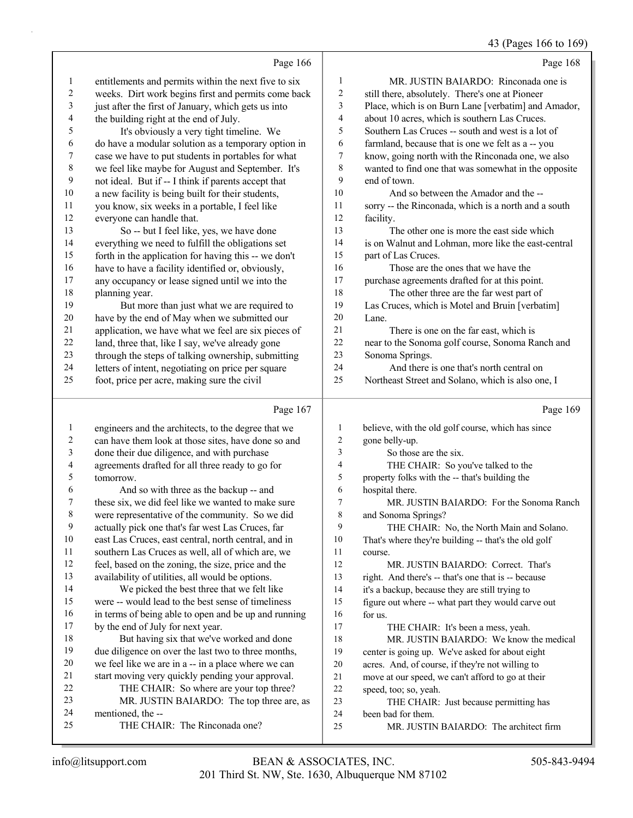43 (Pages 166 to 169)

|                | Page 166                                                                                            |              | Page 168                                                                      |
|----------------|-----------------------------------------------------------------------------------------------------|--------------|-------------------------------------------------------------------------------|
| $\mathbf{1}$   | entitlements and permits within the next five to six                                                | $\mathbf{1}$ | MR. JUSTIN BAIARDO: Rinconada one is                                          |
| $\overline{c}$ | weeks. Dirt work begins first and permits come back                                                 | 2            | still there, absolutely. There's one at Pioneer                               |
| 3              | just after the first of January, which gets us into                                                 | 3            | Place, which is on Burn Lane [verbatim] and Amador,                           |
| 4              | the building right at the end of July.                                                              | 4            | about 10 acres, which is southern Las Cruces.                                 |
| 5              | It's obviously a very tight timeline. We                                                            | 5            | Southern Las Cruces -- south and west is a lot of                             |
| 6              | do have a modular solution as a temporary option in                                                 | 6            | farmland, because that is one we felt as a -- you                             |
| 7              | case we have to put students in portables for what                                                  | 7            | know, going north with the Rinconada one, we also                             |
| $\,8\,$        | we feel like maybe for August and September. It's                                                   | $\,$ $\,$    | wanted to find one that was somewhat in the opposite                          |
| 9              | not ideal. But if -- I think if parents accept that                                                 | 9            | end of town.                                                                  |
| 10             | a new facility is being built for their students,                                                   | 10           | And so between the Amador and the --                                          |
| 11             | you know, six weeks in a portable, I feel like                                                      | 11           | sorry -- the Rinconada, which is a north and a south                          |
| 12             | everyone can handle that.                                                                           | 12           | facility.                                                                     |
| 13             | So -- but I feel like, yes, we have done                                                            | 13           | The other one is more the east side which                                     |
| 14             | everything we need to fulfill the obligations set                                                   | 14           | is on Walnut and Lohman, more like the east-central                           |
| 15             | forth in the application for having this -- we don't                                                | 15           | part of Las Cruces.                                                           |
| 16             | have to have a facility identified or, obviously,                                                   | 16           | Those are the ones that we have the                                           |
| 17             | any occupancy or lease signed until we into the                                                     | 17           | purchase agreements drafted for at this point.                                |
| 18             | planning year.                                                                                      | 18           | The other three are the far west part of                                      |
| 19<br>$20\,$   | But more than just what we are required to                                                          | 19<br>20     | Las Cruces, which is Motel and Bruin [verbatim]                               |
| 21             | have by the end of May when we submitted our<br>application, we have what we feel are six pieces of | 21           | Lane.<br>There is one on the far east, which is                               |
| $22\,$         | land, three that, like I say, we've already gone                                                    | $22\,$       | near to the Sonoma golf course, Sonoma Ranch and                              |
| 23             | through the steps of talking ownership, submitting                                                  | 23           | Sonoma Springs.                                                               |
| 24             | letters of intent, negotiating on price per square                                                  | 24           | And there is one that's north central on                                      |
| 25             | foot, price per acre, making sure the civil                                                         | 25           | Northeast Street and Solano, which is also one, I                             |
|                |                                                                                                     |              |                                                                               |
|                | Page 167                                                                                            |              | Page 169                                                                      |
| $\mathbf{1}$   | engineers and the architects, to the degree that we                                                 | 1            | believe, with the old golf course, which has since                            |
| $\overline{c}$ | can have them look at those sites, have done so and                                                 | 2            | gone belly-up.                                                                |
| 3              | done their due diligence, and with purchase                                                         | 3            | So those are the six.                                                         |
| 4              | agreements drafted for all three ready to go for                                                    |              |                                                                               |
| 5              |                                                                                                     | 4            | THE CHAIR: So you've talked to the                                            |
|                | tomorrow.                                                                                           | 5            | property folks with the -- that's building the                                |
| 6              | And so with three as the backup -- and                                                              | 6            | hospital there.                                                               |
| 7              | these six, we did feel like we wanted to make sure                                                  | 7            | MR. JUSTIN BAIARDO: For the Sonoma Ranch                                      |
| $\,8\,$        | were representative of the community. So we did                                                     | 8            | and Sonoma Springs?                                                           |
| 9              | actually pick one that's far west Las Cruces, far                                                   | 9            | THE CHAIR: No, the North Main and Solano.                                     |
| 10             | east Las Cruces, east central, north central, and in                                                | 10           | That's where they're building -- that's the old golf                          |
| 11             | southern Las Cruces as well, all of which are, we                                                   | 11           | course.                                                                       |
| 12             | feel, based on the zoning, the size, price and the                                                  | 12           | MR. JUSTIN BAIARDO: Correct. That's                                           |
| 13             | availability of utilities, all would be options.                                                    | 13           | right. And there's -- that's one that is -- because                           |
| 14             | We picked the best three that we felt like                                                          | 14           | it's a backup, because they are still trying to                               |
| 15             | were -- would lead to the best sense of timeliness                                                  | 15           | figure out where -- what part they would carve out                            |
| 16<br>17       | in terms of being able to open and be up and running                                                | 16<br>17     | for us.                                                                       |
| 18             | by the end of July for next year.<br>But having six that we've worked and done                      | 18           | THE CHAIR: It's been a mess, yeah.<br>MR. JUSTIN BAIARDO: We know the medical |
| 19             | due diligence on over the last two to three months,                                                 | 19           | center is going up. We've asked for about eight                               |
| 20             | we feel like we are in a -- in a place where we can                                                 | $20\,$       | acres. And, of course, if they're not willing to                              |
| 21             | start moving very quickly pending your approval.                                                    | 21           | move at our speed, we can't afford to go at their                             |
| 22             | THE CHAIR: So where are your top three?                                                             | 22           | speed, too; so, yeah.                                                         |
| 23             | MR. JUSTIN BAIARDO: The top three are, as                                                           | 23           | THE CHAIR: Just because permitting has                                        |
| 24             | mentioned, the --                                                                                   | 24           | been bad for them.                                                            |
| 25             | THE CHAIR: The Rinconada one?                                                                       | $25\,$       | MR. JUSTIN BAIARDO: The architect firm                                        |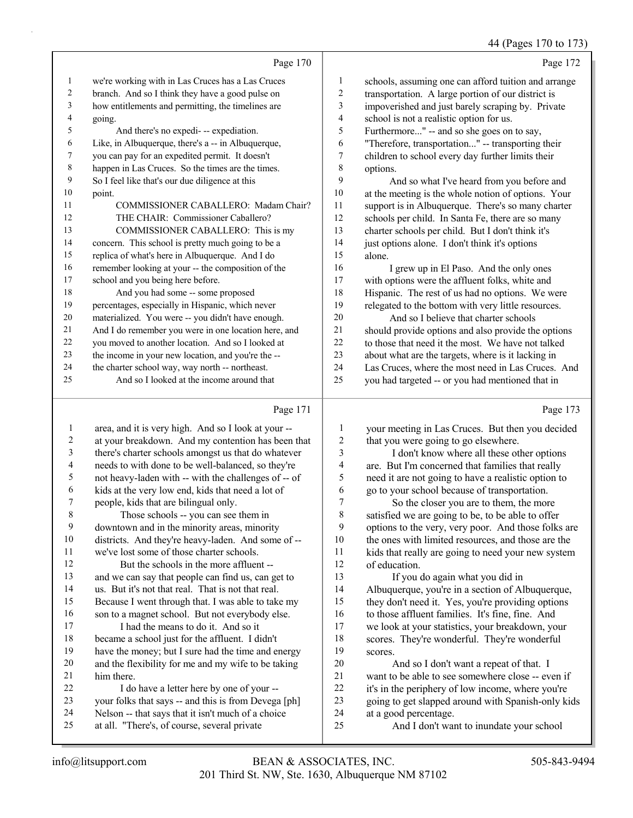#### 44 (Pages 170 to 173)

|    | Page 170                                             |                | Page 172                                             |
|----|------------------------------------------------------|----------------|------------------------------------------------------|
| 1  | we're working with in Las Cruces has a Las Cruces    | 1              | schools, assuming one can afford tuition and arrange |
| 2  | branch. And so I think they have a good pulse on     | 2              | transportation. A large portion of our district is   |
| 3  | how entitlements and permitting, the timelines are   | $\mathfrak{Z}$ | impoverished and just barely scraping by. Private    |
| 4  | going.                                               | $\overline{4}$ | school is not a realistic option for us.             |
| 5  | And there's no expedi- -- expediation.               | 5              | Furthermore" -- and so she goes on to say,           |
| 6  | Like, in Albuquerque, there's a -- in Albuquerque,   | 6              | "Therefore, transportation" -- transporting their    |
| 7  | you can pay for an expedited permit. It doesn't      | 7              | children to school every day further limits their    |
| 8  | happen in Las Cruces. So the times are the times.    | 8              | options.                                             |
| 9  | So I feel like that's our due diligence at this      | 9              | And so what I've heard from you before and           |
| 10 | point.                                               | 10             | at the meeting is the whole notion of options. Your  |
| 11 | COMMISSIONER CABALLERO: Madam Chair?                 | 11             | support is in Albuquerque. There's so many charter   |
| 12 | THE CHAIR: Commissioner Caballero?                   | 12             | schools per child. In Santa Fe, there are so many    |
| 13 | COMMISSIONER CABALLERO: This is my                   | 13             | charter schools per child. But I don't think it's    |
| 14 | concern. This school is pretty much going to be a    | 14             | just options alone. I don't think it's options       |
| 15 | replica of what's here in Albuquerque. And I do      | 15             | alone.                                               |
| 16 | remember looking at your -- the composition of the   | 16             | I grew up in El Paso. And the only ones              |
| 17 | school and you being here before.                    | 17             | with options were the affluent folks, white and      |
| 18 | And you had some -- some proposed                    | 18             | Hispanic. The rest of us had no options. We were     |
| 19 | percentages, especially in Hispanic, which never     | 19             | relegated to the bottom with very little resources.  |
| 20 | materialized. You were -- you didn't have enough.    | 20             | And so I believe that charter schools                |
| 21 | And I do remember you were in one location here, and | 21             | should provide options and also provide the options  |
| 22 | you moved to another location. And so I looked at    | 22             | to those that need it the most. We have not talked   |
| 23 | the income in your new location, and you're the --   | 23             | about what are the targets, where is it lacking in   |
| 24 | the charter school way, way north -- northeast.      | 24             | Las Cruces, where the most need in Las Cruces. And   |
| 25 | And so I looked at the income around that            | 25             | you had targeted -- or you had mentioned that in     |
|    | Page 171                                             |                | Page 173                                             |

#### Page

| 1  | area, and it is very high. And so I look at your --  | 1     | your meeting in Las Cruces. But then you decided    |
|----|------------------------------------------------------|-------|-----------------------------------------------------|
| 2  | at your breakdown. And my contention has been that   | 2     | that you were going to go elsewhere.                |
| 3  | there's charter schools amongst us that do whatever  | 3     | I don't know where all these other options          |
| 4  | needs to with done to be well-balanced, so they're   | 4     | are. But I'm concerned that families that really    |
| 5  | not heavy-laden with -- with the challenges of -- of | 5     | need it are not going to have a realistic option to |
| 6  | kids at the very low end, kids that need a lot of    | 6     | go to your school because of transportation.        |
| 7  | people, kids that are bilingual only.                | 7     | So the closer you are to them, the more             |
| 8  | Those schools -- you can see them in                 | $8\,$ | satisfied we are going to be, to be able to offer   |
| 9  | downtown and in the minority areas, minority         | 9     | options to the very, very poor. And those folks are |
| 10 | districts. And they're heavy-laden. And some of --   | 10    | the ones with limited resources, and those are the  |
| 11 | we've lost some of those charter schools.            | 11    | kids that really are going to need your new system  |
| 12 | But the schools in the more affluent --              | 12    | of education.                                       |
| 13 | and we can say that people can find us, can get to   | 13    | If you do again what you did in                     |
| 14 | us. But it's not that real. That is not that real.   | 14    | Albuquerque, you're in a section of Albuquerque,    |
| 15 | Because I went through that. I was able to take my   | 15    | they don't need it. Yes, you're providing options   |
| 16 | son to a magnet school. But not everybody else.      | 16    | to those affluent families. It's fine, fine. And    |
| 17 | I had the means to do it. And so it                  | 17    | we look at your statistics, your breakdown, your    |
| 18 | became a school just for the affluent. I didn't      | 18    | scores. They're wonderful. They're wonderful        |
| 19 | have the money; but I sure had the time and energy   | 19    | scores.                                             |
| 20 | and the flexibility for me and my wife to be taking  | 20    | And so I don't want a repeat of that. I             |
| 21 | him there.                                           | 21    | want to be able to see somewhere close -- even if   |
| 22 | I do have a letter here by one of your --            | 22    | it's in the periphery of low income, where you're   |
| 23 | your folks that says -- and this is from Devega [ph] | 23    | going to get slapped around with Spanish-only kids  |
| 24 | Nelson -- that says that it isn't much of a choice   | 24    | at a good percentage.                               |
| 25 | at all. "There's, of course, several private         | 25    | And I don't want to inundate your school            |
|    |                                                      |       |                                                     |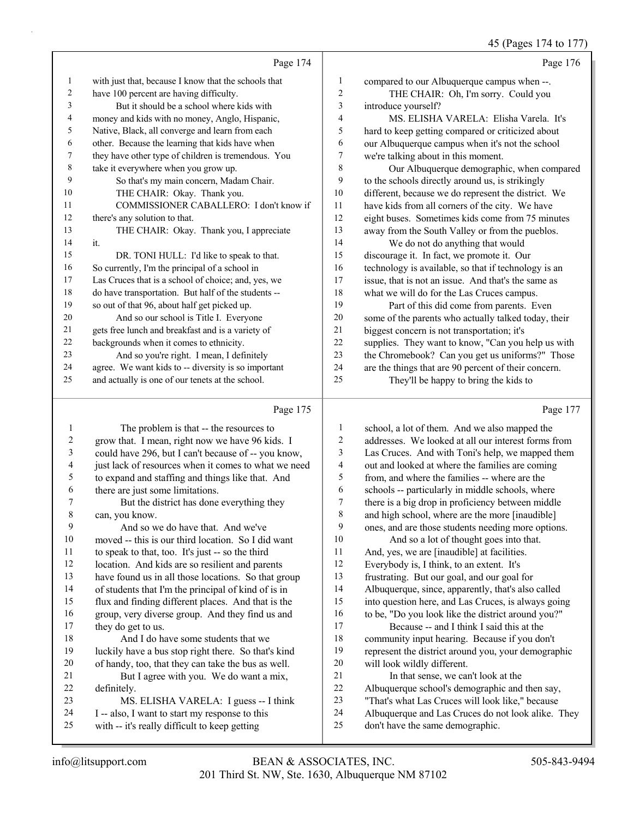45 (Pages 174 to 177)

|    | Page 174                                             |    | Page 176                                             |
|----|------------------------------------------------------|----|------------------------------------------------------|
| 1  | with just that, because I know that the schools that | 1  | compared to our Albuquerque campus when --.          |
| 2  | have 100 percent are having difficulty.              | 2  | THE CHAIR: Oh, I'm sorry. Could you                  |
| 3  | But it should be a school where kids with            | 3  | introduce yourself?                                  |
| 4  | money and kids with no money, Anglo, Hispanic,       | 4  | MS. ELISHA VARELA: Elisha Varela. It's               |
| 5  | Native, Black, all converge and learn from each      | 5  | hard to keep getting compared or criticized about    |
| 6  | other. Because the learning that kids have when      | 6  | our Albuquerque campus when it's not the school      |
| 7  | they have other type of children is tremendous. You  | 7  | we're talking about in this moment.                  |
| 8  | take it everywhere when you grow up.                 | 8  | Our Albuquerque demographic, when compared           |
| 9  | So that's my main concern, Madam Chair.              | 9  | to the schools directly around us, is strikingly     |
| 10 | THE CHAIR: Okay. Thank you.                          | 10 | different, because we do represent the district. We  |
| 11 | COMMISSIONER CABALLERO: I don't know if              | 11 | have kids from all corners of the city. We have      |
| 12 | there's any solution to that.                        | 12 | eight buses. Sometimes kids come from 75 minutes     |
| 13 | THE CHAIR: Okay. Thank you, I appreciate             | 13 | away from the South Valley or from the pueblos.      |
| 14 | it.                                                  | 14 | We do not do anything that would                     |
| 15 | DR. TONI HULL: I'd like to speak to that.            | 15 | discourage it. In fact, we promote it. Our           |
| 16 | So currently, I'm the principal of a school in       | 16 | technology is available, so that if technology is an |
| 17 | Las Cruces that is a school of choice; and, yes, we  | 17 | issue, that is not an issue. And that's the same as  |
| 18 | do have transportation. But half of the students --  | 18 | what we will do for the Las Cruces campus.           |
| 19 | so out of that 96, about half get picked up.         | 19 | Part of this did come from parents. Even             |
| 20 | And so our school is Title I. Everyone               | 20 | some of the parents who actually talked today, their |
| 21 | gets free lunch and breakfast and is a variety of    | 21 | biggest concern is not transportation; it's          |
| 22 | backgrounds when it comes to ethnicity.              | 22 | supplies. They want to know, "Can you help us with   |
| 23 | And so you're right. I mean, I definitely            | 23 | the Chromebook? Can you get us uniforms?" Those      |
| 24 | agree. We want kids to -- diversity is so important  | 24 | are the things that are 90 percent of their concern. |
| 25 | and actually is one of our tenets at the school.     | 25 | They'll be happy to bring the kids to                |
|    |                                                      |    |                                                      |

# Page 175

|    | Page 175                                             |    | Page 177                                            |
|----|------------------------------------------------------|----|-----------------------------------------------------|
| 1  | The problem is that -- the resources to              | 1  | school, a lot of them. And we also mapped the       |
| 2  | grow that. I mean, right now we have 96 kids. I      | 2  | addresses. We looked at all our interest forms from |
| 3  | could have 296, but I can't because of -- you know,  | 3  | Las Cruces. And with Toni's help, we mapped them    |
| 4  | just lack of resources when it comes to what we need | 4  | out and looked at where the families are coming     |
| 5  | to expand and staffing and things like that. And     | 5  | from, and where the families -- where are the       |
| 6  | there are just some limitations.                     | 6  | schools -- particularly in middle schools, where    |
| 7  | But the district has done everything they            | 7  | there is a big drop in proficiency between middle   |
| 8  | can, you know.                                       | 8  | and high school, where are the more [inaudible]     |
| 9  | And so we do have that. And we've                    | 9  | ones, and are those students needing more options.  |
| 10 | moved -- this is our third location. So I did want   | 10 | And so a lot of thought goes into that.             |
| 11 | to speak to that, too. It's just -- so the third     | 11 | And, yes, we are [inaudible] at facilities.         |
| 12 | location. And kids are so resilient and parents      | 12 | Everybody is, I think, to an extent. It's           |
| 13 | have found us in all those locations. So that group  | 13 | frustrating. But our goal, and our goal for         |
| 14 | of students that I'm the principal of kind of is in  | 14 | Albuquerque, since, apparently, that's also called  |
| 15 | flux and finding different places. And that is the   | 15 | into question here, and Las Cruces, is always going |
| 16 | group, very diverse group. And they find us and      | 16 | to be, "Do you look like the district around you?"  |
| 17 | they do get to us.                                   | 17 | Because -- and I think I said this at the           |
| 18 | And I do have some students that we                  | 18 | community input hearing. Because if you don't       |
| 19 | luckily have a bus stop right there. So that's kind  | 19 | represent the district around you, your demographic |
| 20 | of handy, too, that they can take the bus as well.   | 20 | will look wildly different.                         |
| 21 | But I agree with you. We do want a mix,              | 21 | In that sense, we can't look at the                 |
| 22 | definitely.                                          | 22 | Albuquerque school's demographic and then say,      |
| 23 | MS. ELISHA VARELA: I guess -- I think                | 23 | "That's what Las Cruces will look like," because    |
| 24 | I -- also, I want to start my response to this       | 24 | Albuquerque and Las Cruces do not look alike. They  |
| 25 | with -- it's really difficult to keep getting        | 25 | don't have the same demographic.                    |
|    |                                                      |    |                                                     |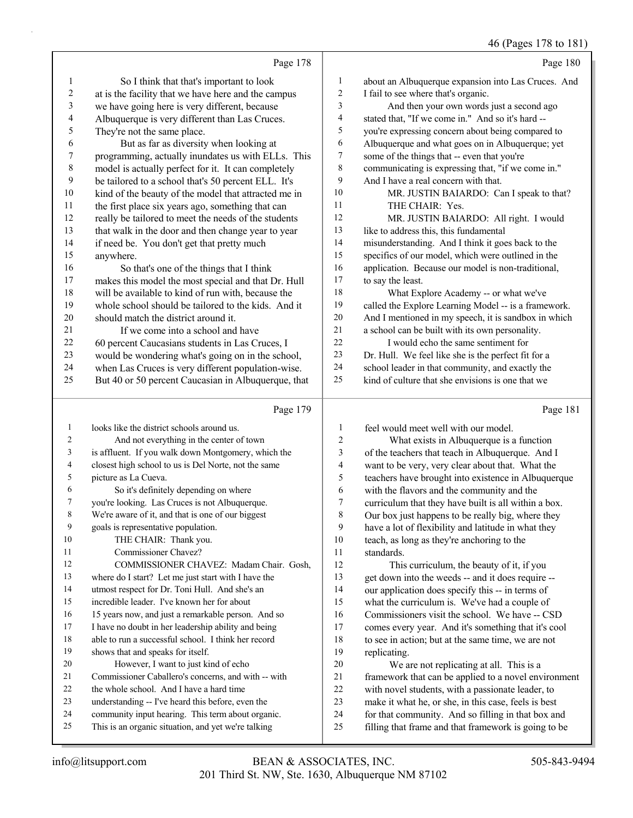46 (Pages 178 to 181)

|                |                                                      |                         | 46 (Pages 178 to 18)                                 |
|----------------|------------------------------------------------------|-------------------------|------------------------------------------------------|
|                | Page 178                                             |                         | Page 180                                             |
| 1              | So I think that that's important to look             | $\mathbf{1}$            | about an Albuquerque expansion into Las Cruces. And  |
| 2              | at is the facility that we have here and the campus  | 2                       | I fail to see where that's organic.                  |
| 3              | we have going here is very different, because        | 3                       | And then your own words just a second ago            |
| 4              | Albuquerque is very different than Las Cruces.       | 4                       | stated that, "If we come in." And so it's hard --    |
| 5              | They're not the same place.                          | 5                       | you're expressing concern about being compared to    |
| 6              | But as far as diversity when looking at              | 6                       | Albuquerque and what goes on in Albuquerque; yet     |
| 7              | programming, actually inundates us with ELLs. This   | $\tau$                  | some of the things that -- even that you're          |
| 8              | model is actually perfect for it. It can completely  | $\,$ 8 $\,$             | communicating is expressing that, "if we come in."   |
| 9              | be tailored to a school that's 50 percent ELL. It's  | 9                       | And I have a real concern with that.                 |
| 10             | kind of the beauty of the model that attracted me in | 10                      | MR. JUSTIN BAIARDO: Can I speak to that?             |
| 11             | the first place six years ago, something that can    | 11                      | THE CHAIR: Yes.                                      |
| 12             | really be tailored to meet the needs of the students | 12                      | MR. JUSTIN BAIARDO: All right. I would               |
| 13             | that walk in the door and then change year to year   | 13                      | like to address this, this fundamental               |
| 14             | if need be. You don't get that pretty much           | 14                      | misunderstanding. And I think it goes back to the    |
| 15             | anywhere.                                            | 15                      | specifics of our model, which were outlined in the   |
| 16             | So that's one of the things that I think             | 16                      | application. Because our model is non-traditional,   |
| 17             | makes this model the most special and that Dr. Hull  | 17                      | to say the least.                                    |
| 18             | will be available to kind of run with, because the   | 18                      | What Explore Academy -- or what we've                |
| 19             | whole school should be tailored to the kids. And it  | 19                      | called the Explore Learning Model -- is a framework. |
| 20             | should match the district around it.                 | 20                      | And I mentioned in my speech, it is sandbox in which |
| 21             | If we come into a school and have                    | $21\,$                  | a school can be built with its own personality.      |
| 22             | 60 percent Caucasians students in Las Cruces, I      | 22                      | I would echo the same sentiment for                  |
| 23             | would be wondering what's going on in the school,    | 23                      | Dr. Hull. We feel like she is the perfect fit for a  |
| 24             | when Las Cruces is very different population-wise.   | 24                      | school leader in that community, and exactly the     |
| 25             | But 40 or 50 percent Caucasian in Albuquerque, that  | 25                      | kind of culture that she envisions is one that we    |
|                | Page 179                                             |                         | Page 181                                             |
| 1              | looks like the district schools around us.           | 1                       | feel would meet well with our model.                 |
| 2              | And not everything in the center of town             | 2                       | What exists in Albuquerque is a function             |
| 3              | is affluent. If you walk down Montgomery, which the  | 3                       | of the teachers that teach in Albuquerque. And I     |
| $\overline{4}$ | closest high school to us is Del Norte, not the same | $\overline{\mathbf{4}}$ | want to be very, very clear about that. What the     |
| 5              | picture as La Cueva.                                 | 5                       | teachers have brought into existence in Albuquerque  |

6 So it's definitely depending on where

- you're looking. Las Cruces is not Albuquerque.
- We're aware of it, and that is one of our biggest
- goals is representative population. 10 THE CHAIR: Thank you.
- 11 Commissioner Chavez?

12 COMMISSIONER CHAVEZ: Madam Chair. Gosh,

- where do I start? Let me just start with I have the
- utmost respect for Dr. Toni Hull. And she's an incredible leader. I've known her for about
- 15 years now, and just a remarkable person. And so
- I have no doubt in her leadership ability and being
- able to run a successful school. I think her record
- shows that and speaks for itself. 20 However, I want to just kind of echo
- Commissioner Caballero's concerns, and with -- with
- 22 the whole school. And I have a hard time
- understanding -- I've heard this before, even the
- community input hearing. This term about organic.
- This is an organic situation, and yet we're talking

 teachers have brought into existence in Albuquerque with the flavors and the community and the curriculum that they have built is all within a box. Our box just happens to be really big, where they have a lot of flexibility and latitude in what they teach, as long as they're anchoring to the standards. 12 This curriculum, the beauty of it, if you

 get down into the weeds -- and it does require -- 14 our application does specify this -- in terms of what the curriculum is. We've had a couple of 16 Commissioners visit the school. We have -- CSD comes every year. And it's something that it's cool to see in action; but at the same time, we are not replicating.

20 We are not replicating at all. This is a framework that can be applied to a novel environment with novel students, with a passionate leader, to make it what he, or she, in this case, feels is best for that community. And so filling in that box and filling that frame and that framework is going to be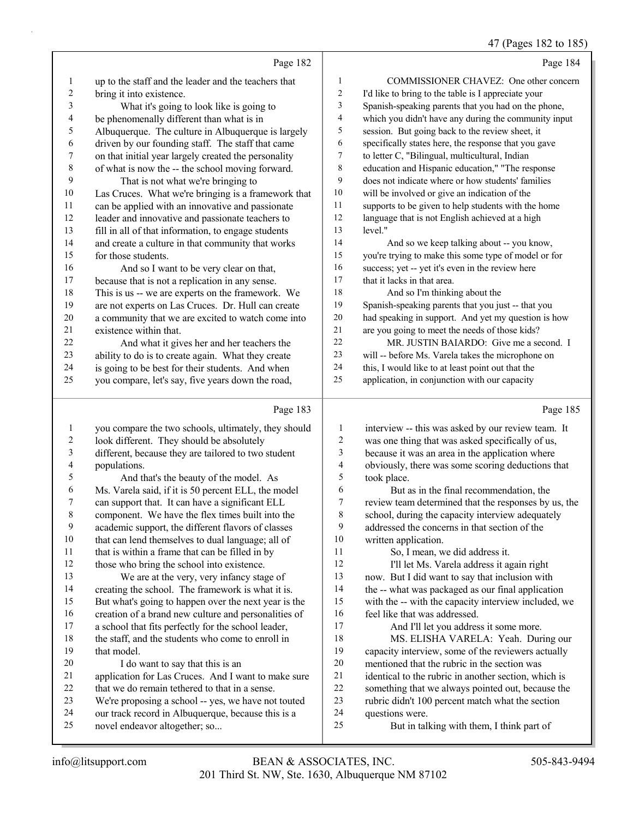#### 47 (Pages 182 to 185)

|                                  |                                                                                                      |                               | 4/ (Pages 182 to 185                                                                              |
|----------------------------------|------------------------------------------------------------------------------------------------------|-------------------------------|---------------------------------------------------------------------------------------------------|
|                                  | Page 182                                                                                             |                               | Page 184                                                                                          |
| $\mathbf{1}$                     | up to the staff and the leader and the teachers that                                                 | 1                             | COMMISSIONER CHAVEZ: One other concern                                                            |
| $\boldsymbol{2}$                 | bring it into existence.                                                                             | 2                             | I'd like to bring to the table is I appreciate your                                               |
| $\mathfrak{Z}$                   | What it's going to look like is going to                                                             | 3                             | Spanish-speaking parents that you had on the phone,                                               |
| $\overline{\mathcal{A}}$         | be phenomenally different than what is in                                                            | $\overline{\mathcal{A}}$      | which you didn't have any during the community input                                              |
| 5                                | Albuquerque. The culture in Albuquerque is largely                                                   | 5                             | session. But going back to the review sheet, it                                                   |
| 6                                | driven by our founding staff. The staff that came                                                    | 6                             | specifically states here, the response that you gave                                              |
| $\boldsymbol{7}$                 | on that initial year largely created the personality                                                 | $\tau$                        | to letter C, "Bilingual, multicultural, Indian                                                    |
| $\,$ $\,$                        | of what is now the -- the school moving forward.                                                     | $\,$ 8 $\,$                   | education and Hispanic education," "The response                                                  |
| 9                                | That is not what we're bringing to                                                                   | 9                             | does not indicate where or how students' families                                                 |
| $10\,$                           | Las Cruces. What we're bringing is a framework that                                                  | 10                            | will be involved or give an indication of the                                                     |
| 11                               | can be applied with an innovative and passionate                                                     | 11                            | supports to be given to help students with the home                                               |
| 12                               | leader and innovative and passionate teachers to                                                     | 12                            | language that is not English achieved at a high                                                   |
| 13                               | fill in all of that information, to engage students                                                  | 13                            | level."                                                                                           |
| 14                               | and create a culture in that community that works                                                    | 14                            | And so we keep talking about -- you know,                                                         |
| 15                               | for those students.                                                                                  | 15                            | you're trying to make this some type of model or for                                              |
| 16                               | And so I want to be very clear on that,                                                              | 16                            | success; yet -- yet it's even in the review here                                                  |
| 17                               | because that is not a replication in any sense.                                                      | 17                            | that it lacks in that area.                                                                       |
| 18                               | This is us -- we are experts on the framework. We                                                    | 18                            | And so I'm thinking about the                                                                     |
| 19                               | are not experts on Las Cruces. Dr. Hull can create                                                   | 19                            | Spanish-speaking parents that you just -- that you                                                |
| $20\,$                           | a community that we are excited to watch come into                                                   | $20\,$                        | had speaking in support. And yet my question is how                                               |
| 21                               | existence within that.                                                                               | $21\,$                        | are you going to meet the needs of those kids?                                                    |
| 22                               | And what it gives her and her teachers the                                                           | 22                            | MR. JUSTIN BAIARDO: Give me a second. I                                                           |
| 23                               | ability to do is to create again. What they create                                                   | 23                            | will -- before Ms. Varela takes the microphone on                                                 |
| 24                               | is going to be best for their students. And when                                                     | 24                            | this, I would like to at least point out that the                                                 |
| 25                               | you compare, let's say, five years down the road,                                                    | 25                            | application, in conjunction with our capacity                                                     |
|                                  | Page 183                                                                                             |                               | Page 185                                                                                          |
|                                  |                                                                                                      |                               |                                                                                                   |
| $\mathbf{1}$                     | you compare the two schools, ultimately, they should                                                 | 1                             | interview -- this was asked by our review team. It                                                |
| $\overline{c}$<br>$\mathfrak{Z}$ | look different. They should be absolutely                                                            | $\overline{c}$<br>3           | was one thing that was asked specifically of us,                                                  |
|                                  | different, because they are tailored to two student                                                  |                               | because it was an area in the application where                                                   |
| $\overline{\mathcal{L}}$<br>5    | populations.                                                                                         | $\overline{\mathcal{L}}$<br>5 | obviously, there was some scoring deductions that                                                 |
| 6                                | And that's the beauty of the model. As                                                               | $\sqrt{6}$                    | took place.                                                                                       |
| 7                                | Ms. Varela said, if it is 50 percent ELL, the model                                                  | $\overline{7}$                | But as in the final recommendation, the                                                           |
| $\,$ 8 $\,$                      | can support that. It can have a significant ELL                                                      | 8                             | review team determined that the responses by us, the                                              |
| 9                                | component. We have the flex times built into the                                                     | 9                             | school, during the capacity interview adequately<br>addressed the concerns in that section of the |
| $10\,$                           | academic support, the different flavors of classes                                                   | 10                            | written application.                                                                              |
| 11                               | that can lend themselves to dual language; all of<br>that is within a frame that can be filled in by | 11                            | So, I mean, we did address it.                                                                    |
| 12                               | those who bring the school into existence.                                                           | 12                            | I'll let Ms. Varela address it again right                                                        |
| 13                               | We are at the very, very infancy stage of                                                            | 13                            | now. But I did want to say that inclusion with                                                    |
| 14                               | creating the school. The framework is what it is.                                                    | 14                            | the -- what was packaged as our final application                                                 |
| 15                               | But what's going to happen over the next year is the                                                 | 15                            | with the -- with the capacity interview included, we                                              |
| 16                               | creation of a brand new culture and personalities of                                                 | 16                            | feel like that was addressed.                                                                     |
| 17                               | a school that fits perfectly for the school leader,                                                  | 17                            | And I'll let you address it some more.                                                            |
| 18                               | the staff, and the students who come to enroll in                                                    | 18                            | MS. ELISHA VARELA: Yeah. During our                                                               |
| 19                               | that model.                                                                                          | 19                            | capacity interview, some of the reviewers actually                                                |
| 20                               | I do want to say that this is an                                                                     | $20\,$                        | mentioned that the rubric in the section was                                                      |
| 21                               | application for Las Cruces. And I want to make sure                                                  | 21                            | identical to the rubric in another section, which is                                              |
| 22                               | that we do remain tethered to that in a sense.                                                       | 22                            | something that we always pointed out, because the                                                 |
|                                  |                                                                                                      |                               |                                                                                                   |

- 23 Theorie didn't 100 p<br>
24 questions were.<br>
25 But in talkin
	- But in talking with them, I think part of

our track record in Albuquerque, because this is a

novel endeavor altogether; so...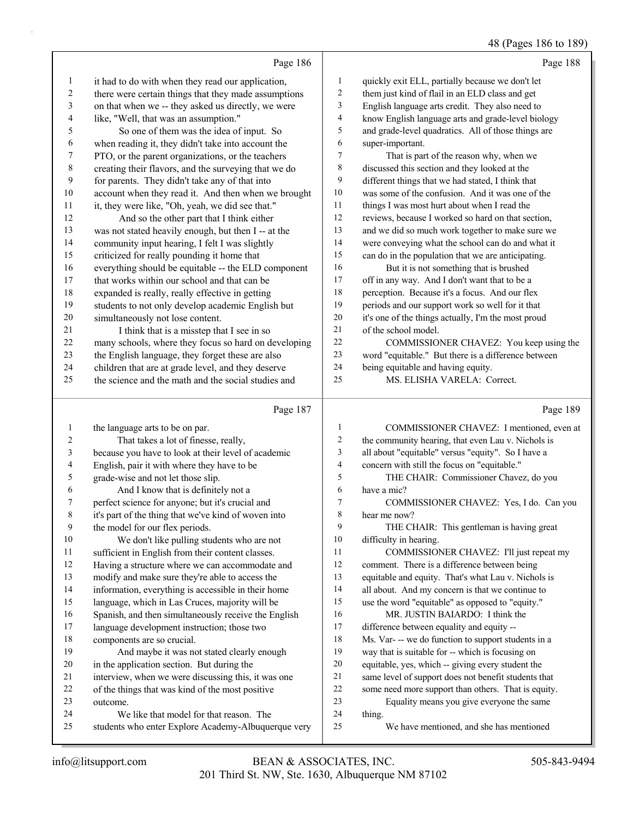#### 48 (Pages 186 to 189)

|                          |                                                      |                  | 48 (Pages 180 to 189)                               |
|--------------------------|------------------------------------------------------|------------------|-----------------------------------------------------|
|                          | Page 186                                             |                  | Page 188                                            |
| $\mathbf{1}$             | it had to do with when they read our application,    | 1                | quickly exit ELL, partially because we don't let    |
| $\sqrt{2}$               | there were certain things that they made assumptions | 2                | them just kind of flail in an ELD class and get     |
| $\sqrt{3}$               | on that when we -- they asked us directly, we were   | 3                | English language arts credit. They also need to     |
| $\overline{\mathcal{A}}$ | like, "Well, that was an assumption."                | $\overline{4}$   | know English language arts and grade-level biology  |
| 5                        | So one of them was the idea of input. So             | 5                | and grade-level quadratics. All of those things are |
| 6                        | when reading it, they didn't take into account the   | 6                | super-important.                                    |
| 7                        | PTO, or the parent organizations, or the teachers    | $\overline{7}$   | That is part of the reason why, when we             |
| $\,$ $\,$                | creating their flavors, and the surveying that we do | 8                | discussed this section and they looked at the       |
| 9                        | for parents. They didn't take any of that into       | 9                | different things that we had stated, I think that   |
| $10\,$                   | account when they read it. And then when we brought  | $10\,$           | was some of the confusion. And it was one of the    |
| 11                       | it, they were like, "Oh, yeah, we did see that."     | 11               | things I was most hurt about when I read the        |
| 12                       | And so the other part that I think either            | 12               | reviews, because I worked so hard on that section,  |
| 13                       | was not stated heavily enough, but then I -- at the  | 13               | and we did so much work together to make sure we    |
| 14                       | community input hearing, I felt I was slightly       | 14               | were conveying what the school can do and what it   |
| 15                       | criticized for really pounding it home that          | 15               | can do in the population that we are anticipating.  |
| 16                       | everything should be equitable -- the ELD component  | 16               | But it is not something that is brushed             |
| 17                       | that works within our school and that can be         | 17               | off in any way. And I don't want that to be a       |
| 18                       | expanded is really, really effective in getting      | 18               | perception. Because it's a focus. And our flex      |
| 19                       | students to not only develop academic English but    | 19               | periods and our support work so well for it that    |
| 20                       | simultaneously not lose content.                     | $20\,$           | it's one of the things actually, I'm the most proud |
| 21                       | I think that is a misstep that I see in so           | 21               | of the school model.                                |
| 22                       | many schools, where they focus so hard on developing | 22               | COMMISSIONER CHAVEZ: You keep using the             |
| 23                       | the English language, they forget these are also     | 23               | word "equitable." But there is a difference between |
| 24                       | children that are at grade level, and they deserve   | $24\,$           | being equitable and having equity.                  |
| 25                       | the science and the math and the social studies and  | 25               | MS. ELISHA VARELA: Correct.                         |
|                          | Page 187                                             |                  | Page 189                                            |
| $\mathbf{1}$             | the language arts to be on par.                      | $\mathbf{1}$     | COMMISSIONER CHAVEZ: I mentioned, even at           |
| 2                        | That takes a lot of finesse, really,                 | $\boldsymbol{2}$ | the community hearing, that even Lau v. Nichols is  |
| 3                        | because you have to look at their level of academic  | 3                | all about "equitable" versus "equity". So I have a  |
| 4                        | English, pair it with where they have to be          | $\overline{4}$   | concern with still the focus on "equitable."        |
| 5                        | grade-wise and not let those slip.                   | 5                | THE CHAIR: Commissioner Chavez, do you              |
| 6                        | And I know that is definitely not a                  | 6                | have a mic?                                         |
| 7                        | perfect science for anyone; but it's crucial and     | 7                | COMMISSIONER CHAVEZ: Yes, I do. Can you             |
| 8                        | it's part of the thing that we've kind of woven into | 8                | hear me now?                                        |
| 9                        | the model for our flex periods.                      | 9                | THE CHAIR: This gentleman is having great           |
| 10                       | We don't like pulling students who are not           | 10               | difficulty in hearing.                              |
| 11                       | sufficient in English from their content classes.    | 11               | COMMISSIONER CHAVEZ: I'll just repeat my            |
| 12                       | Having a structure where we can accommodate and      | 12               | comment. There is a difference between being        |
| 13                       | modify and make sure they're able to access the      | 13               | equitable and equity. That's what Lau v. Nichols is |
| 14                       | information, everything is accessible in their home  | 14               | all about. And my concern is that we continue to    |
| 15                       | language, which in Las Cruces, majority will be      | 15               | use the word "equitable" as opposed to "equity."    |

outcome.

 Spanish, and then simultaneously receive the English language development instruction; those two

19 And maybe it was not stated clearly enough in the application section. But during the

 interview, when we were discussing this, it was one of the things that was kind of the most positive

students who enter Explore Academy-Albuquerque very

24 We like that model for that reason. The

components are so crucial.

thing.

16 MR. JUSTIN BAIARDO: I think the difference between equality and equity --

 Ms. Var- -- we do function to support students in a way that is suitable for -- which is focusing on equitable, yes, which -- giving every student the same level of support does not benefit students that some need more support than others. That is equity. 23 Equality means you give everyone the same<br>24 thing.

25 We have mentioned, and she has mentioned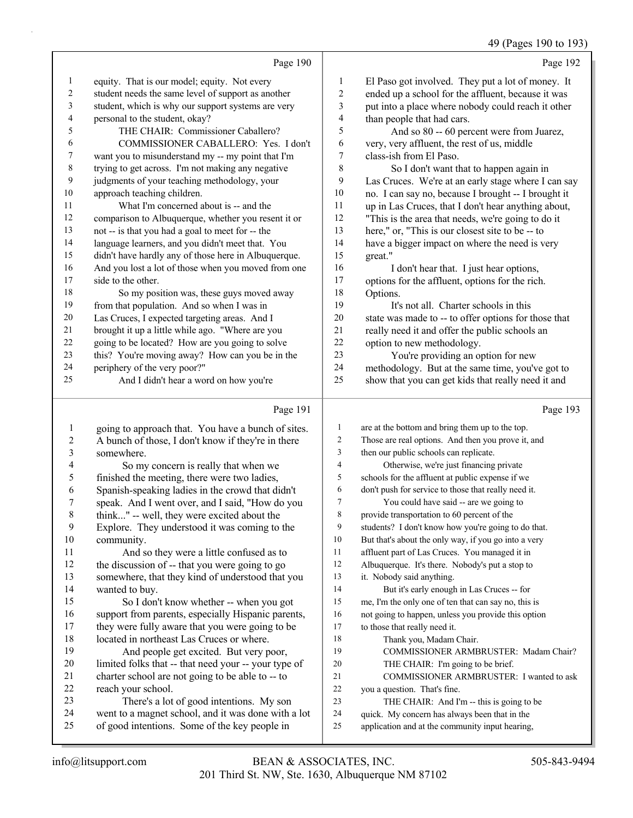49 (Pages 190 to 193)

Page 190 equity. That is our model; equity. Not every student needs the same level of support as another student, which is why our support systems are very personal to the student, okay? 5 THE CHAIR: Commissioner Caballero? 6 COMMISSIONER CABALLERO: Yes. I don't want you to misunderstand my -- my point that I'm trying to get across. I'm not making any negative judgments of your teaching methodology, your approach teaching children. 11 What I'm concerned about is -- and the comparison to Albuquerque, whether you resent it or not -- is that you had a goal to meet for -- the language learners, and you didn't meet that. You didn't have hardly any of those here in Albuquerque. And you lost a lot of those when you moved from one side to the other. 18 So my position was, these guys moved away from that population. And so when I was in Las Cruces, I expected targeting areas. And I brought it up a little while ago. "Where are you going to be located? How are you going to solve this? You're moving away? How can you be in the periphery of the very poor?" 25 And I didn't hear a word on how you're Page 192 El Paso got involved. They put a lot of money. It ended up a school for the affluent, because it was put into a place where nobody could reach it other than people that had cars. 5 And so 80 -- 60 percent were from Juarez, very, very affluent, the rest of us, middle class-ish from El Paso. 8 So I don't want that to happen again in Las Cruces. We're at an early stage where I can say no. I can say no, because I brought -- I brought it up in Las Cruces, that I don't hear anything about, "This is the area that needs, we're going to do it here," or, "This is our closest site to be -- to have a bigger impact on where the need is very great." 16 I don't hear that. I just hear options, options for the affluent, options for the rich. Options. 19 It's not all. Charter schools in this state was made to -- to offer options for those that really need it and offer the public schools an option to new methodology. 23 You're providing an option for new<br>24 methodology But at the same time you've methodology. But at the same time, you've got to show that you can get kids that really need it and Page 193

#### Page 191

| 1           | going to approach that. You have a bunch of sites.   | 1              | are at the bottom and bring them up to the top.      |
|-------------|------------------------------------------------------|----------------|------------------------------------------------------|
| 2           | A bunch of those, I don't know if they're in there   | 2              | Those are real options. And then you prove it, and   |
| 3           | somewhere.                                           | 3              | then our public schools can replicate.               |
| 4           | So my concern is really that when we                 | $\overline{4}$ | Otherwise, we're just financing private              |
| 5           | finished the meeting, there were two ladies,         | 5              | schools for the affluent at public expense if we     |
| 6           | Spanish-speaking ladies in the crowd that didn't     | 6              | don't push for service to those that really need it. |
| 7           | speak. And I went over, and I said, "How do you      | 7              | You could have said -- are we going to               |
| $\,$ 8 $\,$ | think" -- well, they were excited about the          | 8              | provide transportation to 60 percent of the          |
| 9           | Explore. They understood it was coming to the        | 9              | students? I don't know how you're going to do that.  |
| 10          | community.                                           | 10             | But that's about the only way, if you go into a very |
| 11          | And so they were a little confused as to             | 11             | affluent part of Las Cruces. You managed it in       |
| 12          | the discussion of -- that you were going to go       | 12             | Albuquerque. It's there. Nobody's put a stop to      |
| 13          | somewhere, that they kind of understood that you     | 13             | it. Nobody said anything.                            |
| 14          | wanted to buy.                                       | 14             | But it's early enough in Las Cruces -- for           |
| 15          | So I don't know whether -- when you got              | 15             | me, I'm the only one of ten that can say no, this is |
| 16          | support from parents, especially Hispanic parents,   | 16             | not going to happen, unless you provide this option  |
| 17          | they were fully aware that you were going to be      | 17             | to those that really need it.                        |
| 18          | located in northeast Las Cruces or where.            | 18             | Thank you, Madam Chair.                              |
| 19          | And people get excited. But very poor,               | 19             | COMMISSIONER ARMBRUSTER: Madam Chair?                |
| 20          | limited folks that -- that need your -- your type of | 20             | THE CHAIR: I'm going to be brief.                    |
| 21          | charter school are not going to be able to -- to     | 21             | COMMISSIONER ARMBRUSTER: I wanted to ask             |
| 22          | reach your school.                                   | 22             | you a question. That's fine.                         |
| 23          | There's a lot of good intentions. My son             | 23             | THE CHAIR: And I'm -- this is going to be            |
| 24          | went to a magnet school, and it was done with a lot  | 24             | quick. My concern has always been that in the        |
| 25          | of good intentions. Some of the key people in        | 25             | application and at the community input hearing,      |
|             |                                                      |                |                                                      |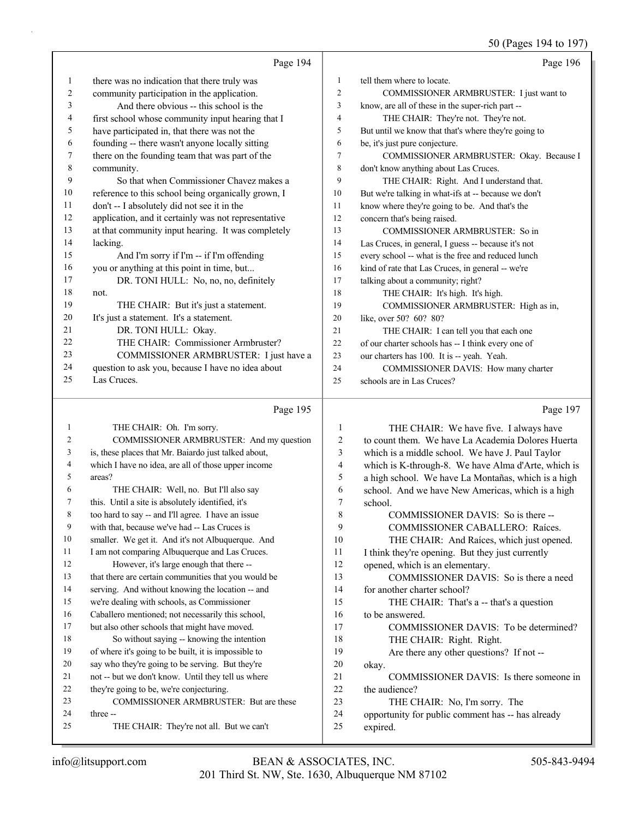# 50 (Pages 194 to 197)

|          | Page 194                                             |                | Page 196                                                      |
|----------|------------------------------------------------------|----------------|---------------------------------------------------------------|
| 1        | there was no indication that there truly was         | $\mathbf{1}$   | tell them where to locate.                                    |
| 2        | community participation in the application.          | $\overline{2}$ | COMMISSIONER ARMBRUSTER: I just want to                       |
| 3        | And there obvious -- this school is the              | 3              | know, are all of these in the super-rich part --              |
| 4        | first school whose community input hearing that I    | $\overline{4}$ | THE CHAIR: They're not. They're not.                          |
| 5        | have participated in, that there was not the         | 5              | But until we know that that's where they're going to          |
| 6        | founding -- there wasn't anyone locally sitting      | 6              | be, it's just pure conjecture.                                |
| 7        | there on the founding team that was part of the      | $\overline{7}$ | COMMISSIONER ARMBRUSTER: Okay. Because I                      |
| 8        | community.                                           | 8              | don't know anything about Las Cruces.                         |
| 9        | So that when Commissioner Chavez makes a             | 9              | THE CHAIR: Right. And I understand that.                      |
| 10       | reference to this school being organically grown, I  | 10             | But we're talking in what-ifs at -- because we don't          |
| 11       | don't -- I absolutely did not see it in the          | 11             | know where they're going to be. And that's the                |
| 12       | application, and it certainly was not representative | 12             | concern that's being raised.                                  |
| 13       | at that community input hearing. It was completely   | 13             | COMMISSIONER ARMBRUSTER: So in                                |
| 14       | lacking.                                             | 14             | Las Cruces, in general, I guess -- because it's not           |
| 15       | And I'm sorry if I'm -- if I'm offending             | 15             | every school -- what is the free and reduced lunch            |
| 16       | you or anything at this point in time, but           | 16             | kind of rate that Las Cruces, in general -- we're             |
| 17       | DR. TONI HULL: No, no, no, definitely                | 17             | talking about a community; right?                             |
| 18       | not.                                                 | 18             | THE CHAIR: It's high. It's high.                              |
| 19       | THE CHAIR: But it's just a statement.                | 19             | COMMISSIONER ARMBRUSTER: High as in,                          |
| 20       | It's just a statement. It's a statement.             | 20             | like, over 50? 60? 80?                                        |
| 21       | DR. TONI HULL: Okay.                                 | 21             | THE CHAIR: I can tell you that each one                       |
| 22       | THE CHAIR: Commissioner Armbruster?                  | 22             | of our charter schools has -- I think every one of            |
| 23       | COMMISSIONER ARMBRUSTER: I just have a               | 23             | our charters has 100. It is -- yeah. Yeah.                    |
| 24       | question to ask you, because I have no idea about    | 24             | COMMISSIONER DAVIS: How many charter                          |
| 25       | Las Cruces.                                          | 25             | schools are in Las Cruces?                                    |
|          |                                                      |                |                                                               |
|          | Page 195                                             |                | Page 197                                                      |
| 1        | THE CHAIR: Oh. I'm sorry.                            | 1              | THE CHAIR: We have five. I always have                        |
| 2        | COMMISSIONER ARMBRUSTER: And my question             | $\overline{c}$ | to count them. We have La Academia Dolores Huerta             |
| 3        | is, these places that Mr. Baiardo just talked about, | 3              | which is a middle school. We have J. Paul Taylor              |
| 4        | which I have no idea, are all of those upper income  | $\overline{4}$ | which is K-through-8. We have Alma d'Arte, which is           |
| 5        | areas?                                               | 5              | a high school. We have La Montañas, which is a high           |
| 6        | THE CHAIR: Well, no. But I'll also say               | 6              | school. And we have New Americas, which is a high             |
| 7        | this. Until a site is absolutely identified, it's    | $\tau$         | school.                                                       |
| 8        | too hard to say -- and I'll agree. I have an issue   | $\,$ 8 $\,$    | COMMISSIONER DAVIS: So is there --                            |
| 9        | with that, because we've had -- Las Cruces is        | 9              | COMMISSIONER CABALLERO: Raíces.                               |
| 10       | smaller. We get it. And it's not Albuquerque. And    | 10             | THE CHAIR: And Raíces, which just opened.                     |
| 11       | I am not comparing Albuquerque and Las Cruces.       | 11             | I think they're opening. But they just currently              |
| 12       | However, it's large enough that there --             | 12             | opened, which is an elementary.                               |
| 13       | that there are certain communities that you would be | 13             | COMMISSIONER DAVIS: So is there a need                        |
| 14       | serving. And without knowing the location -- and     | 14             | for another charter school?                                   |
| 15       | we're dealing with schools, as Commissioner          | 15             | THE CHAIR: That's a -- that's a question                      |
| 16       | Caballero mentioned; not necessarily this school,    | 16             | to be answered.                                               |
| 17       | but also other schools that might have moved.        | 17             | COMMISSIONER DAVIS: To be determined?                         |
| 18       | So without saying -- knowing the intention           | 18             | THE CHAIR: Right. Right.                                      |
| 19       | of where it's going to be built, it is impossible to | 19             | Are there any other questions? If not --                      |
| 20       | say who they're going to be serving. But they're     | 20             | okay.                                                         |
| 21       | not -- but we don't know. Until they tell us where   | 21             | COMMISSIONER DAVIS: Is there someone in                       |
| 22       | they're going to be, we're conjecturing.             | 22             | the audience?                                                 |
| 23       | COMMISSIONER ARMBRUSTER: But are these               | 23             | THE CHAIR: No, I'm sorry. The                                 |
| 24<br>25 | three --<br>THE CHAIR: They're not all. But we can't | 24<br>25       | opportunity for public comment has -- has already<br>expired. |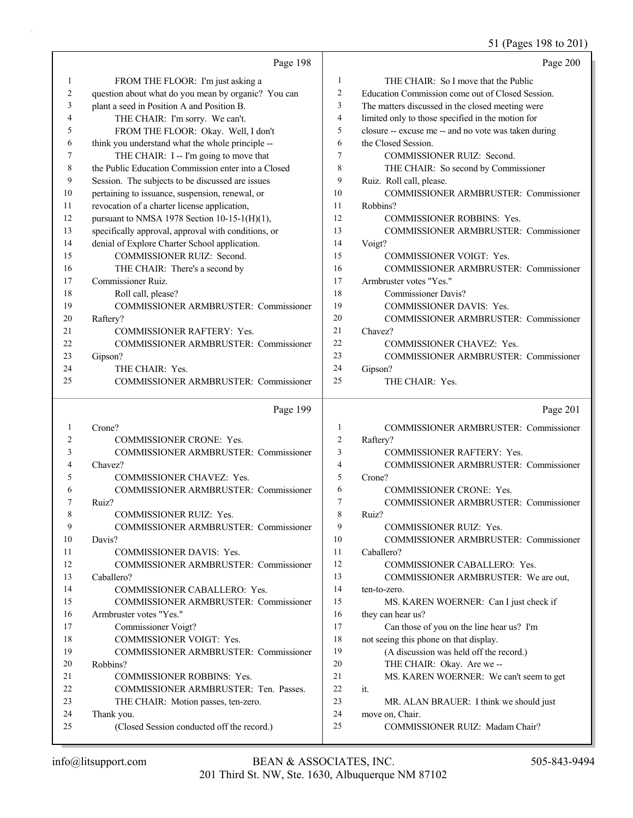51 (Pages 198 to 201)

|          | Page 198                                                 |                | Page 200                                             |
|----------|----------------------------------------------------------|----------------|------------------------------------------------------|
| 1        | FROM THE FLOOR: I'm just asking a                        | 1              | THE CHAIR: So I move that the Public                 |
| 2        | question about what do you mean by organic? You can      | $\overline{2}$ | Education Commission come out of Closed Session.     |
| 3        | plant a seed in Position A and Position B.               | 3              | The matters discussed in the closed meeting were     |
| 4        | THE CHAIR: I'm sorry. We can't.                          | $\overline{4}$ | limited only to those specified in the motion for    |
| 5        | FROM THE FLOOR: Okay. Well, I don't                      | 5              | closure -- excuse me -- and no vote was taken during |
| 6        | think you understand what the whole principle --         | 6              | the Closed Session.                                  |
| 7        | THE CHAIR: I -- I'm going to move that                   | 7              | <b>COMMISSIONER RUIZ: Second.</b>                    |
| 8        | the Public Education Commission enter into a Closed      | 8              | THE CHAIR: So second by Commissioner                 |
| 9        | Session. The subjects to be discussed are issues         | 9              | Ruiz. Roll call, please.                             |
| 10       | pertaining to issuance, suspension, renewal, or          | 10             | COMMISSIONER ARMBRUSTER: Commissioner                |
| 11       | revocation of a charter license application,             | 11             | Robbins?                                             |
| 12       | pursuant to NMSA 1978 Section 10-15-1(H)(1),             | 12             | <b>COMMISSIONER ROBBINS: Yes.</b>                    |
| 13       | specifically approval, approval with conditions, or      | 13             | COMMISSIONER ARMBRUSTER: Commissioner                |
| 14       | denial of Explore Charter School application.            | 14             | Voigt?                                               |
| 15       | COMMISSIONER RUIZ: Second.                               | 15             | <b>COMMISSIONER VOIGT: Yes.</b>                      |
| 16       | THE CHAIR: There's a second by                           | 16             | <b>COMMISSIONER ARMBRUSTER: Commissioner</b>         |
| 17       | Commissioner Ruiz.                                       | 17             | Armbruster votes "Yes."                              |
| 18       | Roll call, please?                                       | 18             | <b>Commissioner Davis?</b>                           |
| 19       | COMMISSIONER ARMBRUSTER: Commissioner                    | 19             | COMMISSIONER DAVIS: Yes.                             |
| 20       | Raftery?                                                 | 20             | <b>COMMISSIONER ARMBRUSTER: Commissioner</b>         |
| 21       | COMMISSIONER RAFTERY: Yes.                               | 21             | Chavez?                                              |
| 22       | COMMISSIONER ARMBRUSTER: Commissioner                    | 22             | <b>COMMISSIONER CHAVEZ: Yes.</b>                     |
| 23       | Gipson?                                                  | 23             | COMMISSIONER ARMBRUSTER: Commissioner                |
| 24       | THE CHAIR: Yes.                                          | 24             | Gipson?                                              |
| 25       | COMMISSIONER ARMBRUSTER: Commissioner                    | 25             | THE CHAIR: Yes.                                      |
|          |                                                          |                |                                                      |
|          | Page 199                                                 |                | Page 201                                             |
| 1        | Crone?                                                   | 1              | COMMISSIONER ARMBRUSTER: Commissioner                |
| 2        | COMMISSIONER CRONE: Yes.                                 | 2              | Raftery?                                             |
| 3        | COMMISSIONER ARMBRUSTER: Commissioner                    | 3              | COMMISSIONER RAFTERY: Yes.                           |
| 4        | Chavez?                                                  | 4              | COMMISSIONER ARMBRUSTER: Commissioner                |
| 5        | COMMISSIONER CHAVEZ: Yes.                                | 5              | Crone?                                               |
| 6        | COMMISSIONER ARMBRUSTER: Commissioner                    | 6              | COMMISSIONER CRONE: Yes.                             |
| 7        | Ruiz?                                                    | 7              | <b>COMMISSIONER ARMBRUSTER: Commissioner</b>         |
| $\circ$  | COMMISSIONER RUIZ: Yes.                                  | 8              | Ruiz?                                                |
| 9        | <b>COMMISSIONER ARMBRUSTER: Commissioner</b>             | 9              | COMMISSIONER RUIZ: Yes.                              |
| 10       | Davis?                                                   | 10             | <b>COMMISSIONER ARMBRUSTER: Commissioner</b>         |
| 11       | COMMISSIONER DAVIS: Yes.                                 | 11             | Caballero?                                           |
| 12       | <b>COMMISSIONER ARMBRUSTER: Commissioner</b>             | 12             | COMMISSIONER CABALLERO: Yes.                         |
| 13       | Caballero?                                               | 13             | COMMISSIONER ARMBRUSTER: We are out,                 |
| 14       | COMMISSIONER CABALLERO: Yes.                             | 14             | ten-to-zero.                                         |
| 15       | COMMISSIONER ARMBRUSTER: Commissioner                    | 15             | MS. KAREN WOERNER: Can I just check if               |
| 16       | Armbruster votes "Yes."                                  | 16             | they can hear us?                                    |
| 17       | Commissioner Voigt?                                      | 17             | Can those of you on the line hear us? I'm            |
| 18       | COMMISSIONER VOIGT: Yes.                                 | 18             | not seeing this phone on that display.               |
| 19       | <b>COMMISSIONER ARMBRUSTER: Commissioner</b>             | 19             | (A discussion was held off the record.)              |
| 20       | Robbins?                                                 | 20             | THE CHAIR: Okay. Are we --                           |
| 21       | COMMISSIONER ROBBINS: Yes.                               | 21             | MS. KAREN WOERNER: We can't seem to get              |
| 22       | COMMISSIONER ARMBRUSTER: Ten. Passes.                    | 22             | it.                                                  |
| 23       | THE CHAIR: Motion passes, ten-zero.                      | 23             | MR. ALAN BRAUER: I think we should just              |
| 24<br>25 | Thank you.<br>(Closed Session conducted off the record.) | 24<br>25       | move on, Chair.<br>COMMISSIONER RUIZ: Madam Chair?   |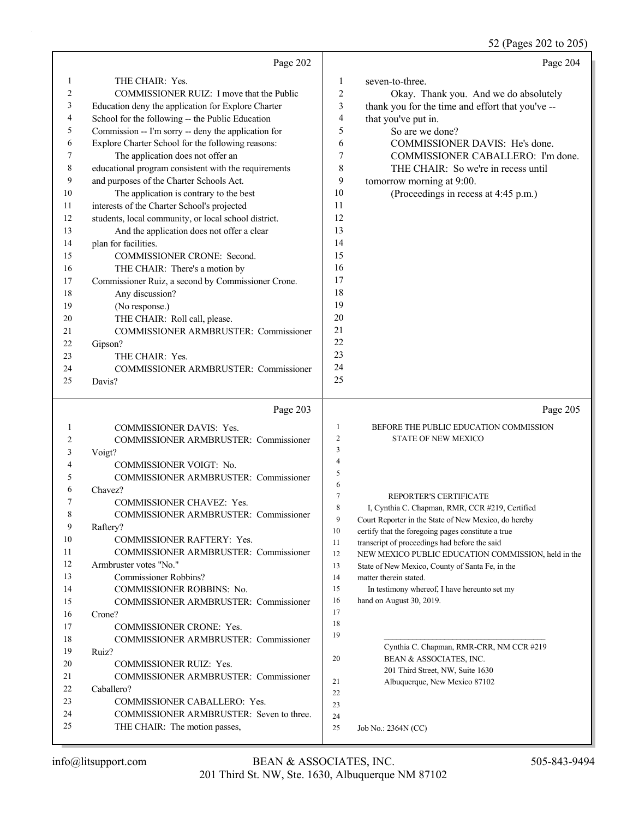52 (Pages 202 to 205)

|          | Page 202                                                                  |                | Page 204                                                                                                |
|----------|---------------------------------------------------------------------------|----------------|---------------------------------------------------------------------------------------------------------|
| 1        | THE CHAIR: Yes.                                                           | 1              | seven-to-three.                                                                                         |
| 2        | COMMISSIONER RUIZ: I move that the Public                                 | 2              | Okay. Thank you. And we do absolutely                                                                   |
| 3        | Education deny the application for Explore Charter                        | 3              | thank you for the time and effort that you've --                                                        |
| 4        | School for the following -- the Public Education                          | 4              | that you've put in.                                                                                     |
| 5        | Commission -- I'm sorry -- deny the application for                       | 5              | So are we done?                                                                                         |
| 6        | Explore Charter School for the following reasons:                         | 6              | COMMISSIONER DAVIS: He's done.                                                                          |
| 7        | The application does not offer an                                         | 7              | COMMISSIONER CABALLERO: I'm done.                                                                       |
| 8        | educational program consistent with the requirements                      | 8              | THE CHAIR: So we're in recess until                                                                     |
| 9        | and purposes of the Charter Schools Act.                                  | 9              | tomorrow morning at 9:00.                                                                               |
| 10       | The application is contrary to the best                                   | 10             | (Proceedings in recess at 4:45 p.m.)                                                                    |
| 11       | interests of the Charter School's projected                               | 11             |                                                                                                         |
| 12       | students, local community, or local school district.                      | 12             |                                                                                                         |
| 13       | And the application does not offer a clear                                | 13             |                                                                                                         |
| 14       | plan for facilities.                                                      | 14             |                                                                                                         |
| 15       | COMMISSIONER CRONE: Second.                                               | 15             |                                                                                                         |
| 16       | THE CHAIR: There's a motion by                                            | 16             |                                                                                                         |
| 17       | Commissioner Ruiz, a second by Commissioner Crone.                        | 17             |                                                                                                         |
| 18       | Any discussion?                                                           | 18             |                                                                                                         |
| 19       | (No response.)                                                            | 19             |                                                                                                         |
| 20       | THE CHAIR: Roll call, please.                                             | 20             |                                                                                                         |
| 21       | COMMISSIONER ARMBRUSTER: Commissioner                                     | 21             |                                                                                                         |
| 22       | Gipson?                                                                   | 22             |                                                                                                         |
| 23       | THE CHAIR: Yes.                                                           | 23             |                                                                                                         |
| 24       | COMMISSIONER ARMBRUSTER: Commissioner                                     | 24             |                                                                                                         |
| 25       | Davis?                                                                    | 25             |                                                                                                         |
|          |                                                                           |                |                                                                                                         |
|          |                                                                           |                |                                                                                                         |
|          | Page 203                                                                  |                | Page 205                                                                                                |
| 1        | <b>COMMISSIONER DAVIS: Yes.</b>                                           | 1              | BEFORE THE PUBLIC EDUCATION COMMISSION                                                                  |
| 2        | COMMISSIONER ARMBRUSTER: Commissioner                                     | $\overline{2}$ | <b>STATE OF NEW MEXICO</b>                                                                              |
| 3        | Voigt?                                                                    | $\mathfrak{Z}$ |                                                                                                         |
| 4        | COMMISSIONER VOIGT: No.                                                   | 4              |                                                                                                         |
| 5        | <b>COMMISSIONER ARMBRUSTER: Commissioner</b>                              | 5              |                                                                                                         |
| 6        | Chavez?                                                                   | 6              |                                                                                                         |
| 7        | COMMISSIONER CHAVEZ: Yes.                                                 | $\tau$<br>8    | REPORTER'S CERTIFICATE                                                                                  |
|          | <b>COMMISSIONER ARMBRUSTER: Commissioner</b>                              | 9              | I, Cynthia C. Chapman, RMR, CCR #219, Certified<br>Court Reporter in the State of New Mexico, do hereby |
| 9        | Raftery?                                                                  | 10             | certify that the foregoing pages constitute a true                                                      |
| 10       | <b>COMMISSIONER RAFTERY: Yes.</b>                                         | 11             | transcript of proceedings had before the said                                                           |
| 11       | COMMISSIONER ARMBRUSTER: Commissioner                                     | 12             | NEW MEXICO PUBLIC EDUCATION COMMISSION, held in the                                                     |
| 12       | Armbruster votes "No."                                                    | 13             | State of New Mexico, County of Santa Fe, in the                                                         |
| 13       | Commissioner Robbins?                                                     | 14             | matter therein stated.                                                                                  |
| 14       | <b>COMMISSIONER ROBBINS: No.</b>                                          | 15             | In testimony whereof, I have hereunto set my                                                            |
| 15       | COMMISSIONER ARMBRUSTER: Commissioner                                     | 16             | hand on August 30, 2019.                                                                                |
| 16       | Crone?                                                                    | 17             |                                                                                                         |
| 17       | <b>COMMISSIONER CRONE: Yes.</b>                                           | 18             |                                                                                                         |
| 18       | COMMISSIONER ARMBRUSTER: Commissioner                                     | 19             |                                                                                                         |
| 19       | Ruiz?                                                                     | 20             | Cynthia C. Chapman, RMR-CRR, NM CCR #219                                                                |
| 20       | <b>COMMISSIONER RUIZ: Yes.</b>                                            |                | BEAN & ASSOCIATES, INC.                                                                                 |
| 21       | COMMISSIONER ARMBRUSTER: Commissioner                                     | 21             | 201 Third Street, NW, Suite 1630<br>Albuquerque, New Mexico 87102                                       |
| 22       | Caballero?                                                                | 22             |                                                                                                         |
| 23       | COMMISSIONER CABALLERO: Yes.                                              | 23             |                                                                                                         |
| 24<br>25 | COMMISSIONER ARMBRUSTER: Seven to three.<br>THE CHAIR: The motion passes, | 24<br>25       | Job No.: 2364N (CC)                                                                                     |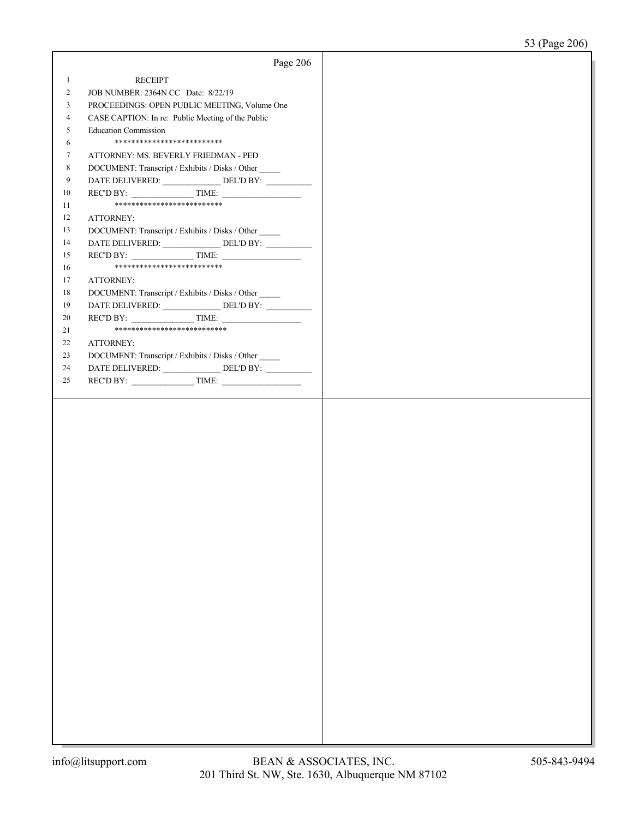|                | Page 206                                           |  |
|----------------|----------------------------------------------------|--|
| $\mathbf{1}$   | <b>RECEIPT</b>                                     |  |
| $\overline{2}$ | JOB NUMBER: 2364N CC Date: 8/22/19                 |  |
| 3              | PROCEEDINGS: OPEN PUBLIC MEETING, Volume One       |  |
| 4              | CASE CAPTION: In re: Public Meeting of the Public  |  |
| 5              | <b>Education Commission</b>                        |  |
| 6              | **************************                         |  |
| 7              | ATTORNEY: MS. BEVERLY FRIEDMAN - PED               |  |
| 8              | DOCUMENT: Transcript / Exhibits / Disks / Other    |  |
| 9              |                                                    |  |
| 10             | $RECD BY:$ TIME:                                   |  |
| 11             | **************************                         |  |
| 12             | ATTORNEY:                                          |  |
| 13             | DOCUMENT: Transcript / Exhibits / Disks / Other    |  |
| 14             | DATE DELIVERED: ______________DEL'D BY: __________ |  |
| 15             | REC'D BY: $\qquad \qquad \qquad$ TIME:             |  |
| 16             | ***************************                        |  |
| 17             | <b>ATTORNEY:</b>                                   |  |
| 18             | DOCUMENT: Transcript / Exhibits / Disks / Other    |  |
| 19<br>20       | DATE DELIVERED: ______________DEL'D BY: __________ |  |
| 21             | ***************************                        |  |
| 22             | ATTORNEY:                                          |  |
| 23             | DOCUMENT: Transcript / Exhibits / Disks / Other    |  |
| 24             |                                                    |  |
| 25             |                                                    |  |
|                |                                                    |  |
|                |                                                    |  |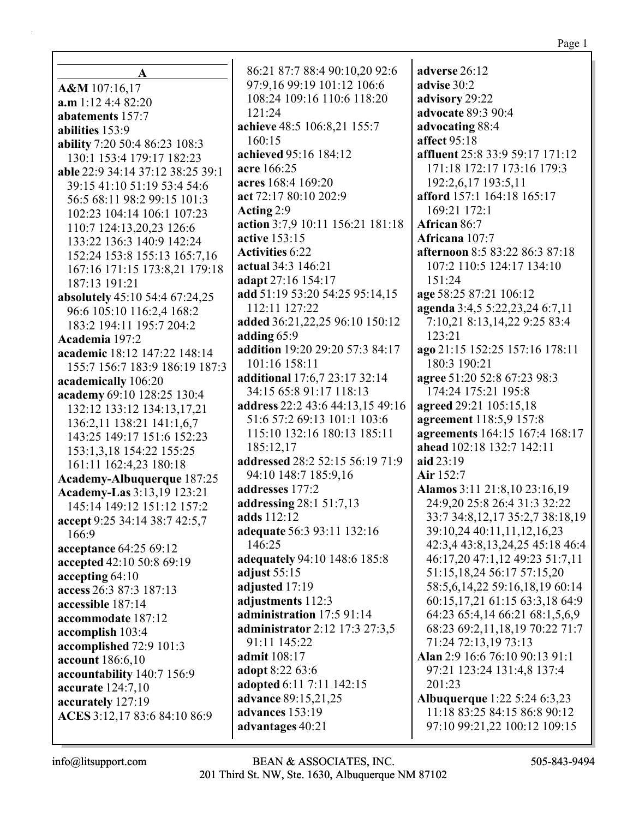| A                                | 86:21 87:7 88:4 90:10,20 92:6       | adverse 26:12                                                    |
|----------------------------------|-------------------------------------|------------------------------------------------------------------|
| A&M 107:16,17                    | 97:9,16 99:19 101:12 106:6          | advise 30:2                                                      |
| $a.m$ 1:12 4:4 82:20             | 108:24 109:16 110:6 118:20          | advisory 29:22                                                   |
| abatements 157:7                 | 121:24                              | advocate 89:3 90:4                                               |
| abilities 153:9                  | achieve 48:5 106:8,21 155:7         | advocating 88:4                                                  |
| ability 7:20 50:4 86:23 108:3    | 160:15                              | affect 95:18                                                     |
| 130:1 153:4 179:17 182:23        | achieved 95:16 184:12               | affluent 25:8 33:9 59:17 171:12                                  |
| able 22:9 34:14 37:12 38:25 39:1 | acre 166:25                         | 171:18 172:17 173:16 179:3                                       |
| 39:15 41:10 51:19 53:4 54:6      | acres 168:4 169:20                  | 192:2,6,17 193:5,11                                              |
| 56:5 68:11 98:2 99:15 101:3      | act 72:17 80:10 202:9               | afford 157:1 164:18 165:17                                       |
| 102:23 104:14 106:1 107:23       | Acting 2:9                          | 169:21 172:1                                                     |
| 110:7 124:13,20,23 126:6         | action 3:7,9 10:11 156:21 181:18    | African 86:7                                                     |
| 133:22 136:3 140:9 142:24        | active 153:15                       | Africana 107:7                                                   |
| 152:24 153:8 155:13 165:7,16     | <b>Activities 6:22</b>              | afternoon 8:5 83:22 86:3 87:18                                   |
| 167:16 171:15 173:8,21 179:18    | actual 34:3 146:21                  | 107:2 110:5 124:17 134:10                                        |
| 187:13 191:21                    | adapt 27:16 154:17                  | 151:24                                                           |
| absolutely 45:10 54:4 67:24,25   | add 51:19 53:20 54:25 95:14,15      | age 58:25 87:21 106:12                                           |
| 96:6 105:10 116:2,4 168:2        | 112:11 127:22                       | agenda 3:4,5 5:22,23,24 6:7,11                                   |
| 183:2 194:11 195:7 204:2         | added 36:21,22,25 96:10 150:12      | 7:10,21 8:13,14,22 9:25 83:4                                     |
| Academia 197:2                   | adding 65:9                         | 123:21                                                           |
| academic 18:12 147:22 148:14     | addition 19:20 29:20 57:3 84:17     | ago 21:15 152:25 157:16 178:11                                   |
| 155:7 156:7 183:9 186:19 187:3   | 101:16 158:11                       | 180:3 190:21                                                     |
| academically 106:20              | additional 17:6,7 23:17 32:14       | agree 51:20 52:8 67:23 98:3                                      |
| academy 69:10 128:25 130:4       | 34:15 65:8 91:17 118:13             | 174:24 175:21 195:8                                              |
| 132:12 133:12 134:13,17,21       | address 22:2 43:6 44:13,15 49:16    | agreed 29:21 105:15,18                                           |
| 136:2,11 138:21 141:1,6,7        | 51:6 57:2 69:13 101:1 103:6         | agreement 118:5,9 157:8                                          |
| 143:25 149:17 151:6 152:23       | 115:10 132:16 180:13 185:11         | agreements 164:15 167:4 168:17                                   |
| 153:1,3,18 154:22 155:25         | 185:12,17                           | ahead 102:18 132:7 142:11                                        |
| 161:11 162:4,23 180:18           | addressed 28:2 52:15 56:19 71:9     | aid 23:19                                                        |
| Academy-Albuquerque 187:25       | 94:10 148:7 185:9,16                | Air 152:7                                                        |
| Academy-Las 3:13,19 123:21       | addresses 177:2                     | Alamos 3:11 21:8,10 23:16,19                                     |
| 145:14 149:12 151:12 157:2       | addressing 28:1 51:7,13             | 24:9,20 25:8 26:4 31:3 32:22                                     |
| accept 9:25 34:14 38:7 42:5,7    | adds 112:12                         | 33:7 34:8, 12, 17 35:2, 7 38:18, 19                              |
| 166:9                            | adequate 56:3 93:11 132:16          | 39:10,24 40:11,11,12,16,23                                       |
| acceptance 64:25 69:12           | 146:25                              | 42:3,4 43:8,13,24,25 45:18 46:4                                  |
| accepted 42:10 50:8 69:19        | adequately 94:10 148:6 185:8        | 46:17,20 47:1,12 49:23 51:7,11                                   |
| accepting 64:10                  | adjust $55:15$                      | 51:15, 18, 24 56:17 57:15, 20                                    |
| access 26:3 87:3 187:13          | adjusted 17:19<br>adjustments 112:3 | 58:5,6,14,22 59:16,18,19 60:14<br>60:15,17,21 61:15 63:3,18 64:9 |
| accessible 187:14                | administration 17:5 91:14           | 64:23 65:4,14 66:21 68:1,5,6,9                                   |
| accommodate 187:12               | administrator 2:12 17:3 27:3,5      | 68:23 69:2,11,18,19 70:22 71:7                                   |
| accomplish 103:4                 | 91:11 145:22                        | 71:24 72:13,19 73:13                                             |
| accomplished 72:9 101:3          | admit 108:17                        | Alan 2:9 16:6 76:10 90:13 91:1                                   |
| account 186:6,10                 | <b>adopt</b> 8:22 63:6              | 97:21 123:24 131:4,8 137:4                                       |
| accountability 140:7 156:9       | adopted 6:11 7:11 142:15            | 201:23                                                           |
| accurate 124:7,10                | advance 89:15,21,25                 | <b>Albuquerque</b> 1:22 5:24 6:3,23                              |
| accurately 127:19                | advances 153:19                     | 11:18 83:25 84:15 86:8 90:12                                     |
| ACES 3:12,17 83:6 84:10 86:9     | advantages 40:21                    | 97:10 99:21,22 100:12 109:15                                     |
|                                  |                                     |                                                                  |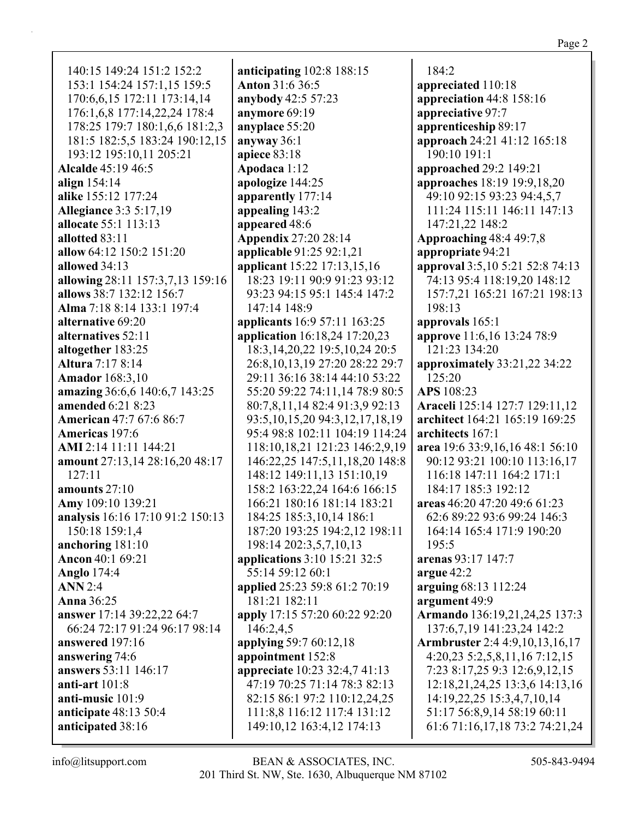140:15 149:24 151:2 152:2 153:1 154:24 157:1,15 159:5 170:6,6,15 172:11 173:14,14 176:1,6,8 177:14,22,24 178:4 178:25 179:7 180:1,6,6 181:2,3 181:5 182:5,5 183:24 190:12,15 193:12 195:10.11 205:21 **Alcalde** 45:19 46:5 align  $154:14$ alike 155:12 177:24 **Allegiance 3:3 5:17,19** allocate 55:1 113:13 allotted 83:11 allow 64:12 150:2 151:20 allowed 34:13 allowing 28:11 157:3,7,13 159:16 allows 38:7 132:12 156:7 Alma 7:18 8:14 133:1 197:4 alternative 69:20 alternatives 52:11 altogether 183:25 **Altura** 7:17 8:14 **Amador** 168:3.10 amazing 36:6,6 140:6,7 143:25 **amended** 6:21 8:23 **American** 47:7 67:6 86:7 Americas 197:6 AMI 2:14 11:11 144:21 amount 27:13,14 28:16,20 48:17  $127:11$ amounts 27:10 Amy 109:10 139:21 analysis 16:16 17:10 91:2 150:13 150:18 159:1.4 anchoring 181:10 **Ancon** 40:1 69:21 **Anglo** 174:4  $ANN 2:4$ **Anna** 36:25 answer 17:14 39:22,22 64:7 66:24 72:17 91:24 96:17 98:14 answered 197:16 answering 74:6 answers 53:11 146:17 anti-art  $101:8$ anti-music 101:9 anticipate  $48:13\,50:4$ anticipated 38:16

anticipating  $102:8$  188:15 Anton 31:6 36:5 anybody 42:5 57:23 anymore 69:19 anyplace 55:20 anyway  $36:1$ apiece 83:18 Apodaca 1:12 apologize 144:25 apparently 177:14 appealing 143:2 appeared 48:6 **Appendix 27:20 28:14** applicable 91:25 92:1,21 applicant 15:22 17:13,15,16 18:23 19:11 90:9 91:23 93:12 93:23 94:15 95:1 145:4 147:2 147:14 148:9 **applicants** 16:9 57:11 163:25 application 16:18,24 17:20,23 18:3, 14, 20, 22 19:5, 10, 24 20:5 26:8, 10, 13, 19 27: 20 28: 22 29: 7 29:11 36:16 38:14 44:10 53:22 55:20 59:22 74:11,14 78:9 80:5 80:7,8,11,14 82:4 91:3,9 92:13 93:5, 10, 15, 20 94: 3, 12, 17, 18, 19 95:4 98:8 102:11 104:19 114:24 118:10,18,21 121:23 146:2,9,19 146:22,25 147:5,11,18,20 148:8 148:12 149:11,13 151:10,19 158:2 163:22,24 164:6 166:15 166:21 180:16 181:14 183:21 184:25 185:3,10,14 186:1 187:20 193:25 194:2,12 198:11 198:14 202:3,5,7,10,13 applications 3:10 15:21 32:5 55:14 59:12 60:1 applied 25:23 59:8 61:2 70:19 181:21 182:11 apply 17:15 57:20 60:22 92:20 146:2,4,5 applying 59:7 60:12,18 appointment 152:8 appreciate 10:23 32:4,7 41:13 47:19 70:25 71:14 78:3 82:13 82:15 86:1 97:2 110:12,24,25 111:8,8 116:12 117:4 131:12 149:10,12 163:4,12 174:13

 $184:2$ appreciated 110:18 appreciation  $44:8$  158:16 appreciative 97:7 apprenticeship 89:17 approach 24:21 41:12 165:18 190:10 191:1 **approached** 29:2 149:21 approaches 18:19 19:9,18,20 49:10 92:15 93:23 94:4,5,7 111:24 115:11 146:11 147:13 147:21.22 148:2 **Approaching 48:4 49:7,8** appropriate 94:21 approval 3:5,10 5:21 52:8 74:13 74:13 95:4 118:19,20 148:12 157:7,21 165:21 167:21 198:13 198:13 approvals 165:1 approve 11:6,16 13:24 78:9 121:23 134:20 approximately 33:21,22 34:22 125:20 APS 108:23 Araceli 125:14 127:7 129:11.12 architect 164:21 165:19 169:25 architects 167:1 area 19:6 33:9, 16, 16 48:1 56:10 90:12 93:21 100:10 113:16,17 116:18 147:11 164:2 171:1 184:17 185:3 192:12 areas 46:20 47:20 49:6 61:23 62:6 89:22 93:6 99:24 146:3 164:14 165:4 171:9 190:20  $195:5$ arenas 93:17 147:7 argue 42:2 arguing 68:13 112:24 argument 49:9 Armando 136:19,21,24,25 137:3 137:6,7,19 141:23,24 142:2 **Armbruster** 2:4 4:9,10,13,16,17  $4:20,23\;5:2,5,8,11,16\;7:12,15$ 7:23 8:17,25 9:3 12:6,9,12,15 12:18,21,24,25 13:3,6 14:13,16 14:19,22,25 15:3,4,7,10,14 51:17 56:8,9,14 58:19 60:11 61:6 71:16,17,18 73:2 74:21,24

 $info@$ litsupport.com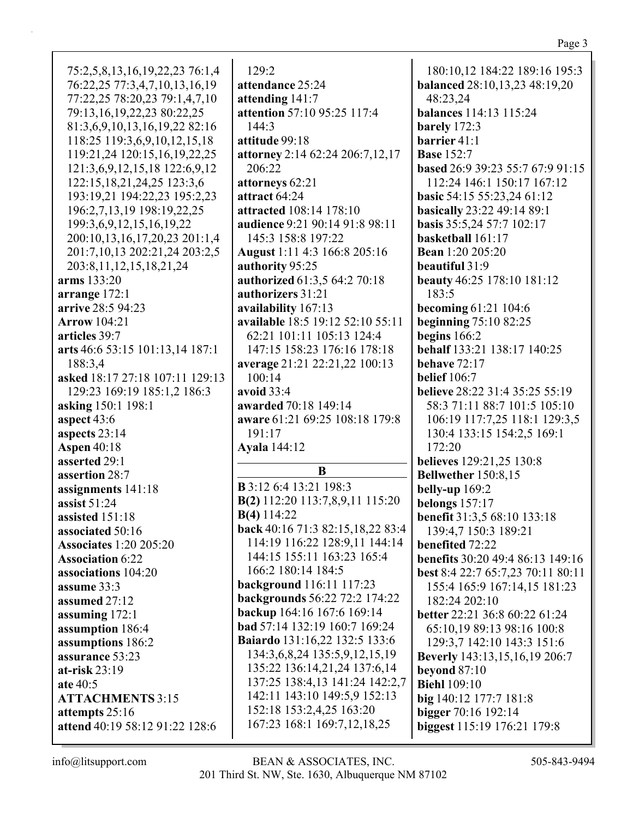75:2,5,8,13,16,19,22,23 76:1,4 76:22,25 77:3,4,7,10,13,16,19 77:22,25 78:20,23 79:1,4,7,10 79:13,16,19,22,23 80:22,25 81:3,6,9,10,13,16,19,22 82:16 118:25 119:3,6,9,10,12,15,18 119:21,24 120:15,16,19,22,25 121:3,6,9,12,15,18 122:6,9,12 122:15,18,21,24,25 123:3,6 193:19,21 194:22,23 195:2,23 196:2,7,13,19 198:19,22,25 199:3,6,9,12,15,16,19,22 200:10,13,16,17,20,23 201:1,4 201:7,10,13 202:21,24 203:2,5 203:8,11,12,15,18,21,24 **arms** 133:20 **arrange** 172:1 **arrive** 28:5 94:23 **Arrow** 104:21 **articles** 39:7 **arts** 46:6 53:15 101:13,14 187:1 188:3,4 **asked** 18:17 27:18 107:11 129:13 129:23 169:19 185:1,2 186:3 **asking** 150:1 198:1 **aspect** 43:6 **aspects** 23:14 **Aspen** 40:18 **asserted** 29:1 **assertion** 28:7 **assignments** 141:18 **assist** 51:24 **assisted** 151:18 **associated** 50:16 **Associates** 1:20 205:20 **Association** 6:22 **associations** 104:20 **assume** 33:3 **assumed** 27:12 **assuming** 172:1 **assumption** 186:4 **assumptions** 186:2 **assurance** 53:23 **at-risk** 23:19 **ate** 40:5 **ATTACHMENTS** 3:15 **attempts** 25:16 **attend** 40:19 58:12 91:22 128:6

129:2 **attendance** 25:24 **attending** 141:7 **attention** 57:10 95:25 117:4 144:3 **attitude** 99:18 **attorney** 2:14 62:24 206:7,12,17 206:22 **attorneys** 62:21 **attract** 64:24 **attracted** 108:14 178:10 **audience** 9:21 90:14 91:8 98:11 145:3 158:8 197:22 **August** 1:11 4:3 166:8 205:16 **authority** 95:25 **authorized** 61:3,5 64:2 70:18 **authorizers** 31:21 **availability** 167:13 **available** 18:5 19:12 52:10 55:11 62:21 101:11 105:13 124:4 147:15 158:23 176:16 178:18 **average** 21:21 22:21,22 100:13 100:14 **avoid** 33:4 **awarded** 70:18 149:14 **aware** 61:21 69:25 108:18 179:8 191:17 **Ayala** 144:12 **B B** 3:12 6:4 13:21 198:3 **B(2)** 112:20 113:7,8,9,11 115:20 **B(4)** 114:22 **back** 40:16 71:3 82:15,18,22 83:4 114:19 116:22 128:9,11 144:14 144:15 155:11 163:23 165:4 166:2 180:14 184:5 **background** 116:11 117:23 **backgrounds** 56:22 72:2 174:22 **backup** 164:16 167:6 169:14 **bad** 57:14 132:19 160:7 169:24 **Baiardo** 131:16,22 132:5 133:6 134:3,6,8,24 135:5,9,12,15,19 135:22 136:14,21,24 137:6,14 137:25 138:4,13 141:24 142:2,7 142:11 143:10 149:5,9 152:13 152:18 153:2,4,25 163:20 167:23 168:1 169:7,12,18,25

180:10,12 184:22 189:16 195:3 **balanced** 28:10,13,23 48:19,20 48:23,24 **balances** 114:13 115:24 **barely** 172:3 **barrier** 41:1 **Base** 152:7 **based** 26:9 39:23 55:7 67:9 91:15 112:24 146:1 150:17 167:12 **basic** 54:15 55:23,24 61:12 **basically** 23:22 49:14 89:1 **basis** 35:5,24 57:7 102:17 **basketball** 161:17 **Bean** 1:20 205:20 **beautiful** 31:9 **beauty** 46:25 178:10 181:12 183:5 **becoming** 61:21 104:6 **beginning** 75:10 82:25 **begins** 166:2 **behalf** 133:21 138:17 140:25 **behave** 72:17 **belief** 106:7 **believe** 28:22 31:4 35:25 55:19 58:3 71:11 88:7 101:5 105:10 106:19 117:7,25 118:1 129:3,5 130:4 133:15 154:2,5 169:1 172:20 **believes** 129:21,25 130:8 **Bellwether** 150:8,15 **belly-up** 169:2 **belongs** 157:17 **benefit** 31:3,5 68:10 133:18 139:4,7 150:3 189:21 **benefited** 72:22 **benefits** 30:20 49:4 86:13 149:16 **best** 8:4 22:7 65:7,23 70:11 80:11 155:4 165:9 167:14,15 181:23 182:24 202:10 **better** 22:21 36:8 60:22 61:24 65:10,19 89:13 98:16 100:8 129:3,7 142:10 143:3 151:6 **Beverly** 143:13,15,16,19 206:7 **beyond** 87:10 **Biehl** 109:10 **big** 140:12 177:7 181:8 **bigger** 70:16 192:14 **biggest** 115:19 176:21 179:8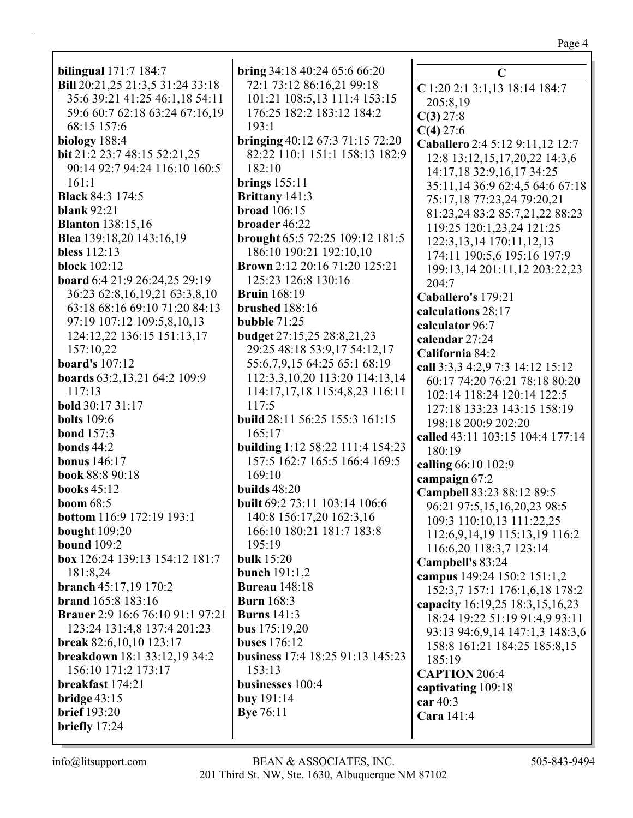| <b>bilingual</b> 171:7 184:7            | bring 34:18 40:24 65:6 66:20                                      | $\mathbf C$                         |
|-----------------------------------------|-------------------------------------------------------------------|-------------------------------------|
| Bill 20:21,25 21:3,5 31:24 33:18        | 72:1 73:12 86:16,21 99:18                                         | C 1:20 2:1 3:1,13 18:14 184:7       |
| 35:6 39:21 41:25 46:1,18 54:11          | 101:21 108:5,13 111:4 153:15                                      | 205:8,19                            |
| 59:6 60:7 62:18 63:24 67:16,19          | 176:25 182:2 183:12 184:2                                         | C(3) 27:8                           |
| 68:15 157:6                             | 193:1                                                             | $C(4)$ 27:6                         |
| biology 188:4                           | bringing 40:12 67:3 71:15 72:20                                   | Caballero 2:4 5:12 9:11,12 12:7     |
| bit 21:2 23:7 48:15 52:21,25            | 82:22 110:1 151:1 158:13 182:9                                    | 12:8 13:12,15,17,20,22 14:3,6       |
| 90:14 92:7 94:24 116:10 160:5           | 182:10                                                            | 14:17,18 32:9,16,17 34:25           |
| 161:1                                   | brings $155:11$                                                   | 35:11,14 36:9 62:4,5 64:6 67:18     |
| <b>Black 84:3 174:5</b>                 | <b>Brittany</b> 141:3                                             | 75:17,18 77:23,24 79:20,21          |
| blank $92:21$                           | <b>broad</b> 106:15                                               | 81:23,24 83:2 85:7,21,22 88:23      |
| <b>Blanton</b> 138:15,16                | broader 46:22                                                     | 119:25 120:1,23,24 121:25           |
| Blea 139:18,20 143:16,19                | brought 65:5 72:25 109:12 181:5                                   |                                     |
| <b>bless</b> 112:13                     | 186:10 190:21 192:10,10                                           | 122:3, 13, 14 170: 11, 12, 13       |
| <b>block</b> 102:12                     | <b>Brown</b> 2:12 20:16 71:20 125:21                              | 174:11 190:5,6 195:16 197:9         |
| board 6:4 21:9 26:24,25 29:19           | 125:23 126:8 130:16                                               | 199:13,14 201:11,12 203:22,23       |
| 36:23 62:8,16,19,21 63:3,8,10           | <b>Bruin</b> 168:19                                               | 204:7                               |
| 63:18 68:16 69:10 71:20 84:13           | brushed 188:16                                                    | Caballero's 179:21                  |
| 97:19 107:12 109:5,8,10,13              | bubble $71:25$                                                    | calculations 28:17                  |
| 124:12,22 136:15 151:13,17              | budget 27:15,25 28:8,21,23                                        | calculator 96:7                     |
| 157:10,22                               | 29:25 48:18 53:9,17 54:12,17                                      | calendar 27:24                      |
| <b>board's</b> 107:12                   | 55:6,7,9,15 64:25 65:1 68:19                                      | California 84:2                     |
|                                         | 112:3,3,10,20 113:20 114:13,14                                    | call 3:3,3 4:2,9 7:3 14:12 15:12    |
| boards 63:2,13,21 64:2 109:9<br>117:13  |                                                                   | 60:17 74:20 76:21 78:18 80:20       |
| bold 30:17 31:17                        | 114:17,17,18 115:4,8,23 116:11<br>117:5                           | 102:14 118:24 120:14 122:5          |
|                                         |                                                                   | 127:18 133:23 143:15 158:19         |
| <b>bolts</b> 109:6                      | <b>build</b> 28:11 56:25 155:3 161:15<br>165:17                   | 198:18 200:9 202:20                 |
| <b>bond</b> 157:3<br>bonds $44:2$       |                                                                   | called 43:11 103:15 104:4 177:14    |
|                                         | building 1:12 58:22 111:4 154:23<br>157:5 162:7 165:5 166:4 169:5 | 180:19                              |
| <b>bonus</b> 146:17                     | 169:10                                                            | calling 66:10 102:9                 |
| book 88:8 90:18                         | builds $48:20$                                                    | campaign 67:2                       |
| <b>books</b> 45:12<br><b>boom</b> 68:5  | built 69:2 73:11 103:14 106:6                                     | Campbell 83:23 88:12 89:5           |
|                                         |                                                                   | 96:21 97:5,15,16,20,23 98:5         |
| bottom 116:9 172:19 193:1               | 140:8 156:17,20 162:3,16                                          | 109:3 110:10,13 111:22,25           |
| <b>bought</b> 109:20                    | 166:10 180:21 181:7 183:8                                         | 112:6,9,14,19 115:13,19 116:2       |
| <b>bound</b> 109:2                      | 195:19                                                            | 116:6,20 118:3,7 123:14             |
| box 126:24 139:13 154:12 181:7          | <b>bulk</b> 15:20                                                 | Campbell's 83:24                    |
| 181:8,24                                | bunch 191:1,2                                                     | campus 149:24 150:2 151:1,2         |
| <b>branch</b> 45:17,19 170:2            | <b>Bureau</b> 148:18                                              | 152:3,7 157:1 176:1,6,18 178:2      |
| <b>brand</b> 165:8 183:16               | <b>Burn</b> 168:3                                                 | capacity 16:19,25 18:3,15,16,23     |
| <b>Brauer</b> 2:9 16:6 76:10 91:1 97:21 | <b>Burns</b> 141:3                                                | 18:24 19:22 51:19 91:4,9 93:11      |
| 123:24 131:4,8 137:4 201:23             | bus 175:19,20                                                     | 93:13 94:6, 9, 14 147:1, 3 148:3, 6 |
| break 82:6,10,10 123:17                 | <b>buses</b> 176:12                                               | 158:8 161:21 184:25 185:8,15        |
| breakdown 18:1 33:12,19 34:2            | business 17:4 18:25 91:13 145:23                                  | 185:19                              |
| 156:10 171:2 173:17                     | 153:13                                                            | <b>CAPTION 206:4</b>                |
| breakfast 174:21                        | businesses 100:4                                                  | captivating 109:18                  |
| bridge $43:15$                          | buy 191:14                                                        | car $40:3$                          |
| <b>brief</b> 193:20                     | <b>Bye</b> 76:11                                                  | Cara 141:4                          |
| briefly 17:24                           |                                                                   |                                     |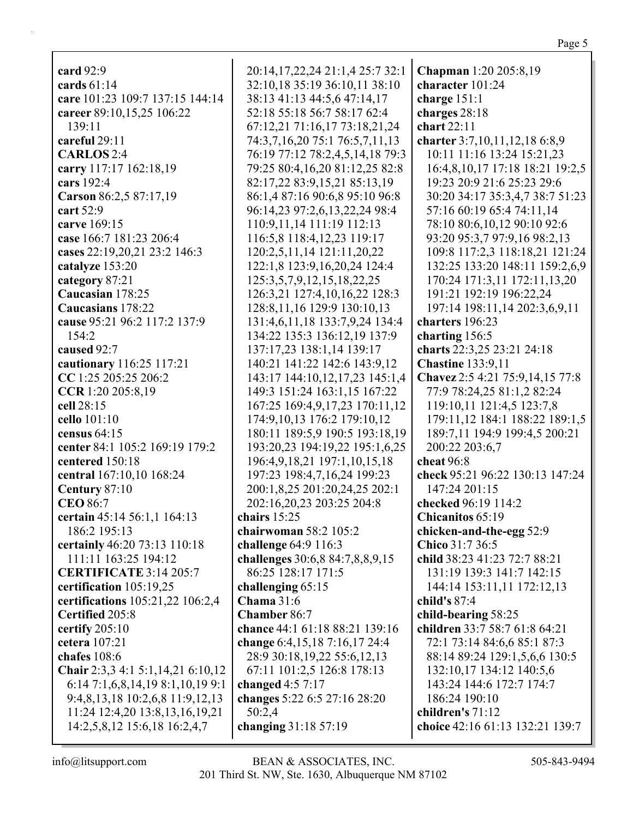| card 92:9                         | 20:14, 17, 22, 24 21:1, 4 25: 7 32: 1 | Chapman 1:20 205:8,19           |
|-----------------------------------|---------------------------------------|---------------------------------|
| cards $61:14$                     | 32:10,18 35:19 36:10,11 38:10         | character 101:24                |
| care 101:23 109:7 137:15 144:14   | 38:13 41:13 44:5,6 47:14,17           | charge 151:1                    |
| career 89:10,15,25 106:22         | 52:18 55:18 56:7 58:17 62:4           | charges 28:18                   |
| 139:11                            | 67:12,21 71:16,17 73:18,21,24         | chart 22:11                     |
| careful 29:11                     | 74:3,7,16,20 75:1 76:5,7,11,13        | charter 3:7,10,11,12,18 6:8,9   |
| <b>CARLOS</b> 2:4                 | 76:19 77:12 78:2,4,5,14,18 79:3       | 10:11 11:16 13:24 15:21,23      |
| carry 117:17 162:18,19            | 79:25 80:4,16,20 81:12,25 82:8        | 16:4,8,10,17 17:18 18:21 19:2,5 |
| cars 192:4                        | 82:17,22 83:9,15,21 85:13,19          | 19:23 20:9 21:6 25:23 29:6      |
| Carson 86:2,5 87:17,19            | 86:1,4 87:16 90:6,8 95:10 96:8        | 30:20 34:17 35:3,4,7 38:7 51:23 |
| cart 52:9                         | 96:14,23 97:2,6,13,22,24 98:4         | 57:16 60:19 65:4 74:11,14       |
| carve 169:15                      | 110:9, 11, 14 111:19 112:13           | 78:10 80:6,10,12 90:10 92:6     |
| case 166:7 181:23 206:4           | 116:5,8 118:4,12,23 119:17            | 93:20 95:3,7 97:9,16 98:2,13    |
| cases 22:19,20,21 23:2 146:3      | 120:2,5,11,14 121:11,20,22            | 109:8 117:2,3 118:18,21 121:24  |
| catalyze 153:20                   | 122:1,8 123:9,16,20,24 124:4          | 132:25 133:20 148:11 159:2,6,9  |
| category 87:21                    | 125:3,5,7,9,12,15,18,22,25            | 170:24 171:3,11 172:11,13,20    |
| Caucasian 178:25                  | 126:3,21 127:4,10,16,22 128:3         | 191:21 192:19 196:22,24         |
| Caucasians 178:22                 | 128:8, 11, 16 129:9 130:10, 13        | 197:14 198:11,14 202:3,6,9,11   |
| cause 95:21 96:2 117:2 137:9      | 131:4,6,11,18 133:7,9,24 134:4        | charters 196:23                 |
| 154:2                             | 134:22 135:3 136:12,19 137:9          | charting 156:5                  |
| caused 92:7                       | 137:17,23 138:1,14 139:17             | charts 22:3,25 23:21 24:18      |
| cautionary 116:25 117:21          | 140:21 141:22 142:6 143:9,12          | <b>Chastine 133:9,11</b>        |
| CC 1:25 205:25 206:2              | 143:17 144:10,12,17,23 145:1,4        | Chavez 2:5 4:21 75:9,14,15 77:8 |
| CCR 1:20 205:8,19                 | 149:3 151:24 163:1,15 167:22          | 77:9 78:24,25 81:1,2 82:24      |
| cell 28:15                        | 167:25 169:4,9,17,23 170:11,12        | 119:10,11 121:4,5 123:7,8       |
| cello 101:10                      | 174:9,10,13 176:2 179:10,12           | 179:11,12 184:1 188:22 189:1,5  |
| census $64:15$                    | 180:11 189:5,9 190:5 193:18,19        | 189:7,11 194:9 199:4,5 200:21   |
| center 84:1 105:2 169:19 179:2    | 193:20,23 194:19,22 195:1,6,25        | 200:22 203:6,7                  |
| centered 150:18                   | 196:4, 9, 18, 21 197:1, 10, 15, 18    | cheat 96:8                      |
| central 167:10,10 168:24          | 197:23 198:4,7,16,24 199:23           | check 95:21 96:22 130:13 147:24 |
| Century 87:10                     | 200:1,8,25 201:20,24,25 202:1         | 147:24 201:15                   |
| <b>CEO 86:7</b>                   | 202:16,20,23 203:25 204:8             | checked 96:19 114:2             |
| certain 45:14 56:1,1 164:13       | chairs 15:25                          | Chicanitos 65:19                |
| 186:2 195:13                      | chairwoman $58:2$ $105:2$             | chicken-and-the-egg 52:9        |
| certainly 46:20 73:13 110:18      | challenge 64:9 116:3                  | Chico 31:7 36:5                 |
| 111:11 163:25 194:12              | challenges 30:6,8 84:7,8,8,9,15       | child 38:23 41:23 72:7 88:21    |
| <b>CERTIFICATE 3:14 205:7</b>     | 86:25 128:17 171:5                    | 131:19 139:3 141:7 142:15       |
| certification 105:19,25           | challenging 65:15                     | 144:14 153:11,11 172:12,13      |
| certifications 105:21,22 106:2,4  | <b>Chama</b> 31:6                     | child's 87:4                    |
| Certified 205:8                   | <b>Chamber 86:7</b>                   | child-bearing 58:25             |
| certify $205:10$                  | chance 44:1 61:18 88:21 139:16        | children 33:7 58:7 61:8 64:21   |
| cetera 107:21                     | change 6:4,15,18 7:16,17 24:4         | 72:1 73:14 84:6,6 85:1 87:3     |
| chafes $108:6$                    | 28:9 30:18,19,22 55:6,12,13           | 88:14 89:24 129:1,5,6,6 130:5   |
| Chair 2:3,3 4:1 5:1,14,21 6:10,12 | 67:11 101:2,5 126:8 178:13            | 132:10,17 134:12 140:5,6        |
| 6:14 7:1,6,8,14,19 8:1,10,19 9:1  | changed $4:57:17$                     | 143:24 144:6 172:7 174:7        |
| 9:4,8,13,18 10:2,6,8 11:9,12,13   | changes 5:22 6:5 27:16 28:20          | 186:24 190:10                   |
| 11:24 12:4,20 13:8,13,16,19,21    | 50:2,4                                | children's 71:12                |
| 14:2,5,8,12 15:6,18 16:2,4,7      | changing 31:18 57:19                  | choice 42:16 61:13 132:21 139:7 |
|                                   |                                       |                                 |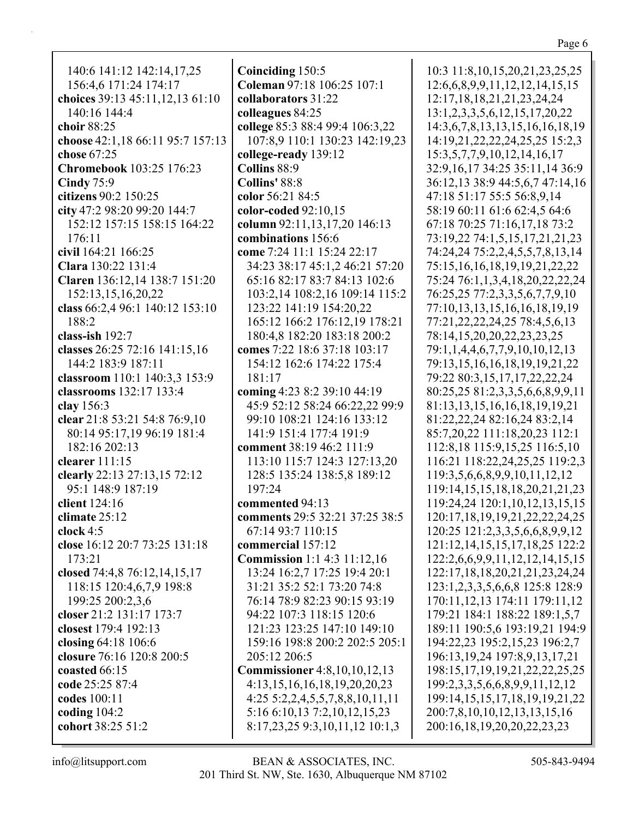140:6 141:12 142:14,17,25 156:4,6 171:24 174:17 **choices** 39:13 45:11,12,13 61:10 140:16 144:4 **choir** 88:25 **choose** 42:1,18 66:11 95:7 157:13 **chose** 67:25 **Chromebook** 103:25 176:23 **Cindy** 75:9 **citizens** 90:2 150:25 **city** 47:2 98:20 99:20 144:7 152:12 157:15 158:15 164:22 176:11 **civil** 164:21 166:25 **Clara** 130:22 131:4 **Claren** 136:12,14 138:7 151:20 152:13,15,16,20,22 **class** 66:2,4 96:1 140:12 153:10 188:2 **class-ish** 192:7 **classes** 26:25 72:16 141:15,16 144:2 183:9 187:11 **classroom** 110:1 140:3,3 153:9 **classrooms** 132:17 133:4 **clay** 156:3 **clear** 21:8 53:21 54:8 76:9,10 80:14 95:17,19 96:19 181:4 182:16 202:13 **clearer** 111:15 **clearly** 22:13 27:13,15 72:12 95:1 148:9 187:19 **client** 124:16 **climate** 25:12 **clock** 4:5 **close** 16:12 20:7 73:25 131:18 173:21 **closed** 74:4,8 76:12,14,15,17 118:15 120:4,6,7,9 198:8 199:25 200:2,3,6 **closer** 21:2 131:17 173:7 **closest** 179:4 192:13 **closing** 64:18 106:6 **closure** 76:16 120:8 200:5 **coasted** 66:15 **code** 25:25 87:4 **codes** 100:11 **coding** 104:2 **cohort** 38:25 51:2

**Coinciding** 150:5 **Coleman** 97:18 106:25 107:1 **collaborators** 31:22 **colleagues** 84:25 **college** 85:3 88:4 99:4 106:3,22 107:8,9 110:1 130:23 142:19,23 **college-ready** 139:12 **Collins** 88:9 **Collins'** 88:8 **color** 56:21 84:5 **color-coded** 92:10,15 **column** 92:11,13,17,20 146:13 **combinations** 156:6 **come** 7:24 11:1 15:24 22:17 34:23 38:17 45:1,2 46:21 57:20 65:16 82:17 83:7 84:13 102:6 103:2,14 108:2,16 109:14 115:2 123:22 141:19 154:20,22 165:12 166:2 176:12,19 178:21 180:4,8 182:20 183:18 200:2 **comes** 7:22 18:6 37:18 103:17 154:12 162:6 174:22 175:4 181:17 **coming** 4:23 8:2 39:10 44:19 45:9 52:12 58:24 66:22,22 99:9 99:10 108:21 124:16 133:12 141:9 151:4 177:4 191:9 **comment** 38:19 46:2 111:9 113:10 115:7 124:3 127:13,20 128:5 135:24 138:5,8 189:12 197:24 **commented** 94:13 **comments** 29:5 32:21 37:25 38:5 67:14 93:7 110:15 **commercial** 157:12 **Commission** 1:1 4:3 11:12,16 13:24 16:2,7 17:25 19:4 20:1 31:21 35:2 52:1 73:20 74:8 76:14 78:9 82:23 90:15 93:19 94:22 107:3 118:15 120:6 121:23 123:25 147:10 149:10 159:16 198:8 200:2 202:5 205:1 205:12 206:5 **Commissioner** 4:8,10,10,12,13 4:13,15,16,16,18,19,20,20,23 4:25 5:2,2,4,5,5,7,8,8,10,11,11 5:16 6:10,13 7:2,10,12,15,23 8:17,23,25 9:3,10,11,12 10:1,3

10:3 11:8,10,15,20,21,23,25,25 12:6,6,8,9,9,11,12,12,14,15,15 12:17,18,18,21,21,23,24,24 13:1,2,3,3,5,6,12,15,17,20,22 14:3,6,7,8,13,13,15,16,16,18,19 14:19,21,22,22,24,25,25 15:2,3 15:3,5,7,7,9,10,12,14,16,17 32:9,16,17 34:25 35:11,14 36:9 36:12,13 38:9 44:5,6,7 47:14,16 47:18 51:17 55:5 56:8,9,14 58:19 60:11 61:6 62:4,5 64:6 67:18 70:25 71:16,17,18 73:2 73:19,22 74:1,5,15,17,21,21,23 74:24,24 75:2,2,4,5,5,7,8,13,14 75:15,16,16,18,19,19,21,22,22 75:24 76:1,1,3,4,18,20,22,22,24 76:25,25 77:2,3,3,5,6,7,7,9,10 77:10,13,13,15,16,16,18,19,19 77:21,22,22,24,25 78:4,5,6,13 78:14,15,20,20,22,23,23,25 79:1,1,4,4,6,7,7,9,10,10,12,13 79:13,15,16,16,18,19,19,21,22 79:22 80:3,15,17,17,22,22,24 80:25,25 81:2,3,3,5,6,6,8,9,9,11 81:13,13,15,16,16,18,19,19,21 81:22,22,24 82:16,24 83:2,14 85:7,20,22 111:18,20,23 112:1 112:8,18 115:9,15,25 116:5,10 116:21 118:22,24,25,25 119:2,3 119:3,5,6,6,8,9,9,10,11,12,12 119:14,15,15,18,18,20,21,21,23 119:24,24 120:1,10,12,13,15,15 120:17,18,19,19,21,22,22,24,25 120:25 121:2,3,3,5,6,6,8,9,9,12 121:12,14,15,15,17,18,25 122:2 122:2,6,6,9,9,11,12,12,14,15,15 122:17,18,18,20,21,21,23,24,24 123:1,2,3,3,5,6,6,8 125:8 128:9 170:11,12,13 174:11 179:11,12 179:21 184:1 188:22 189:1,5,7 189:11 190:5,6 193:19,21 194:9 194:22,23 195:2,15,23 196:2,7 196:13,19,24 197:8,9,13,17,21 198:15,17,19,19,21,22,22,25,25 199:2,3,3,5,6,6,8,9,9,11,12,12 199:14,15,15,17,18,19,19,21,22 200:7,8,10,10,12,13,13,15,16 200:16,18,19,20,20,22,23,23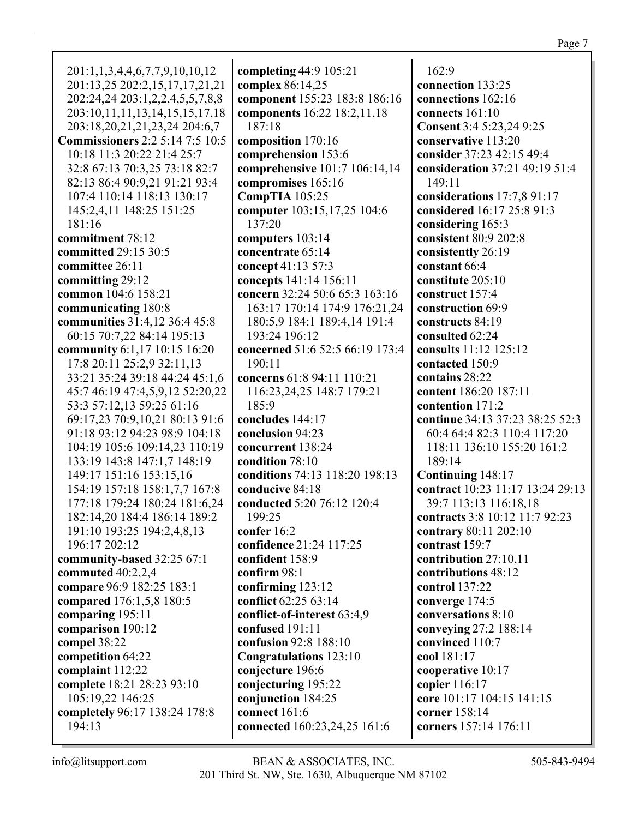201:1,1,3,4,4,6,7,7,9,10,10,12 201:13,25 202:2,15,17,17,21,21 202:24,24 203:1,2,2,4,5,5,7,8,8 203:10,11,11,13,14,15,15,17,18 203:18,20,21,21,23,24 204:6,7 **Commissioners** 2:2 5:14 7:5 10:5 10:18 11:3 20:22 21:4 25:7 32:8 67:13 70:3,25 73:18 82:7 82:13 86:4 90:9,21 91:21 93:4 107:4 110:14 118:13 130:17 145:2,4,11 148:25 151:25 181:16 **commitment** 78:12 **committed** 29:15 30:5 **committee** 26:11 **committing** 29:12 **common** 104:6 158:21 **communicating** 180:8 **communities** 31:4,12 36:4 45:8 60:15 70:7,22 84:14 195:13 **community** 6:1,17 10:15 16:20 17:8 20:11 25:2,9 32:11,13 33:21 35:24 39:18 44:24 45:1,6 45:7 46:19 47:4,5,9,12 52:20,22 53:3 57:12,13 59:25 61:16 69:17,23 70:9,10,21 80:13 91:6 91:18 93:12 94:23 98:9 104:18 104:19 105:6 109:14,23 110:19 133:19 143:8 147:1,7 148:19 149:17 151:16 153:15,16 154:19 157:18 158:1,7,7 167:8 177:18 179:24 180:24 181:6,24 182:14,20 184:4 186:14 189:2 191:10 193:25 194:2,4,8,13 196:17 202:12 **community-based** 32:25 67:1 **commuted** 40:2,2,4 **compare** 96:9 182:25 183:1 **compared** 176:1,5,8 180:5 **comparing** 195:11 **comparison** 190:12 **compel** 38:22 **competition** 64:22 **complaint** 112:22 **complete** 18:21 28:23 93:10 105:19,22 146:25 **completely** 96:17 138:24 178:8 194:13

**completing** 44:9 105:21 **complex** 86:14,25 **component** 155:23 183:8 186:16 **components** 16:22 18:2,11,18 187:18 **composition** 170:16 **comprehension** 153:6 **comprehensive** 101:7 106:14,14 **compromises** 165:16 **CompTIA** 105:25 **computer** 103:15,17,25 104:6 137:20 **computers** 103:14 **concentrate** 65:14 **concept** 41:13 57:3 **concepts** 141:14 156:11 **concern** 32:24 50:6 65:3 163:16 163:17 170:14 174:9 176:21,24 180:5,9 184:1 189:4,14 191:4 193:24 196:12 **concerned** 51:6 52:5 66:19 173:4 190:11 **concerns** 61:8 94:11 110:21 116:23,24,25 148:7 179:21 185:9 **concludes** 144:17 **conclusion** 94:23 **concurrent** 138:24 **condition** 78:10 **conditions** 74:13 118:20 198:13 **conducive** 84:18 **conducted** 5:20 76:12 120:4 199:25 **confer** 16:2 **confidence** 21:24 117:25 **confident** 158:9 **confirm** 98:1 **confirming** 123:12 **conflict** 62:25 63:14 **conflict-of-interest** 63:4,9 **confused** 191:11 **confusion** 92:8 188:10 **Congratulations** 123:10 **conjecture** 196:6 **conjecturing** 195:22 **conjunction** 184:25 **connect** 161:6 **connected** 160:23,24,25 161:6

162:9 **connection** 133:25 **connections** 162:16 **connects** 161:10 **Consent** 3:4 5:23,24 9:25 **conservative** 113:20 **consider** 37:23 42:15 49:4 **consideration** 37:21 49:19 51:4 149:11 **considerations** 17:7,8 91:17 **considered** 16:17 25:8 91:3 **considering** 165:3 **consistent** 80:9 202:8 **consistently** 26:19 **constant** 66:4 **constitute** 205:10 **construct** 157:4 **construction** 69:9 **constructs** 84:19 **consulted** 62:24 **consults** 11:12 125:12 **contacted** 150:9 **contains** 28:22 **content** 186:20 187:11 **contention** 171:2 **continue** 34:13 37:23 38:25 52:3 60:4 64:4 82:3 110:4 117:20 118:11 136:10 155:20 161:2 189:14 **Continuing** 148:17 **contract** 10:23 11:17 13:24 29:13 39:7 113:13 116:18,18 **contracts** 3:8 10:12 11:7 92:23 **contrary** 80:11 202:10 **contrast** 159:7 **contribution** 27:10,11 **contributions** 48:12 **control** 137:22 **converge** 174:5 **conversations** 8:10 **conveying** 27:2 188:14 **convinced** 110:7 **cool** 181:17 **cooperative** 10:17 **copier** 116:17 **core** 101:17 104:15 141:15 **corner** 158:14 **corners** 157:14 176:11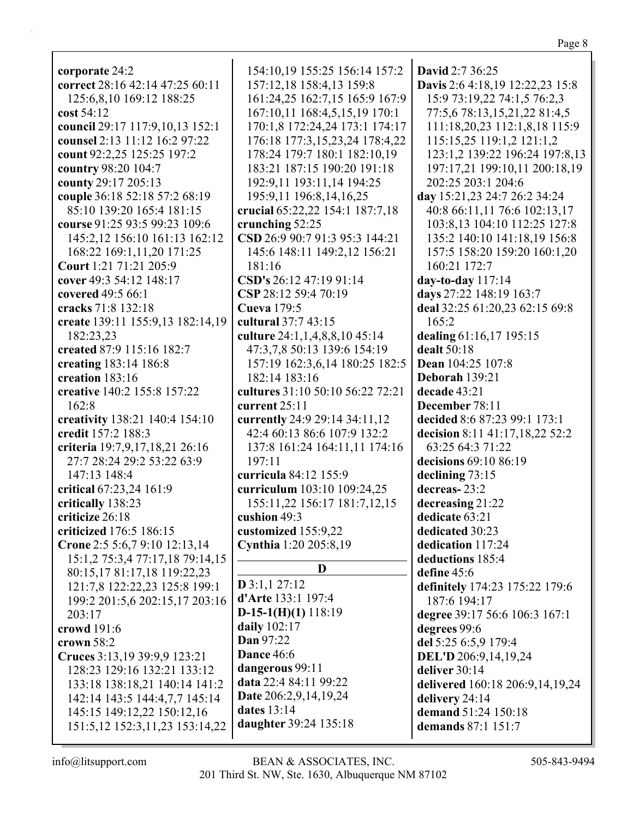| corporate 24:2                      | 154:10,19 155:25 156:14 157:2                     | <b>David</b> 2:7 36:25          |
|-------------------------------------|---------------------------------------------------|---------------------------------|
| correct 28:16 42:14 47:25 60:11     | 157:12,18 158:4,13 159:8                          | Davis 2:6 4:18,19 12:22,23 15:8 |
| 125:6,8,10 169:12 188:25            | 161:24,25 162:7,15 165:9 167:9                    | 15:9 73:19,22 74:1,5 76:2,3     |
| cost 54:12                          | 167:10,11 168:4,5,15,19 170:1                     | 77:5,6 78:13,15,21,22 81:4,5    |
| council 29:17 117:9,10,13 152:1     | 170:1,8 172:24,24 173:1 174:17                    | 111:18,20,23 112:1,8,18 115:9   |
| counsel 2:13 11:12 16:2 97:22       | 176:18 177:3,15,23,24 178:4,22                    | 115:15,25 119:1,2 121:1,2       |
| count 92:2,25 125:25 197:2          | 178:24 179:7 180:1 182:10,19                      | 123:1,2 139:22 196:24 197:8,13  |
| country 98:20 104:7                 | 183:21 187:15 190:20 191:18                       | 197:17,21 199:10,11 200:18,19   |
| county 29:17 205:13                 | 192:9,11 193:11,14 194:25                         | 202:25 203:1 204:6              |
| couple 36:18 52:18 57:2 68:19       | 195:9,11 196:8,14,16,25                           | day 15:21,23 24:7 26:2 34:24    |
| 85:10 139:20 165:4 181:15           | crucial 65:22,22 154:1 187:7,18                   | 40:8 66:11,11 76:6 102:13,17    |
| course 91:25 93:5 99:23 109:6       |                                                   | 103:8,13 104:10 112:25 127:8    |
|                                     | crunching 52:25<br>CSD 26:9 90:7 91:3 95:3 144:21 |                                 |
| 145:2,12 156:10 161:13 162:12       |                                                   | 135:2 140:10 141:18,19 156:8    |
| 168:22 169:1,11,20 171:25           | 145:6 148:11 149:2,12 156:21                      | 157:5 158:20 159:20 160:1,20    |
| Court 1:21 71:21 205:9              | 181:16                                            | 160:21 172:7                    |
| cover 49:3 54:12 148:17             | CSD's 26:12 47:19 91:14                           | day-to-day 117:14               |
| covered 49:5 66:1                   | CSP 28:12 59:4 70:19                              | days 27:22 148:19 163:7         |
| cracks 71:8 132:18                  | Cueva 179:5                                       | deal 32:25 61:20,23 62:15 69:8  |
| create 139:11 155:9,13 182:14,19    | cultural 37:7 43:15                               | 165:2                           |
| 182:23,23                           | culture 24:1,1,4,8,8,10 45:14                     | dealing 61:16,17 195:15         |
| created 87:9 115:16 182:7           | 47:3,7,8 50:13 139:6 154:19                       | dealt 50:18                     |
| creating 183:14 186:8               | 157:19 162:3,6,14 180:25 182:5                    | Dean 104:25 107:8               |
| creation 183:16                     | 182:14 183:16                                     | Deborah 139:21                  |
| creative 140:2 155:8 157:22         | cultures 31:10 50:10 56:22 72:21                  | decade 43:21                    |
| 162:8                               | current 25:11                                     | December 78:11                  |
| creativity 138:21 140:4 154:10      | currently 24:9 29:14 34:11,12                     | decided 8:6 87:23 99:1 173:1    |
| credit 157:2 188:3                  | 42:4 60:13 86:6 107:9 132:2                       | decision 8:11 41:17,18,22 52:2  |
| criteria 19:7,9,17,18,21 26:16      | 137:8 161:24 164:11,11 174:16                     | 63:25 64:3 71:22                |
| 27:7 28:24 29:2 53:22 63:9          | 197:11                                            | decisions 69:10 86:19           |
| 147:13 148:4                        | curricula 84:12 155:9                             | declining 73:15                 |
| critical 67:23,24 161:9             | curriculum 103:10 109:24,25                       | decreas-23:2                    |
| critically 138:23                   | 155:11,22 156:17 181:7,12,15                      | decreasing 21:22                |
| criticize 26:18                     | cushion 49:3                                      | dedicate 63:21                  |
| criticized 176:5 186:15             | customized 155:9,22                               | dedicated 30:23                 |
| Crone 2:5 5:6,7 9:10 12:13,14       | Cynthia 1:20 205:8,19                             | dedication 117:24               |
| 15:1,2 75:3,4 77:17,18 79:14,15     |                                                   | deductions 185:4                |
| 80:15,17 81:17,18 119:22,23         | D                                                 | define 45:6                     |
| 121:7,8 122:22,23 125:8 199:1       | $D$ 3:1,1 27:12                                   | definitely 174:23 175:22 179:6  |
| 199:2 201:5,6 202:15,17 203:16      | d'Arte 133:1 197:4                                | 187:6 194:17                    |
| 203:17                              | $D-15-1(H)(1) 118:19$                             | degree 39:17 56:6 106:3 167:1   |
| crowd 191:6                         | daily $102:17$                                    | degrees 99:6                    |
| crown $58:2$                        | Dan 97:22                                         | del 5:25 6:5,9 179:4            |
| Cruces 3:13,19 39:9,9 123:21        | Dance 46:6                                        | DEL'D 206:9,14,19,24            |
| 128:23 129:16 132:21 133:12         | dangerous 99:11                                   | deliver 30:14                   |
| 133:18 138:18,21 140:14 141:2       | data 22:4 84:11 99:22                             | delivered 160:18 206:9,14,19,24 |
| 142:14 143:5 144:4,7,7 145:14       | Date 206:2,9,14,19,24                             | delivery 24:14                  |
| 145:15 149:12,22 150:12,16          | dates 13:14                                       | demand 51:24 150:18             |
| 151:5, 12 152:3, 11, 23 153: 14, 22 | daughter 39:24 135:18                             | demands 87:1 151:7              |
|                                     |                                                   |                                 |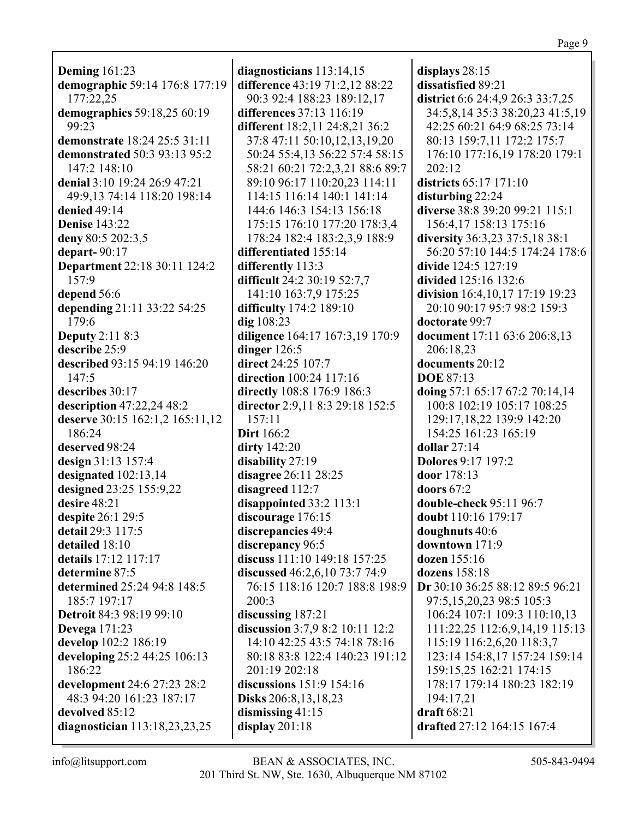**Deming** 161:23 **demographic** 59:14 176:8 177:19 177:22,25 **demographics** 59:18,25 60:19 99:23 **demonstrate** 18:24 25:5 31:11 **demonstrated** 50:3 93:13 95:2 147:2 148:10 **denial** 3:10 19:24 26:9 47:21 49:9,13 74:14 118:20 198:14 **denied** 49:14 **Denise** 143:22 **deny** 80:5 202:3,5 **depart-** 90:17 **Department** 22:18 30:11 124:2 157:9 **depend** 56:6 **depending** 21:11 33:22 54:25 179:6 **Deputy** 2:11 8:3 **describe** 25:9 **described** 93:15 94:19 146:20 147:5 **describes** 30:17 **description** 47:22,24 48:2 **deserve** 30:15 162:1,2 165:11,12 186:24 **deserved** 98:24 **design** 31:13 157:4 **designated** 102:13,14 **designed** 23:25 155:9,22 **desire** 48:21 **despite** 26:1 29:5 **detail** 29:3 117:5 **detailed** 18:10 **details** 17:12 117:17 **determine** 87:5 **determined** 25:24 94:8 148:5 185:7 197:17 **Detroit** 84:3 98:19 99:10 **Devega** 171:23 **develop** 102:2 186:19 **developing** 25:2 44:25 106:13 186:22 **development** 24:6 27:23 28:2 48:3 94:20 161:23 187:17 **devolved** 85:12 **diagnostician** 113:18,23,23,25

**diagnosticians** 113:14,15 **difference** 43:19 71:2,12 88:22 90:3 92:4 188:23 189:12,17 **differences** 37:13 116:19 **different** 18:2,11 24:8,21 36:2 37:8 47:11 50:10,12,13,19,20 50:24 55:4,13 56:22 57:4 58:15 58:21 60:21 72:2,3,21 88:6 89:7 89:10 96:17 110:20,23 114:11 114:15 116:14 140:1 141:14 144:6 146:3 154:13 156:18 175:15 176:10 177:20 178:3,4 178:24 182:4 183:2,3,9 188:9 **differentiated** 155:14 **differently** 113:3 **difficult** 24:2 30:19 52:7,7 141:10 163:7,9 175:25 **difficulty** 174:2 189:10 **dig** 108:23 **diligence** 164:17 167:3,19 170:9 **dinger** 126:5 **direct** 24:25 107:7 **direction** 100:24 117:16 **directly** 108:8 176:9 186:3 **director** 2:9,11 8:3 29:18 152:5 157:11 **Dirt** 166:2 **dirty** 142:20 **disability** 27:19 **disagree** 26:11 28:25 **disagreed** 112:7 **disappointed** 33:2 113:1 **discourage** 176:15 **discrepancies** 49:4 **discrepancy** 96:5 **discuss** 111:10 149:18 157:25 **discussed** 46:2,6,10 73:7 74:9 76:15 118:16 120:7 188:8 198:9 200:3 **discussing** 187:21 **discussion** 3:7,9 8:2 10:11 12:2 14:10 42:25 43:5 74:18 78:16 80:18 83:8 122:4 140:23 191:12 201:19 202:18 **discussions** 151:9 154:16 **Disks** 206:8,13,18,23 **dismissing** 41:15 **display** 201:18

**displays** 28:15 **dissatisfied** 89:21 **district** 6:6 24:4,9 26:3 33:7,25 34:5,8,14 35:3 38:20,23 41:5,19 42:25 60:21 64:9 68:25 73:14 80:13 159:7,11 172:2 175:7 176:10 177:16,19 178:20 179:1 202:12 **districts** 65:17 171:10 **disturbing** 22:24 **diverse** 38:8 39:20 99:21 115:1 156:4,17 158:13 175:16 **diversity** 36:3,23 37:5,18 38:1 56:20 57:10 144:5 174:24 178:6 **divide** 124:5 127:19 **divided** 125:16 132:6 **division** 16:4,10,17 17:19 19:23 20:10 90:17 95:7 98:2 159:3 **doctorate** 99:7 **document** 17:11 63:6 206:8,13 206:18,23 **documents** 20:12 **DOE** 87:13 **doing** 57:1 65:17 67:2 70:14,14 100:8 102:19 105:17 108:25 129:17,18,22 139:9 142:20 154:25 161:23 165:19 **dollar** 27:14 **Dolores** 9:17 197:2 **door** 178:13 **doors** 67:2 **double-check** 95:11 96:7 **doubt** 110:16 179:17 **doughnuts** 40:6 **downtown** 171:9 **dozen** 155:16 **dozens** 158:18 **Dr** 30:10 36:25 88:12 89:5 96:21 97:5,15,20,23 98:5 105:3 106:24 107:1 109:3 110:10,13 111:22,25 112:6,9,14,19 115:13 115:19 116:2,6,20 118:3,7 123:14 154:8,17 157:24 159:14 159:15,25 162:21 174:15 178:17 179:14 180:23 182:19 194:17,21 **draft** 68:21 **drafted** 27:12 164:15 167:4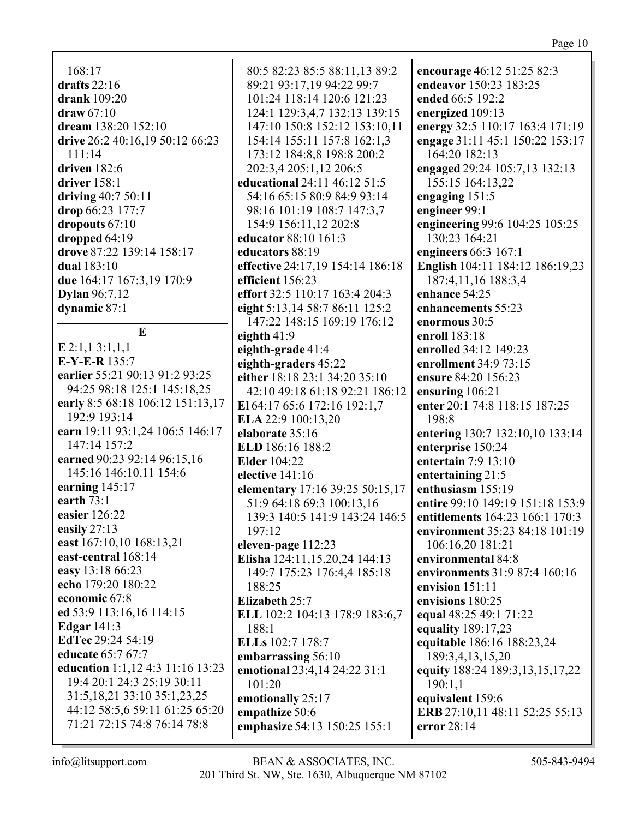$168:17$ drafts  $22:16$ drank  $109:20$  $$ dream 138:20 152:10 drive 26:2 40:16,19 50:12 66:23  $111:14$ driven  $182:6$ driver  $158:1$ driving  $40:750:11$ drop  $66:23$  177:7 dropouts  $67:10$ dropped 64:19 drove 87:22 139:14 158:17 **dual** 183:10 due 164:17 167:3,19 170:9 **Dylan** 96:7,12 dynamic 87:1

 $\mathbf{E}$  $E$  2:1.1 3:1.1.1  $E-Y-E-R$  135:7 earlier 55:21 90:13 91:2 93:25 94:25 98:18 125:1 145:18,25 early 8:5 68:18 106:12 151:13,17 192:9 193:14 earn 19:11 93:1,24 106:5 146:17 147:14 157:2 earned 90:23 92:14 96:15,16 145:16 146:10,11 154:6 earning  $145:17$ earth  $73:1$ easier  $126:22$ easily  $27:13$ east 167:10,10 168:13,21 east-central 168:14 easy 13:18 66:23 echo 179:20 180:22 economic 67:8 ed 53:9 113:16,16 114:15 **Edgar** 141:3 **EdTec** 29:24 54:19 educate 65:7 67:7 education 1:1,12 4:3 11:16 13:23 19:4 20:1 24:3 25:19 30:11 31:5, 18, 21 33:10 35:1, 23, 25 44:12 58:5,6 59:11 61:25 65:20 71:21 72:15 74:8 76:14 78:8

80:5 82:23 85:5 88:11,13 89:2 89:21 93:17,19 94:22 99:7 101:24 118:14 120:6 121:23 124:1 129:3,4,7 132:13 139:15 147:10 150:8 152:12 153:10.11 154:14 155:11 157:8 162:1,3 173:12 184:8.8 198:8 200:2 202:3.4 205:1.12 206:5 educational 24:11 46:12 51:5 54:16 65:15 80:9 84:9 93:14 98:16 101:19 108:7 147:3,7 154:9 156:11,12 202:8 educator 88:10 161:3 educators 88:19 effective 24:17,19 154:14 186:18 efficient 156:23 effort 32:5 110:17 163:4 204:3 eight 5:13,14 58:7 86:11 125:2 147:22 148:15 169:19 176:12 eighth  $41:9$ eighth-grade 41:4 eighth-graders 45:22 either 18:18 23:1 34:20 35:10 42:10 49:18 61:18 92:21 186:12 El 64:17 65:6 172:16 192:1.7 ELA 22:9 100:13,20 elaborate 35:16 ELD 186:16 188:2 **Elder** 104:22 elective  $141:16$ elementary 17:16 39:25 50:15,17 51:9 64:18 69:3 100:13,16 139:3 140:5 141:9 143:24 146:5  $197:12$ eleven-page 112:23 Elisha 124:11,15,20,24 144:13 149:7 175:23 176:4,4 185:18 188:25 Elizabeth 25:7 ELL 102:2 104:13 178:9 183:6,7  $188:1$ ELLs 102:7 178:7 embarrassing 56:10 emotional 23:4,14 24:22 31:1  $101:20$ emotionally 25:17 empathize 50:6 emphasize 54:13 150:25 155:1

encourage 46:12 51:25 82:3 endeavor 150:23 183:25 ended 66:5 192:2 energized 109:13 energy 32:5 110:17 163:4 171:19 engage 31:11 45:1 150:22 153:17 164:20 182:13 engaged 29:24 105:7,13 132:13 155:15 164:13,22 engaging  $151:5$ engineer 99:1 engineering 99:6 104:25 105:25 130:23 164:21 engineers  $66:3$  167:1 English 104:11 184:12 186:19,23 187:4.11.16 188:3.4 enhance 54:25 enhancements 55:23 enormous 30:5 enroll 183:18 enrolled 34:12 149:23 enrollment 34:9 73:15 ensure 84:20 156:23 ensuring 106:21 enter 20:1 74:8 118:15 187:25  $198:8$ entering 130:7 132:10,10 133:14 enterprise 150:24 entertain  $7:9$  13:10 entertaining  $21:5$ enthusiasm 155:19 entire 99:10 149:19 151:18 153:9 entitlements 164:23 166:1 170:3 environment 35:23 84:18 101:19 106:16,20 181:21 environmental 84:8 environments 31:9 87:4 160:16 envision  $151:11$ envisions 180:25 equal 48:25 49:1 71:22 equality 189:17,23 equitable 186:16 188:23,24 189:3.4.13.15.20 equity 188:24 189:3,13,15,17,22 190:1.1 equivalent 159:6 ERB 27:10,11 48:11 52:25 55:13 error 28:14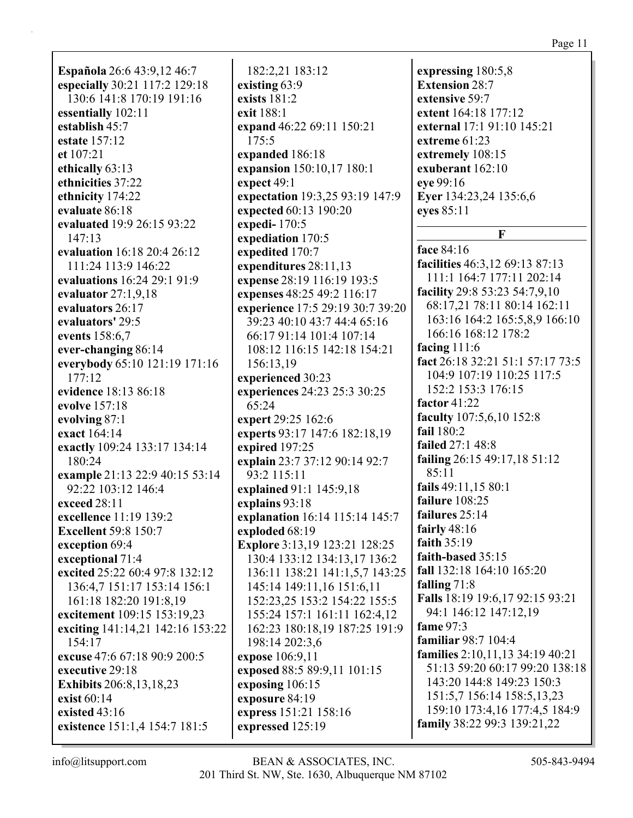**Española** 26:6 43:9,12 46:7 especially 30:21 117:2 129:18 130:6 141:8 170:19 191:16 essentially 102:11 establish 45:7 estate 157:12 et  $107:21$ ethically 63:13 ethnicities 37:22 ethnicity 174:22 evaluate 86:18 evaluated 19:9 26:15 93:22  $147:13$ evaluation 16:18 20:4 26:12 111:24 113:9 146:22 evaluations 16:24 29:1 91:9 evaluator  $27:1.9.18$ evaluators 26:17 evaluators' 29:5 events 158:6,7 ever-changing 86:14 everybody 65:10 121:19 171:16  $177:12$ evidence 18:13 86:18 evolve 157:18 evolving 87:1 exact 164:14 exactly 109:24 133:17 134:14 180:24 example 21:13 22:9 40:15 53:14 92:22 103:12 146:4 exceed 28:11 excellence 11:19 139:2 **Excellent 59:8 150:7** exception 69:4 exceptional 71:4 excited 25:22 60:4 97:8 132:12 136:4.7 151:17 153:14 156:1 161:18 182:20 191:8,19 excitement 109:15 153:19,23 exciting 141:14,21 142:16 153:22 154:17 excuse 47:6 67:18 90:9 200:5 executive 29:18 **Exhibits** 206:8,13,18,23 exist  $60:14$ existed  $43:16$ existence 151:1,4 154:7 181:5

182:2.21 183:12 existing 63:9 exists  $181:2$ exit 188:1 expand 46:22 69:11 150:21  $175:5$ expanded 186:18 expansion 150:10,17 180:1 expect 49:1 expectation 19:3,25 93:19 147:9 expected 60:13 190:20 expedi- $170:5$ expediation 170:5 expedited 170:7 expenditures  $28:11,13$ expense 28:19 116:19 193:5 expenses 48:25 49:2 116:17 experience 17:5 29:19 30:7 39:20 39:23 40:10 43:7 44:4 65:16 66:17 91:14 101:4 107:14 108:12 116:15 142:18 154:21 156:13,19 experienced 30:23 experiences 24:23 25:3 30:25  $65:24$ expert 29:25 162:6 experts 93:17 147:6 182:18,19 expired  $197:25$ explain 23:7 37:12 90:14 92:7 93:2 115:11 explained 91:1 145:9,18 explains 93:18 explanation 16:14 115:14 145:7 exploded 68:19 **Explore** 3:13,19 123:21 128:25 130:4 133:12 134:13.17 136:2 136:11 138:21 141:1,5,7 143:25 145:14 149:11,16 151:6,11 152:23,25 153:2 154:22 155:5 155:24 157:1 161:11 162:4.12 162:23 180:18,19 187:25 191:9 198:14 202:3,6 expose 106:9,11 exposed 88:5 89:9,11 101:15 exposing  $106:15$ exposure 84:19 express 151:21 158:16 expressed 125:19

expressing 180:5,8 **Extension 28:7** extensive 59:7 extent 164:18 177:12 external 17:1 91:10 145:21 extreme  $61:23$ extremely 108:15 exuberant 162:10 eye 99:16 Eyer 134:23,24 135:6,6 eyes 85:11

### $\mathbf{F}$

face 84:16 facilities 46:3.12 69:13 87:13 111:1 164:7 177:11 202:14 facility 29:8 53:23 54:7,9,10 68:17,21 78:11 80:14 162:11 163:16 164:2 165:5,8,9 166:10 166:16 168:12 178:2 facing  $111:6$ fact 26:18 32:21 51:1 57:17 73:5 104:9 107:19 110:25 117:5 152:2 153:3 176:15 factor  $41:22$ faculty 107:5,6,10 152:8 fail 180:2 **failed** 27:1 48:8 failing  $26:1549:17,1851:12$ 85:11 fails 49:11,15 80:1 failure 108:25 failures 25:14 fairly  $48:16$ faith  $35:19$ faith-based 35:15 fall 132:18 164:10 165:20 falling  $71:8$ Falls 18:19 19:6,17 92:15 93:21 94:1 146:12 147:12,19 fame 97:3 **familiar** 98:7 104:4 families 2:10,11,13 34:19 40:21 51:13 59:20 60:17 99:20 138:18 143:20 144:8 149:23 150:3 151:5,7 156:14 158:5,13,23 159:10 173:4,16 177:4,5 184:9 family 38:22 99:3 139:21,22

# $info@$ litsupport.com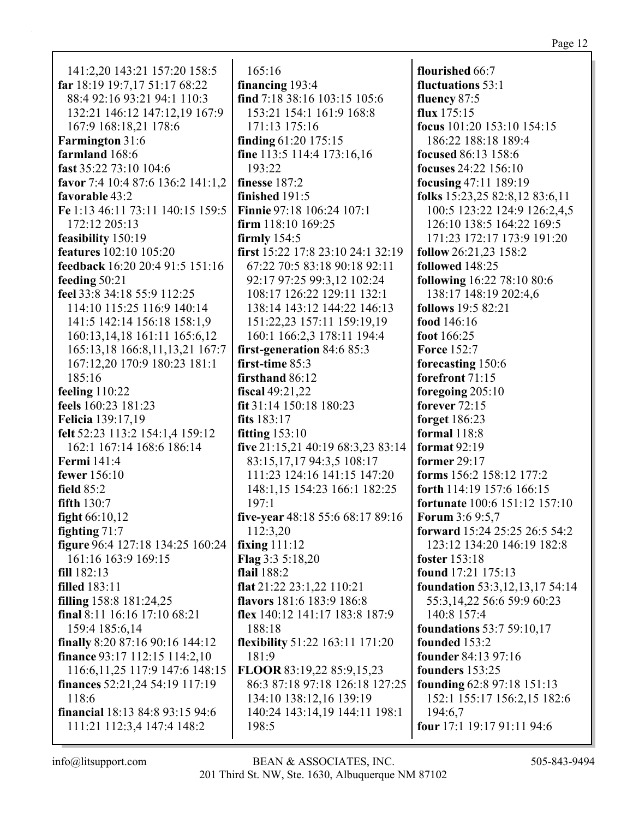141:2.20 143:21 157:20 158:5 far 18:19 19:7,17 51:17 68:22 88:4 92:16 93:21 94:1 110:3 132:21 146:12 147:12,19 167:9 167:9 168:18,21 178:6 **Farmington** 31:6 farmland 168:6 fast 35:22 73:10 104:6 favor 7:4 10:4 87:6 136:2 141:1,2 favorable 43:2 Fe 1:13 46:11 73:11 140:15 159:5 172:12 205:13 feasibility 150:19 **features** 102:10 105:20 feedback 16:20 20:4 91:5 151:16 feeding  $50:21$ feel 33:8 34:18 55:9 112:25 114:10 115:25 116:9 140:14 141:5 142:14 156:18 158:1,9 160:13,14,18 161:11 165:6,12 165:13,18 166:8,11,13,21 167:7 167:12,20 170:9 180:23 181:1 185:16 feeling  $110:22$ feels 160:23 181:23 **Felicia** 139:17.19 felt 52:23 113:2 154:1.4 159:12 162:1 167:14 168:6 186:14 **Fermi** 141:4 fewer  $156:10$ field 85:2 fifth  $130:7$ fight  $66:10,12$ fighting  $71:7$ figure 96:4 127:18 134:25 160:24 161:16 163:9 169:15  $fill 182:13$ **filled** 183:11 filling  $158:8$   $181:24,25$ final 8:11 16:16 17:10 68:21 159:4 185:6,14 finally 8:20 87:16 90:16 144:12 **finance** 93:17 112:15 114:2,10 116:6, 11, 25 117:9 147:6 148:15 **finances**  $52:21,24$   $54:19$   $117:19$ 118:6 **financial** 18:13 84:8 93:15 94:6 111:21 112:3,4 147:4 148:2

 $165:16$ financing 193:4 find 7:18 38:16 103:15 105:6 153:21 154:1 161:9 168:8 171:13 175:16 finding  $61:20$  175:15 fine 113:5 114:4 173:16,16 193:22 finesse  $187:2$ finished  $191:5$ Finnie 97:18 106:24 107:1 firm  $118:10169:25$ firmly  $154:5$ first 15:22 17:8 23:10 24:1 32:19 67:22 70:5 83:18 90:18 92:11 92:17 97:25 99:3.12 102:24 108:17 126:22 129:11 132:1 138:14 143:12 144:22 146:13 151:22,23 157:11 159:19,19 160:1 166:2,3 178:11 194:4 first-generation 84:6 85:3 first-time 85:3 firsthand  $86:12$ fiscal  $49:21,22$ fit 31:14 150:18 180:23 fits 183:17 fitting  $153:10$ five  $21:15,21$  40:19 68:3,23 83:14 83:15,17,17 94:3,5 108:17 111:23 124:16 141:15 147:20 148:1,15 154:23 166:1 182:25  $197:1$ five-year 48:18 55:6 68:17 89:16 112:3.20 fixing  $111:12$ Flag  $3:35:18,20$ flail 188:2 flat 21:22 23:1,22 110:21 flavors 181:6 183:9 186:8 flex 140:12 141:17 183:8 187:9 188:18 flexibility 51:22 163:11 171:20 181:9 FLOOR 83:19,22 85:9,15,23 86:3 87:18 97:18 126:18 127:25 134:10 138:12,16 139:19 140:24 143:14,19 144:11 198:1 198:5

flourished 66:7 fluctuations 53:1 fluency 87:5 flux  $175:15$ focus  $101:20$   $153:10$   $154:15$ 186:22 188:18 189:4 **focused** 86:13 158:6 **focuses** 24:22 156:10 focusing 47:11 189:19 folks  $15:23,2582:8,1283:6,11$ 100:5 123:22 124:9 126:2,4,5 126:10 138:5 164:22 169:5 171:23 172:17 173:9 191:20 follow  $26:21.23$  158:2 followed 148:25 following 16:22 78:10 80:6 138:17 148:19 202:4,6 **follows** 19:5 82:21 food  $146:16$ foot 166:25 **Force 152:7** forecasting 150:6 forefront  $71:15$ foregoing  $205:10$ forever  $72:15$ forget 186:23 formal  $118:8$ format  $92:19$ former 29:17 forms 156:2 158:12 177:2 forth 114:19 157:6 166:15 fortunate 100:6 151:12 157:10 Forum 3:6 9:5,7 forward 15:24 25:25 26:5 54:2 123:12 134:20 146:19 182:8 foster  $153:18$ **found** 17:21 175:13 **foundation** 53:3,12,13,17 54:14 55:3,14,22 56:6 59:9 60:23 140:8 157:4 **foundations** 53:7 59:10,17 founded 153:2 **founder** 84:13 97:16 founders 153:25 founding  $62:897:18151:13$ 152:1 155:17 156:2,15 182:6 194:6.7 four 17:1 19:17 91:11 94:6

 $info@$ litsupport.com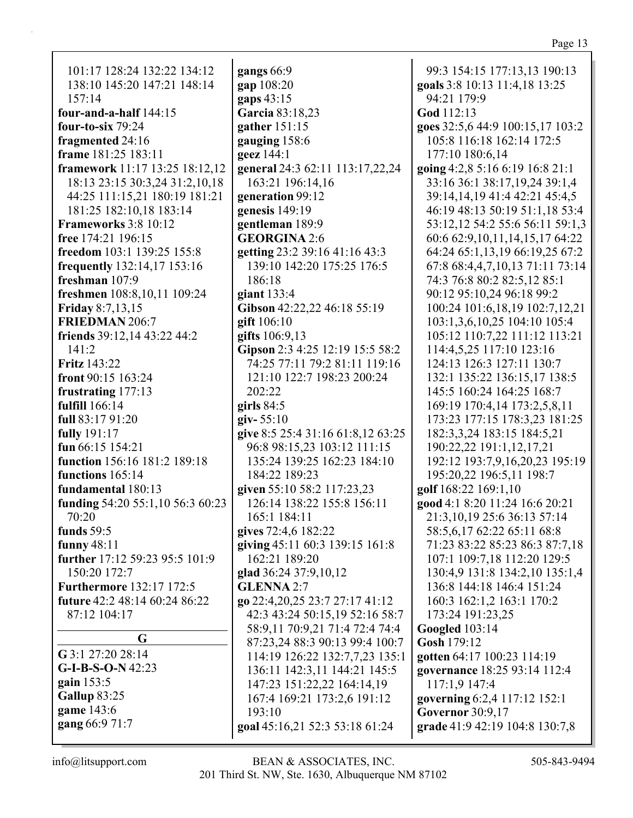| ٦. |  |
|----|--|
|    |  |

| 101:17 128:24 132:22 134:12      | gangs 66:9                                               | 99:3 154:15 177:13,13 190:13         |
|----------------------------------|----------------------------------------------------------|--------------------------------------|
| 138:10 145:20 147:21 148:14      | gap 108:20                                               | goals 3:8 10:13 11:4,18 13:25        |
| 157:14                           | gaps 43:15                                               | 94:21 179:9                          |
| four-and-a-half $144:15$         | Garcia 83:18,23                                          | God 112:13                           |
| four-to-six $79:24$              | gather 151:15                                            | goes 32:5,6 44:9 100:15,17 103:2     |
| fragmented 24:16                 | gauging 158:6                                            | 105:8 116:18 162:14 172:5            |
| frame 181:25 183:11              | geez 144:1                                               | 177:10 180:6,14                      |
| framework 11:17 13:25 18:12,12   | general 24:3 62:11 113:17,22,24                          | going 4:2,8 5:16 6:19 16:8 21:1      |
| 18:13 23:15 30:3,24 31:2,10,18   | 163:21 196:14,16                                         | 33:16 36:1 38:17,19,24 39:1,4        |
| 44:25 111:15,21 180:19 181:21    | generation 99:12                                         | 39:14,14,19 41:4 42:21 45:4,5        |
| 181:25 182:10,18 183:14          | genesis 149:19                                           | 46:19 48:13 50:19 51:1,18 53:4       |
| Frameworks 3:8 10:12             | gentleman 189:9                                          | 53:12,12 54:2 55:6 56:11 59:1,3      |
| free 174:21 196:15               | <b>GEORGINA 2:6</b>                                      | 60:6 62:9, 10, 11, 14, 15, 17 64: 22 |
| freedom 103:1 139:25 155:8       | getting 23:2 39:16 41:16 43:3                            | 64:24 65:1,13,19 66:19,25 67:2       |
| frequently 132:14,17 153:16      | 139:10 142:20 175:25 176:5                               | 67:8 68:4,4,7,10,13 71:11 73:14      |
| freshman 107:9                   | 186:18                                                   | 74:3 76:8 80:2 82:5,12 85:1          |
| freshmen 108:8,10,11 109:24      | giant $133:4$                                            | 90:12 95:10,24 96:18 99:2            |
| <b>Friday 8:7,13,15</b>          | Gibson 42:22,22 46:18 55:19                              | 100:24 101:6,18,19 102:7,12,21       |
| FRIEDMAN 206:7                   | gift $106:10$                                            | 103:1,3,6,10,25 104:10 105:4         |
| friends 39:12,14 43:22 44:2      | gifts 106:9,13                                           | 105:12 110:7,22 111:12 113:21        |
| 141:2                            | Gipson 2:3 4:25 12:19 15:5 58:2                          | 114:4,5,25 117:10 123:16             |
| <b>Fritz</b> 143:22              | 74:25 77:11 79:2 81:11 119:16                            | 124:13 126:3 127:11 130:7            |
| front 90:15 163:24               | 121:10 122:7 198:23 200:24                               | 132:1 135:22 136:15,17 138:5         |
| frustrating 177:13               | 202:22                                                   | 145:5 160:24 164:25 168:7            |
| fulfill 166:14                   | girls $84:5$                                             | 169:19 170:4,14 173:2,5,8,11         |
| full 83:17 91:20                 | $giv - 55:10$                                            | 173:23 177:15 178:3,23 181:25        |
| fully 191:17                     | give 8:5 25:4 31:16 61:8,12 63:25                        | 182:3,3,24 183:15 184:5,21           |
| fun 66:15 154:21                 | 96:8 98:15,23 103:12 111:15                              | 190:22,22 191:1,12,17,21             |
| function 156:16 181:2 189:18     | 135:24 139:25 162:23 184:10                              | 192:12 193:7,9,16,20,23 195:19       |
| functions 165:14                 | 184:22 189:23                                            | 195:20,22 196:5,11 198:7             |
| fundamental 180:13               |                                                          |                                      |
|                                  | given 55:10 58:2 117:23,23<br>126:14 138:22 155:8 156:11 | golf 168:22 169:1,10                 |
| funding 54:20 55:1,10 56:3 60:23 |                                                          | good 4:1 8:20 11:24 16:6 20:21       |
| 70:20                            | 165:1 184:11                                             | 21:3, 10, 19 25: 6 36: 13 57: 14     |
| funds $59:5$                     | gives 72:4,6 182:22                                      | 58:5,6,17 62:22 65:11 68:8           |
| funny $48:11$                    | giving 45:11 60:3 139:15 161:8                           | 71:23 83:22 85:23 86:3 87:7,18       |
| further 17:12 59:23 95:5 101:9   | 162:21 189:20                                            | 107:1 109:7,18 112:20 129:5          |
| 150:20 172:7                     | glad 36:24 37:9,10,12                                    | 130:4,9 131:8 134:2,10 135:1,4       |
| <b>Furthermore</b> 132:17 172:5  | <b>GLENNA 2:7</b>                                        | 136:8 144:18 146:4 151:24            |
| future 42:2 48:14 60:24 86:22    | go 22:4, 20, 25 23:7 27:17 41:12                         | 160:3 162:1,2 163:1 170:2            |
| 87:12 104:17                     | 42:3 43:24 50:15,19 52:16 58:7                           | 173:24 191:23,25                     |
| G                                | 58:9,11 70:9,21 71:4 72:4 74:4                           | <b>Googled</b> 103:14                |
| G 3:1 27:20 28:14                | 87:23,24 88:3 90:13 99:4 100:7                           | Gosh 179:12                          |
| $G-I-B-S-O-N$ 42:23              | 114:19 126:22 132:7,7,23 135:1                           | gotten 64:17 100:23 114:19           |
| gain $153:5$                     | 136:11 142:3,11 144:21 145:5                             | governance 18:25 93:14 112:4         |
|                                  | 147:23 151:22,22 164:14,19                               | 117:1,9 147:4                        |
| Gallup 83:25                     | 167:4 169:21 173:2,6 191:12                              | governing 6:2,4 117:12 152:1         |
| game 143:6                       | 193:10                                                   | <b>Governor</b> 30:9,17              |
| gang 66:9 71:7                   | goal 45:16,21 52:3 53:18 61:24                           | grade 41:9 42:19 104:8 130:7,8       |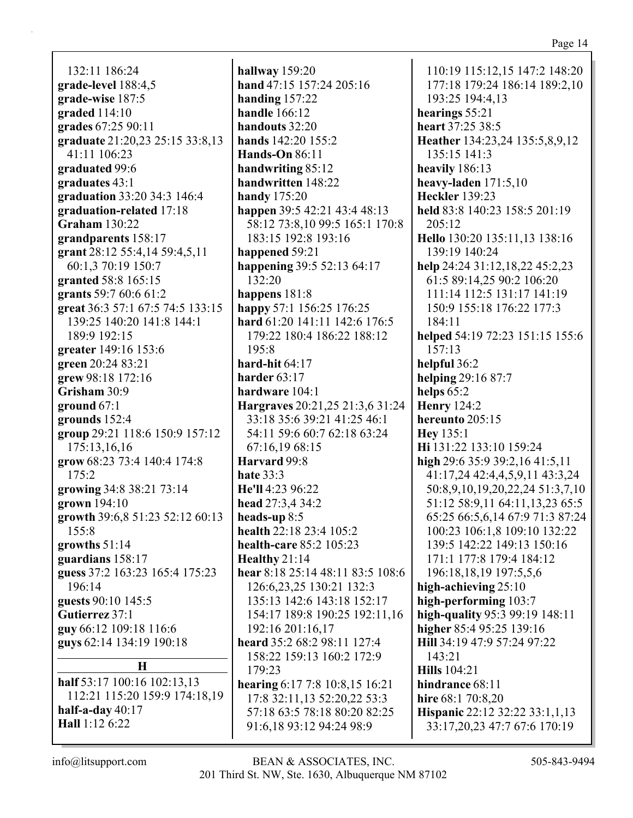132:11 186:24 **grade-level** 188:4,5 **grade-wise** 187:5 **graded** 114:10 **grades** 67:25 90:11 **graduate** 21:20,23 25:15 33:8,13 41:11 106:23 **graduated** 99:6 **graduates** 43:1 **graduation** 33:20 34:3 146:4 **graduation-related** 17:18 **Graham** 130:22 **grandparents** 158:17 **grant** 28:12 55:4,14 59:4,5,11 60:1,3 70:19 150:7 **granted** 58:8 165:15 **grants** 59:7 60:6 61:2 **great** 36:3 57:1 67:5 74:5 133:15 139:25 140:20 141:8 144:1 189:9 192:15 **greater** 149:16 153:6 **green** 20:24 83:21 **grew** 98:18 172:16 **Grisham** 30:9 **ground** 67:1 **grounds** 152:4 **group** 29:21 118:6 150:9 157:12 175:13,16,16 **grow** 68:23 73:4 140:4 174:8 175:2 **growing** 34:8 38:21 73:14 **grown** 194:10 **growth** 39:6,8 51:23 52:12 60:13 155:8 **growths** 51:14 **guardians** 158:17 **guess** 37:2 163:23 165:4 175:23 196:14 **guests** 90:10 145:5 **Gutierrez** 37:1 **guy** 66:12 109:18 116:6 **guys** 62:14 134:19 190:18 **H half** 53:17 100:16 102:13,13 112:21 115:20 159:9 174:18,19

**hallway** 159:20 **hand** 47:15 157:24 205:16 **handing** 157:22 **handle** 166:12 **handouts** 32:20 **hands** 142:20 155:2 **Hands-On** 86:11 **handwriting** 85:12 **handwritten** 148:22 **handy** 175:20 **happen** 39:5 42:21 43:4 48:13 58:12 73:8,10 99:5 165:1 170:8 183:15 192:8 193:16 **happened** 59:21 **happening** 39:5 52:13 64:17 132:20 **happens** 181:8 **happy** 57:1 156:25 176:25 **hard** 61:20 141:11 142:6 176:5 179:22 180:4 186:22 188:12 195:8 **hard-hit** 64:17 **harder** 63:17 **hardware** 104:1 **Hargraves** 20:21,25 21:3,6 31:24 33:18 35:6 39:21 41:25 46:1 54:11 59:6 60:7 62:18 63:24 67:16,19 68:15 **Harvard** 99:8 **hate** 33:3 **He'll** 4:23 96:22 **head** 27:3,4 34:2 **heads-up** 8:5 **health** 22:18 23:4 105:2 **health-care** 85:2 105:23 **Healthy** 21:14 **hear** 8:18 25:14 48:11 83:5 108:6 126:6,23,25 130:21 132:3 135:13 142:6 143:18 152:17 154:17 189:8 190:25 192:11,16 192:16 201:16,17 **heard** 35:2 68:2 98:11 127:4 158:22 159:13 160:2 172:9 179:23 **hearing** 6:17 7:8 10:8,15 16:21 17:8 32:11,13 52:20,22 53:3 57:18 63:5 78:18 80:20 82:25 91:6,18 93:12 94:24 98:9

110:19 115:12,15 147:2 148:20 177:18 179:24 186:14 189:2,10 193:25 194:4,13 **hearings** 55:21 **heart** 37:25 38:5 **Heather** 134:23,24 135:5,8,9,12 135:15 141:3 **heavily** 186:13 **heavy-laden** 171:5,10 **Heckler** 139:23 **held** 83:8 140:23 158:5 201:19 205:12 **Hello** 130:20 135:11,13 138:16 139:19 140:24 **help** 24:24 31:12,18,22 45:2,23 61:5 89:14,25 90:2 106:20 111:14 112:5 131:17 141:19 150:9 155:18 176:22 177:3 184:11 **helped** 54:19 72:23 151:15 155:6 157:13 **helpful** 36:2 **helping** 29:16 87:7 **helps** 65:2 **Henry** 124:2 **hereunto** 205:15 **Hey** 135:1 **Hi** 131:22 133:10 159:24 **high** 29:6 35:9 39:2,16 41:5,11 41:17,24 42:4,4,5,9,11 43:3,24 50:8,9,10,19,20,22,24 51:3,7,10 51:12 58:9,11 64:11,13,23 65:5 65:25 66:5,6,14 67:9 71:3 87:24 100:23 106:1,8 109:10 132:22 139:5 142:22 149:13 150:16 171:1 177:8 179:4 184:12 196:18,18,19 197:5,5,6 **high-achieving** 25:10 **high-performing** 103:7 **high-quality** 95:3 99:19 148:11 **higher** 85:4 95:25 139:16 **Hill** 34:19 47:9 57:24 97:22 143:21 **Hills** 104:21 **hindrance** 68:11 **hire** 68:1 70:8,20 **Hispanic** 22:12 32:22 33:1,1,13 33:17,20,23 47:7 67:6 170:19

**half-a-day** 40:17 **Hall** 1:12 6:22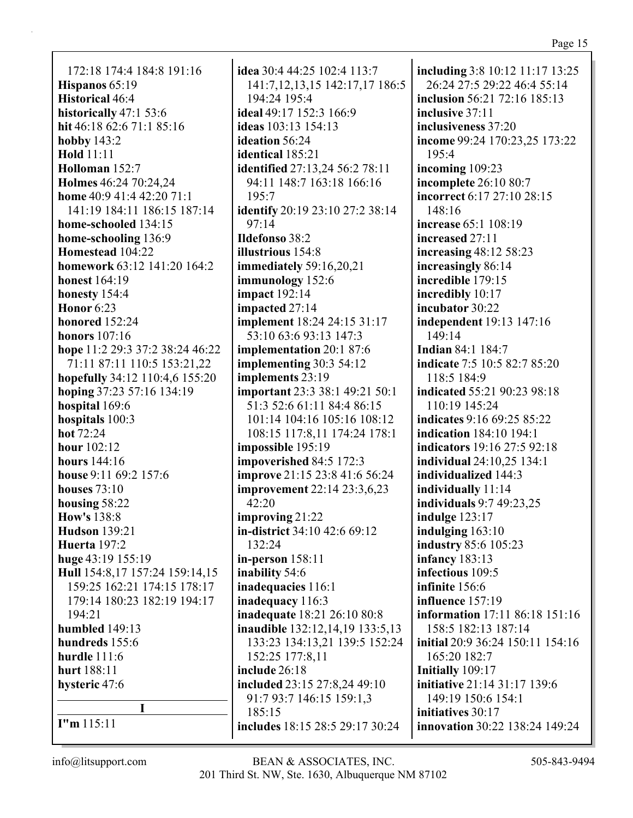172:18 174:4 184:8 191:16 **Hispanos** 65:19 **Historical** 46:4 **historically** 47:1 53:6 **hit** 46:18 62:6 71:1 85:16 **hobby** 143:2 **Hold** 11:11 **Holloman** 152:7 **Holmes** 46:24 70:24,24 **home** 40:9 41:4 42:20 71:1 141:19 184:11 186:15 187:14 **home-schooled** 134:15 **home-schooling** 136:9 **Homestead** 104:22 **homework** 63:12 141:20 164:2 **honest** 164:19 **honesty** 154:4 **Honor** 6:23 **honored** 152:24 **honors** 107:16 **hope** 11:2 29:3 37:2 38:24 46:22 71:11 87:11 110:5 153:21,22 **hopefully** 34:12 110:4,6 155:20 **hoping** 37:23 57:16 134:19 **hospital** 169:6 **hospitals** 100:3 **hot** 72:24 **hour** 102:12 **hours** 144:16 **house** 9:11 69:2 157:6 **houses** 73:10 **housing** 58:22 **How's** 138:8 **Hudson** 139:21 **Huerta** 197:2 **huge** 43:19 155:19 **Hull** 154:8,17 157:24 159:14,15 159:25 162:21 174:15 178:17 179:14 180:23 182:19 194:17 194:21 **humbled** 149:13 **hundreds** 155:6 **hurdle** 111:6 **hurt** 188:11 **hysteric** 47:6 **I I"m** 115:11

**idea** 30:4 44:25 102:4 113:7 141:7,12,13,15 142:17,17 186:5 194:24 195:4 **ideal** 49:17 152:3 166:9 **ideas** 103:13 154:13 **ideation** 56:24 **identical** 185:21 **identified** 27:13,24 56:2 78:11 94:11 148:7 163:18 166:16 195:7 **identify** 20:19 23:10 27:2 38:14 97:14 **Ildefonso** 38:2 **illustrious** 154:8 **immediately** 59:16,20,21 **immunology** 152:6 **impact** 192:14 **impacted** 27:14 **implement** 18:24 24:15 31:17 53:10 63:6 93:13 147:3 **implementation** 20:1 87:6 **implementing** 30:3 54:12 **implements** 23:19 **important** 23:3 38:1 49:21 50:1 51:3 52:6 61:11 84:4 86:15 101:14 104:16 105:16 108:12 108:15 117:8,11 174:24 178:1 **impossible** 195:19 **impoverished** 84:5 172:3 **improve** 21:15 23:8 41:6 56:24 **improvement** 22:14 23:3,6,23 42:20 **improving** 21:22 **in-district** 34:10 42:6 69:12 132:24 **in-person** 158:11 **inability** 54:6 **inadequacies** 116:1 **inadequacy** 116:3 **inadequate** 18:21 26:10 80:8 **inaudible** 132:12,14,19 133:5,13 133:23 134:13,21 139:5 152:24 152:25 177:8,11 **include** 26:18 **included** 23:15 27:8,24 49:10 91:7 93:7 146:15 159:1,3 185:15 **includes** 18:15 28:5 29:17 30:24

**including** 3:8 10:12 11:17 13:25 26:24 27:5 29:22 46:4 55:14 **inclusion** 56:21 72:16 185:13 **inclusive** 37:11 **inclusiveness** 37:20 **income** 99:24 170:23,25 173:22 195:4 **incoming** 109:23 **incomplete** 26:10 80:7 **incorrect** 6:17 27:10 28:15 148:16 **increase** 65:1 108:19 **increased** 27:11 **increasing** 48:12 58:23 **increasingly** 86:14 **incredible** 179:15 **incredibly** 10:17 **incubator** 30:22 **independent** 19:13 147:16 149:14 **Indian** 84:1 184:7 **indicate** 7:5 10:5 82:7 85:20 118:5 184:9 **indicated** 55:21 90:23 98:18 110:19 145:24 **indicates** 9:16 69:25 85:22 **indication** 184:10 194:1 **indicators** 19:16 27:5 92:18 **individual** 24:10,25 134:1 **individualized** 144:3 **individually** 11:14 **individuals** 9:7 49:23,25 **indulge** 123:17 **indulging** 163:10 **industry** 85:6 105:23 **infancy** 183:13 **infectious** 109:5 **infinite** 156:6 **influence** 157:19 **information** 17:11 86:18 151:16 158:5 182:13 187:14 **initial** 20:9 36:24 150:11 154:16 165:20 182:7 **Initially** 109:17 **initiative** 21:14 31:17 139:6 149:19 150:6 154:1 **initiatives** 30:17 **innovation** 30:22 138:24 149:24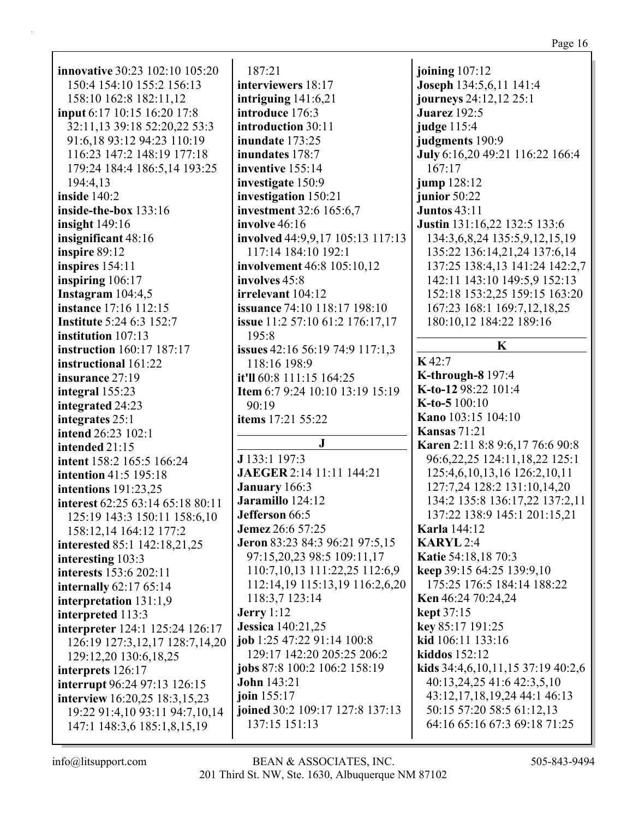|                                                  | joining 107:12                                                                                                                                                                                                                                                                                                                                                                                                                                                                              |
|--------------------------------------------------|---------------------------------------------------------------------------------------------------------------------------------------------------------------------------------------------------------------------------------------------------------------------------------------------------------------------------------------------------------------------------------------------------------------------------------------------------------------------------------------------|
|                                                  | Joseph 134:5,6,11 141:4                                                                                                                                                                                                                                                                                                                                                                                                                                                                     |
|                                                  | journeys 24:12,12 25:1                                                                                                                                                                                                                                                                                                                                                                                                                                                                      |
|                                                  | <b>Juarez</b> 192:5                                                                                                                                                                                                                                                                                                                                                                                                                                                                         |
|                                                  | judge 115:4                                                                                                                                                                                                                                                                                                                                                                                                                                                                                 |
|                                                  |                                                                                                                                                                                                                                                                                                                                                                                                                                                                                             |
|                                                  | judgments 190:9                                                                                                                                                                                                                                                                                                                                                                                                                                                                             |
|                                                  | July 6:16,20 49:21 116:22 166:4                                                                                                                                                                                                                                                                                                                                                                                                                                                             |
|                                                  | 167:17                                                                                                                                                                                                                                                                                                                                                                                                                                                                                      |
|                                                  | jump 128:12                                                                                                                                                                                                                                                                                                                                                                                                                                                                                 |
|                                                  | junior $50:22$                                                                                                                                                                                                                                                                                                                                                                                                                                                                              |
|                                                  | <b>Juntos 43:11</b>                                                                                                                                                                                                                                                                                                                                                                                                                                                                         |
|                                                  | Justin 131:16,22 132:5 133:6                                                                                                                                                                                                                                                                                                                                                                                                                                                                |
|                                                  | 134:3,6,8,24 135:5,9,12,15,19                                                                                                                                                                                                                                                                                                                                                                                                                                                               |
|                                                  | 135:22 136:14,21,24 137:6,14                                                                                                                                                                                                                                                                                                                                                                                                                                                                |
|                                                  | 137:25 138:4,13 141:24 142:2,7                                                                                                                                                                                                                                                                                                                                                                                                                                                              |
|                                                  | 142:11 143:10 149:5,9 152:13                                                                                                                                                                                                                                                                                                                                                                                                                                                                |
|                                                  | 152:18 153:2,25 159:15 163:20                                                                                                                                                                                                                                                                                                                                                                                                                                                               |
| <b>issuance</b> 74:10 118:17 198:10              | 167:23 168:1 169:7,12,18,25                                                                                                                                                                                                                                                                                                                                                                                                                                                                 |
| issue 11:2 57:10 61:2 176:17,17                  | 180:10,12 184:22 189:16                                                                                                                                                                                                                                                                                                                                                                                                                                                                     |
| 195:8                                            |                                                                                                                                                                                                                                                                                                                                                                                                                                                                                             |
| <b>issues</b> 42:16 56:19 74:9 117:1,3           | K                                                                                                                                                                                                                                                                                                                                                                                                                                                                                           |
| 118:16 198:9                                     | K42:7                                                                                                                                                                                                                                                                                                                                                                                                                                                                                       |
| it'll 60:8 111:15 164:25                         | <b>K-through-8</b> 197:4                                                                                                                                                                                                                                                                                                                                                                                                                                                                    |
| <b>Item 6:7 9:24 10:10 13:19 15:19</b>           | K-to-12 98:22 101:4                                                                                                                                                                                                                                                                                                                                                                                                                                                                         |
| 90:19                                            | K-to-5 100:10                                                                                                                                                                                                                                                                                                                                                                                                                                                                               |
| items 17:21 55:22                                | Kano 103:15 104:10                                                                                                                                                                                                                                                                                                                                                                                                                                                                          |
|                                                  | <b>Kansas</b> 71:21                                                                                                                                                                                                                                                                                                                                                                                                                                                                         |
|                                                  | Karen 2:11 8:8 9:6,17 76:6 90:8                                                                                                                                                                                                                                                                                                                                                                                                                                                             |
| J 133:1 197:3                                    | 96:6,22,25 124:11,18,22 125:1                                                                                                                                                                                                                                                                                                                                                                                                                                                               |
| JAEGER 2:14 11:11 144:21                         | 125:4,6,10,13,16 126:2,10,11                                                                                                                                                                                                                                                                                                                                                                                                                                                                |
| January 166:3                                    | 127:7,24 128:2 131:10,14,20                                                                                                                                                                                                                                                                                                                                                                                                                                                                 |
| Jaramillo 124:12                                 | 134:2 135:8 136:17,22 137:2,11                                                                                                                                                                                                                                                                                                                                                                                                                                                              |
| <b>Jefferson</b> 66:5                            | 137:22 138:9 145:1 201:15,21                                                                                                                                                                                                                                                                                                                                                                                                                                                                |
|                                                  | <b>Karla</b> 144:12                                                                                                                                                                                                                                                                                                                                                                                                                                                                         |
|                                                  | <b>KARYL2:4</b>                                                                                                                                                                                                                                                                                                                                                                                                                                                                             |
|                                                  | Katie 54:18,18 70:3                                                                                                                                                                                                                                                                                                                                                                                                                                                                         |
|                                                  |                                                                                                                                                                                                                                                                                                                                                                                                                                                                                             |
|                                                  |                                                                                                                                                                                                                                                                                                                                                                                                                                                                                             |
| 110:7, 10, 13 111:22, 25 112:6, 9                | keep 39:15 64:25 139:9,10                                                                                                                                                                                                                                                                                                                                                                                                                                                                   |
| 112:14,19 115:13,19 116:2,6,20                   | 175:25 176:5 184:14 188:22                                                                                                                                                                                                                                                                                                                                                                                                                                                                  |
| 118:3,7 123:14                                   | <b>Ken</b> 46:24 70:24,24                                                                                                                                                                                                                                                                                                                                                                                                                                                                   |
| <b>Jerry</b> 1:12                                | <b>kept</b> 37:15                                                                                                                                                                                                                                                                                                                                                                                                                                                                           |
| <b>Jessica</b> 140:21,25                         | key 85:17 191:25                                                                                                                                                                                                                                                                                                                                                                                                                                                                            |
| job 1:25 47:22 91:14 100:8                       | kid 106:11 133:16                                                                                                                                                                                                                                                                                                                                                                                                                                                                           |
| 129:17 142:20 205:25 206:2                       | kiddos 152:12                                                                                                                                                                                                                                                                                                                                                                                                                                                                               |
| jobs 87:8 100:2 106:2 158:19                     | kids 34:4,6,10,11,15 37:19 40:2,6                                                                                                                                                                                                                                                                                                                                                                                                                                                           |
| <b>John</b> 143:21                               | 40:13,24,25 41:6 42:3,5,10                                                                                                                                                                                                                                                                                                                                                                                                                                                                  |
| join 155:17                                      | 43:12,17,18,19,24 44:1 46:13                                                                                                                                                                                                                                                                                                                                                                                                                                                                |
| joined 30:2 109:17 127:8 137:13<br>137:15 151:13 | 50:15 57:20 58:5 61:12,13<br>64:16 65:16 67:3 69:18 71:25                                                                                                                                                                                                                                                                                                                                                                                                                                   |
|                                                  | 187:21<br>interviewers 18:17<br>intriguing $141:6,21$<br>introduce 176:3<br>introduction 30:11<br>inundate 173:25<br>inundates 178:7<br>inventive 155:14<br>investigate 150:9<br>investigation 150:21<br>investment 32:6 165:6,7<br>involve 46:16<br>involved 44:9,9,17 105:13 117:13<br>117:14 184:10 192:1<br>involvement 46:8 105:10,12<br>involves 45:8<br>irrelevant 104:12<br>$\mathbf{J}$<br><b>Jemez</b> 26:6 57:25<br>Jeron 83:23 84:3 96:21 97:5,15<br>97:15,20,23 98:5 109:11,17 |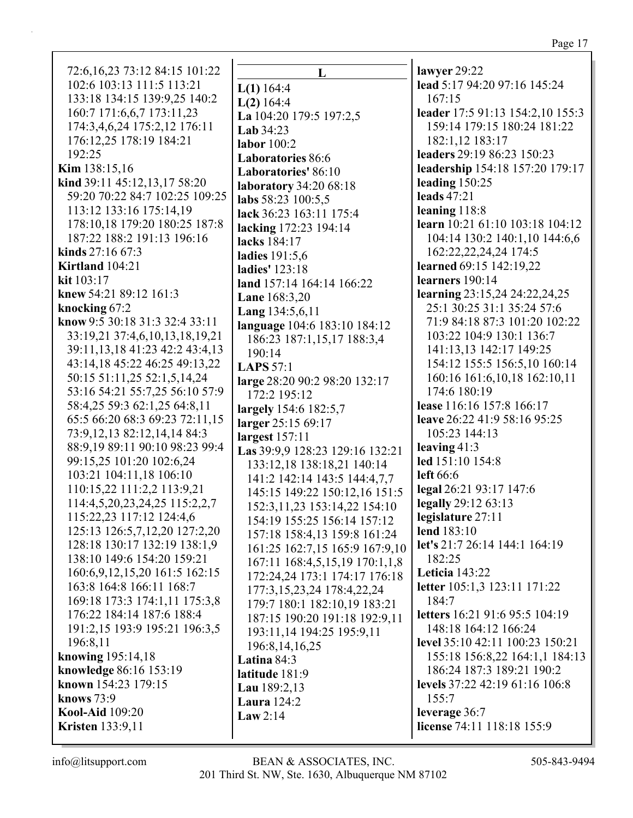72:6,16,23 73:12 84:15 101:22 L 102:6 103:13 111:5 113:21  $L(1)$  164:4 133:18 134:15 139:9,25 140:2  $L(2)$  164:4 160:7 171:6,6,7 173:11,23 La 104:20 179:5 197:2,5 174:3,4,6,24 175:2,12 176:11 Lab  $34:23$ 176:12,25 178:19 184:21 labor  $100:2$ 192:25 **Laboratories** 86:6 **Kim** 138:15.16 Laboratories' 86:10 kind 39:11 45:12,13,17 58:20 **laboratory** 34:20 68:18 59:20 70:22 84:7 102:25 109:25 labs 58:23 100:5.5 113:12 133:16 175:14,19 lack 36:23 163:11 175:4 178:10,18 179:20 180:25 187:8 lacking 172:23 194:14 187:22 188:2 191:13 196:16 lacks 184:17 kinds  $27:1667:3$ ladies 191:5,6 Kirtland 104:21 **ladies'** 123:18  $kit 103:17$ land 157:14 164:14 166:22 knew 54:21 89:12 161:3 **Lane 168:3.20** knocking 67:2 Lang 134:5,6,11 know 9:5 30:18 31:3 32:4 33:11 language 104:6 183:10 184:12 33:19,21 37:4,6,10,13,18,19,21 186:23 187:1,15,17 188:3,4 39:11, 13, 18 41: 23 42: 2 43: 4, 13  $190:14$ 43:14,18 45:22 46:25 49:13,22 LAPS  $57:1$ 50:15 51:11,25 52:1,5,14,24 large 28:20 90:2 98:20 132:17 53:16 54:21 55:7,25 56:10 57:9 172:2 195:12 58:4,25 59:3 62:1,25 64:8,11 largely 154:6 182:5,7 65:5 66:20 68:3 69:23 72:11,15 larger 25:15 69:17 73:9,12,13 82:12,14,14 84:3 largest 157:11 88:9,19 89:11 90:10 98:23 99:4 Las 39:9.9 128:23 129:16 132:21 99:15,25 101:20 102:6,24 133:12,18 138:18,21 140:14 103:21 104:11,18 106:10 141:2 142:14 143:5 144:4,7,7 110:15,22 111:2,2 113:9,21 145:15 149:22 150:12,16 151:5 114:4,5,20,23,24,25 115:2,2,7 152:3, 11, 23 153: 14, 22 154: 10 115:22,23 117:12 124:4,6 154:19 155:25 156:14 157:12 125:13 126:5,7,12,20 127:2,20 157:18 158:4,13 159:8 161:24 128:18 130:17 132:19 138:1,9 161:25 162:7,15 165:9 167:9,10 138:10 149:6 154:20 159:21 167:11 168:4,5,15,19 170:1,1,8 160:6,9,12,15,20 161:5 162:15 172:24,24 173:1 174:17 176:18 163:8 164:8 166:11 168:7 177:3,15,23,24 178:4,22,24 169:18 173:3 174:1,11 175:3,8 179:7 180:1 182:10,19 183:21 176:22 184:14 187:6 188:4 187:15 190:20 191:18 192:9,11 191:2,15 193:9 195:21 196:3,5 193:11,14 194:25 195:9,11 196:8,11 196:8, 14, 16, 25 knowing  $195:14.18$ Latina  $84:3$ knowledge 86:16 153:19 latitude 181:9 known 154:23 179:15 Lau 189:2,13 **knows** 73:9 **Laura** 124:2 **Kool-Aid** 109:20 Law  $2:14$ **Kristen** 133:9,11

lawyer 29:22 lead 5:17 94:20 97:16 145:24  $167:15$ leader 17:5 91:13 154:2,10 155:3 159:14 179:15 180:24 181:22 182:1.12 183:17 leaders 29:19 86:23 150:23 leadership 154:18 157:20 179:17 leading  $150:25$ leads  $47:21$ leaning  $118:8$ learn 10:21 61:10 103:18 104:12 104:14 130:2 140:1,10 144:6,6 162:22,22,24,24 174:5 learned 69:15 142:19,22  $learners$  190:14 **learning** 23:15,24 24:22,24,25 25:1 30:25 31:1 35:24 57:6 71:9 84:18 87:3 101:20 102:22 103:22 104:9 130:1 136:7 141:13,13 142:17 149:25 154:12 155:5 156:5,10 160:14 160:16 161:6,10,18 162:10,11 174:6 180:19 lease 116:16 157:8 166:17 leave 26:22 41:9 58:16 95:25 105:23 144:13 leaving  $41:3$ led 151:10 154:8 left  $66:6$ legal 26:21 93:17 147:6 legally  $29:12\,63:13$ legislature 27:11 lend  $183:10$ let's 21:7 26:14 144:1 164:19  $182:25$ **Leticia** 143:22 letter 105:1,3 123:11 171:22  $184:7$ letters 16:21 91:6 95:5 104:19 148:18 164:12 166:24 level 35:10 42:11 100:23 150:21 155:18 156:8.22 164:1.1 184:13 186:24 187:3 189:21 190:2 levels  $37:22$  42:19 61:16 106:8  $155:7$ leverage 36:7 license 74:11 118:18 155:9

# $info@$ litsupport.com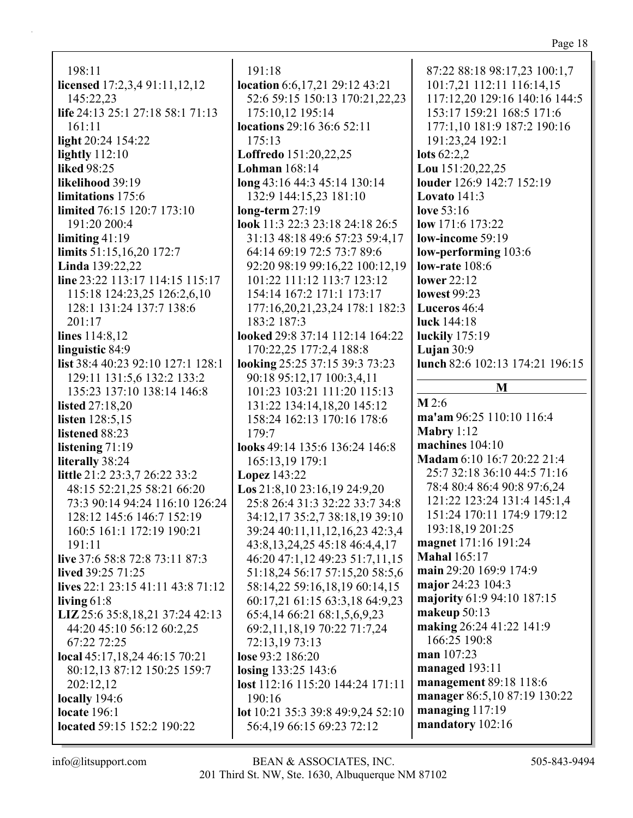198:11 **licensed** 17:2,3,4 91:11,12,12 145:22,23 **life** 24:13 25:1 27:18 58:1 71:13 161:11 **light** 20:24 154:22 **lightly** 112:10 **liked** 98:25 **likelihood** 39:19 **limitations** 175:6 **limited** 76:15 120:7 173:10 191:20 200:4 **limiting** 41:19 **limits** 51:15,16,20 172:7 **Linda** 139:22,22 **line** 23:22 113:17 114:15 115:17 115:18 124:23,25 126:2,6,10 128:1 131:24 137:7 138:6 201:17 **lines** 114:8,12 **linguistic** 84:9 **list** 38:4 40:23 92:10 127:1 128:1 129:11 131:5,6 132:2 133:2 135:23 137:10 138:14 146:8 **listed** 27:18,20 **listen** 128:5,15 **listened** 88:23 **listening** 71:19 **literally** 38:24 **little** 21:2 23:3,7 26:22 33:2 48:15 52:21,25 58:21 66:20 73:3 90:14 94:24 116:10 126:24 128:12 145:6 146:7 152:19 160:5 161:1 172:19 190:21 191:11 **live** 37:6 58:8 72:8 73:11 87:3 **lived** 39:25 71:25 **lives** 22:1 23:15 41:11 43:8 71:12 **living** 61:8 **LIZ** 25:6 35:8,18,21 37:24 42:13 44:20 45:10 56:12 60:2,25 67:22 72:25 **local** 45:17,18,24 46:15 70:21 80:12,13 87:12 150:25 159:7 202:12,12 **locally** 194:6

191:18 **location** 6:6,17,21 29:12 43:21 52:6 59:15 150:13 170:21,22,23 175:10,12 195:14 **locations** 29:16 36:6 52:11 175:13 **Loffredo** 151:20,22,25 **Lohman** 168:14 **long** 43:16 44:3 45:14 130:14 132:9 144:15,23 181:10 **long-term** 27:19 **look** 11:3 22:3 23:18 24:18 26:5 31:13 48:18 49:6 57:23 59:4,17 64:14 69:19 72:5 73:7 89:6 92:20 98:19 99:16,22 100:12,19 101:22 111:12 113:7 123:12 154:14 167:2 171:1 173:17 177:16,20,21,23,24 178:1 182:3 183:2 187:3 **looked** 29:8 37:14 112:14 164:22 170:22,25 177:2,4 188:8 **looking** 25:25 37:15 39:3 73:23 90:18 95:12,17 100:3,4,11 101:23 103:21 111:20 115:13 131:22 134:14,18,20 145:12 158:24 162:13 170:16 178:6 179:7 **looks** 49:14 135:6 136:24 146:8 165:13,19 179:1 **Lopez** 143:22 **Los** 21:8,10 23:16,19 24:9,20 25:8 26:4 31:3 32:22 33:7 34:8 34:12,17 35:2,7 38:18,19 39:10 39:24 40:11,11,12,16,23 42:3,4 43:8,13,24,25 45:18 46:4,4,17 46:20 47:1,12 49:23 51:7,11,15 51:18,24 56:17 57:15,20 58:5,6 58:14,22 59:16,18,19 60:14,15 60:17,21 61:15 63:3,18 64:9,23 65:4,14 66:21 68:1,5,6,9,23 69:2,11,18,19 70:22 71:7,24 72:13,19 73:13 **lose** 93:2 186:20 **losing** 133:25 143:6 **lost** 112:16 115:20 144:24 171:11 190:16 **lot** 10:21 35:3 39:8 49:9,24 52:10 56:4,19 66:15 69:23 72:12

87:22 88:18 98:17,23 100:1,7 101:7,21 112:11 116:14,15 117:12,20 129:16 140:16 144:5 153:17 159:21 168:5 171:6 177:1,10 181:9 187:2 190:16 191:23,24 192:1 **lots** 62:2,2 **Lou** 151:20,22,25 **louder** 126:9 142:7 152:19 **Lovato** 141:3 **love** 53:16 **low** 171:6 173:22 **low-income** 59:19 **low-performing** 103:6 **low-rate** 108:6 **lower** 22:12 **lowest** 99:23 **Luceros** 46:4 **luck** 144:18 **luckily** 175:19 **Lujan** 30:9 **lunch** 82:6 102:13 174:21 196:15 **M**

**M** 2:6 **ma'am** 96:25 110:10 116:4 **Mabry** 1:12 **machines** 104:10 **Madam** 6:10 16:7 20:22 21:4 25:7 32:18 36:10 44:5 71:16 78:4 80:4 86:4 90:8 97:6,24 121:22 123:24 131:4 145:1,4 151:24 170:11 174:9 179:12 193:18,19 201:25 **magnet** 171:16 191:24 **Mahal** 165:17 **main** 29:20 169:9 174:9 **major** 24:23 104:3 **majority** 61:9 94:10 187:15 **makeup** 50:13 **making** 26:24 41:22 141:9 166:25 190:8 **man** 107:23 **managed** 193:11 **management** 89:18 118:6 **manager** 86:5,10 87:19 130:22 **managing** 117:19 **mandatory** 102:16

**located** 59:15 152:2 190:22

**locate** 196:1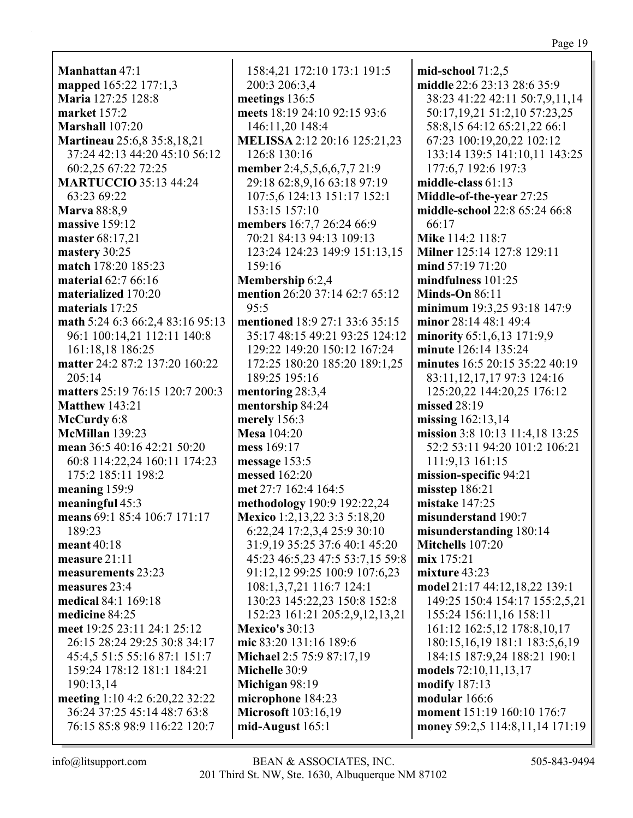**Manhattan** 47:1 **mapped** 165:22 177:1,3 **Maria** 127:25 128:8 **market** 157:2 **Marshall** 107:20 **Martineau** 25:6,8 35:8,18,21 37:24 42:13 44:20 45:10 56:12 60:2,25 67:22 72:25 **MARTUCCIO** 35:13 44:24 63:23 69:22 **Marva** 88:8,9 **massive** 159:12 **master** 68:17,21 **mastery** 30:25 **match** 178:20 185:23 **material** 62:7 66:16 **materialized** 170:20 **materials** 17:25 **math** 5:24 6:3 66:2,4 83:16 95:13 96:1 100:14,21 112:11 140:8 161:18,18 186:25 **matter** 24:2 87:2 137:20 160:22 205:14 **matters** 25:19 76:15 120:7 200:3 **Matthew** 143:21 **McCurdy** 6:8 **McMillan** 139:23 **mean** 36:5 40:16 42:21 50:20 60:8 114:22,24 160:11 174:23 175:2 185:11 198:2 **meaning** 159:9 **meaningful** 45:3 **means** 69:1 85:4 106:7 171:17 189:23 **meant** 40:18 **measure** 21:11 **measurements** 23:23 **measures** 23:4 **medical** 84:1 169:18 **medicine** 84:25 **meet** 19:25 23:11 24:1 25:12 26:15 28:24 29:25 30:8 34:17 45:4,5 51:5 55:16 87:1 151:7 159:24 178:12 181:1 184:21 190:13,14 **meeting** 1:10 4:2 6:20,22 32:22 36:24 37:25 45:14 48:7 63:8 76:15 85:8 98:9 116:22 120:7

158:4,21 172:10 173:1 191:5 200:3 206:3,4 **meetings** 136:5 **meets** 18:19 24:10 92:15 93:6 146:11,20 148:4 **MELISSA** 2:12 20:16 125:21,23 126:8 130:16 **member** 2:4,5,5,6,6,7,7 21:9 29:18 62:8,9,16 63:18 97:19 107:5,6 124:13 151:17 152:1 153:15 157:10 **members** 16:7,7 26:24 66:9 70:21 84:13 94:13 109:13 123:24 124:23 149:9 151:13,15 159:16 **Membership** 6:2,4 **mention** 26:20 37:14 62:7 65:12 95:5 **mentioned** 18:9 27:1 33:6 35:15 35:17 48:15 49:21 93:25 124:12 129:22 149:20 150:12 167:24 172:25 180:20 185:20 189:1,25 189:25 195:16 **mentoring** 28:3,4 **mentorship** 84:24 **merely** 156:3 **Mesa** 104:20 **mess** 169:17 **message** 153:5 **messed** 162:20 **met** 27:7 162:4 164:5 **methodology** 190:9 192:22,24 **Mexico** 1:2,13,22 3:3 5:18,20 6:22,24 17:2,3,4 25:9 30:10 31:9,19 35:25 37:6 40:1 45:20 45:23 46:5,23 47:5 53:7,15 59:8 91:12,12 99:25 100:9 107:6,23 108:1,3,7,21 116:7 124:1 130:23 145:22,23 150:8 152:8 152:23 161:21 205:2,9,12,13,21 **Mexico's** 30:13 **mic** 83:20 131:16 189:6 **Michael** 2:5 75:9 87:17,19 **Michelle** 30:9 **Michigan** 98:19 **microphone** 184:23 **Microsoft** 103:16,19 **mid-August** 165:1

**mid-school** 71:2,5 **middle** 22:6 23:13 28:6 35:9 38:23 41:22 42:11 50:7,9,11,14 50:17,19,21 51:2,10 57:23,25 58:8,15 64:12 65:21,22 66:1 67:23 100:19,20,22 102:12 133:14 139:5 141:10,11 143:25 177:6,7 192:6 197:3 **middle-class** 61:13 **Middle-of-the-year** 27:25 **middle-school** 22:8 65:24 66:8 66:17 **Mike** 114:2 118:7 **Milner** 125:14 127:8 129:11 **mind** 57:19 71:20 **mindfulness** 101:25 **Minds-On** 86:11 **minimum** 19:3,25 93:18 147:9 **minor** 28:14 48:1 49:4 **minority** 65:1,6,13 171:9,9 **minute** 126:14 135:24 **minutes** 16:5 20:15 35:22 40:19 83:11,12,17,17 97:3 124:16 125:20,22 144:20,25 176:12 **missed** 28:19 **missing** 162:13,14 **mission** 3:8 10:13 11:4,18 13:25 52:2 53:11 94:20 101:2 106:21 111:9,13 161:15 **mission-specific** 94:21 **misstep** 186:21 **mistake** 147:25 **misunderstand** 190:7 **misunderstanding** 180:14 **Mitchells** 107:20 **mix** 175:21 **mixture** 43:23 **model** 21:17 44:12,18,22 139:1 149:25 150:4 154:17 155:2,5,21 155:24 156:11,16 158:11 161:12 162:5,12 178:8,10,17 180:15,16,19 181:1 183:5,6,19 184:15 187:9,24 188:21 190:1 **models** 72:10,11,13,17 **modify** 187:13 **modular** 166:6 **moment** 151:19 160:10 176:7 **money** 59:2,5 114:8,11,14 171:19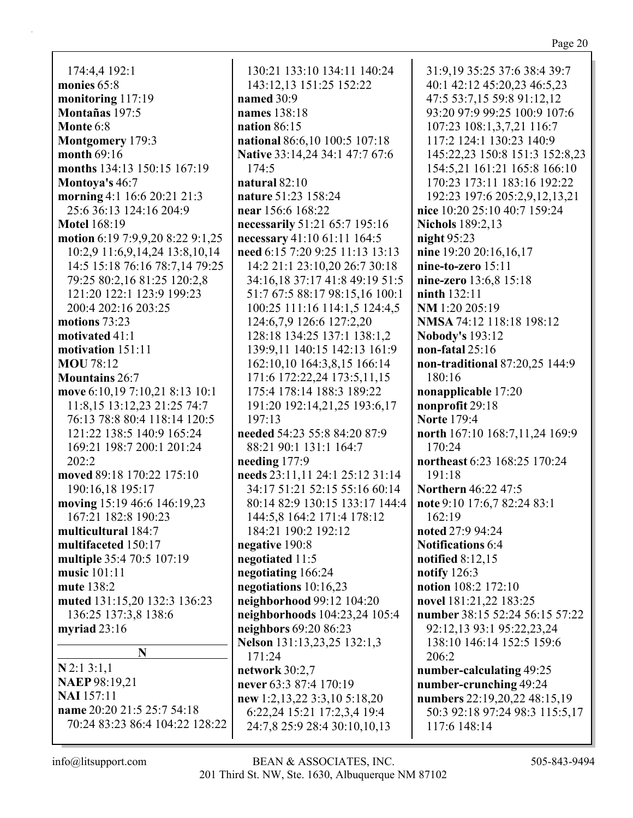174:4.4 192:1 monies  $65:8$ monitoring 117:19 Montañas 197:5 Monte 6:8 Montgomery 179:3 month  $69:16$ months 134:13 150:15 167:19 Montova's 46:7 morning 4:1 16:6 20:21 21:3 25:6 36:13 124:16 204:9 **Motel 168:19** motion 6:19 7:9,9,20 8:22 9:1,25 10:2,9 11:6,9,14,24 13:8,10,14 14:5 15:18 76:16 78:7,14 79:25 79:25 80:2.16 81:25 120:2.8 121:20 122:1 123:9 199:23 200:4 202:16 203:25 motions  $73:23$ motivated  $41:1$ motivation 151:11 **MOU** 78:12 **Mountains 26:7** move 6:10,19 7:10,21 8:13 10:1 11:8.15 13:12.23 21:25 74:7 76:13 78:8 80:4 118:14 120:5 121:22 138:5 140:9 165:24 169:21 198:7 200:1 201:24  $202:2$ moved 89:18 170:22 175:10 190:16,18 195:17 moving 15:19 46:6 146:19,23 167:21 182:8 190:23 multicultural 184:7 multifaceted 150:17 multiple 35:4 70:5 107:19 music  $101:11$ mute  $138:2$ muted 131:15,20 132:3 136:23 136:25 137:3,8 138:6 myriad  $23:16$ N  $N$  2:1 3:1,1 **NAEP 98:19,21** 

**NAI** 157:11 name 20:20 21:5 25:7 54:18 70:24 83:23 86:4 104:22 128:22

130:21 133:10 134:11 140:24 143:12,13 151:25 152:22 named  $30:9$ names 138:18 nation  $86:15$ national 86:6,10 100:5 107:18 Native 33:14,24 34:1 47:7 67:6  $174:5$ natural  $82:10$ nature 51:23 158:24 near 156:6 168:22 necessarily 51:21 65:7 195:16 necessary 41:10 61:11 164:5 need 6:15 7:20 9:25 11:13 13:13 14:2 21:1 23:10,20 26:7 30:18 34:16.18 37:17 41:8 49:19 51:5 51:7 67:5 88:17 98:15,16 100:1 100:25 111:16 114:1.5 124:4.5 124:6,7,9 126:6 127:2,20 128:18 134:25 137:1 138:1,2 139:9,11 140:15 142:13 161:9 162:10,10 164:3,8,15 166:14 171:6 172:22,24 173:5,11,15 175:4 178:14 188:3 189:22 191:20 192:14,21,25 193:6,17  $197:13$ needed 54:23 55:8 84:20 87:9 88:21 90:1 131:1 164:7 needing  $177:9$ needs 23:11,11 24:1 25:12 31:14 34:17 51:21 52:15 55:16 60:14 80:14 82:9 130:15 133:17 144:4 144:5,8 164:2 171:4 178:12 184:21 190:2 192:12 negative 190:8 negotiated 11:5 negotiating 166:24 negotiations  $10:16,23$ neighborhood 99:12 104:20 neighborhoods 104:23,24 105:4 neighbors 69:20 86:23 Nelson 131:13,23,25 132:1,3 171:24 network 30:2,7 never 63:3 87:4 170:19 new 1:2,13,22 3:3,10 5:18,20 6:22,24 15:21 17:2,3,4 19:4 24:7,8 25:9 28:4 30:10,10,13

31:9,19 35:25 37:6 38:4 39:7 40:1 42:12 45:20,23 46:5,23 47:5 53:7,15 59:8 91:12,12 93:20 97:9 99:25 100:9 107:6 107:23 108:1,3,7,21 116:7 117:2 124:1 130:23 140:9 145:22,23 150:8 151:3 152:8,23 154:5.21 161:21 165:8 166:10 170:23 173:11 183:16 192:22 192:23 197:6 205:2,9,12,13,21 nice 10:20 25:10 40:7 159:24 **Nichols** 189:2.13 night  $95:23$ nine 19:20 20:16,16,17 nine-to-zero 15:11 nine-zero 13:6.8 15:18  $n <sub>in</sub> th <sub>132:11</sub>$ NM 1:20 205:19 NMSA 74:12 118:18 198:12 **Nobody's 193:12** non-fatal 25:16 non-traditional 87:20,25 144:9  $180:16$ nonapplicable 17:20 nonprofit 29:18 **Norte** 179:4 north 167:10 168:7,11,24 169:9  $170:24$ northeast 6:23 168:25 170:24  $191:18$ Northern 46:22 47:5 note 9:10 17:6,7 82:24 83:1  $162:19$ noted 27:9 94:24 **Notifications 6:4** notified  $8:12,15$ notify  $126:3$ notion 108:2 172:10 novel 181:21,22 183:25 number 38:15 52:24 56:15 57:22 92:12,13 93:1 95:22,23,24 138:10 146:14 152:5 159:6  $206:2$ number-calculating 49:25 number-crunching 49:24 numbers 22:19,20,22 48:15,19 50:3 92:18 97:24 98:3 115:5,17 117:6 148:14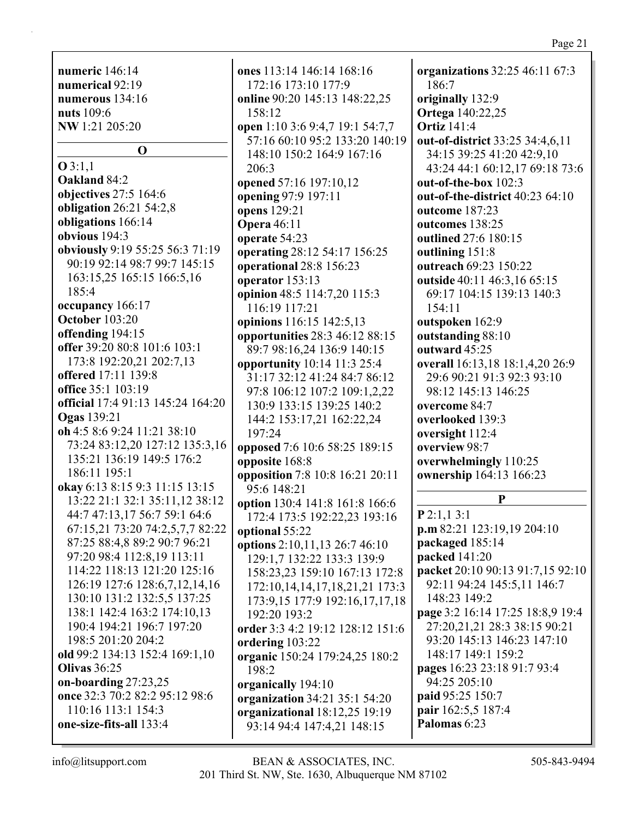numeric  $146:14$ numerical 92:19 numerous  $134:16$ **nuts** 109:6 NW 1:21 205:20

 $\Omega$ 

 $Q3:1.1$ **Oakland 84:2** objectives 27:5 164:6 obligation  $26:21\,54:2.8$ obligations 166:14 obvious  $194:3$ obviously 9:19 55:25 56:3 71:19 90:19 92:14 98:7 99:7 145:15 163:15,25 165:15 166:5,16  $185:4$ occupancy 166:17 **October 103:20** offending 194:15 offer 39:20 80:8 101:6 103:1 173:8 192:20,21 202:7,13 offered 17:11 139:8 office  $35:1103:19$ official 17:4 91:13 145:24 164:20 **Ogas** 139:21 oh 4:5 8:6 9:24 11:21 38:10 73:24 83:12,20 127:12 135:3,16 135:21 136:19 149:5 176:2 186:11 195:1 okay 6:13 8:15 9:3 11:15 13:15 13:22 21:1 32:1 35:11.12 38:12 44:7 47:13,17 56:7 59:1 64:6 67:15,21 73:20 74:2,5,7,7 82:22 87:25 88:4,8 89:2 90:7 96:21 97:20 98:4 112:8,19 113:11 114:22 118:13 121:20 125:16 126:19 127:6 128:6,7,12,14,16 130:10 131:2 132:5,5 137:25 138:1 142:4 163:2 174:10,13 190:4 194:21 196:7 197:20 198:5 201:20 204:2 old 99:2 134:13 152:4 169:1.10 Olivas  $36:25$ on-boarding  $27:23,25$ once 32:3 70:2 82:2 95:12 98:6 110:16 113:1 154:3 one-size-fits-all 133:4

ones 113:14 146:14 168:16 172:16 173:10 177:9 online 90:20 145:13 148:22.25 158:12 open 1:10 3:6 9:4,7 19:1 54:7,7 57:16 60:10 95:2 133:20 140:19 148:10 150:2 164:9 167:16  $206:3$ opened 57:16 197:10,12 opening 97:9 197:11 opens 129:21 **Opera** 46:11 operate 54:23 operating 28:12 54:17 156:25 operational 28:8 156:23 operator  $153:13$ opinion 48:5 114:7,20 115:3 116:19 117:21 opinions 116:15 142:5,13 opportunities 28:3 46:12 88:15 89:7 98:16,24 136:9 140:15 opportunity 10:14 11:3 25:4 31:17 32:12 41:24 84:7 86:12 97:8 106:12 107:2 109:1,2,22 130:9 133:15 139:25 140:2 144:2 153:17,21 162:22,24  $197:24$ opposed 7:6 10:6 58:25 189:15 opposite 168:8 opposition 7:8 10:8 16:21 20:11 95:6 148:21 option 130:4 141:8 161:8 166:6 172:4 173:5 192:22,23 193:16 optional 55:22 options 2:10,11,13 26:7 46:10 129:1.7 132:22 133:3 139:9 158:23,23 159:10 167:13 172:8 172:10, 14, 14, 17, 18, 21, 21, 173: 3 173:9,15 177:9 192:16,17,17,18 192:20 193:2 order 3:3 4:2 19:12 128:12 151:6 ordering 103:22 organic 150:24 179:24,25 180:2 198:2 organically 194:10 organization 34:21 35:1 54:20 organizational 18:12,25 19:19 93:14 94:4 147:4,21 148:15

organizations 32:25 46:11 67:3 186:7 originally 132:9 **Ortega** 140:22,25 **Ortiz** 141:4 out-of-district 33:25 34:4,6,11 34:15 39:25 41:20 42:9.10 43:24 44:1 60:12.17 69:18 73:6 out-of-the-box 102:3 out-of-the-district 40:23 64:10 outcome 187:23 outcomes 138:25 outlined 27:6 180:15 outlining 151:8 outreach 69:23 150:22 outside 40:11 46:3,16 65:15 69:17 104:15 139:13 140:3 154:11 outspoken 162:9 outstanding 88:10 outward 45:25 overall 16:13,18 18:1,4,20 26:9 29:6 90:21 91:3 92:3 93:10 98:12 145:13 146:25 overcome 84:7 overlooked 139:3 oversight 112:4 overview 98:7 overwhelmingly 110:25 ownership 164:13 166:23

# P

 $P$  2:1.1 3:1  $p.m 82:21 123:19,19 204:10$ packaged 185:14 packed 141:20 packet 20:10 90:13 91:7,15 92:10 92:11 94:24 145:5,11 146:7 148:23 149:2 page 3:2 16:14 17:25 18:8,9 19:4 27:20.21.21 28:3 38:15 90:21 93:20 145:13 146:23 147:10 148:17 149:1 159:2 pages 16:23 23:18 91:7 93:4 94:25 205:10 paid 95:25 150:7 pair 162:5,5 187:4 Palomas 6:23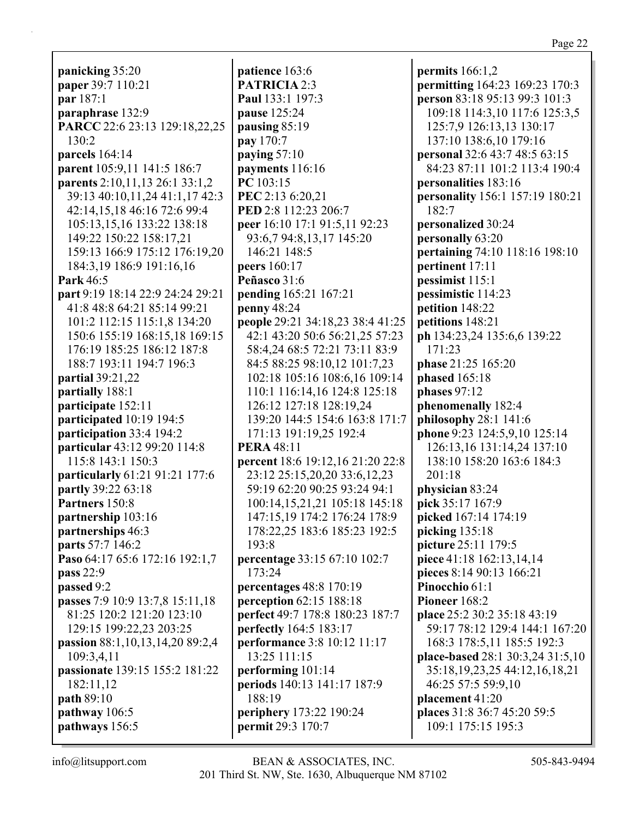panicking 35:20 paper 39:7 110:21 par 187:1 paraphrase 132:9 PARCC 22:6 23:13 129:18,22,25 130:2 parcels  $164:14$ parent 105:9,11 141:5 186:7 parents 2:10,11,13 26:1 33:1,2 39:13 40:10,11,24 41:1,17 42:3 42:14,15,18 46:16 72:6 99:4 105:13,15,16 133:22 138:18 149:22 150:22 158:17,21 159:13 166:9 175:12 176:19,20 184:3,19 186:9 191:16,16 Park  $46:5$ part 9:19 18:14 22:9 24:24 29:21 41:8 48:8 64:21 85:14 99:21 101:2 112:15 115:1,8 134:20 150:6 155:19 168:15,18 169:15 176:19 185:25 186:12 187:8 188:7 193:11 194:7 196:3 **partial** 39:21,22 partially 188:1 participate 152:11 participated 10:19 194:5 participation  $33:4$  194:2 **particular** 43:12 99:20 114:8 115:8 143:1 150:3 **particularly** 61:21 91:21 177:6 partly 39:22 63:18 Partners 150:8 partnership 103:16 partnerships 46:3 parts 57:7 146:2 Paso 64:17 65:6 172:16 192:1,7 pass 22:9 passed 9:2 passes 7:9 10:9 13:7,8 15:11,18 81:25 120:2 121:20 123:10 129:15 199:22,23 203:25 passion 88:1,10,13,14,20 89:2,4 109:3.4.11 passionate 139:15 155:2 181:22 182:11.12 **path 89:10** pathway  $106:5$ pathways 156:5

patience 163:6 **PATRICIA 2:3** Paul 133:1 197:3 pause 125:24 pausing  $85:19$ **pay** 170:7 paying  $57:10$ payments  $116:16$  $PC 103:15$ PEC 2:13 6:20.21 PED 2:8 112:23 206:7 peer 16:10 17:1 91:5,11 92:23 93:6,7 94:8,13,17 145:20 146:21 148:5 **peers** 160:17 Peñasco 31:6 **pending** 165:21 167:21 penny  $48:24$ people 29:21 34:18,23 38:4 41:25 42:1 43:20 50:6 56:21,25 57:23 58:4,24 68:5 72:21 73:11 83:9 84:5 88:25 98:10,12 101:7,23 102:18 105:16 108:6,16 109:14 110:1 116:14,16 124:8 125:18 126:12 127:18 128:19.24 139:20 144:5 154:6 163:8 171:7 171:13 191:19,25 192:4 **PERA** 48:11 **percent** 18:6 19:12,16 21:20 22:8 23:12 25:15,20,20 33:6,12,23 59:19 62:20 90:25 93:24 94:1 100:14,15,21,21 105:18 145:18 147:15,19 174:2 176:24 178:9 178:22.25 183:6 185:23 192:5 193:8 **percentage 33:15 67:10 102:7** 173:24 percentages  $48:8$  170:19 perception  $62:15$  188:18 perfect 49:7 178:8 180:23 187:7 **perfectly** 164:5 183:17 **performance** 3:8 10:12 11:17 13:25 111:15 performing  $101:14$ periods 140:13 141:17 187:9 188:19 periphery 173:22 190:24 permit 29:3 170:7

permits  $166:1,2$ permitting 164:23 169:23 170:3 person 83:18 95:13 99:3 101:3 109:18 114:3,10 117:6 125:3,5 125:7,9 126:13,13 130:17 137:10 138:6,10 179:16 **personal** 32:6 43:7 48:5 63:15 84:23 87:11 101:2 113:4 190:4 personalities 183:16 **personality** 156:1 157:19 180:21 182:7 personalized 30:24 personally 63:20 pertaining 74:10 118:16 198:10 pertinent 17:11  $p$  pessimist  $115:1$ pessimistic 114:23 petition 148:22 petitions 148:21 ph 134:23,24 135:6,6 139:22 171:23 phase 21:25 165:20 phased  $165:18$ phases  $97:12$ phenomenally 182:4 philosophy 28:1 141:6 phone 9:23 124:5,9,10 125:14 126:13,16 131:14,24 137:10 138:10 158:20 163:6 184:3  $201:18$ physician 83:24 pick 35:17 167:9 picked 167:14 174:19 picking  $135:18$ picture 25:11 179:5 piece 41:18 162:13,14,14 pieces 8:14 90:13 166:21 Pinocchio 61:1 Pioneer  $168:2$ place 25:2 30:2 35:18 43:19 59:17 78:12 129:4 144:1 167:20 168:3 178:5,11 185:5 192:3 place-based  $28:1\,30:3,24\,31:5,10$ 35:18, 19, 23, 25 44: 12, 16, 18, 21 46:25 57:5 59:9,10 placement 41:20 places 31:8 36:7 45:20 59:5 109:1 175:15 195:3

 $info@$ litsupport.com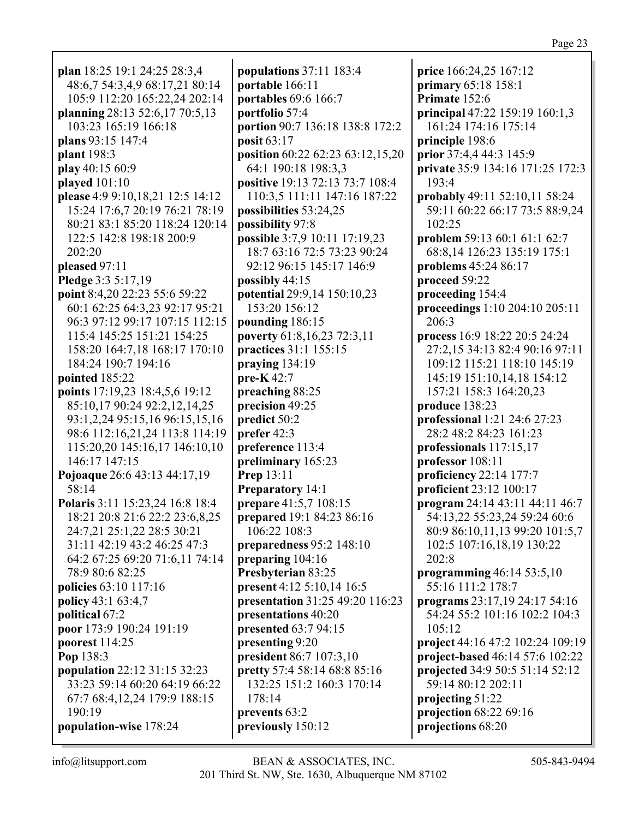| plan 18:25 19:1 24:25 28:3,4                   | po                |
|------------------------------------------------|-------------------|
| 48:6,7 54:3,4,9 68:17,21 80:14                 | p(                |
| 105:9 112:20 165:22,24 202:14                  |                   |
| planning 28:13 52:6,17 70:5,13                 | po                |
| 103:23 165:19 166:18                           | p(                |
|                                                | p(                |
| plans 93:15 147:4                              | p(                |
| plant 198:3                                    | p(                |
| play 40:15 60:9                                |                   |
| played $101:10$                                | po                |
| please 4:9 9:10,18,21 12:5 14:12               |                   |
| 15:24 17:6,7 20:19 76:21 78:19                 | p(                |
| 80:21 83:1 85:20 118:24 120:14                 | po                |
| 122:5 142:8 198:18 200:9                       | p(                |
| 202:20                                         |                   |
| pleased 97:11                                  |                   |
| Pledge 3:3 5:17,19                             | po                |
| point 8:4,20 22:23 55:6 59:22                  | po                |
| 60:1 62:25 64:3,23 92:17 95:21                 |                   |
| 96:3 97:12 99:17 107:15 112:15                 | p(                |
| 115:4 145:25 151:21 154:25                     | po                |
| 158:20 164:7,18 168:17 170:10                  | pı                |
| 184:24 190:7 194:16                            | pı                |
| pointed 185:22                                 | pı                |
| points 17:19,23 18:4,5,6 19:12                 | pi                |
| 85:10,17 90:24 92:2,12,14,25                   |                   |
| 93:1,2,24 95:15,16 96:15,15,16                 | pi                |
| 98:6 112:16,21,24 113:8 114:19                 | pı                |
|                                                | pı                |
| 115:20,20 145:16,17 146:10,10<br>146:17 147:15 | pı                |
|                                                | pı                |
| Pojoaque 26:6 43:13 44:17,19                   | ${\bf P}_1$       |
| 58:14                                          | P <sub>1</sub>    |
| Polaris 3:11 15:23,24 16:8 18:4                | pı                |
| 18:21 20:8 21:6 22:2 23:6,8,25                 | pı                |
| 24:7,21 25:1,22 28:5 30:21                     |                   |
| 31:11 42:19 43:2 46:25 47:3                    | pi                |
| 64:2 67:25 69:20 71:6,11 74:14                 | pı                |
| 78:9 80:6 82:25                                | ${\bf P}_{\bf l}$ |
| policies 63:10 117:16                          | pı                |
| <b>policy</b> 43:1 63:4,7                      | pı                |
| political 67:2                                 | pı                |
| poor 173:9 190:24 191:19                       | pı                |
| poorest 114:25                                 | pı                |
| Pop 138:3                                      | pı                |
| population 22:12 31:15 32:23                   | pi                |
| 33:23 59:14 60:20 64:19 66:22                  |                   |
| 67:7 68:4,12,24 179:9 188:15                   |                   |
| 190:19                                         | pı                |
| population-wise 178:24                         | pı                |
|                                                |                   |

**populations** 37:11 183:4 **portable** 166:11 **portables** 69:6 166:7 **portfolio** 57:4 **portion** 90:7 136:18 138:8 172:2 **posit** 63:17 **position** 60:22 62:23 63:12,15,20 64:1 190:18 198:3,3 **positive** 19:13 72:13 73:7 108:4 110:3,5 111:11 147:16 187:22 **possibilities** 53:24,25 **possibility** 97:8 **possible** 3:7,9 10:11 17:19,23 18:7 63:16 72:5 73:23 90:24 92:12 96:15 145:17 146:9 **possibly** 44:15 **potential** 29:9,14 150:10,23 153:20 156:12 **pounding** 186:15 **poverty** 61:8,16,23 72:3,11 **practices** 31:1 155:15 **praying** 134:19 **pre-K** 42:7 **preaching** 88:25 **precision** 49:25 **predict** 50:2 **prefer** 42:3 **preference** 113:4 **preliminary** 165:23 **Prep** 13:11 **Preparatory** 14:1 **prepare** 41:5,7 108:15 **prepared** 19:1 84:23 86:16 106:22 108:3 **preparedness** 95:2 148:10 **preparing** 104:16 **Presbyterian** 83:25 **present** 4:12 5:10,14 16:5 **presentation** 31:25 49:20 116:23 **presentations** 40:20 **presented** 63:7 94:15 **presenting** 9:20 **president** 86:7 107:3,10 **pretty** 57:4 58:14 68:8 85:16 132:25 151:2 160:3 170:14 178:14 **prevents** 63:2 **previously** 150:12

**price** 166:24,25 167:12 **primary** 65:18 158:1 **Primate** 152:6 **principal** 47:22 159:19 160:1,3 161:24 174:16 175:14 **principle** 198:6 **prior** 37:4,4 44:3 145:9 **private** 35:9 134:16 171:25 172:3 193:4 **probably** 49:11 52:10,11 58:24 59:11 60:22 66:17 73:5 88:9,24 102:25 **problem** 59:13 60:1 61:1 62:7 68:8,14 126:23 135:19 175:1 **problems** 45:24 86:17 **proceed** 59:22 **proceeding** 154:4 **proceedings** 1:10 204:10 205:11 206:3 **process** 16:9 18:22 20:5 24:24 27:2,15 34:13 82:4 90:16 97:11 109:12 115:21 118:10 145:19 145:19 151:10,14,18 154:12 157:21 158:3 164:20,23 **produce** 138:23 **professional** 1:21 24:6 27:23 28:2 48:2 84:23 161:23 **professionals** 117:15,17 **professor** 108:11 **proficiency** 22:14 177:7 **proficient** 23:12 100:17 **program** 24:14 43:11 44:11 46:7 54:13,22 55:23,24 59:24 60:6 80:9 86:10,11,13 99:20 101:5,7 102:5 107:16,18,19 130:22 202:8 **programming** 46:14 53:5,10 55:16 111:2 178:7 **programs** 23:17,19 24:17 54:16 54:24 55:2 101:16 102:2 104:3 105:12 **project** 44:16 47:2 102:24 109:19 **project-based** 46:14 57:6 102:22 **projected** 34:9 50:5 51:14 52:12 59:14 80:12 202:11 **projecting** 51:22 **projection** 68:22 69:16 **projections** 68:20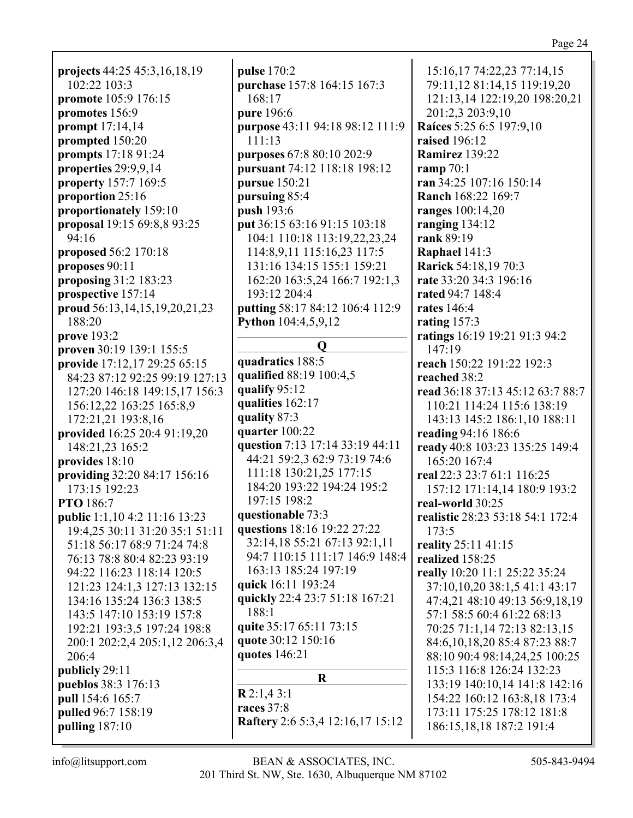**projects** 44:25 45:3,16,18,19 102:22 103:3 **promote** 105:9 176:15 **promotes** 156:9 **prompt** 17:14,14 **prompted** 150:20 **prompts** 17:18 91:24 **properties** 29:9,9,14 **property** 157:7 169:5 **proportion** 25:16 **proportionately** 159:10 **proposal** 19:15 69:8,8 93:25 94:16 **proposed** 56:2 170:18 **proposes** 90:11 **proposing** 31:2 183:23 **prospective** 157:14 **proud** 56:13,14,15,19,20,21,23 188:20 **prove** 193:2 **proven** 30:19 139:1 155:5 **provide** 17:12,17 29:25 65:15 84:23 87:12 92:25 99:19 127:13 127:20 146:18 149:15,17 156:3 156:12,22 163:25 165:8,9 172:21,21 193:8,16 **provided** 16:25 20:4 91:19,20 148:21,23 165:2 **provides** 18:10 **providing** 32:20 84:17 156:16 173:15 192:23 **PTO** 186:7 **public** 1:1,10 4:2 11:16 13:23 19:4,25 30:11 31:20 35:1 51:11 51:18 56:17 68:9 71:24 74:8 76:13 78:8 80:4 82:23 93:19 94:22 116:23 118:14 120:5 121:23 124:1,3 127:13 132:15 134:16 135:24 136:3 138:5 143:5 147:10 153:19 157:8 192:21 193:3,5 197:24 198:8 200:1 202:2,4 205:1,12 206:3,4 206:4 **publicly** 29:11 **pueblos** 38:3 176:13 **pull** 154:6 165:7 **pulled** 96:7 158:19 **pulling** 187:10

**pulse** 170:2 **purchase** 157:8 164:15 167:3 168:17 **pure** 196:6 **purpose** 43:11 94:18 98:12 111:9 111:13 **purposes** 67:8 80:10 202:9 **pursuant** 74:12 118:18 198:12 **pursue** 150:21 **pursuing** 85:4 **push** 193:6 **put** 36:15 63:16 91:15 103:18 104:1 110:18 113:19,22,23,24 114:8,9,11 115:16,23 117:5 131:16 134:15 155:1 159:21 162:20 163:5,24 166:7 192:1,3 193:12 204:4 **putting** 58:17 84:12 106:4 112:9 **Python** 104:4,5,9,12 **Q quadratics** 188:5 **qualified** 88:19 100:4,5 **qualify** 95:12 **qualities** 162:17 **quality** 87:3 **quarter** 100:22 **question** 7:13 17:14 33:19 44:11 44:21 59:2,3 62:9 73:19 74:6 111:18 130:21,25 177:15 184:20 193:22 194:24 195:2 197:15 198:2 **questionable** 73:3 **questions** 18:16 19:22 27:22 32:14,18 55:21 67:13 92:1,11 94:7 110:15 111:17 146:9 148:4 163:13 185:24 197:19 **quick** 16:11 193:24 **quickly** 22:4 23:7 51:18 167:21 188:1 **quite** 35:17 65:11 73:15 **quote** 30:12 150:16 **quotes** 146:21 **R R** 2:1,4 3:1 **races** 37:8 **Raftery** 2:6 5:3,4 12:16,17 15:12

15:16,17 74:22,23 77:14,15 79:11,12 81:14,15 119:19,20 121:13,14 122:19,20 198:20,21 201:2,3 203:9,10 **Raíces** 5:25 6:5 197:9,10 **raised** 196:12 **Ramirez** 139:22 **ramp** 70:1 **ran** 34:25 107:16 150:14 **Ranch** 168:22 169:7 **ranges** 100:14,20 **ranging** 134:12 **rank** 89:19 **Raphael** 141:3 **Rarick** 54:18,19 70:3 **rate** 33:20 34:3 196:16 **rated** 94:7 148:4 **rates** 146:4 **rating** 157:3 **ratings** 16:19 19:21 91:3 94:2 147:19 **reach** 150:22 191:22 192:3 **reached** 38:2 **read** 36:18 37:13 45:12 63:7 88:7 110:21 114:24 115:6 138:19 143:13 145:2 186:1,10 188:11 **reading** 94:16 186:6 **ready** 40:8 103:23 135:25 149:4 165:20 167:4 **real** 22:3 23:7 61:1 116:25 157:12 171:14,14 180:9 193:2 **real-world** 30:25 **realistic** 28:23 53:18 54:1 172:4 173:5 **reality** 25:11 41:15 **realized** 158:25 **really** 10:20 11:1 25:22 35:24 37:10,10,20 38:1,5 41:1 43:17 47:4,21 48:10 49:13 56:9,18,19 57:1 58:5 60:4 61:22 68:13 70:25 71:1,14 72:13 82:13,15 84:6,10,18,20 85:4 87:23 88:7 88:10 90:4 98:14,24,25 100:25 115:3 116:8 126:24 132:23 133:19 140:10,14 141:8 142:16 154:22 160:12 163:8,18 173:4 173:11 175:25 178:12 181:8 186:15,18,18 187:2 191:4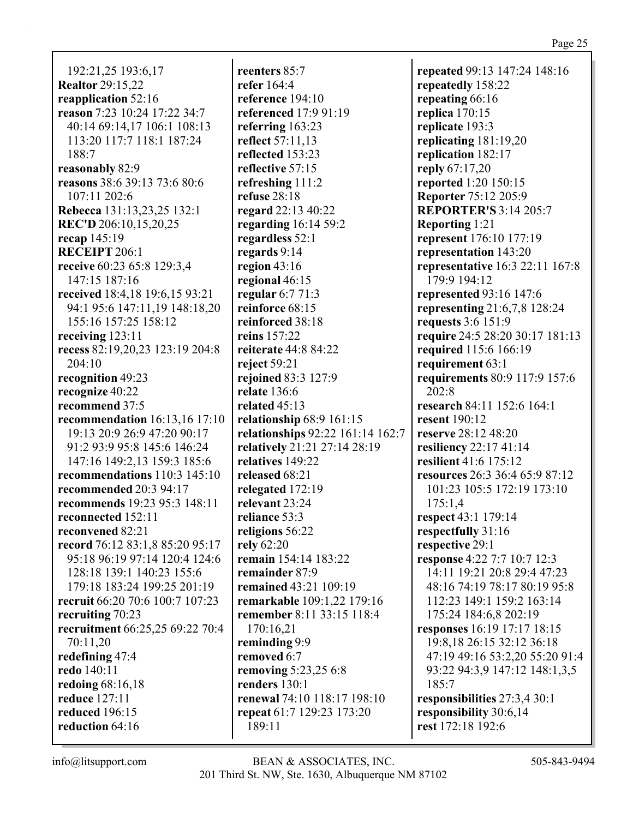192:21,25 193:6,17 **Realtor 29:15,22** reapplication 52:16 reason 7:23 10:24 17:22 34:7 40:14 69:14.17 106:1 108:13 113:20 117:7 118:1 187:24 188:7 reasonably 82:9 reasons 38:6 39:13 73:6 80:6  $107:11202:6$ Rebecca 131:13,23,25 132:1 REC'D 206:10,15,20,25 recap 145:19 **RECEIPT 206:1** receive 60:23 65:8 129:3,4 147:15 187:16 received 18:4,18 19:6,15 93:21 94:1 95:6 147:11,19 148:18,20 155:16 157:25 158:12 receiving  $123:11$ recess 82:19,20,23 123:19 204:8 204:10 recognition 49:23 recognize 40:22 recommend 37:5 recommendation  $16:13.16$  17:10 19:13 20:9 26:9 47:20 90:17 91:2 93:9 95:8 145:6 146:24 147:16 149:2.13 159:3 185:6 recommendations  $110:3$  145:10 recommended 20:3 94:17 recommends 19:23 95:3 148:11 reconnected 152:11 reconvened 82:21 record 76:12 83:1,8 85:20 95:17 95:18 96:19 97:14 120:4 124:6 128:18 139:1 140:23 155:6 179:18 183:24 199:25 201:19 recruit 66:20 70:6 100:7 107:23 recruiting 70:23 recruitment 66:25,25 69:22 70:4 70:11,20 redefining 47:4 redo 140:11 redoing  $68:16,18$ **reduce** 127:11 **reduced** 196:15 reduction 64:16

reenters  $85:7$ refer  $164:4$ reference  $194:10$ referenced 17:9 91:19 referring  $163:23$ **reflect** 57:11,13 reflected 153:23 reflective 57:15 refreshing 111:2 refuse  $28:18$ regard 22:13 40:22 regarding  $16:14$  59:2 regardless 52:1 regards  $9:14$ region  $43:16$ regional  $46:15$ regular  $6:771:3$ reinforce  $68:15$ reinforced 38:18 reins 157:22 reiterate 44:8 84:22 reject  $59:21$ rejoined 83:3 127:9 **relate** 136:6 related  $45:13$ relationship  $68:9$  161:15 relationships 92:22 161:14 162:7 relatively 21:21 27:14 28:19 relatives 149:22 released 68:21 relegated 172:19 relevant 23:24 reliance 53:3 religions 56:22 rely 62:20 remain 154:14 183:22 remainder 87:9 remained 43:21 109:19 remarkable 109:1,22 179:16 remember 8:11 33:15 118:4 170:16.21 reminding 9:9 removed 6:7 removing 5:23,25 6:8 renders  $130:1$ renewal 74:10 118:17 198:10 repeat 61:7 129:23 173:20 189:11

repeated 99:13 147:24 148:16 repeatedly 158:22 repeating 66:16 replica  $170:15$ replicate 193:3 replicating  $181:19,20$ replication 182:17 reply 67:17,20 reported 1:20 150:15 **Reporter 75:12 205:9 REPORTER'S 3:14 205:7 Reporting 1:21** represent 176:10 177:19 representation 143:20 **representative** 16:3 22:11 167:8 179:9 194:12 **represented 93:16 147:6** representing  $21:6,7,8$  128:24 requests 3:6 151:9 require 24:5 28:20 30:17 181:13 required 115:6 166:19 requirement 63:1 requirements 80:9 117:9 157:6  $202:8$ research 84:11 152:6 164:1 **resent** 190:12 reserve 28:12 48:20 resiliency  $22:17\,41:14$ resilient 41:6 175:12 resources 26:3 36:4 65:9 87:12 101:23 105:5 172:19 173:10  $175:1.4$ respect 43:1 179:14 respectfully 31:16 respective 29:1 **response** 4:22 7:7 10:7 12:3 14:11 19:21 20:8 29:4 47:23 48:16 74:19 78:17 80:19 95:8 112:23 149:1 159:2 163:14 175:24 184:6.8 202:19 **responses** 16:19 17:17 18:15 19:8,18 26:15 32:12 36:18 47:19 49:16 53:2.20 55:20 91:4 93:22 94:3,9 147:12 148:1,3,5  $185:7$ responsibilities 27:3,4 30:1 responsibility 30:6,14 rest 172:18 192:6

 $info@$ litsupport.com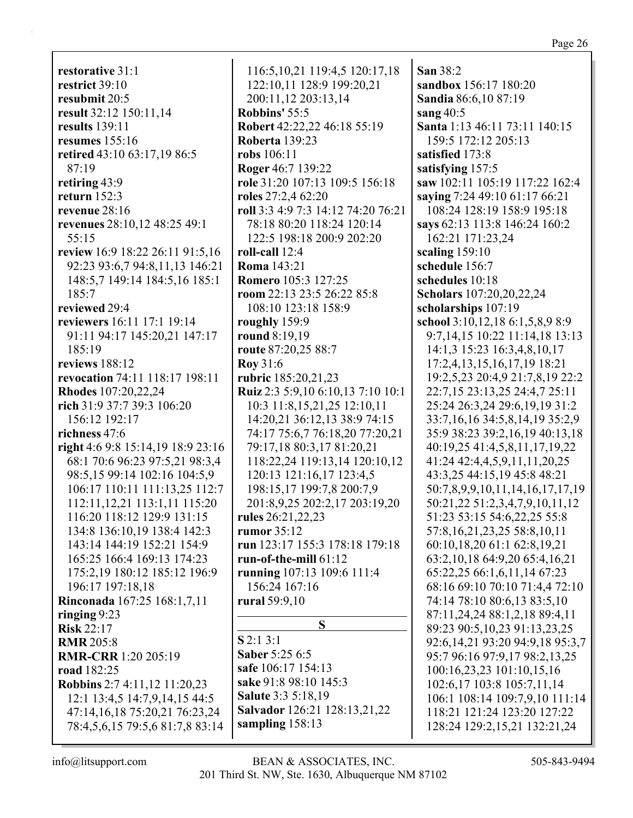**restorative** 31:1 **restrict** 39:10 **resubmit** 20:5 **result** 32:12 150:11,14 **results** 139:11 **resumes** 155:16 **retired** 43:10 63:17,19 86:5 87:19 **retiring** 43:9 **return** 152:3 **revenue** 28:16 **revenues** 28:10,12 48:25 49:1 55:15 **review** 16:9 18:22 26:11 91:5,16 92:23 93:6,7 94:8,11,13 146:21 148:5,7 149:14 184:5,16 185:1 185:7 **reviewed** 29:4 **reviewers** 16:11 17:1 19:14 91:11 94:17 145:20,21 147:17 185:19 **reviews** 188:12 **revocation** 74:11 118:17 198:11 **Rhodes** 107:20,22,24 **rich** 31:9 37:7 39:3 106:20 156:12 192:17 **richness** 47:6 **right** 4:6 9:8 15:14,19 18:9 23:16 68:1 70:6 96:23 97:5,21 98:3,4 98:5,15 99:14 102:16 104:5,9 106:17 110:11 111:13,25 112:7 112:11,12,21 113:1,11 115:20 116:20 118:12 129:9 131:15 134:8 136:10,19 138:4 142:3 143:14 144:19 152:21 154:9 165:25 166:4 169:13 174:23 175:2,19 180:12 185:12 196:9 196:17 197:18,18 **Rinconada** 167:25 168:1,7,11 **ringing** 9:23 **Risk** 22:17 **RMR** 205:8 **RMR-CRR** 1:20 205:19 **road** 182:25 **Robbins** 2:7 4:11,12 11:20,23 12:1 13:4,5 14:7,9,14,15 44:5 47:14,16,18 75:20,21 76:23,24 78:4,5,6,15 79:5,6 81:7,8 83:14

116:5,10,21 119:4,5 120:17,18 122:10,11 128:9 199:20,21 200:11,12 203:13,14 **Robbins'** 55:5 **Robert** 42:22,22 46:18 55:19 **Roberta** 139:23 **robs** 106:11 **Roger** 46:7 139:22 **role** 31:20 107:13 109:5 156:18 **roles** 27:2,4 62:20 **roll** 3:3 4:9 7:3 14:12 74:20 76:21 78:18 80:20 118:24 120:14 122:5 198:18 200:9 202:20 **roll-call** 12:4 **Roma** 143:21 **Romero** 105:3 127:25 **room** 22:13 23:5 26:22 85:8 108:10 123:18 158:9 **roughly** 159:9 **round** 8:19,19 **route** 87:20,25 88:7 **Roy** 31:6 **rubric** 185:20,21,23 **Ruiz** 2:3 5:9,10 6:10,13 7:10 10:1 10:3 11:8,15,21,25 12:10,11 14:20,21 36:12,13 38:9 74:15 74:17 75:6,7 76:18,20 77:20,21 79:17,18 80:3,17 81:20,21 118:22,24 119:13,14 120:10,12 120:13 121:16,17 123:4,5 198:15,17 199:7,8 200:7,9 201:8,9,25 202:2,17 203:19,20 **rules** 26:21,22,23 **rumor** 35:12 **run** 123:17 155:3 178:18 179:18 **run-of-the-mill** 61:12 **running** 107:13 109:6 111:4 156:24 167:16 **rural** 59:9,10 **S S** 2:1 3:1 **Saber** 5:25 6:5 **safe** 106:17 154:13 **sake** 91:8 98:10 145:3 **Salute** 3:3 5:18,19 **Salvador** 126:21 128:13,21,22

**San** 38:2 **sandbox** 156:17 180:20 **Sandia** 86:6,10 87:19 **sang** 40:5 **Santa** 1:13 46:11 73:11 140:15 159:5 172:12 205:13 **satisfied** 173:8 **satisfying** 157:5 **saw** 102:11 105:19 117:22 162:4 **saying** 7:24 49:10 61:17 66:21 108:24 128:19 158:9 195:18 **says** 62:13 113:8 146:24 160:2 162:21 171:23,24 **scaling** 159:10 **schedule** 156:7 **schedules** 10:18 **Scholars** 107:20,20,22,24 **scholarships** 107:19 **school** 3:10,12,18 6:1,5,8,9 8:9 9:7,14,15 10:22 11:14,18 13:13 14:1,3 15:23 16:3,4,8,10,17 17:2,4,13,15,16,17,19 18:21 19:2,5,23 20:4,9 21:7,8,19 22:2 22:7,15 23:13,25 24:4,7 25:11 25:24 26:3,24 29:6,19,19 31:2 33:7,16,16 34:5,8,14,19 35:2,9 35:9 38:23 39:2,16,19 40:13,18 40:19,25 41:4,5,8,11,17,19,22 41:24 42:4,4,5,9,11,11,20,25 43:3,25 44:15,19 45:8 48:21 50:7,8,9,9,10,11,14,16,17,17,19 50:21,22 51:2,3,4,7,9,10,11,12 51:23 53:15 54:6,22,25 55:8 57:8,16,21,23,25 58:8,10,11 60:10,18,20 61:1 62:8,19,21 63:2,10,18 64:9,20 65:4,16,21 65:22,25 66:1,6,11,14 67:23 68:16 69:10 70:10 71:4,4 72:10 74:14 78:10 80:6,13 83:5,10 87:11,24,24 88:1,2,18 89:4,11 89:23 90:5,10,23 91:13,23,25 92:6,14,21 93:20 94:9,18 95:3,7 95:7 96:16 97:9,17 98:2,13,25 100:16,23,23 101:10,15,16 102:6,17 103:8 105:7,11,14 106:1 108:14 109:7,9,10 111:14 118:21 121:24 123:20 127:22 128:24 129:2,15,21 132:21,24

**sampling** 158:13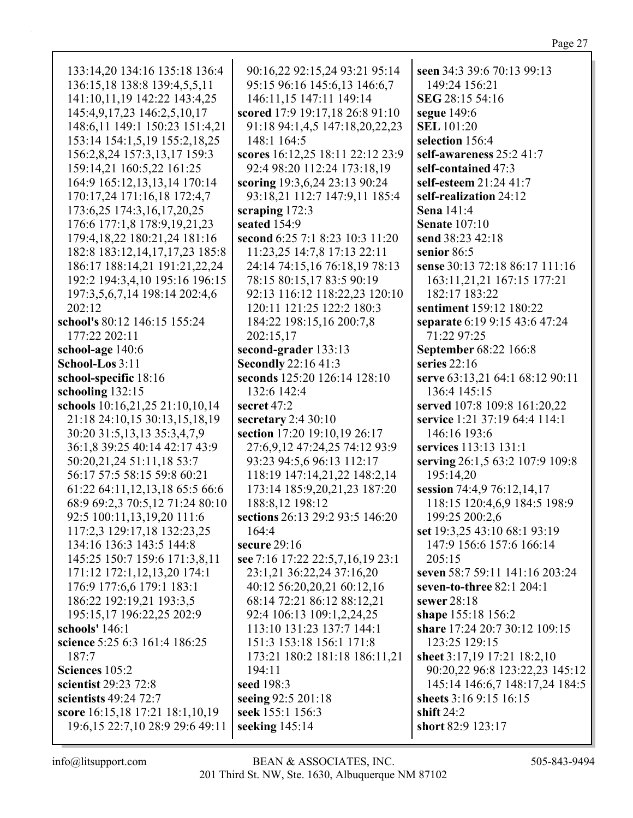| 133:14,20 134:16 135:18 136:4     | 90:16,22 92:15,24 93:21 95:14    | seen 34:3 39:6 70:13 99:13      |
|-----------------------------------|----------------------------------|---------------------------------|
| 136:15,18 138:8 139:4,5,5,11      | 95:15 96:16 145:6,13 146:6,7     | 149:24 156:21                   |
| 141:10,11,19 142:22 143:4,25      | 146:11,15 147:11 149:14          | SEG 28:15 54:16                 |
| 145:4,9,17,23 146:2,5,10,17       | scored 17:9 19:17,18 26:8 91:10  | segue 149:6                     |
| 148:6,11 149:1 150:23 151:4,21    | 91:18 94:1,4,5 147:18,20,22,23   | <b>SEL</b> 101:20               |
| 153:14 154:1,5,19 155:2,18,25     | 148:1 164:5                      | selection 156:4                 |
| 156:2,8,24 157:3,13,17 159:3      | scores 16:12,25 18:11 22:12 23:9 | self-awareness 25:2 41:7        |
| 159:14,21 160:5,22 161:25         | 92:4 98:20 112:24 173:18,19      | self-contained 47:3             |
| 164:9 165:12,13,13,14 170:14      | scoring 19:3,6,24 23:13 90:24    | self-esteem 21:24 41:7          |
| 170:17,24 171:16,18 172:4,7       | 93:18,21 112:7 147:9,11 185:4    | self-realization 24:12          |
| 173:6,25 174:3,16,17,20,25        | scraping $172:3$                 | Sena 141:4                      |
| 176:6 177:1,8 178:9,19,21,23      | seated 154:9                     | <b>Senate 107:10</b>            |
| 179:4,18,22 180:21,24 181:16      | second 6:25 7:1 8:23 10:3 11:20  | send 38:23 42:18                |
| 182:8 183:12,14,17,17,23 185:8    | 11:23,25 14:7,8 17:13 22:11      | senior 86:5                     |
| 186:17 188:14,21 191:21,22,24     | 24:14 74:15,16 76:18,19 78:13    | sense 30:13 72:18 86:17 111:16  |
| 192:2 194:3,4,10 195:16 196:15    | 78:15 80:15,17 83:5 90:19        | 163:11,21,21 167:15 177:21      |
| 197:3,5,6,7,14 198:14 202:4,6     | 92:13 116:12 118:22,23 120:10    | 182:17 183:22                   |
| 202:12                            | 120:11 121:25 122:2 180:3        | sentiment 159:12 180:22         |
| school's 80:12 146:15 155:24      | 184:22 198:15,16 200:7,8         | separate 6:19 9:15 43:6 47:24   |
| 177:22 202:11                     | 202:15,17                        | 71:22 97:25                     |
| school-age 140:6                  | second-grader 133:13             | September 68:22 166:8           |
| School-Los 3:11                   | <b>Secondly 22:16 41:3</b>       | series $22:16$                  |
| school-specific 18:16             | seconds 125:20 126:14 128:10     | serve 63:13,21 64:1 68:12 90:11 |
| schooling 132:15                  | 132:6 142:4                      | 136:4 145:15                    |
| schools 10:16,21,25 21:10,10,14   | secret $47:2$                    | served 107:8 109:8 161:20,22    |
| 21:18 24:10,15 30:13,15,18,19     | secretary $2:430:10$             | service 1:21 37:19 64:4 114:1   |
| 30:20 31:5,13,13 35:3,4,7,9       | section 17:20 19:10,19 26:17     | 146:16 193:6                    |
| 36:1,8 39:25 40:14 42:17 43:9     |                                  | services 113:13 131:1           |
|                                   | 27:6,9,12 47:24,25 74:12 93:9    |                                 |
| 50:20,21,24 51:11,18 53:7         | 93:23 94:5,6 96:13 112:17        | serving 26:1,5 63:2 107:9 109:8 |
| 56:17 57:5 58:15 59:8 60:21       | 118:19 147:14,21,22 148:2,14     | 195:14,20                       |
| 61:22 64:11,12,13,18 65:5 66:6    | 173:14 185:9,20,21,23 187:20     | session 74:4,9 76:12,14,17      |
| 68:9 69:2,3 70:5,12 71:24 80:10   | 188:8,12 198:12                  | 118:15 120:4,6,9 184:5 198:9    |
| 92:5 100:11,13,19,20 111:6        | sections 26:13 29:2 93:5 146:20  | 199:25 200:2,6                  |
| 117:2,3 129:17,18 132:23,25       | 164:4                            | set 19:3,25 43:10 68:1 93:19    |
| 134:16 136:3 143:5 144:8          | secure $29:16$                   | 147:9 156:6 157:6 166:14        |
| 145:25 150:7 159:6 171:3,8,11     | see 7:16 17:22 22:5,7,16,19 23:1 | 205:15                          |
| 171:12 172:1,12,13,20 174:1       | 23:1,21 36:22,24 37:16,20        | seven 58:7 59:11 141:16 203:24  |
| 176:9 177:6,6 179:1 183:1         | 40:12 56:20,20,21 60:12,16       | seven-to-three 82:1 204:1       |
| 186:22 192:19,21 193:3,5          | 68:14 72:21 86:12 88:12,21       | sewer $28:18$                   |
| 195:15,17 196:22,25 202:9         | 92:4 106:13 109:1,2,24,25        | shape 155:18 156:2              |
| schools' 146:1                    | 113:10 131:23 137:7 144:1        | share 17:24 20:7 30:12 109:15   |
| science 5:25 6:3 161:4 186:25     | 151:3 153:18 156:1 171:8         | 123:25 129:15                   |
| 187:7                             | 173:21 180:2 181:18 186:11,21    | sheet 3:17,19 17:21 18:2,10     |
| Sciences 105:2                    | 194:11                           | 90:20,22 96:8 123:22,23 145:12  |
| scientist 29:23 72:8              | seed 198:3                       | 145:14 146:6,7 148:17,24 184:5  |
| scientists 49:24 72:7             | seeing 92:5 201:18               | sheets 3:16 9:15 16:15          |
| score 16:15,18 17:21 18:1,10,19   | seek 155:1 156:3                 | shift $24:2$                    |
| 19:6, 15 22:7, 10 28:9 29:6 49:11 | seeking $145:14$                 | short 82:9 123:17               |
|                                   |                                  |                                 |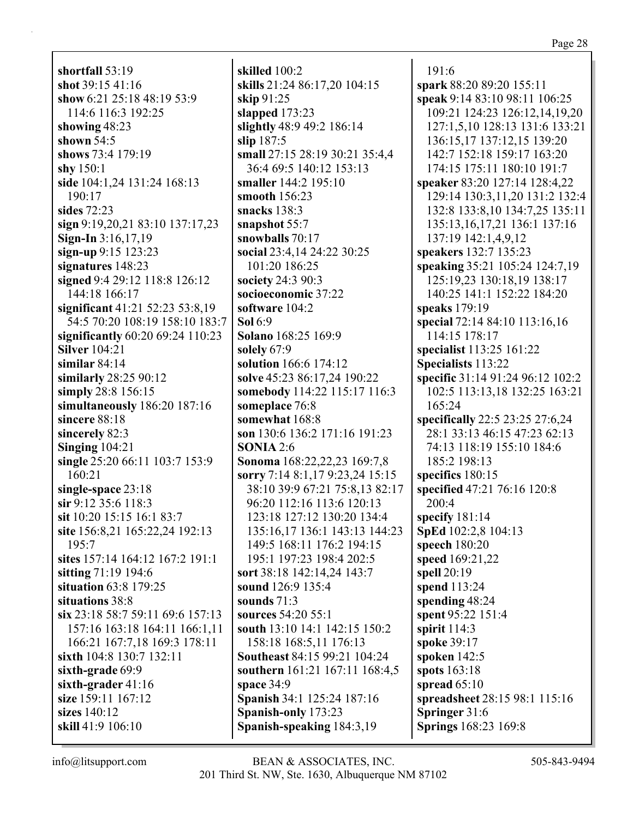**shortfall** 53:19 **shot** 39:15 41:16 **show** 6:21 25:18 48:19 53:9 114:6 116:3 192:25 **showing** 48:23 **shown** 54:5 **shows** 73:4 179:19 **shy** 150:1 **side** 104:1,24 131:24 168:13 190:17 **sides** 72:23 **sign** 9:19,20,21 83:10 137:17,23 **Sign-In** 3:16,17,19 **sign-up** 9:15 123:23 **signatures** 148:23 **signed** 9:4 29:12 118:8 126:12 144:18 166:17 **significant** 41:21 52:23 53:8,19 54:5 70:20 108:19 158:10 183:7 **significantly** 60:20 69:24 110:23 **Silver** 104:21 **similar** 84:14 **similarly** 28:25 90:12 **simply** 28:8 156:15 **simultaneously** 186:20 187:16 **sincere** 88:18 **sincerely** 82:3 **Singing** 104:21 **single** 25:20 66:11 103:7 153:9 160:21 **single-space** 23:18 **sir** 9:12 35:6 118:3 **sit** 10:20 15:15 16:1 83:7 **site** 156:8,21 165:22,24 192:13 195:7 **sites** 157:14 164:12 167:2 191:1 **sitting** 71:19 194:6 **situation** 63:8 179:25 **situations** 38:8 **six** 23:18 58:7 59:11 69:6 157:13 157:16 163:18 164:11 166:1,11 166:21 167:7,18 169:3 178:11 **sixth** 104:8 130:7 132:11 **sixth-grade** 69:9 **sixth-grader** 41:16 **size** 159:11 167:12 **sizes** 140:12 **skill** 41:9 106:10

**skilled** 100:2 **skills** 21:24 86:17,20 104:15 **skip** 91:25 **slapped** 173:23 **slightly** 48:9 49:2 186:14 **slip** 187:5 **small** 27:15 28:19 30:21 35:4,4 36:4 69:5 140:12 153:13 **smaller** 144:2 195:10 **smooth** 156:23 **snacks** 138:3 **snapshot** 55:7 **snowballs** 70:17 **social** 23:4,14 24:22 30:25 101:20 186:25 **society** 24:3 90:3 **socioeconomic** 37:22 **software** 104:2 **Sol** 6:9 **Solano** 168:25 169:9 **solely** 67:9 **solution** 166:6 174:12 **solve** 45:23 86:17,24 190:22 **somebody** 114:22 115:17 116:3 **someplace** 76:8 **somewhat** 168:8 **son** 130:6 136:2 171:16 191:23 **SONIA** 2:6 **Sonoma** 168:22,22,23 169:7,8 **sorry** 7:14 8:1,17 9:23,24 15:15 38:10 39:9 67:21 75:8,13 82:17 96:20 112:16 113:6 120:13 123:18 127:12 130:20 134:4 135:16,17 136:1 143:13 144:23 149:5 168:11 176:2 194:15 195:1 197:23 198:4 202:5 **sort** 38:18 142:14,24 143:7 **sound** 126:9 135:4 **sounds** 71:3 **sources** 54:20 55:1 **south** 13:10 14:1 142:15 150:2 158:18 168:5,11 176:13 **Southeast** 84:15 99:21 104:24 **southern** 161:21 167:11 168:4,5 **space** 34:9 **Spanish** 34:1 125:24 187:16 **Spanish-only** 173:23 **Spanish-speaking** 184:3,19

191:6 **spark** 88:20 89:20 155:11 **speak** 9:14 83:10 98:11 106:25 109:21 124:23 126:12,14,19,20 127:1,5,10 128:13 131:6 133:21 136:15,17 137:12,15 139:20 142:7 152:18 159:17 163:20 174:15 175:11 180:10 191:7 **speaker** 83:20 127:14 128:4,22 129:14 130:3,11,20 131:2 132:4 132:8 133:8,10 134:7,25 135:11 135:13,16,17,21 136:1 137:16 137:19 142:1,4,9,12 **speakers** 132:7 135:23 **speaking** 35:21 105:24 124:7,19 125:19,23 130:18,19 138:17 140:25 141:1 152:22 184:20 **speaks** 179:19 **special** 72:14 84:10 113:16,16 114:15 178:17 **specialist** 113:25 161:22 **Specialists** 113:22 **specific** 31:14 91:24 96:12 102:2 102:5 113:13,18 132:25 163:21 165:24 **specifically** 22:5 23:25 27:6,24 28:1 33:13 46:15 47:23 62:13 74:13 118:19 155:10 184:6 185:2 198:13 **specifics** 180:15 **specified** 47:21 76:16 120:8 200:4 **specify** 181:14 **SpEd** 102:2,8 104:13 **speech** 180:20 **speed** 169:21,22 **spell** 20:19 **spend** 113:24 **spending** 48:24 **spent** 95:22 151:4 **spirit** 114:3 **spoke** 39:17 **spoken** 142:5 **spots** 163:18 **spread** 65:10 **spreadsheet** 28:15 98:1 115:16 **Springer** 31:6 **Springs** 168:23 169:8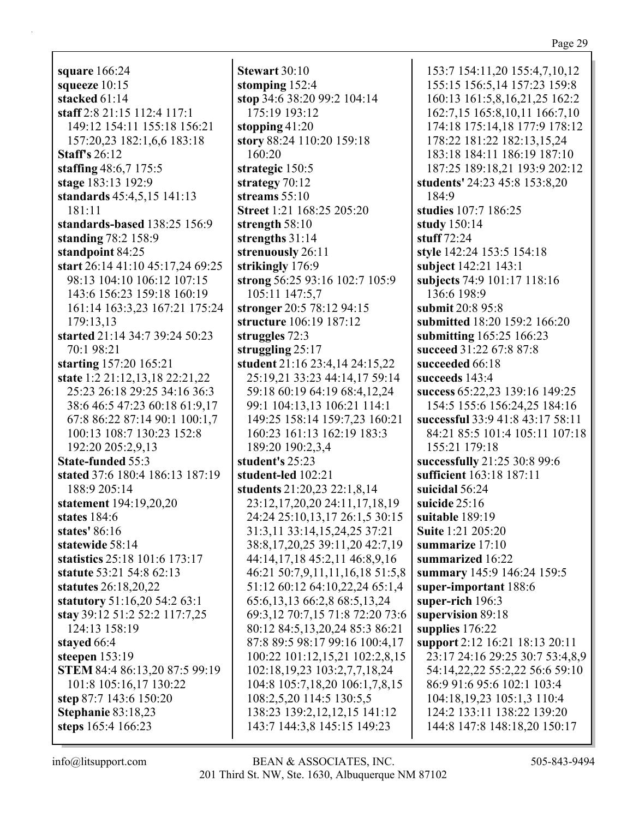**square** 166:24 **squeeze** 10:15 **stacked** 61:14 **staff** 2:8 21:15 112:4 117:1 149:12 154:11 155:18 156:21 157:20,23 182:1,6,6 183:18 **Staff's** 26:12 **staffing** 48:6,7 175:5 **stage** 183:13 192:9 **standards** 45:4,5,15 141:13 181:11 **standards-based** 138:25 156:9 **standing** 78:2 158:9 **standpoint** 84:25 **start** 26:14 41:10 45:17,24 69:25 98:13 104:10 106:12 107:15 143:6 156:23 159:18 160:19 161:14 163:3,23 167:21 175:24 179:13,13 **started** 21:14 34:7 39:24 50:23 70:1 98:21 **starting** 157:20 165:21 **state** 1:2 21:12,13,18 22:21,22 25:23 26:18 29:25 34:16 36:3 38:6 46:5 47:23 60:18 61:9,17 67:8 86:22 87:14 90:1 100:1,7 100:13 108:7 130:23 152:8 192:20 205:2,9,13 **State-funded** 55:3 **stated** 37:6 180:4 186:13 187:19 188:9 205:14 **statement** 194:19,20,20 **states** 184:6 **states'** 86:16 **statewide** 58:14 **statistics** 25:18 101:6 173:17 **statute** 53:21 54:8 62:13 **statutes** 26:18,20,22 **statutory** 51:16,20 54:2 63:1 **stay** 39:12 51:2 52:2 117:7,25 124:13 158:19 **stayed** 66:4 **steepen** 153:19 **STEM** 84:4 86:13,20 87:5 99:19 101:8 105:16,17 130:22 **step** 87:7 143:6 150:20 **Stephanie** 83:18,23 **steps** 165:4 166:23

**Stewart** 30:10 **stomping** 152:4 **stop** 34:6 38:20 99:2 104:14 175:19 193:12 **stopping** 41:20 **story** 88:24 110:20 159:18 160:20 **strategic** 150:5 **strategy** 70:12 **streams** 55:10 **Street** 1:21 168:25 205:20 **strength** 58:10 **strengths** 31:14 **strenuously** 26:11 **strikingly** 176:9 **strong** 56:25 93:16 102:7 105:9 105:11 147:5,7 **stronger** 20:5 78:12 94:15 **structure** 106:19 187:12 **struggles** 72:3 **struggling** 25:17 **student** 21:16 23:4,14 24:15,22 25:19,21 33:23 44:14,17 59:14 59:18 60:19 64:19 68:4,12,24 99:1 104:13,13 106:21 114:1 149:25 158:14 159:7,23 160:21 160:23 161:13 162:19 183:3 189:20 190:2,3,4 **student's** 25:23 **student-led** 102:21 **students** 21:20,23 22:1,8,14 23:12,17,20,20 24:11,17,18,19 24:24 25:10,13,17 26:1,5 30:15 31:3,11 33:14,15,24,25 37:21 38:8,17,20,25 39:11,20 42:7,19 44:14,17,18 45:2,11 46:8,9,16 46:21 50:7,9,11,11,16,18 51:5,8 51:12 60:12 64:10,22,24 65:1,4 65:6,13,13 66:2,8 68:5,13,24 69:3,12 70:7,15 71:8 72:20 73:6 80:12 84:5,13,20,24 85:3 86:21 87:8 89:5 98:17 99:16 100:4,17 100:22 101:12,15,21 102:2,8,15 102:18,19,23 103:2,7,7,18,24 104:8 105:7,18,20 106:1,7,8,15 108:2,5,20 114:5 130:5,5 138:23 139:2,12,12,15 141:12 143:7 144:3,8 145:15 149:23

153:7 154:11,20 155:4,7,10,12 155:15 156:5,14 157:23 159:8 160:13 161:5,8,16,21,25 162:2 162:7,15 165:8,10,11 166:7,10 174:18 175:14,18 177:9 178:12 178:22 181:22 182:13,15,24 183:18 184:11 186:19 187:10 187:25 189:18,21 193:9 202:12 **students'** 24:23 45:8 153:8,20 184:9 **studies** 107:7 186:25 **study** 150:14 **stuff** 72:24 **style** 142:24 153:5 154:18 **subject** 142:21 143:1 **subjects** 74:9 101:17 118:16 136:6 198:9 **submit** 20:8 95:8 **submitted** 18:20 159:2 166:20 **submitting** 165:25 166:23 **succeed** 31:22 67:8 87:8 **succeeded** 66:18 **succeeds** 143:4 **success** 65:22,23 139:16 149:25 154:5 155:6 156:24,25 184:16 **successful** 33:9 41:8 43:17 58:11 84:21 85:5 101:4 105:11 107:18 155:21 179:18 **successfully** 21:25 30:8 99:6 **sufficient** 163:18 187:11 **suicidal** 56:24 **suicide** 25:16 **suitable** 189:19 **Suite** 1:21 205:20 **summarize** 17:10 **summarized** 16:22 **summary** 145:9 146:24 159:5 **super-important** 188:6 **super-rich** 196:3 **supervision** 89:18 **supplies** 176:22 **support** 2:12 16:21 18:13 20:11 23:17 24:16 29:25 30:7 53:4,8,9 54:14,22,22 55:2,22 56:6 59:10 86:9 91:6 95:6 102:1 103:4 104:18,19,23 105:1,3 110:4 124:2 133:11 138:22 139:20 144:8 147:8 148:18,20 150:17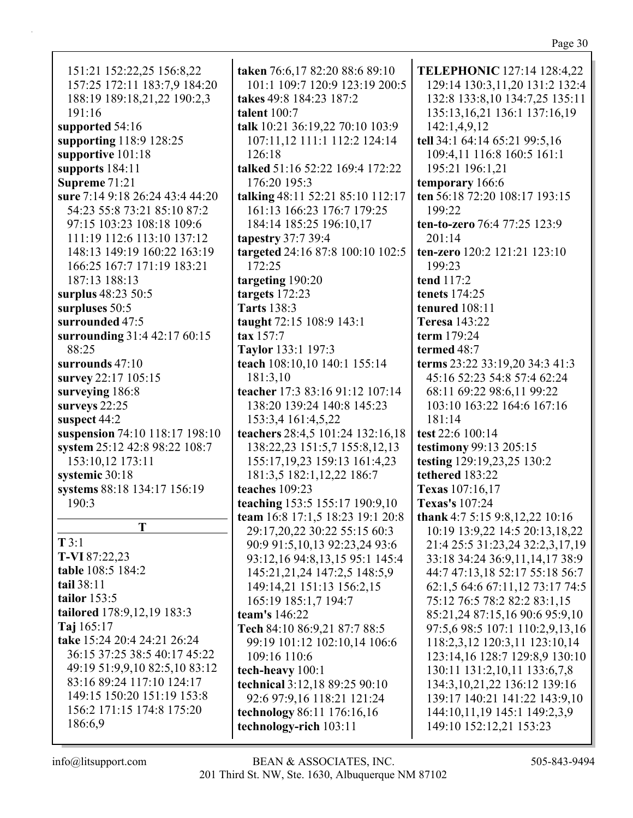| ۰.<br>v. |  |
|----------|--|
|----------|--|

| 151:21 152:22,25 156:8,22       |
|---------------------------------|
| 157:25 172:11 183:7,9 184:20    |
| 188:19 189:18,21,22 190:2,3     |
|                                 |
| 191:16                          |
| supported 54:16                 |
| supporting 118:9 128:25         |
| supportive 101:18               |
|                                 |
| supports $184:11$               |
| Supreme 71:21                   |
| sure 7:14 9:18 26:24 43:4 44:20 |
| 54:23 55:8 73:21 85:10 87:2     |
|                                 |
| 97:15 103:23 108:18 109:6       |
| 111:19 112:6 113:10 137:12      |
| 148:13 149:19 160:22 163:19     |
|                                 |
| 166:25 167:7 171:19 183:21      |
| 187:13 188:13                   |
| surplus 48:23 50:5              |
|                                 |
| surpluses 50:5                  |
| surrounded 47:5                 |
| surrounding 31:4 42:17 60:15    |
| 88:25                           |
|                                 |
| surrounds $47:10$               |
| survey 22:17 105:15             |
| surveying 186:8                 |
|                                 |
| surveys 22:25                   |
| suspect 44:2                    |
| suspension 74:10 118:17 198:10  |
| system 25:12 42:8 98:22 108:7   |
|                                 |
| 153:10,12 173:11                |
| systemic 30:18                  |
| systems 88:18 134:17 156:19     |
| 190:3                           |
|                                 |
| Ŧ                               |
|                                 |
| T3:1                            |
| <b>T-VI</b> 87:22,23            |
| table 108:5 184:2               |
| tail 38:11                      |
|                                 |
| tailor $153:5$                  |
| tailored 178:9,12,19 183:3      |
| Taj $165:17$                    |
|                                 |
| take 15:24 20:4 24:21 26:24     |
| 36:15 37:25 38:5 40:17 45:22    |
| 49:19 51:9,9,10 82:5,10 83:12   |
| 83:16 89:24 117:10 124:17       |
|                                 |
| 149:15 150:20 151:19 153:8      |
|                                 |
| 156:2 171:15 174:8 175:20       |
| 186:6.9                         |

taken 76:6,17 82:20 88:6 89:10 101:1 109:7 120:9 123:19 200:5 takes 49:8 184:23 187:2 talent  $100:7$ talk 10:21 36:19,22 70:10 103:9 107:11,12 111:1 112:2 124:14 126:18 talked 51:16 52:22 169:4 172:22 176:20 195:3 talking 48:11 52:21 85:10 112:17 161:13 166:23 176:7 179:25 184:14 185:25 196:10,17 tapestry  $37:739:4$ targeted 24:16 87:8 100:10 102:5 172:25 targeting 190:20 targets  $172:23$ **Tarts** 138:3 taught 72:15 108:9 143:1  $\textbf{tax } 157:7$ **Taylor** 133:1 197:3 teach 108:10,10 140:1 155:14 181:3.10 teacher 17:3 83:16 91:12 107:14 138:20 139:24 140:8 145:23 153:3,4 161:4,5,22 teachers 28:4,5 101:24 132:16,18 138:22,23 151:5,7 155:8,12,13 155:17, 19, 23 159:13 161: 4, 23 181:3,5 182:1,12,22 186:7 teaches 109:23 teaching 153:5 155:17 190:9,10 team 16:8 17:1,5 18:23 19:1 20:8 29:17,20,22 30:22 55:15 60:3 90:9 91:5, 10, 13 92: 23, 24 93: 6 93:12,16 94:8,13,15 95:1 145:4 145:21,21,24 147:2,5 148:5,9 149:14,21 151:13 156:2,15 165:19 185:1,7 194:7 team's 146:22 Tech 84:10 86:9,21 87:7 88:5 99:19 101:12 102:10,14 106:6 109:16 110:6 tech-heavy 100:1 **technical** 3:12,18 89:25 90:10 92:6 97:9,16 118:21 121:24 technology 86:11 176:16,16 technology-rich 103:11

**TELEPHONIC** 127:14 128:4,22 129:14 130:3,11,20 131:2 132:4 132:8 133:8,10 134:7,25 135:11 135:13, 16, 21 136:1 137:16, 19 142:1,4,9,12 tell 34:1 64:14 65:21 99:5,16 109:4.11 116:8 160:5 161:1 195:21 196:1,21 temporary 166:6 ten 56:18 72:20 108:17 193:15 199:22 ten-to-zero 76:4 77:25 123:9  $201:14$ ten-zero 120:2 121:21 123:10 199:23 **tend** 117:2 **tenets** 174:25 tenured  $108:11$ **Teresa** 143:22 term 179:24 termed  $48:7$ terms 23:22 33:19,20 34:3 41:3 45:16 52:23 54:8 57:4 62:24 68:11 69:22 98:6,11 99:22 103:10 163:22 164:6 167:16 181:14 test 22:6 100:14 testimony 99:13 205:15 testing 129:19,23,25 130:2 tethered 183:22 Texas 107:16,17 **Texas's** 107:24 thank 4:7 5:15 9:8,12,22 10:16 10:19 13:9,22 14:5 20:13,18,22 21:4 25:5 31:23,24 32:2,3,17,19 33:18 34:24 36:9,11,14,17 38:9 44:7 47:13,18 52:17 55:18 56:7 62:1,5 64:6 67:11,12 73:17 74:5 75:12 76:5 78:2 82:2 83:1,15 85:21,24 87:15,16 90:6 95:9,10 97:5,6 98:5 107:1 110:2,9,13,16 118:2,3,12 120:3,11 123:10,14 123:14,16 128:7 129:8,9 130:10 130:11 131:2,10,11 133:6,7,8 134:3, 10, 21, 22 136: 12 139: 16 139:17 140:21 141:22 143:9,10 144:10,11,19 145:1 149:2,3,9 149:10 152:12,21 153:23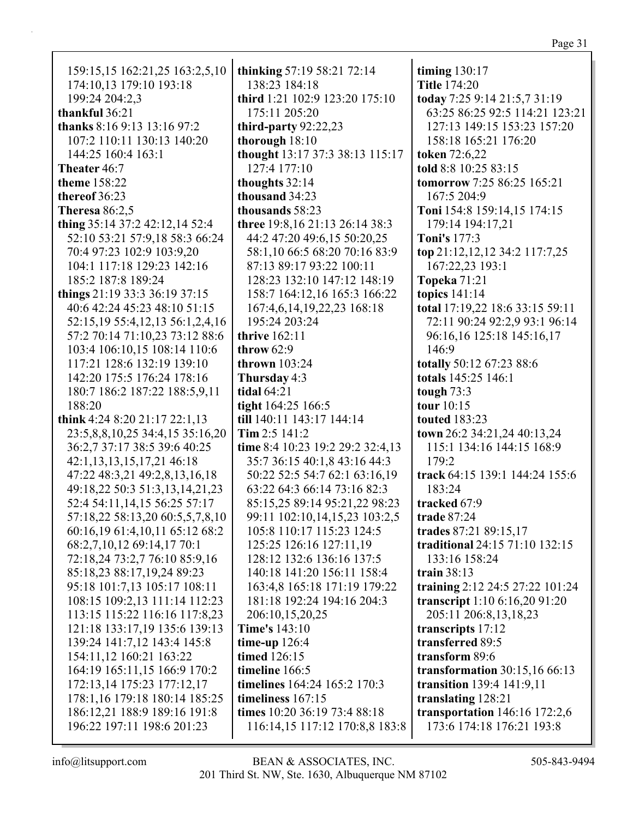| 159:15,15 162:21,25 163:2,5,10   | thinking 57:19 58:21 72:14                      | timing $130:17$                                                |
|----------------------------------|-------------------------------------------------|----------------------------------------------------------------|
| 174:10,13 179:10 193:18          | 138:23 184:18                                   | <b>Title 174:20</b>                                            |
| 199:24 204:2,3<br>thankful 36:21 | third 1:21 102:9 123:20 175:10<br>175:11 205:20 | today 7:25 9:14 21:5,7 31:19<br>63:25 86:25 92:5 114:21 123:21 |
| thanks 8:16 9:13 13:16 97:2      | third-party $92:22,23$                          | 127:13 149:15 153:23 157:20                                    |
| 107:2 110:11 130:13 140:20       | thorough $18:10$                                | 158:18 165:21 176:20                                           |
| 144:25 160:4 163:1               |                                                 |                                                                |
| Theater 46:7                     | thought 13:17 37:3 38:13 115:17<br>127:4 177:10 | <b>token</b> 72:6,22<br>told 8:8 10:25 83:15                   |
| theme 158:22                     | thoughts 32:14                                  | <b>tomorrow</b> 7:25 86:25 165:21                              |
| thereof 36:23                    | thousand 34:23                                  | 167:5 204:9                                                    |
| Theresa $86:2,5$                 | thousands 58:23                                 | Toni 154:8 159:14,15 174:15                                    |
| thing 35:14 37:2 42:12,14 52:4   | three 19:8, 16 21:13 26:14 38:3                 | 179:14 194:17,21                                               |
| 52:10 53:21 57:9,18 58:3 66:24   | 44:2 47:20 49:6,15 50:20,25                     | <b>Toni's 177:3</b>                                            |
| 70:4 97:23 102:9 103:9,20        | 58:1,10 66:5 68:20 70:16 83:9                   | top 21:12,12,12 34:2 117:7,25                                  |
| 104:1 117:18 129:23 142:16       | 87:13 89:17 93:22 100:11                        | 167:22,23 193:1                                                |
| 185:2 187:8 189:24               | 128:23 132:10 147:12 148:19                     | <b>Topeka 71:21</b>                                            |
| things 21:19 33:3 36:19 37:15    | 158:7 164:12,16 165:3 166:22                    | topics $141:14$                                                |
| 40:6 42:24 45:23 48:10 51:15     | 167:4,6,14,19,22,23 168:18                      | total 17:19,22 18:6 33:15 59:11                                |
| 52:15,19 55:4,12,13 56:1,2,4,16  | 195:24 203:24                                   | 72:11 90:24 92:2,9 93:1 96:14                                  |
| 57:2 70:14 71:10,23 73:12 88:6   | thrive $162:11$                                 | 96:16,16 125:18 145:16,17                                      |
| 103:4 106:10,15 108:14 110:6     | throw $62:9$                                    | 146:9                                                          |
| 117:21 128:6 132:19 139:10       | thrown $103:24$                                 | totally 50:12 67:23 88:6                                       |
| 142:20 175:5 176:24 178:16       | Thursday 4:3                                    | totals 145:25 146:1                                            |
| 180:7 186:2 187:22 188:5,9,11    | <b>tidal</b> 64:21                              | tough 73:3                                                     |
| 188:20                           | tight 164:25 166:5                              | tour 10:15                                                     |
| think 4:24 8:20 21:17 22:1,13    | till 140:11 143:17 144:14                       | <b>touted</b> 183:23                                           |
| 23:5,8,8,10,25 34:4,15 35:16,20  | Tim $2:5$ 141:2                                 | town 26:2 34:21,24 40:13,24                                    |
| 36:2,7 37:17 38:5 39:6 40:25     | time 8:4 10:23 19:2 29:2 32:4,13                | 115:1 134:16 144:15 168:9                                      |
| 42:1,13,13,15,17,21 46:18        | 35:7 36:15 40:1,8 43:16 44:3                    | 179:2                                                          |
| 47:22 48:3,21 49:2,8,13,16,18    | 50:22 52:5 54:7 62:1 63:16,19                   | track 64:15 139:1 144:24 155:6                                 |
| 49:18,22 50:3 51:3,13,14,21,23   | 63:22 64:3 66:14 73:16 82:3                     | 183:24                                                         |
| 52:4 54:11,14,15 56:25 57:17     | 85:15,25 89:14 95:21,22 98:23                   | tracked 67:9                                                   |
| 57:18,22 58:13,20 60:5,5,7,8,10  | 99:11 102:10,14,15,23 103:2,5                   | trade 87:24                                                    |
| 60:16,19 61:4,10,11 65:12 68:2   | 105:8 110:17 115:23 124:5                       | trades 87:21 89:15,17                                          |
| 68:2,7,10,12 69:14,17 70:1       | 125:25 126:16 127:11,19                         | traditional 24:15 71:10 132:15                                 |
| 72:18,24 73:2,7 76:10 85:9,16    | 128:12 132:6 136:16 137:5                       | 133:16 158:24                                                  |
| 85:18,23 88:17,19,24 89:23       | 140:18 141:20 156:11 158:4                      | train $38:13$                                                  |
| 95:18 101:7,13 105:17 108:11     | 163:4,8 165:18 171:19 179:22                    | training 2:12 24:5 27:22 101:24                                |
| 108:15 109:2,13 111:14 112:23    | 181:18 192:24 194:16 204:3                      | transcript 1:10 6:16,20 91:20                                  |
| 113:15 115:22 116:16 117:8,23    | 206:10,15,20,25                                 | 205:11 206:8,13,18,23                                          |
| 121:18 133:17,19 135:6 139:13    | <b>Time's</b> 143:10                            | transcripts 17:12                                              |
| 139:24 141:7,12 143:4 145:8      | time-up $126:4$                                 | transferred 89:5                                               |
| 154:11,12 160:21 163:22          | timed 126:15                                    | transform 89:6                                                 |
| 164:19 165:11,15 166:9 170:2     | timeline 166:5                                  | transformation $30:15,1666:13$                                 |
| 172:13,14 175:23 177:12,17       | timelines 164:24 165:2 170:3                    | transition 139:4 141:9,11                                      |
| 178:1,16 179:18 180:14 185:25    | timeliness 167:15                               | translating 128:21                                             |
| 186:12,21 188:9 189:16 191:8     | times 10:20 36:19 73:4 88:18                    | transportation $146:16$ 172:2,6                                |
| 196:22 197:11 198:6 201:23       | 116:14,15 117:12 170:8,8 183:8                  | 173:6 174:18 176:21 193:8                                      |
|                                  |                                                 |                                                                |

info@litsupport.com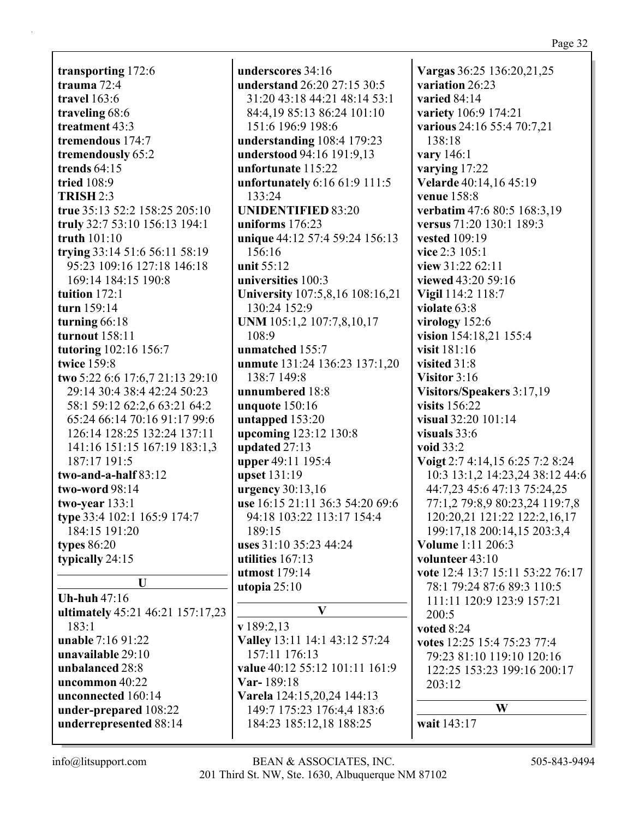transporting 172:6 trauma  $72:4$ travel  $163:6$ traveling 68:6 treatment 43:3 tremendous 174:7 tremendously 65:2 trends  $64:15$ **tried** 108:9 **TRISH 2:3** true 35:13 52:2 158:25 205:10 truly 32:7 53:10 156:13 194:1 truth 101:10 trying 33:14 51:6 56:11 58:19 95:23 109:16 127:18 146:18 169:14 184:15 190:8 tuition  $172:1$ turn 159:14 turning  $66:18$ **turnout** 158:11 tutoring 102:16 156:7 twice 159:8 two 5:22 6:6 17:6,7 21:13 29:10 29:14 30:4 38:4 42:24 50:23 58:1 59:12 62:2.6 63:21 64:2 65:24 66:14 70:16 91:17 99:6 126:14 128:25 132:24 137:11 141:16 151:15 167:19 183:1,3 187:17 191:5 two-and-a-half  $83:12$ two-word 98:14 two-year  $133:1$ type 33:4 102:1 165:9 174:7 184:15 191:20 **types** 86:20 typically 24:15  $\mathbf{U}$ Uh-huh  $47:16$ ultimately 45:21 46:21 157:17,23 183:1 **unable** 7:16 91:22 unavailable 29:10

underscores 34:16 understand 26:20 27:15 30:5 31:20 43:18 44:21 48:14 53:1 84:4,19 85:13 86:24 101:10 151:6 196:9 198:6 understanding  $108:4$  179:23 understood 94:16 191:9.13 unfortunate 115:22 unfortunately  $6:1661:9111:5$  $133:24$ **UNIDENTIFIED 83:20** uniforms  $176:23$ unique 44:12 57:4 59:24 156:13  $156:16$ unit  $55:12$ universities 100:3 University 107:5,8,16 108:16,21 130:24 152:9 UNM 105:1,2 107:7,8,10,17 108:9 unmatched 155:7 unmute 131:24 136:23 137:1,20 138:7 149:8 unnumbered 18:8 unquote  $150:16$ untapped 153:20 upcoming 123:12 130:8 updated 27:13 upper 49:11 195:4 upset 131:19 urgency 30:13,16 use 16:15 21:11 36:3 54:20 69:6 94:18 103:22 113:17 154:4  $189:15$ uses 31:10 35:23 44:24 utilities  $167:13$ **utmost** 179:14 utopia  $25:10$  $\mathbf{V}$  $v189:2.13$ Valley 13:11 14:1 43:12 57:24 157:11 176:13 value 40:12 55:12 101:11 161:9  $Var-189:18$ Varela 124:15,20,24 144:13 149:7 175:23 176:4,4 183:6 184:23 185:12,18 188:25

Vargas 36:25 136:20,21,25 variation 26:23 varied  $84:14$ variety 106:9 174:21 various 24:16 55:4 70:7,21 138:18 vary 146:1 varying  $17:22$ Velarde 40:14,16 45:19 **venue** 158:8 verbatim 47:6 80:5 168:3,19 versus 71:20 130:1 189:3 **vested** 109:19 vice 2:3 105:1 view 31:22 62:11 viewed 43:20 59:16 Vigil 114:2 118:7 violate 63:8 virology  $152:6$ vision 154:18,21 155:4 visit 181:16 visited 31:8 Visitor  $3:16$ Visitors/Speakers 3:17,19 visits 156:22 visual 32:20 101:14 visuals  $33:6$ void  $33:2$ Voigt 2:7 4:14,15 6:25 7:2 8:24 10:3 13:1,2 14:23,24 38:12 44:6 44:7,23 45:6 47:13 75:24,25 77:1,2 79:8,9 80:23,24 119:7,8 120:20,21 121:22 122:2,16,17 199:17,18 200:14,15 203:3,4 **Volume** 1:11 206:3 volunteer  $43:10$ vote 12:4 13:7 15:11 53:22 76:17 78:1 79:24 87:6 89:3 110:5 111:11 120:9 123:9 157:21  $200:5$ voted 8:24 votes 12:25 15:4 75:23 77:4 79:23 81:10 119:10 120:16 122:25 153:23 199:16 200:17  $203:12$ W wait 143:17

 $info@$ litsupport.com

unbalanced 28:8

uncommon 40:22

unconnected 160:14

under-prepared 108:22

underrepresented 88:14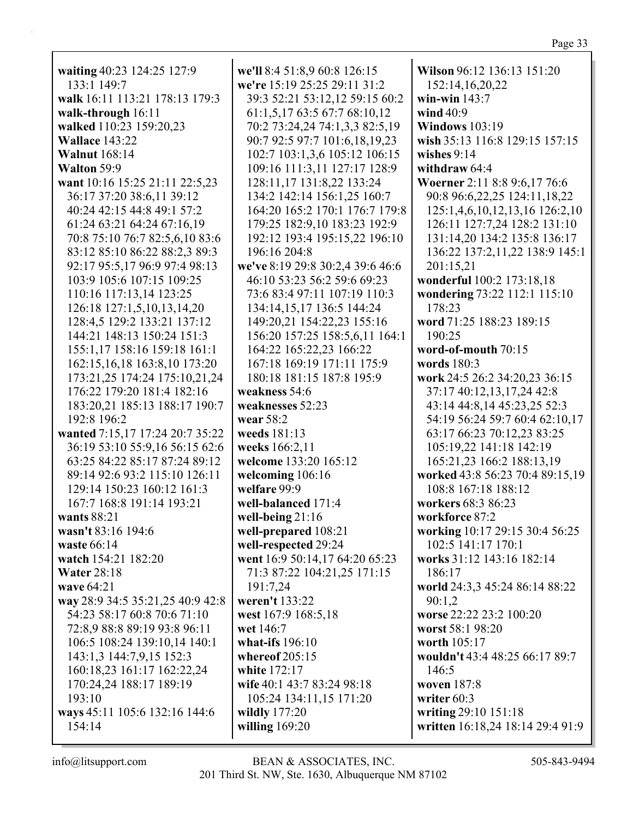| waiting 40:23 124:25 127:9       | we'll 8:4 51:8,9 60:8 126:15     | Wilson 96:12 136:13 151:20       |
|----------------------------------|----------------------------------|----------------------------------|
| 133:1 149:7                      | we're 15:19 25:25 29:11 31:2     | 152:14,16,20,22                  |
| walk 16:11 113:21 178:13 179:3   | 39:3 52:21 53:12,12 59:15 60:2   | win-win $143:7$                  |
| walk-through 16:11               | 61:1,5,17 63:5 67:7 68:10,12     | wind 40:9                        |
| walked 110:23 159:20,23          | 70:2 73:24,24 74:1,3,3 82:5,19   | <b>Windows</b> 103:19            |
| Wallace 143:22                   | 90:7 92:5 97:7 101:6,18,19,23    | wish 35:13 116:8 129:15 157:15   |
| <b>Walnut</b> 168:14             | 102:7 103:1,3,6 105:12 106:15    | wishes $9:14$                    |
| Walton 59:9                      | 109:16 111:3,11 127:17 128:9     | withdraw 64:4                    |
| want 10:16 15:25 21:11 22:5,23   | 128:11,17 131:8,22 133:24        | Woerner 2:11 8:8 9:6,17 76:6     |
| 36:17 37:20 38:6,11 39:12        | 134:2 142:14 156:1,25 160:7      | 90:8 96:6,22,25 124:11,18,22     |
| 40:24 42:15 44:8 49:1 57:2       | 164:20 165:2 170:1 176:7 179:8   | 125:1,4,6,10,12,13,16 126:2,10   |
| 61:24 63:21 64:24 67:16,19       | 179:25 182:9,10 183:23 192:9     | 126:11 127:7,24 128:2 131:10     |
| 70:8 75:10 76:7 82:5,6,10 83:6   | 192:12 193:4 195:15,22 196:10    | 131:14,20 134:2 135:8 136:17     |
| 83:12 85:10 86:22 88:2,3 89:3    | 196:16 204:8                     | 136:22 137:2,11,22 138:9 145:1   |
| 92:17 95:5,17 96:9 97:4 98:13    | we've 8:19 29:8 30:2,4 39:6 46:6 | 201:15,21                        |
| 103:9 105:6 107:15 109:25        | 46:10 53:23 56:2 59:6 69:23      | wonderful 100:2 173:18,18        |
| 110:16 117:13,14 123:25          | 73:6 83:4 97:11 107:19 110:3     | wondering 73:22 112:1 115:10     |
| 126:18 127:1,5,10,13,14,20       | 134:14,15,17 136:5 144:24        | 178:23                           |
| 128:4,5 129:2 133:21 137:12      | 149:20,21 154:22,23 155:16       | word 71:25 188:23 189:15         |
| 144:21 148:13 150:24 151:3       | 156:20 157:25 158:5,6,11 164:1   | 190:25                           |
| 155:1,17 158:16 159:18 161:1     | 164:22 165:22,23 166:22          | word-of-mouth 70:15              |
| 162:15,16,18 163:8,10 173:20     | 167:18 169:19 171:11 175:9       | words 180:3                      |
| 173:21,25 174:24 175:10,21,24    | 180:18 181:15 187:8 195:9        | work 24:5 26:2 34:20,23 36:15    |
| 176:22 179:20 181:4 182:16       | weakness 54:6                    | 37:17 40:12,13,17,24 42:8        |
| 183:20,21 185:13 188:17 190:7    | weaknesses 52:23                 | 43:14 44:8,14 45:23,25 52:3      |
| 192:8 196:2                      | wear 58:2                        | 54:19 56:24 59:7 60:4 62:10,17   |
| wanted 7:15,17 17:24 20:7 35:22  | weeds 181:13                     | 63:17 66:23 70:12,23 83:25       |
| 36:19 53:10 55:9,16 56:15 62:6   | weeks 166:2,11                   | 105:19,22 141:18 142:19          |
| 63:25 84:22 85:17 87:24 89:12    | welcome 133:20 165:12            | 165:21,23 166:2 188:13,19        |
| 89:14 92:6 93:2 115:10 126:11    | welcoming 106:16                 | worked 43:8 56:23 70:4 89:15,19  |
| 129:14 150:23 160:12 161:3       | welfare 99:9                     | 108:8 167:18 188:12              |
| 167:7 168:8 191:14 193:21        | well-balanced 171:4              | workers 68:3 86:23               |
| wants 88:21                      | well-being $21:16$               | workforce 87:2                   |
| wasn't 83:16 194:6               | well-prepared 108:21             | working 10:17 29:15 30:4 56:25   |
| waste 66:14                      | well-respected 29:24             | 102:5 141:17 170:1               |
| watch 154:21 182:20              | went 16:9 50:14,17 64:20 65:23   | works 31:12 143:16 182:14        |
| <b>Water 28:18</b>               | 71:3 87:22 104:21,25 171:15      | 186:17                           |
| wave 64:21                       | 191:7,24                         | world 24:3,3 45:24 86:14 88:22   |
| way 28:9 34:5 35:21,25 40:9 42:8 | weren't 133:22                   | 90:1,2                           |
| 54:23 58:17 60:8 70:6 71:10      | west 167:9 168:5,18              | worse 22:22 23:2 100:20          |
| 72:8,9 88:8 89:19 93:8 96:11     | wet 146:7                        | worst 58:1 98:20                 |
| 106:5 108:24 139:10,14 140:1     | what-ifs $196:10$                | worth 105:17                     |
| 143:1,3 144:7,9,15 152:3         | whereof 205:15                   | wouldn't 43:4 48:25 66:17 89:7   |
| 160:18,23 161:17 162:22,24       | white 172:17                     | 146:5                            |
| 170:24,24 188:17 189:19          | wife 40:1 43:7 83:24 98:18       | woven 187:8                      |
| 193:10                           | 105:24 134:11,15 171:20          | writer 60:3                      |
| ways 45:11 105:6 132:16 144:6    | wildly 177:20                    | writing 29:10 151:18             |
| 154:14                           | willing $169:20$                 | written 16:18,24 18:14 29:4 91:9 |
|                                  |                                  |                                  |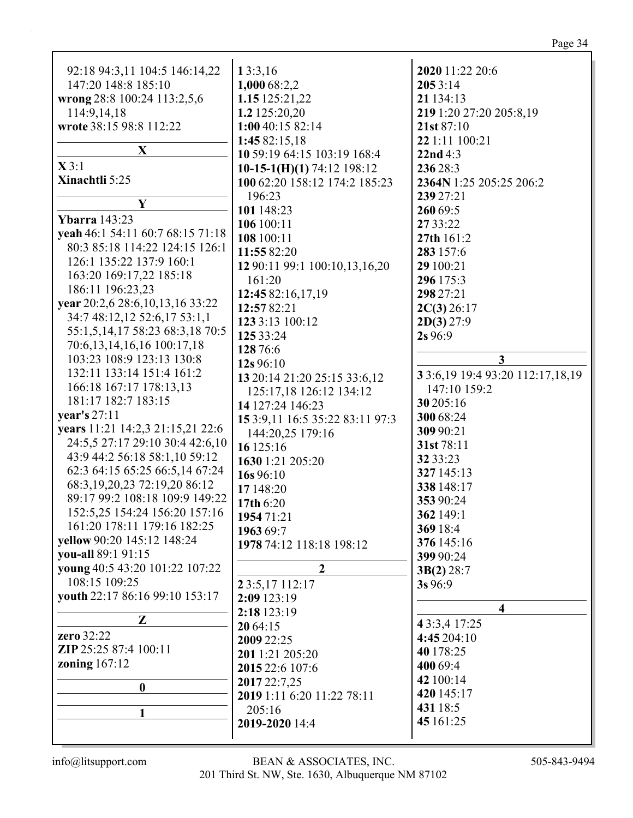| 92:18 94:3,11 104:5 146:14,22      | 13:3,16                         | 2020 11:22 20:6                       |
|------------------------------------|---------------------------------|---------------------------------------|
| 147:20 148:8 185:10                | 1,000 68:2,2                    | 2053:14                               |
| wrong 28:8 100:24 113:2,5,6        | 1.15 125:21,22                  | 21 134:13                             |
| 114:9,14,18                        | 1.2 125:20,20                   | 219 1:20 27:20 205:8,19               |
| wrote 38:15 98:8 112:22            | 1:00 40:15 82:14                | 21st 87:10                            |
|                                    | 1:45 82:15,18                   | 22 1:11 100:21                        |
| X                                  | 10 59:19 64:15 103:19 168:4     | 22nd4:3                               |
| $\mathbf{X}$ 3:1                   | 10-15-1(H)(1) 74:12 198:12      | 236 28:3                              |
| Xinachtli 5:25                     | 100 62:20 158:12 174:2 185:23   | 2364N 1:25 205:25 206:2               |
|                                    |                                 |                                       |
| $\mathbf Y$                        | 196:23                          | 239 27:21                             |
| <b>Ybarra</b> 143:23               | 101 148:23                      | 260 69:5                              |
| yeah 46:1 54:11 60:7 68:15 71:18   | 106 100:11                      | 27 33:22                              |
| 80:3 85:18 114:22 124:15 126:1     | 108 100:11                      | 27th 161:2                            |
| 126:1 135:22 137:9 160:1           | 11:55 82:20                     | 283 157:6                             |
|                                    | 12 90:11 99:1 100:10,13,16,20   | 29 100:21                             |
| 163:20 169:17,22 185:18            | 161:20                          | 296 175:3                             |
| 186:11 196:23,23                   | 12:45 82:16,17,19               | 298 27:21                             |
| year 20:2,6 28:6, 10, 13, 16 33:22 | 12:57 82:21                     | 2C(3) 26:17                           |
| 34:7 48:12,12 52:6,17 53:1,1       | 123 3:13 100:12                 | 2D(3) 27:9                            |
| 55:1,5,14,17 58:23 68:3,18 70:5    | 125 33:24                       | 2s 96:9                               |
| 70:6,13,14,16,16 100:17,18         | 128 76:6                        |                                       |
| 103:23 108:9 123:13 130:8          | 12s 96:10                       | 3                                     |
| 132:11 133:14 151:4 161:2          | 13 20:14 21:20 25:15 33:6,12    | 3 3:6, 19 19:4 93: 20 112: 17, 18, 19 |
| 166:18 167:17 178:13,13            | 125:17,18 126:12 134:12         | 147:10 159:2                          |
| 181:17 182:7 183:15                | 14 127:24 146:23                | 30 205:16                             |
| year's 27:11                       | 15 3:9,11 16:5 35:22 83:11 97:3 | 300 68:24                             |
| years 11:21 14:2,3 21:15,21 22:6   | 144:20,25 179:16                | 309 90:21                             |
| 24:5,5 27:17 29:10 30:4 42:6,10    | 16 125:16                       | 31st 78:11                            |
| 43:9 44:2 56:18 58:1,10 59:12      | 1630 1:21 205:20                | 32 33:23                              |
| 62:3 64:15 65:25 66:5,14 67:24     |                                 | 327 145:13                            |
| 68:3, 19, 20, 23 72:19, 20 86:12   | 16s 96:10                       | 338 148:17                            |
| 89:17 99:2 108:18 109:9 149:22     | 17 148:20                       | 353 90:24                             |
| 152:5.25 154:24 156:20 157:16      | 17th 6:20                       | 362 149:1                             |
| 161:20 178:11 179:16 182:25        | 1954 71:21                      |                                       |
| yellow 90:20 145:12 148:24         | 1963 69:7                       | 369 18:4                              |
| you-all 89:1 91:15                 | 1978 74:12 118:18 198:12        | 376 145:16                            |
| young 40:5 43:20 101:22 107:22     | $\overline{2}$                  | 399 90:24                             |
| 108:15 109:25                      |                                 | 3B(2) 28:7                            |
|                                    | 2 3:5, 17 112:17                | 3s 96:9                               |
| youth 22:17 86:16 99:10 153:17     | 2:09 123:19                     | 4                                     |
| Z                                  | 2:18 123:19                     |                                       |
| zero 32:22                         | 20 64:15                        | 4 3:3,4 17:25                         |
| ZIP 25:25 87:4 100:11              | 2009 22:25                      | 4:45 204:10                           |
|                                    | 201 1:21 205:20                 | 40 178:25                             |
| zoning $167:12$                    | 2015 22:6 107:6                 | 400 69:4                              |
| $\boldsymbol{0}$                   | 2017 22:7,25                    | 42 100:14                             |
|                                    | 2019 1:11 6:20 11:22 78:11      | 420 145:17                            |
| 1                                  | 205:16                          | 431 18:5                              |
|                                    | 2019-2020 14:4                  | 45 161:25                             |
|                                    |                                 |                                       |